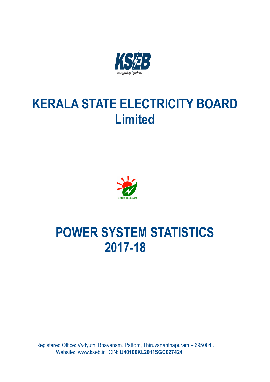

# **KERALA STATE ELECTRICITY BOARD Limited**



# **POWER SYSTEM STATISTICS 2017-18**

POWER SYSTEM STATISTICS

 Registered Office: Vydyuthi Bhavanam, Pattom, Thiruvananthapuram – 695004 . Website: www.kseb.in CIN: **U40100KL2011SGC027424**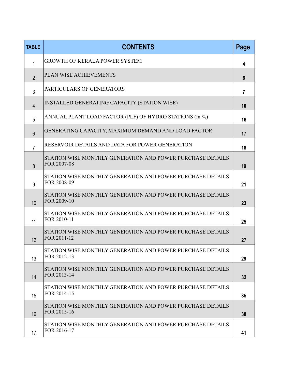| <b>TABLE</b>   | <b>CONTENTS</b>                                                           | Page           |
|----------------|---------------------------------------------------------------------------|----------------|
| 1              | <b>GROWTH OF KERALA POWER SYSTEM</b>                                      | 4              |
| $\overline{2}$ | PLAN WISE ACHIEVEMENTS                                                    | $6\phantom{1}$ |
| $\mathbf{3}$   | PARTICULARS OF GENERATORS                                                 | $\overline{7}$ |
| $\overline{4}$ | INSTALLED GENERATING CAPACITY (STATION WISE)                              | 10             |
| 5              | ANNUAL PLANT LOAD FACTOR (PLF) OF HYDRO STATIONS (in %)                   | 16             |
| 6              | GENERATING CAPACITY, MAXIMUM DEMAND AND LOAD FACTOR                       | 17             |
| $\overline{7}$ | RESERVOIR DETAILS AND DATA FOR POWER GENERATION                           | 18             |
| 8              | STATION WISE MONTHLY GENERATION AND POWER PURCHASE DETAILS<br>FOR 2007-08 | 19             |
| 9              | STATION WISE MONTHLY GENERATION AND POWER PURCHASE DETAILS<br>FOR 2008-09 | 21             |
| 10             | STATION WISE MONTHLY GENERATION AND POWER PURCHASE DETAILS<br>FOR 2009-10 | 23             |
| 11             | STATION WISE MONTHLY GENERATION AND POWER PURCHASE DETAILS<br>FOR 2010-11 | 25             |
| 12             | STATION WISE MONTHLY GENERATION AND POWER PURCHASE DETAILS<br>FOR 2011-12 | 27             |
| 13             | STATION WISE MONTHLY GENERATION AND POWER PURCHASE DETAILS<br>FOR 2012-13 | 29             |
| 14             | STATION WISE MONTHLY GENERATION AND POWER PURCHASE DETAILS<br>FOR 2013-14 | 32             |
| 15             | STATION WISE MONTHLY GENERATION AND POWER PURCHASE DETAILS<br>FOR 2014-15 | 35             |
| 16             | STATION WISE MONTHLY GENERATION AND POWER PURCHASE DETAILS<br>FOR 2015-16 | 38             |
| 17             | STATION WISE MONTHLY GENERATION AND POWER PURCHASE DETAILS<br>FOR 2016-17 | 41             |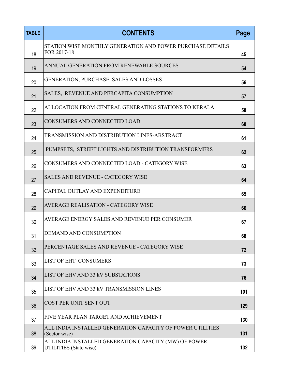| <b>TABLE</b> | <b>CONTENTS</b>                                                                 | Page |
|--------------|---------------------------------------------------------------------------------|------|
| 18           | STATION WISE MONTHLY GENERATION AND POWER PURCHASE DETAILS<br>FOR 2017-18       | 45   |
| 19           | ANNUAL GENERATION FROM RENEWABLE SOURCES                                        | 54   |
| 20           | GENERATION, PURCHASE, SALES AND LOSSES                                          | 56   |
| 21           | SALES, REVENUE AND PERCAPITA CONSUMPTION                                        | 57   |
| 22           | ALLOCATION FROM CENTRAL GENERATING STATIONS TO KERALA                           | 58   |
| 23           | CONSUMERS AND CONNECTED LOAD                                                    | 60   |
| 24           | TRANSMISSION AND DISTRIBUTION LINES-ABSTRACT                                    | 61   |
| 25           | PUMPSETS, STREET LIGHTS AND DISTRIBUTION TRANSFORMERS                           | 62   |
| 26           | CONSUMERS AND CONNECTED LOAD - CATEGORY WISE                                    | 63   |
| 27           | <b>SALES AND REVENUE - CATEGORY WISE</b>                                        | 64   |
| 28           | CAPITAL OUTLAY AND EXPENDITURE                                                  | 65   |
| 29           | <b>AVERAGE REALISATION - CATEGORY WISE</b>                                      | 66   |
| 30           | AVERAGE ENERGY SALES AND REVENUE PER CONSUMER                                   | 67   |
| 31           | DEMAND AND CONSUMPTION                                                          | 68   |
| 32           | PERCENTAGE SALES AND REVENUE - CATEGORY WISE                                    | 72   |
| 33           | LIST OF EHT CONSUMERS                                                           | 73   |
| 34           | LIST OF EHV AND 33 kV SUBSTATIONS                                               | 76   |
| 35           | LIST OF EHV AND 33 kV TRANSMISSION LINES                                        | 101  |
| 36           | COST PER UNIT SENT OUT                                                          | 129  |
| 37           | FIVE YEAR PLAN TARGET AND ACHIEVEMENT                                           | 130  |
| 38           | ALL INDIA INSTALLED GENERATION CAPACITY OF POWER UTILITIES<br>(Sector wise)     | 131  |
| 39           | ALL INDIA INSTALLED GENERATION CAPACITY (MW) OF POWER<br>UTILITIES (State wise) | 132  |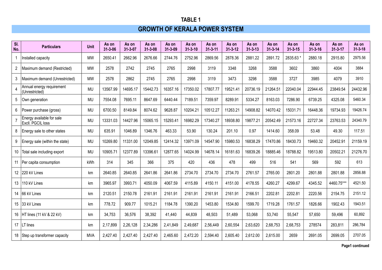# **GROWTH OF KERALA POWER SYSTEM**

| SI.<br>No.     | <b>Particulars</b>                             | <b>Unit</b> | As on<br>$31 - 3 - 06$ | As on<br>$31 - 3 - 07$ | As on<br>$31 - 3 - 08$ | As on<br>$31 - 3 - 09$ | As on<br>$31 - 3 - 10$ | As on<br>$31 - 3 - 11$ | As on<br>$31 - 3 - 12$ | As on<br>$31 - 3 - 13$ | As on<br>$31 - 3 - 14$ | As on<br>$31 - 3 - 15$ | As on<br>$31 - 3 - 16$ | As on<br>$31 - 3 - 17$ | As on<br>$31 - 3 - 18$ |
|----------------|------------------------------------------------|-------------|------------------------|------------------------|------------------------|------------------------|------------------------|------------------------|------------------------|------------------------|------------------------|------------------------|------------------------|------------------------|------------------------|
|                | Installed capacity                             | <b>MW</b>   | 2650.41                | 2662.96                | 2676.66                | 2744.76                | 2752.96                | 2869.56                | 2878.36                | 2881.22                | 2891.72                | 2835.63 *              | 2880.18                | 2915.80                | 2975.56                |
| $\overline{c}$ | Maximum demand (Restricted)                    | <b>MW</b>   | 2578                   | 2742                   | 2745                   | 2765                   | 2998                   | 3119                   | 3348                   | 3268                   | 3588                   | 3602                   | 3860                   | 4004                   | 3884                   |
| 3              | Maximum demand (Unrestricted)                  | <b>MW</b>   | 2578                   | 2862                   | 2745                   | 2765                   | 2998                   | 3119                   | 3473                   | 3298                   | 3588                   | 3727                   | 3985                   | 4079                   | 3910                   |
|                | Annual energy requirement<br>(Unrestricted)    | <b>MU</b>   | 13567.99               | 14695.17               | 15442.73               | 16357.16               | 17350.02               | 17807.77               | 19521.41               | 20736.19               | 21264.51               | 22040.04               | 22944.45               | 23849.54               | 24432.96               |
| 5              | Own generation                                 | <b>MU</b>   | 7554.08                | 7695.11                | 8647.69                | 6440.44                | 7189.51                | 7359.97                | 8289.91                | 5334.27                | 8163.03                | 7286.90                | 6739.25                | 4325.08                | 5460.34                |
| 6              | Power purchase (gross)                         | <b>MU</b>   | 6700.50                | 8149.84                | 8074.62                | 9628.87                | 10204.21               | 10512.27               | 11263.21               | 14908.82               | 14070.42               | 15031.71               | 16448.36               | 19734.93               | 19426.74               |
|                | Energy available for sale<br>Excli. PGCIL loss | <b>MU</b>   | 13331.03               | 14427.96               | 15065.15               | 15293.41               | 16982.29               | 17340.27               | 18938.80               | 19877.21               | 20542.49               | 21573.16               | 22727.34               | 23763.53               | 24340.79               |
| 8              | Energy sale to other states                    | <b>MU</b>   | 635.91                 | 1046.89                | 1346.76                | 463.33                 | 53.90                  | 130.24                 | 201.10                 | 0.97                   | 1414.60                | 358.09                 | 53.48                  | 49.30                  | 117.51                 |
| 9              | Energy sale (within the state)                 | <b>MU</b>   | 10269.80               | 11331.00               | 12049.85               | 12414.32               | 13971.09               | 14547.90               | 15980.53               | 16838.29               | 17470.86               | 18430.73               | 19460.32               | 20452.91               | 21159.19               |
| 10             | Total sale including export                    | <b>MU</b>   | 10905.71               | 12377.89               | 13396.61               | 12877.65               | 14024.99               | 14678.14               | 16181.63               | 16839.26               | 18885.46               | 18788.82               | 19513.80               | 20502.21               | 21276.70               |
| 11             | Per capita consumption                         | kWh         | 314                    | 345                    | 366                    | 375                    | 420                    | 436                    | 478                    | 499                    | 516                    | 541                    | 569                    | 592                    | 613                    |
| 12             | 220 kV Lines                                   | km          | 2640.85                | 2640.85                | 2641.86                | 2641.86                | 2734.70                | 2734.70                | 2734.70                | 2761.57                | 2765.00                | 2801.20                | 2801.88                | 2801.88                | 2856.88                |
| 13             | 110 kV Lines                                   | km          | 3965.97                | 3993.71                | 4050.09                | 4067.59                | 4115.89                | 4150.11                | 4151.00                | 4178.55                | 4260.27                | 4299.67                | 4345.52                | 4460.75***             | 4521.50                |
| 14             | 66 kV Lines                                    | km          | 2120.51                | 2150.78                | 2161.91                | 2161.91                | 2161.91                | 2161.91                | 2161.91                | 2166.51                | 2202.81                | 2202.81                | 2220.56                | 2154.75                | 2151.12                |
|                | 15 33 kV Lines                                 | km          | 778.72                 | 909.77                 | 1015.21                | 1184.78                | 1390.20                | 1453.80                | 1534.80                | 1599.70                | 1719.28                | 1761.57                | 1826.66                | 1902.43                | 1943.51                |
|                | 16 HT lines (11 kV & 22 kV)                    | km          | 34,753                 | 36,576                 | 38,392                 | 41,440                 | 44,839                 | 48,503                 | 51,489                 | 53,068                 | 53,740                 | 55,547                 | 57,650                 | 59,496                 | 60,892                 |
| 17             | $LT$ lines                                     | km          | 2,17,899               | 2,26,128               | 2,34,286               | 2,41,849               | 2,49,687               | 2,56,449               | 2,60,554               | 2,63,620               | 2,68,753               | 2,68,753               | 278574                 | 283,811                | 286,784                |
|                | 18 Step up transformer capacity                | <b>MVA</b>  | 2,427.40               | 2,427.40               | 2,427.40               | 2,465.60               | 2,472.20               | 2,594.40               | 2,605.40               | 2,612.00               | 2,615.00               | 2659                   | 2691.05                | 2699.05                | 2707.05                |

**Page1 continued**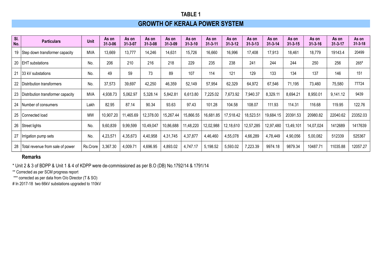# **GROWTH OF KERALA POWER SYSTEM**

| SI.<br>No. | <b>Particulars</b>                   | <b>Unit</b> | As on<br>$31 - 3 - 06$ | As on<br>$31 - 3 - 07$ | As on<br>$31 - 3 - 08$ | As on<br>$31 - 3 - 09$ | As on<br>$31 - 3 - 10$ | As on<br>$31 - 3 - 11$ | As on<br>$31 - 3 - 12$ | As on<br>$31 - 3 - 13$ | As on<br>$31 - 3 - 14$ | As on<br>$31 - 3 - 15$ | As on<br>$31 - 3 - 16$ | As on<br>$31 - 3 - 17$ | As on<br>$31 - 3 - 18$ |
|------------|--------------------------------------|-------------|------------------------|------------------------|------------------------|------------------------|------------------------|------------------------|------------------------|------------------------|------------------------|------------------------|------------------------|------------------------|------------------------|
| 19         | Step down transformer capacity       | <b>MVA</b>  | 13,669                 | 13,777                 | 14,246                 | 14,631                 | 15,726                 | 16,660                 | 16,996                 | 17,408                 | 17,913                 | 18,461                 | 18,779                 | 19143.4                | 20499                  |
| 20         | <b>IEHT</b> substations              | No.         | 206                    | 210                    | 216                    | 218                    | 229                    | 235                    | 238                    | 241                    | 244                    | 244                    | 250                    | 256                    | $265*$                 |
| 21         | 33 kV substations                    | No.         | 49                     | 59                     | 73                     | 89                     | 107                    | 114                    | 121                    | 129                    | 133                    | 134                    | 137                    | 146                    | 151                    |
| 22         | Distribution transformers            | No.         | 37,573                 | 39,697                 | 42,250                 | 46,359                 | 52,149                 | 57,954                 | 62,329                 | 64,972                 | 67,546                 | 71,195                 | 73,460                 | 75,580                 | 77724                  |
|            | 23 Distribution transformer capacity | <b>MVA</b>  | 4,938.73               | 5,062.97               | 5,328.14               | 5,842.81               | 6,613.80               | 7,225.02               | 7,673.92               | 7,940.37               | 8,329.11               | 8,694.21               | 8,950.01               | 9,141.12               | 9439                   |
| 24         | Number of consumers                  | Lakh        | 82.95                  | 87.14                  | 90.34                  | 93.63                  | 97.43                  | 101.28                 | 104.58                 | 108.07                 | 111.93                 | 114.31                 | 116.68                 | 119.95                 | 122.76                 |
| 25         | Connected load                       | <b>MW</b>   | 10,907.20              | 11,465.69              | 12,378.00              | 15,267.44              | 15,866.55              | 16,681.85              | 17,518.42              | 18,523.51              | 19,684.15              | 20391.53               | 20980.82               | 22040.62               | 23352.03               |
|            | 26   Street lights                   | No.         | 9,60,839               | 9,99,599               | 10,49,047              | 10,86,688              | 11,48,220              | 12,02,988              | 12,18,610              | 12,57,285              | 12,97,480              | 13,49,101              | 14,07,024              | 1412689                | 1417639                |
| 27         | Irrigation pump sets                 | No.         | 4,23,571               | 4,35,673               | 4,40,958               | 4,31,745               | 4,37,877               | 4,46,460               | 4,55,078               | 4,66,289               | 4,78,449               | 4,90,056               | 5,00,082               | 512339                 | 525367                 |
| 28         | Total revenue from sale of power     | Rs.Crore    | 3,367.30               | 4,009.71               | 4,696.95               | 4,893.02               | 4,747.17               | 5,198.52               | 5,593.02               | 7,223.39               | 9974.18                | 9879.34                | 10487.71               | 11035.88               | 12057.27               |

#### **Remarks**

\* Unit 2 & 3 of BDPP & Unit 1 & 4 of KDPP were de-commissioned as per B.O (DB) No.1792/14 & 1791/14

\*\* Corrected as per SCM progress report

\*\*\* corrected as per data from O/o Director (T & SO)

# In 2017-18 two 66kV substations upgraded to 110kV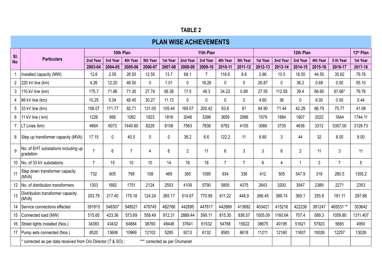| . .<br>u<br>н<br>u |  |  |
|--------------------|--|--|
|--------------------|--|--|

|                | <b>PLAN WISE ACHIEVEMENTS</b>                              |                 |                 |                  |                               |                 |                 |                           |                  |                |                 |                 |                  |                  |                  |                       |
|----------------|------------------------------------------------------------|-----------------|-----------------|------------------|-------------------------------|-----------------|-----------------|---------------------------|------------------|----------------|-----------------|-----------------|------------------|------------------|------------------|-----------------------|
| SI.            |                                                            |                 | 10th Plan       |                  |                               |                 |                 | 11th Plan                 |                  |                |                 |                 | 12th Plan        |                  |                  | 13 <sup>th</sup> Plan |
| <b>No</b>      | <b>Particulars</b>                                         | 2nd Year        | 3rd Year        | 4th Year         | 5th Year                      | 1st Year        | 2nd Year        | 3rd Year                  | 4th Year         | 5th Year       | 1st Year        | 2nd Year        | 3rd Year         | 4th Year         | 5 th Year        | 1st Year              |
|                |                                                            | 2003-04<br>12.6 | 2004-05<br>2.55 | 2005-06<br>26.55 | 2006-07<br>12.55              | 2007-08<br>13.7 | 2008-09<br>68.1 | 2009-10<br>$\overline{7}$ | 2010-11<br>116.6 | 2011-12<br>8.8 | 2012-13<br>2.86 | 2013-14<br>10.5 | 2014-15<br>18.55 | 2015-16<br>44.55 | 2016-17<br>35.62 | 2017-18<br>79.76      |
|                | Installed capacity (MW)                                    |                 |                 |                  |                               |                 |                 |                           |                  |                |                 |                 |                  |                  |                  |                       |
| $\overline{2}$ | $ 220 \text{ kV}$ line (km)                                | 4.26            | 12.20           | 46.50            | $\mathbf 0$                   | 1.01            | 0               | 18.26                     | $\mathbf{0}$     | 0              | 26.87           | $\mathbf 0$     | 36.2             | 0.68             | 0.00             | 55.10                 |
| 3              | 110 kV line (km)                                           | 175.7           | 71.86           | 71.30            | 27.74                         | 56.38           | 17.5            | 48.3                      | 34.22            | 0.89           | 27.55           | 112.59          | 39.4             | 66.60            | 67.66*           | 79.76                 |
|                | $ 66$ kV line (km)                                         | 10.25           | 5.04            | 48.45            | 30.27                         | 11.13           | $\Omega$        | $\Omega$                  | 0                | 0              | 4.60            | 36              | 0                | 6.00             | 0.00             | 0.44                  |
|                | 33 kV line (km)                                            | 106.07          | 171.77          | 92.71            | 131.05                        | 105.44          | 169.57          | 205.42                    | 63.6             | 81             | 64.90           | 71.44           | 42.29            | 66.79            | 75.77            | 41.08                 |
|                | 11 kV line (km)                                            | 1226            | 956             | 1062             | 1823                          | 1816            | 3048            | 3398                      | 3659             | 2986           | 1579            | 1884            | 1807             | 2022             | 1844             | 1744.11               |
|                | LT Lines (km)                                              | 4664            | 6073            | 7440.60          | 8229                          | 8158            | 7563            | 7838                      | 6762             | 4105           | 3066            | 3735            | 4636             | 3312             | 5357.00          | 3129.73               |
| 8              | Step up transformer capacity (MVA)                         | 17.15           | $\mathbf 0$     | 40.5             | $\mathbf 0$                   | $\mathbf 0$     | 38.2            | 6.6                       | 122.2            | 11             | 6.60            | $\mathfrak{Z}$  | 44               | 32               | 8.00             | 8.00                  |
|                | No. of EHT substations including up<br>gradation           | $\overline{7}$  | 6               | $\overline{7}$   | 4                             | 6               | $\overline{2}$  | 11                        | 6                | 3              | $\mathfrak{Z}$  | $6\,$           | $\overline{2}$   | 11               | $\mathfrak{Z}$   | 11                    |
| 10             | No. of 33 kV substations                                   | $\overline{7}$  | 15              | 10               | 10 <sup>°</sup>               | 14              | 16              | 18                        | $\overline{7}$   | $\overline{7}$ | 8               | $\overline{4}$  | $\mathbf{1}$     | 3                | $\overline{7}$   | 5                     |
| 11             | Step down transformer capacity<br>(MVA)                    | 732             | 605             | 799              | 108                           | 469             | 385             | 1095                      | 934              | 336            | 412             | 505             | 547.9            | 318              | 280.5            | 1355.2                |
|                | No. of distribution transformers                           | 1303            | 1882            | 1751             | 2124                          | 2553            | 4109            | 5790                      | 5805             | 4375           | 2643            | 3200            | 3547             | 2389             | 2271             | 2353                  |
| 13             | Distribution transformer capacity<br>(MVA)                 | 203.79          | 217.40          | 175.18           | 124.24                        | 265.17          | 514.67          | 770.99                    | 611.22           | 448.9          | 266.45          | 388.74          | 365.1            | 255.8            | 191.11           | 297.88                |
|                | Service connections effected                               | 391815          | 548307          | 548521           | 478745                        | 482766          | 442895          | 447817                    | 442889           | 413682         | 403421          | 415216          | 422238           | 381247           | 465531 **        | 353642                |
| 15             | Connected load (MW)                                        | 515.65          | 423.36          | 573.69           | 558.49                        | 912.31          | 2889.44         | 599.11                    | 815.30           | 836.57         | 1005.09         | 1160.64         | 707.4            | 589.3            | 1059.80          | 1311.407              |
| 16             | Street lights installed (Nos.)                             | 34383           | 43432           | 64884            | 38760                         | 49448           | 37641           | 61532                     | 54768            | 15622          | 38675           | 40195           | 51621            | 57923            | 5665             | 4950                  |
|                | 17   Pump sets connected (Nos.)                            | 8520            | 13606           | 10969            | 12102                         | 5285            | 9213            | 6132                      | 8583             | 8618           | 11211           | 12160           | 11607            | 10026            | 12257            | 13028                 |
|                | corrected as per data received from O/o Director (T & SO); |                 |                 |                  | *** corrected as per Orumanet |                 |                 |                           |                  |                |                 |                 |                  |                  |                  |                       |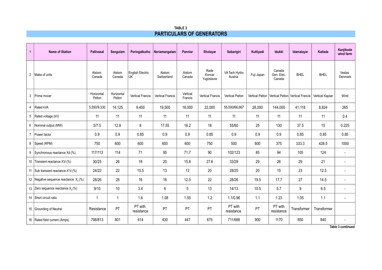#### **TABLE 3 PARTICULARS OF GENERATORS**

| $\mathbf{1}$   | <b>Name of Station</b>                   | Pallivasal           | Sengulam             | Poringalkuthu                 | Neriamangalam           | Panniar             | Sholayar                     | Sabarigiri               | Kuttiyadi  | Idukki                         | Idamalayar                                                             | Kallada     | Kaniikode<br>wind farm   |
|----------------|------------------------------------------|----------------------|----------------------|-------------------------------|-------------------------|---------------------|------------------------------|--------------------------|------------|--------------------------------|------------------------------------------------------------------------|-------------|--------------------------|
| $\overline{2}$ | Make of units                            | Alstom<br>Canada     | Alstom<br>Canada     | English Electric<br><b>UK</b> | Alstom<br>Switzerland   | Alstom<br>Canada    | Rade<br>Koncar<br>Yugoslavia | VA Tech Hydro<br>Austria | Fuji Japan | Canada<br>Gen. Elec.<br>Canada | <b>BHEL</b>                                                            | <b>BHEL</b> | Vestas<br>Denmark        |
| 3              | Prime mover                              | Horizontal<br>Pelton | Horizontal<br>Pelton | <b>Vertical Francis</b>       | <b>Vertical Francis</b> | Vertical<br>Francis | <b>Vertical Francis</b>      | Vertical Pelton          |            |                                | Vertical Pelton   Vertical Pelton   Vertical Francis   Vertical Kaplan |             | Wind                     |
| 4              | Rated kVA                                | 5,550/9,330          | 14,125               | 9,400                         | 19,500                  | 18,000              | 22,000                       | 55,500/66,667            | 28,000     | 144,000                        | 41,118                                                                 | 8,824       | 265                      |
|                | 5   Rated voltage (kV)                   | 11                   | 11                   | 11                            | 11                      | 11                  | 11                           | 11                       | 11         | 11                             | 11                                                                     | 11          | 0.4                      |
| 6              | Nominal output (MW)                      | 5/7.5                | 12.8                 | 8                             | 17.55                   | 16.2                | 18                           | 55/60                    | 25         | 130                            | 37.5                                                                   | 15          | 0.225                    |
| $\overline{7}$ | Power factor                             | 0.9                  | 0.9                  | 0.85                          | 0.9                     | 0.9                 | 0.85                         | 0.9                      | 0.9        | 0.9                            | 0.85                                                                   | 0.85        | 0.85                     |
|                | 8   Speed (RPM)                          | 750                  | 600                  | 600                           | 600                     | 600                 | 750                          | 500                      | 600        | 375                            | 333.3                                                                  | 428.5       | 1000                     |
| 9              | Synchronous reactance Xd (%)             | 117/113              | 114                  | 71                            | 95                      | 71.7                | 90                           | 102/123                  | 85         | 94                             | 105                                                                    | 124         | $\overline{\phantom{a}}$ |
|                | 10 Transient reactance X'd (%)           | 30/25                | 26                   | 18                            | 20                      | 15.8                | 27.6                         | 33/29                    | 29         | 26                             | 29                                                                     | 21          | $\overline{\phantom{a}}$ |
|                | 11   Sub transient reactance X"d (%)     | 24/22                | 22                   | 15.5                          | 13                      | 12                  | 20                           | 28/25                    | $20\,$     | 15                             | 23                                                                     | 12.5        | $\sim$                   |
|                | 12 Negative sequence reactance $X_2(\%)$ | 28/26                | 28                   | 16                            | 16                      | 12.5                | 22                           | 28/26                    | 19.5       | 17.7                           | 27                                                                     | 14.5        | $\overline{\phantom{a}}$ |
|                | 13 Zero sequence reactance $X_0(\%)$     | 9/10                 | $10$                 | 3.4                           | 6                       | $5\phantom{.0}$     | 13                           | 14/13                    | 10.5       | 5.7                            | $\boldsymbol{9}$                                                       | 6.5         | $\overline{\phantom{a}}$ |
|                | 14 Short circuit ratio                   | $\mathbf{1}$         | $\mathbf{1}$         | 1.6                           | 1.08                    | 1.55                | 1.2                          | 1.1/0.96                 | 1.1        | 1.23                           | 1.05                                                                   | 1.1         | $\overline{\phantom{a}}$ |
|                | 15 Grounding of Neutral                  | Resistance           | PT                   | PT with<br>resistance         | PT                      | PT                  | PT                           | PT with<br>resistance    | PT         | PT with<br>resistance          | Transformer                                                            | Transformer |                          |
|                | 16   Rated field current (Amps)          | 798/813              | 801                  | 414                           | 430                     | 447                 | 675                          | 711/688                  | 900        | 1170                           | 850                                                                    | 840         | $\overline{\phantom{a}}$ |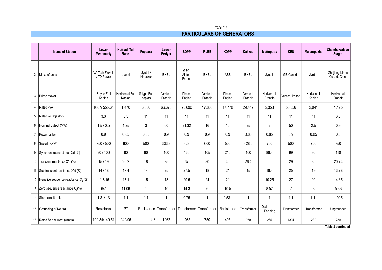| TABLE 3                          |
|----------------------------------|
| <b>PARTICULARS OF GENERATORS</b> |

| $\mathbf{1}$   | <b>Name of Station</b>                     | Lower<br><b>Meenmutty</b>           | <b>Kuttiadi Tail</b><br>Race | Peppara               | Lower<br>Periyar    | <b>BDPP</b>             | <b>PLBE</b>               | <b>KDPP</b>             | <b>Kakkad</b>       | <b>Mattupetty</b>     | <b>KES</b>             | Malampuzha           | Chembukadavu<br>Stage I          |
|----------------|--------------------------------------------|-------------------------------------|------------------------------|-----------------------|---------------------|-------------------------|---------------------------|-------------------------|---------------------|-----------------------|------------------------|----------------------|----------------------------------|
| $\overline{2}$ | Make of units                              | <b>VA Tech Flovel</b><br>/ TD Power | Jyothi                       | Jyothi /<br>Kirloskar | <b>BHEL</b>         | GEC<br>Alstom<br>France | <b>BHEL</b>               | ABB                     | <b>BHEL</b>         | Jyothi                | GE Canada              | Jyothi               | Zhejiang Linhai<br>Co Ltd. China |
| 3              | Prime mover                                | S-type Full<br>Kaplan               | Horizontal Full<br>Kaplan    | S-type Full<br>Kaplan | Vertical<br>Francis | <b>Diesel</b><br>Engine | Vertical<br>Francis       | <b>Diesel</b><br>Engine | Vertical<br>Francis | Horizontal<br>Francis | <b>Vertical Pelton</b> | Horizontal<br>Kaplan | Horizontal<br>Francis            |
|                | 4 Rated kVA                                | 1667/555.61                         | 1,470                        | 3,500                 | 66,670              | 23,690                  | 17,800                    | 17.778                  | 29,412              | 2,353                 | 55,556                 | 2,941                | 1,125                            |
|                | 5   Rated voltage (kV)                     | 3.3                                 | 3.3                          | 11                    | 11                  | 11                      | 11                        | 11                      | 11                  | 11                    | 11                     | 11                   | 6.3                              |
|                | 6   Nominal output (MW)                    | 1.5/0.5                             | 1.25                         | 3                     | 60                  | 21.32                   | 16                        | 16                      | 25                  | $\overline{2}$        | 50                     | 2.5                  | 0.9                              |
| $\overline{7}$ | Power factor                               | 0.9                                 | 0.85                         | 0.85                  | 0.9                 | 0.9                     | 0.9                       | 0.9                     | 0.85                | 0.85                  | 0.9                    | 0.85                 | 0.8                              |
|                | 8   Speed (RPM)                            | 750 / 500                           | 600                          | 500                   | 333.3               | 428                     | 600                       | 500                     | 428.6               | 750                   | 500                    | 750                  | 750                              |
|                | 9   Synchronous reactance Xd (%)           | 90 / 100                            | 80                           | 90                    | 100                 | 160                     | 105                       | 216                     | 100                 | 88.4                  | 99                     | 90                   | 110                              |
|                | 10 Transient reactance X'd (%)             | 15/19                               | 26.2                         | 18                    | 25                  | 37                      | 30                        | 40                      | 26.4                |                       | 29                     | 25                   | 20.74                            |
|                | 11   Sub transient reactance X"d (%)       | 14/18                               | 17.4                         | 14                    | 25                  | 27.5                    | 18                        | 21                      | 15                  | 18.4                  | 25                     | 19                   | 13.78                            |
|                | 12   Negative sequence reactance $X_2$ (%) | 11.7/15                             | 17.1                         | 15                    | 18                  | 29.5                    | 24                        | 21                      |                     | 10.25                 | 27                     | 20                   | 14.35                            |
|                | 13 Zero sequence reactance $X_0(\%)$       | 6/7                                 | 11.06                        | $\mathbf{1}$          | 10                  | 14.3                    | 6                         | 10.5                    |                     | 8.52                  | $\overline{7}$         | 8                    | 5.33                             |
|                | 14 Short circuit ratio                     | 1.31/1.3                            | 1.1                          | 1.1                   | 1                   | 0.75                    | $\mathbf{1}$              | 0.531                   | $\mathbf{1}$        | $\mathbf 1$           | 1.1                    | 1.11                 | 1.095                            |
|                | 15 Grounding of Neutral                    | Resistance                          | PT                           | Resistance            | Transformer         |                         | Transformer   Transformer | Resistance              | Transformer         | Dial<br>Earthing      | Transformer            | Transformer          | Ungrounded                       |
|                | 16 Rated field current (Amps)              | 192.34/140.51                       | 240/95                       | 4.8                   | 1062                | 1085                    | 750                       | 405                     | 950                 | 265                   | 1304                   | 280                  | 230                              |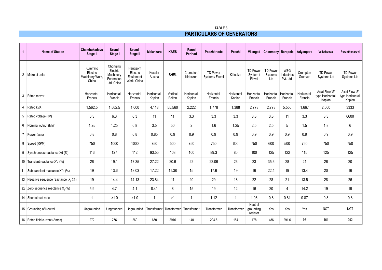| <b>TABLE 3</b>                   |
|----------------------------------|
| <b>PARTICULARS OF GENERATORS</b> |

| $\mathbf{1}$   | <b>Name of Station</b>                     | Chembukadavu<br>Stage II                        | <b>Urumi</b><br>Stage I                                       | Urumi<br>Stage II                               | <b>Malankara</b>     | <b>KAES</b>        | Ranni<br><b>Perinad</b> | Poozhithode                        | Peechi               | Vilangad                              | Chimmony Barapole          |                                       | Adyanpara             | Vellathooval                                | Perunthenaruvi                              |
|----------------|--------------------------------------------|-------------------------------------------------|---------------------------------------------------------------|-------------------------------------------------|----------------------|--------------------|-------------------------|------------------------------------|----------------------|---------------------------------------|----------------------------|---------------------------------------|-----------------------|---------------------------------------------|---------------------------------------------|
|                | 2   Make of units                          | Kumming<br>Electric<br>Machinery Work,<br>China | Chonging<br>Electric<br>Machinery<br>Federation<br>Ltd. China | Hangzom<br>Electric<br>Equipment<br>Work, China | Kossler<br>Austria   | <b>BHEL</b>        | Crompton/<br>Kirlosker  | <b>TD Power</b><br>System / Flovel | Kirloskar            | <b>TD Power</b><br>System /<br>Flovel | TD Power<br>Systems<br>Ltd | <b>WEG</b><br>Industries<br>Pvt. Ltd. | Crompton<br>Greaves   | <b>TD Power</b><br>Systems Ltd              | <b>TD Power</b><br>Systems Ltd              |
|                | 3 Prime mover                              | Horizontal<br>Francis                           | Horizontal<br>Francis                                         | Horizontal<br>Francis                           | Horizontal<br>Kaplan | Vertical<br>Pelton | Horizontal<br>Kaplan    | Horizontal<br>Francis              | Horizontal<br>Kaplan | Horizontal<br>Francis                 | Horizontal<br>Francis      | Horizontal<br>Francis                 | Horizontal<br>Francis | Axial Flow 'S'<br>type Horizontal<br>Kaplan | Axial Flow 'S'<br>type Horizontal<br>Kaplan |
| $\overline{4}$ | Rated kVA                                  | 1,562.5                                         | 1,562.5                                                       | 1,000                                           | 4,118                | 55,560             | 2,222                   | 1,778                              | 1,388                | 2,778                                 | 2,778                      | 5,556                                 | 1,667                 | 2,000                                       | 3333                                        |
|                | 5   Rated voltage (kV)                     | 6.3                                             | 6.3                                                           | 6.3                                             | 11                   | 11                 | 3.3                     | 3.3                                | 3.3                  | 3.3                                   | 3.3                        | 11                                    | 3.3                   | 3.3                                         | 6600                                        |
|                | 6   Nominal output (MW)                    | 1.25                                            | 1.25                                                          | 0.8                                             | 3.5                  | 50                 | $\overline{2}$          | 1.6                                | 1.25                 | 2.5                                   | 2.5                        | 5                                     | 1.5                   | 1.8                                         | 6                                           |
|                | 7 Power factor                             | 0.8                                             | 0.8                                                           | 0.8                                             | 0.85                 | 0.9                | 0.9                     | 0.9                                | 0.9                  | 0.9                                   | 0.9                        | 0.9                                   | 0.9                   | 0.9                                         | 0.9                                         |
|                | 8   Speed (RPM)                            | 750                                             | 1000                                                          | 1000                                            | 750                  | 500                | 750                     | 750                                | 600                  | 750                                   | 600                        | 500                                   | 750                   | 750                                         | 750                                         |
|                | 9 Synchronous reactance Xd (%)             | 113                                             | 127                                                           | 112                                             | 93.55                | 108                | 100                     | 89.3                               | 85                   | 100                                   | 125                        | 122                                   | 115                   | 125                                         | 125                                         |
|                | 10 Transient reactance X'd (%)             | 26                                              | 19.1                                                          | 17.35                                           | 27.22                | 20.6               | 22                      | 22.06                              | 26                   | 23                                    | 35.6                       | 28                                    | 21                    | 26                                          | 20                                          |
|                | 11   Sub transient reactance X"d (%)       | 19                                              | 13.6                                                          | 13.03                                           | 17.22                | 11.38              | 15                      | 17.6                               | 19                   | 16                                    | 22.4                       | 19                                    | 13.4                  | 20                                          | 16                                          |
|                | 12   Negative sequence reactance $X_2$ (%) | 19                                              | 14.4                                                          | 14.13                                           | 23.84                | 11                 | 20                      | 29                                 | 18                   | 22                                    | 28                         | 21                                    | 13.5                  | 28                                          | 26                                          |
|                | 13 Zero sequence reactance $X_0(\%)$       | 5.9                                             | 4.7                                                           | 4.1                                             | 8.41                 | 8                  | 15                      | 19                                 | 12                   | 16                                    | 20                         | 4                                     | 14.2                  | 19                                          | 19                                          |
|                | 14 Short circuit ratio                     | 1                                               | $\geq 1.0$                                                    | >1.0                                            | $\overline{1}$       | >1                 | $\mathbf{1}$            | 1.12                               | $\mathbf 1$          | 1.08                                  | 0.8                        | 0.81                                  | 0.87                  | 0.8                                         | 0.8                                         |
|                | 15 Grounding of Neutral                    | Ungrounded                                      | Ungrounded                                                    | Ungrounded                                      | Transformer          | Transformer        | Transformer             | Transformer                        | Transformer          | Neutral<br>grounding<br>resistor      | Yes                        | Yes                                   | Yes                   | <b>NGT</b>                                  | <b>NGT</b>                                  |
|                | 16   Rated field current (Amps)            | 272                                             | 276                                                           | 260                                             | 650                  | 2916               | 140                     | 204.6                              | 184                  | 178                                   | 486                        | 291.6                                 | 95                    | 161                                         | 292                                         |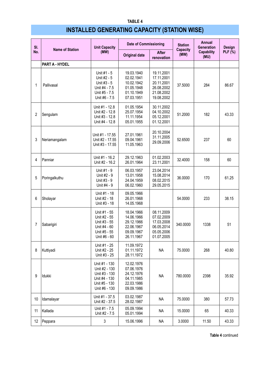# **INSTALLED GENERATING CAPACITY (STATION WISE)**

| SI. |                        | <b>Unit Capacity</b>                                                                               | <b>Date of Commissioning</b>                                                                                 |                                                                                  | <b>Station</b>          | <b>Annual</b><br><b>Generation</b> | Design  |
|-----|------------------------|----------------------------------------------------------------------------------------------------|--------------------------------------------------------------------------------------------------------------|----------------------------------------------------------------------------------|-------------------------|------------------------------------|---------|
| No. | <b>Name of Station</b> | (MW)                                                                                               | <b>Original date</b>                                                                                         | After<br>renovation                                                              | <b>Capacity</b><br>(MW) | <b>Capability</b><br>(MU)          | PLF(% ) |
|     | <b>PART A - HYDEL</b>  |                                                                                                    |                                                                                                              |                                                                                  |                         |                                    |         |
| 1   | Pallivasal             | Unit #1 - 5<br>Unit #2 - 5<br>Unit #3 - 5<br>Unit #4 - 7.5<br>Unit #5 - 7.5<br>Unit #6 - 7.5       | 19.03.1940<br>02.02.1941<br>10.02.1942<br>01.05.1948<br>01.10.1949<br>07.03.1951                             | 19.11.2001<br>17.11.2001<br>20.11.2001<br>26.08.2002<br>21.08.2002<br>19.08.2002 | 37.5000                 | 284                                | 86.67   |
| 2   | Sengulam               | Unit #1 - 12.8<br>Unit #2 - 12.8<br>Unit #3 - 12.8<br>Unit #4 - 12.8                               | 01.05.1954<br>30.11.2002<br>04.10.2002<br>25.07.1954<br>11.11.1954<br>05.12.2001<br>05.01.1955<br>01.12.2001 |                                                                                  | 51.2000                 | 182                                | 43.33   |
| 3   | Neriamangalam          | Unit #1 - 17.55<br>Unit #2 - 17.55<br>Unit #3 - 17.55                                              | 27.01.1961<br>09.04.1961<br>11.05.1963                                                                       | 20.10.2004<br>31.11.2005<br>29.09.2006                                           | 52.6500                 | 237                                | 60      |
| 4   | Panniar                | Unit #1 - 16.2<br>Unit #2 - 16.2                                                                   | 29.12.1963<br>26.01.1964                                                                                     | 01.02.2003<br>23.11.2001                                                         | 32.4000                 | 158                                | 60      |
| 5   | Poringalkuthu          | Unit #1 - 9<br>Unit #2 - 9<br>Unit #3 - 9<br>Unit #4 - 9                                           | 06.03.1957<br>13.01.1958<br>24.04.1959<br>06.02.1960                                                         | 23.04.2014<br>15.08.2014<br>08.02.2015<br>29.05.2015                             | 36.0000                 | 170                                | 61.25   |
| 6   | Sholayar               | Unit #1 - 18<br>Unit #2 - 18<br>Unit #3 - 18                                                       | 09.05.1966<br>26.01.1968<br>14.05.1968                                                                       |                                                                                  | 54.0000                 | 233                                | 38.15   |
| 7   | Sabarigiri             | Unit #1 - 55<br>Unit #2 - 55<br>Unit #3 - 55<br>Unit #4 - 60<br>Unit #5 - 55<br>Unit #6 - 60       | 18.04.1966<br>14.06.1966<br>29.12.1966<br>22.06.1967<br>09.09.1967<br>26.11.1967                             | 08.11.2009<br>07.02.2009<br>17.03.2008<br>06.05.2014<br>05.05.2006<br>01.07.2005 | 340.0000                | 1338                               | 51      |
| 8   | Kuttiyadi              | Unit #1 - 25<br>Unit #2 - 25<br>Unit #3 - 25                                                       | 11.09.1972<br>01.11.1972<br>28.11.1972                                                                       | <b>NA</b>                                                                        | 75.0000                 | 268                                | 40.80   |
| 9   | Idukki                 | Unit #1 - 130<br>Unit #2 - 130<br>Unit #3 - 130<br>Unit #4 - 130<br>Unit #5 - 130<br>Unit #6 - 130 | 12.02.1976<br>07.06.1976<br>24.12.1976<br>04.11.1985<br>22.03.1986<br>09.09.1986                             | <b>NA</b>                                                                        | 780.0000                | 2398                               | 35.92   |
| 10  | Idamalayar             | Unit #1 - 37.5<br>Unit #2 - 37.5                                                                   | 03.02.1987<br>28.02.1987                                                                                     | <b>NA</b>                                                                        | 75.0000                 | 380                                | 57.73   |
| 11  | Kallada                | Unit #1 - 7.5<br>Unit #2 - 7.5                                                                     | 05.09.1994<br>05.01.1994                                                                                     | <b>NA</b>                                                                        | 15.0000                 | 65                                 | 40.33   |
| 12  | Peppara                | 3                                                                                                  | 15.06.1996                                                                                                   | <b>NA</b>                                                                        | 3.0000                  | 11.50                              | 43.33   |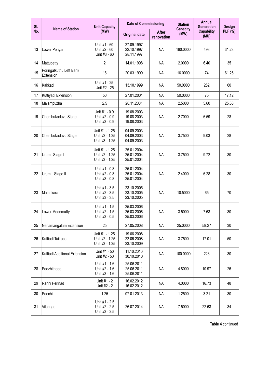| SI. |                                      | <b>Unit Capacity</b>                               | <b>Date of Commissioning</b>           |                            | <b>Station</b>          | <b>Annual</b><br><b>Generation</b> | Design         |
|-----|--------------------------------------|----------------------------------------------------|----------------------------------------|----------------------------|-------------------------|------------------------------------|----------------|
| No. | <b>Name of Station</b>               | (MW)                                               | <b>Original date</b>                   | <b>After</b><br>renovation | <b>Capacity</b><br>(MW) | <b>Capability</b><br>(MU)          | <b>PLF</b> (%) |
| 13  | Lower Periyar                        | Unit #1 - 60<br>Unit #2 - 60<br>Unit #3 - 60       | 27.09.1997<br>22.10.1997<br>28.11.1997 | <b>NA</b>                  | 180.0000                | 493                                | 31.28          |
| 14  | Mattupetty                           | $\overline{2}$                                     | 14.01.1998                             | <b>NA</b>                  | 2.0000                  | 6.40                               | 35             |
| 15  | Poringalkuthu Left Bank<br>Extension | 16                                                 | 20.03.1999                             | <b>NA</b>                  | 16.0000                 | 74                                 | 61.25          |
| 16  | Kakkad                               | Unit #1 - 25<br>Unit #2 - 25                       | 13.10.1999                             | <b>NA</b>                  | 50,0000                 | 262                                | 60             |
| 17  | Kuttiyadi Extension                  | 50                                                 | 27.01.2001                             | <b>NA</b>                  | 50.0000                 | 75                                 | 17.12          |
| 18  | Malampuzha                           | 2.5                                                | 26.11.2001                             | <b>NA</b>                  | 2.5000                  | 5.60                               | 25.60          |
| 19  | Chembukadavu Stage I                 | Unit #1 - 0.9<br>Unit #2 - 0.9<br>Unit #3 - 0.9    | 19.08.2003<br>19.08.2003<br>19.08.2003 | <b>NA</b>                  | 2.7000                  | 6.59                               | 28             |
| 20  | Chembukadavu Stage II                | Unit #1 - 1.25<br>Unit #2 - 1.25<br>Unit #3 - 1.25 | 04.09.2003<br>04.09.2003<br>04.09.2003 | <b>NA</b>                  | 3.7500                  | 9.03                               | 28             |
| 21  | Urumi Stage I                        | Unit #1 - 1.25<br>Unit #2 - 1.25<br>Unit #3 - 1.25 | 25.01.2004<br>25.01.2004<br>25.01.2004 | <b>NA</b>                  | 3.7500                  | 9.72                               | 30             |
| 22  | Urumi Stage II                       | Unit #1 - 0.8<br>Unit #2 - 0.8<br>Unit #3 - 0.8    | 25.01.2004<br>25.01.2004<br>25.01.2004 | <b>NA</b>                  | 2.4000                  | 6.28                               | 30             |
| 23  | Malankara                            | Unit #1 - 3.5<br>Unit #2 - 3.5<br>Unit #3 - 3.5    | 23.10.2005<br>23.10.2005<br>23.10.2005 | <b>NA</b>                  | 10.5000                 | 65                                 | 70             |
| 24  | Lower Meenmutty                      | Unit #1 - 1.5<br>Unit #2 - 1.5<br>Unit #3 - 0.5    | 25.03.2006<br>25.03.2006<br>25.03.2006 | <b>NA</b>                  | 3.5000                  | 7.63                               | 30             |
| 25  | Neriamangalam Extension              | 25                                                 | 27.05.2008                             | <b>NA</b>                  | 25.0000                 | 58.27                              | 30             |
| 26  | Kuttiadi Tailrace                    | Unit #1 - 1.25<br>Unit #2 - 1.25<br>Unit #3 - 1.25 | 19.06.2008<br>22.06.2008<br>23.10.2009 | <b>NA</b>                  | 3.7500                  | 17.01                              | 50             |
| 27  | Kuttiadi Additional Extension        | Unit #1 - 50<br>Unit #2 - 50                       | 11.10.2010<br>30.10.2010               | <b>NA</b>                  | 100.0000                | 223                                | 30             |
| 28  | Poozhithode                          | Unit #1 - 1.6<br>Unit #2 - 1.6<br>Unit #3 - 1.6    | 25.06.2011<br>25.06.2011<br>25.06.2011 | <b>NA</b>                  | 4.8000                  | 10.97                              | 26             |
| 29  | Ranni Perinad                        | Unit #1 - 2<br>Unit #2 - 2                         | 16.02.2012<br>16.02.2012               | <b>NA</b>                  | 4.0000                  | 16.73                              | 48             |
| 30  | Peechi                               | 1.25                                               | 07.01.2013                             | <b>NA</b>                  | 1.2500                  | 3.21                               | 30             |
| 31  | Vilangad                             | Unit #1 - 2.5<br>Unit #2 - 2.5<br>Unit #3 - 2.5    | 26.07.2014                             | <b>NA</b>                  | 7.5000                  | 22.63                              | 34             |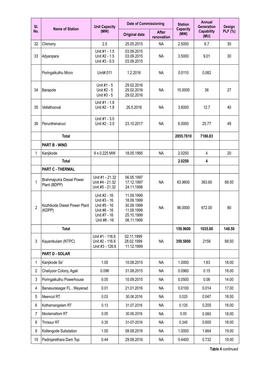| SI.            |                                          | <b>Unit Capacity</b>                                                                         | <b>Date of Commissioning</b>                                                     |                            | <b>Station</b>          | <b>Annual</b><br><b>Generation</b> | Design         |
|----------------|------------------------------------------|----------------------------------------------------------------------------------------------|----------------------------------------------------------------------------------|----------------------------|-------------------------|------------------------------------|----------------|
| No.            | <b>Name of Station</b>                   | (MW)                                                                                         | <b>Original date</b>                                                             | <b>After</b><br>renovation | <b>Capacity</b><br>(MW) | <b>Capability</b><br>(MU)          | <b>PLF</b> (%) |
| 32             | Chimony                                  | 2.5                                                                                          | 25.05.2015                                                                       | <b>NA</b>                  | 2.5000                  | 6.7                                | 30             |
| 33             | Adyanpara                                | Unit #1 - 1.5<br>Unit #2 - 1.5<br>Unit #3 - 0.5                                              | 03.09.2015<br>03.09.2015<br>03.09.2015                                           | <b>NA</b>                  | 3.5000                  | 9.01                               | 30             |
|                | Poringalkuthu Micro                      | Unit#.011                                                                                    | 1.2.2016                                                                         | <b>NA</b>                  | 0.0110                  | 0.082                              |                |
| 34             | Barapole                                 | Unit #1 - 5<br>Unit #2 - 5<br>Unit #3 - 5                                                    | 29.02.2016<br>29.02.2016<br>29.02.2016                                           | <b>NA</b>                  | 15.0000                 | 36                                 | 27             |
| 35             | Vellathooval                             | Unit #1 - 1.8<br>Unit #2 - 1.8                                                               | 26.5.2016                                                                        | <b>NA</b>                  | 3.6000                  | 12.7                               | 40             |
| 36             | Perunthenaruvi                           | Unit #1 - 3.0<br>Unit #2 - 3.0                                                               | 23.10.2017                                                                       | <b>NA</b>                  | 6.0000                  | 25.77                              | 49             |
|                | <b>Total</b>                             |                                                                                              |                                                                                  |                            | 2055.7610               | 7186.83                            |                |
|                | <b>PART B - WIND</b>                     |                                                                                              |                                                                                  |                            |                         |                                    |                |
| 1              | Kanjikode                                | 9 x 0.225 MW                                                                                 | 18.05.1995                                                                       | <b>NA</b>                  | 2.0250                  | $\overline{4}$                     | 20             |
|                | <b>Total</b>                             |                                                                                              |                                                                                  |                            | 2.0250                  | 4                                  |                |
|                | PART C - THERMAL                         |                                                                                              |                                                                                  |                            |                         |                                    |                |
| 1              | Brahmaputra Diesel Power<br>Plant (BDPP) | Unit #1 - 21.32<br>Unit #4 - 21.32<br>Unit #5 - 21.32                                        | 06.05.1997<br>17.12.1997<br>24.11.1998                                           | <b>NA</b>                  | 63.9600                 | 363.60                             | 68.50          |
| $\overline{2}$ | Kozhikode Diesel Power Plant<br>(KDPP)   | Unit #2 - 16<br>Unit #3 - 16<br>Unit #5 - 16<br>Unit #6 - 16<br>Unit #7 - 16<br>Unit #8 - 16 | 11.09.1999<br>18.09.1999<br>30.09.1999<br>11.09.1999<br>25.10.1999<br>06.11.1999 | <b>NA</b>                  | 96.0000                 | 672.00                             | 80             |
|                | <b>Total</b>                             |                                                                                              |                                                                                  |                            | 159.9600                | 1035.60                            | 148.50         |
| 3              | Kayamkulam (NTPC)                        | Unit #1 - 116.6<br>Unit #2 - 116.6<br>Unit #3 - 126.6                                        | 02.11.1999<br>28.02.1999<br>11.12.1999                                           | <b>NA</b>                  | 359.5800                | 2158                               | 68.50          |
|                | PART D - SOLAR                           |                                                                                              |                                                                                  |                            |                         |                                    |                |
| 1              | Kanjikode Ss'                            | 1.00                                                                                         | 10.08.2015                                                                       | <b>NA</b>                  | 1.0000                  | 1.63                               | 18.00          |
| $\overline{2}$ | Chaliyoor Colony, Agali                  | 0.096                                                                                        | 31.08.2015                                                                       | <b>NA</b>                  | 0.0960                  | 0.15                               | 18.00          |
| 3              | Poringalkuthu Powerhouse                 | 0.05                                                                                         | 10.09.2015                                                                       | <b>NA</b>                  | 0.0500                  | 0.06                               | 14.00          |
| 4              | Banasurasagar FL, Wayanad                | 0.01                                                                                         | 21.01.2016                                                                       | <b>NA</b>                  | 0.0100                  | 0.014                              | 17.00          |
| 5              | Meencut RT                               | 0.03                                                                                         | 30.06.2016                                                                       | <b>NA</b>                  | 0.025                   | 0.047                              | 18.00          |
| 6              | Kothamangalam RT                         | 0.13                                                                                         | 31.07.2016                                                                       | <b>NA</b>                  | 0.125                   | 0.205                              | 18.00          |
| $\overline{7}$ | Moolamattom RT                           | 0.05                                                                                         | 30.06.2016                                                                       | <b>NA</b>                  | 0.05                    | 0.060                              | 18.00          |
| 8              | Thrissur RT                              | 0.35                                                                                         | 31-07-2016                                                                       | NA                         | 0.345                   | 0.600                              | 18.00          |
| 9              | Kollengode Substation                    | 1.00                                                                                         | 08.08.2016                                                                       | <b>NA</b>                  | 1.0000                  | 1.664                              | 19.00          |
| 10             | Padinjarethara Dam Top                   | 0.44                                                                                         | 29.08.2016                                                                       | <b>NA</b>                  | 0.4400                  | 0.732                              | 19.00          |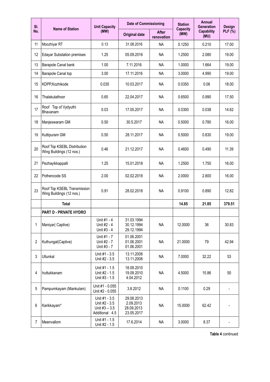| SI.            |                                                         | <b>Unit Capacity</b>                                               | <b>Date of Commissioning</b>                        |                            | <b>Station</b>          | <b>Annual</b><br><b>Generation</b> | Design  |
|----------------|---------------------------------------------------------|--------------------------------------------------------------------|-----------------------------------------------------|----------------------------|-------------------------|------------------------------------|---------|
| No.            | <b>Name of Station</b>                                  | (MW)                                                               | <b>Original date</b>                                | <b>After</b><br>renovation | <b>Capacity</b><br>(MW) | <b>Capability</b><br>(MU)          | PLF(% ) |
| 11             | Moozhiyar RT                                            | 0.13                                                               | 31.08.2016                                          | <b>NA</b>                  | 0.1250                  | 0.210                              | 17.00   |
| 12             | <b>Edayar Substation premises</b>                       | 1.25                                                               | 05.09.2016                                          | <b>NA</b>                  | 1.2500                  | 2.080                              | 19.00   |
| 13             | Barapole Canal bank                                     | 1.00                                                               | 7.11.2016                                           | <b>NA</b>                  | 1.0000                  | 1.664                              | 19.00   |
| 14             | Barapole Canal top                                      | 3.00                                                               | 17.11.2016                                          | <b>NA</b>                  | 3.0000                  | 4.990                              | 19.00   |
| 15             | KDPP, Kozhikode                                         | 0.035                                                              | 10.03.2017                                          | <b>NA</b>                  | 0.0350                  | 0.06                               | 18.00   |
| 16             | Thalakulathoor                                          | 0.65                                                               | 22.04.2017                                          | <b>NA</b>                  | 0.6500                  | 0.990                              | 17.50   |
| 17             | Roof Top of Vydyuthi<br>Bhavanam                        | 0.03                                                               | 17.05.2017                                          | <b>NA</b>                  | 0.0300                  | 0.038                              | 14.62   |
| 18             | Manjeswaram GM                                          | 0.50                                                               | 30.5.2017                                           | <b>NA</b>                  | 0.5000                  | 0.780                              | 16.00   |
| 19             | Kuttipuram GM                                           | 0.50                                                               | 28.11.2017                                          | <b>NA</b>                  | 0.5000                  | 0.830                              | 19.00   |
| 20             | Roof Top KSEBL Distribution<br>Wing Buildings (12 nos.) | 0.46                                                               | 21.12.2017                                          | <b>NA</b>                  | 0.4600                  | 0.490                              | 11.39   |
| 21             | Pezhayikkappalli                                        | 1.25                                                               | 15.01.2018                                          | <b>NA</b>                  | 1.2500                  | 1.750                              | 16.00   |
| 22             | Pothencode SS                                           | 2.00                                                               | 02.02.2018                                          | <b>NA</b>                  | 2.0000                  | 2.800                              | 16.00   |
| 23             | Roof Top KSEBL Transmission<br>Wing Buildings (12 nos.) | 0.91                                                               | 28.02.2018                                          | <b>NA</b>                  | 0.9100                  | 0.890                              | 12.82   |
|                | <b>Total</b>                                            |                                                                    |                                                     |                            | 14.85                   | 21.85                              | 379.51  |
|                | PART D - PRIVATE HYDRO                                  |                                                                    |                                                     |                            |                         |                                    |         |
| 1              | Maniyar(Captive)                                        | Unit #1 - 4<br>Unit #2 - 4<br>Unit #3 - 4                          | 31.03.1994<br>30.12.1994<br>29.12.1994              | <b>NA</b>                  | 12.0000                 | 36                                 | 30.83   |
| $\overline{2}$ | Kuthungal(Captive)                                      | Unit #1 - 7<br>Unit #2 - 7<br>Unit #3 - 7                          | 01.06.2001<br>01.06.2001<br>01.06.2001              | <b>NA</b>                  | 21.0000                 | 79                                 | 42.94   |
| 3              | Ullunkal                                                | Unit #1 - 3.5<br>Unit #2 - 3.5                                     | 13.11.2008<br>13.11.2008                            | <b>NA</b>                  | 7.0000                  | 32.22                              | 53      |
| 4              | Iruttukkanam                                            | Unit #1 - 1.5<br>Unit #2 - 1.5<br>Unit #3 - 1.5                    | 18.09.2010<br>19.09.2010<br>4.04.2012               | <b>NA</b>                  | 4.5000                  | 15.86                              | 50      |
| 5              | Pampumkayam (Mankulam)                                  | Unit #1 - 0.055<br>Unit #2 - 0.055                                 | 3.8.2012                                            | <b>NA</b>                  | 0.1100                  | 0.29                               |         |
| 6              | Karikkayam*                                             | Unit #1 - 3.5<br>Unit #2 - 3.5<br>Unit #3 $-3.5$<br>Additional 4.5 | 29.08.2013<br>2.09.2013<br>28.09.2013<br>23.05.2017 | <b>NA</b>                  | 15.0000                 | 62.42                              |         |
| 7              | Meenvallom                                              | Unit #1 - 1.5<br>Unit #2 - 1.5                                     | 17.6.2014                                           | <b>NA</b>                  | 3.0000                  | 8.37                               |         |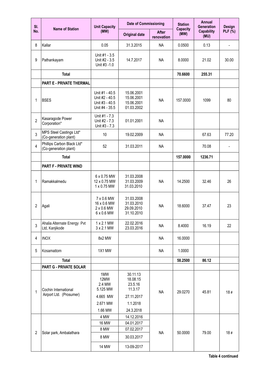| SI.            | <b>Name of Station</b>                              | <b>Unit Capacity</b>                                                 | <b>Date of Commissioning</b>                         |                            | <b>Station</b>          | <b>Annual</b><br><b>Generation</b> | Design                   |
|----------------|-----------------------------------------------------|----------------------------------------------------------------------|------------------------------------------------------|----------------------------|-------------------------|------------------------------------|--------------------------|
| No.            |                                                     | (MW)                                                                 | <b>Original date</b>                                 | <b>After</b><br>renovation | <b>Capacity</b><br>(MW) | <b>Capability</b><br>(MU)          | <b>PLF</b> (%)           |
| 8              | Kallar                                              | 0.05                                                                 | 31.3.2015                                            | <b>NA</b>                  | 0.0500                  | 0.13                               | $\overline{\phantom{a}}$ |
| 9              | Pathankayam                                         | Unit #1 - 3.5<br>Unit #2 - 3.5<br>Unit #3 -1.0                       | 14.7.2017                                            | <b>NA</b>                  | 8.0000                  | 21.02                              | 30.00                    |
|                | <b>Total</b>                                        |                                                                      |                                                      |                            | 70.6600                 | 255.31                             |                          |
|                | PART E - PRIVATE THERMAL                            |                                                                      |                                                      |                            |                         |                                    |                          |
| 1              | <b>BSES</b>                                         | Unit #1 - 40.5<br>Unit #2 - 40.5<br>Unit #3 - 40.5<br>Unit #4 - 35.5 | 15.06.2001<br>15.06.2001<br>15.06.2001<br>01.03.2002 | <b>NA</b>                  | 157.0000                | 1099                               | 80                       |
| $\overline{2}$ | Kasaragode Power<br>Corporation*                    | Unit #1 - 7.3<br>Unit #2 - 7.3<br>Unit #3 - 7.3                      | 01.01.2001                                           | <b>NA</b>                  |                         |                                    |                          |
| 3              | MPS Steel Castings Ltd*<br>(Co-generation plant)    | 10                                                                   | 19.02.2009                                           | <b>NA</b>                  |                         | 67.63                              | 77.20                    |
| $\overline{4}$ | Phillips Carbon Black Ltd*<br>(Co-generation plant) | 52                                                                   | 31.03.2011                                           | <b>NA</b>                  |                         | 70.08                              |                          |
|                | <b>Total</b>                                        |                                                                      |                                                      |                            | 157.0000                | 1236.71                            |                          |
|                | <b>PART F - PRIVATE WIND</b>                        |                                                                      |                                                      |                            |                         |                                    |                          |
| 1              | Ramakkalmedu                                        | 6 x 0.75 MW<br>12 x 0.75 MW<br>1 x 0.75 MW                           | 31.03.2008<br>31.03.2009<br>31.03.2010               | <b>NA</b>                  | 14.2500                 | 32.46                              | 26                       |
| 2              | Agali                                               | 7 x 0.6 MW<br>16 x 0.6 MW<br>$2 \times 0.6$ MW<br>6 x 0.6 MW         | 31.03.2008<br>31.03.2010<br>29.09.2010<br>31.10.2010 | <b>NA</b>                  | 18.6000                 | 37.47                              | 23                       |
| 3              | Ahalia Alternate Energy Pvt<br>Ltd, Kanjikode       | 1 x 2.1 MW<br>3 x 2.1 MW                                             | 22.02.2016<br>23.03.2016                             | <b>NA</b>                  | 8.4000                  | 16.19                              | 22                       |
| 4              | <b>INOX</b>                                         | 8x2 MW                                                               |                                                      | <b>NA</b>                  | 16.0000                 |                                    |                          |
| 5              | Kosamattom                                          | 1X1 MW                                                               |                                                      | <b>NA</b>                  | 1.0000                  |                                    |                          |
|                | <b>Total</b>                                        |                                                                      |                                                      |                            | 58.2500                 | 86.12                              |                          |
|                | <b>PART G - PRIVATE SOLAR</b>                       |                                                                      |                                                      |                            |                         |                                    |                          |
| 1              | Cochin International                                | 1MW<br>12MW<br>2.4 MW<br>5.125 MW                                    | 30.11.13<br>18.08.15<br>23.5.16<br>11.3.17           | <b>NA</b>                  | 29.0270                 | 45.81                              | 18#                      |
|                | Airport Ltd. (Prosumer)                             | 4.665 MW<br>2.671 MW                                                 | 27.11.2017<br>1.1.2018                               |                            |                         |                                    |                          |
|                |                                                     | 1.66 MW                                                              | 24.3.2018                                            |                            |                         |                                    |                          |
|                |                                                     | 4 MW                                                                 | 14.12.2016                                           |                            |                         |                                    |                          |
|                |                                                     | <b>16 MW</b>                                                         | 04.01.2017                                           |                            |                         |                                    |                          |
| $\overline{2}$ | Solar park, Ambalathara                             | 8 MW                                                                 | 07.02.2017                                           | <b>NA</b>                  | 50.0000                 | 79.00                              | 18#                      |
|                |                                                     | 8 MW                                                                 | 30.03.2017                                           |                            |                         |                                    |                          |
|                |                                                     | <b>14 MW</b>                                                         | 13-09-2017                                           |                            |                         |                                    |                          |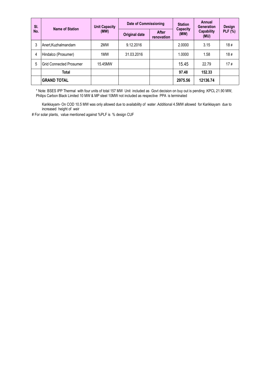| SI. | <b>Name of Station</b>         | <b>Unit Capacity</b> | <b>Date of Commissioning</b> |                            | <b>Station</b>   | Annual<br>Generation      | Design         |
|-----|--------------------------------|----------------------|------------------------------|----------------------------|------------------|---------------------------|----------------|
| No. |                                | (MW)                 | <b>Original date</b>         | <b>After</b><br>renovation | Capacity<br>(MW) | <b>Capability</b><br>(MU) | <b>PLF</b> (%) |
| 3   | Anert,Kuzhalmandam             | 2MW                  | 9.12.2016                    |                            | 2.0000           | 3.15                      | 18#            |
| 4   | Hindalco (Prosumer)            | 1MW                  | 31.03.2016                   |                            | 1.0000           | 1.58                      | 18#            |
| 5   | <b>Grid Connected Prosumer</b> | 15.45MW              |                              |                            | 15.45            | 22.79                     | 17#            |
|     | Total                          |                      |                              |                            | 97.48            | 152.33                    |                |
|     | <b>GRAND TOTAL</b>             |                      |                              |                            | 2975.56          | 12136.74                  |                |

\* Note: BSES IPP Thermal with four units of total 157 MW Unit included as Govt decision on buy out is pending .KPCL 21.90 MW, Philips Carbon Black Limited 10 MW & MP steel 10MW not included as respective PPA is terminated

Karikkayam- On COD 10.5 MW was only allowed due to availability of water .Additional 4.5MW allowed for Karikkayam due to increased height of weir

# For solar plants, value mentioned against %PLF is % design CUF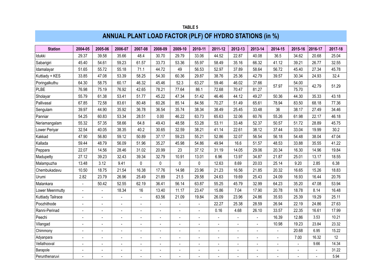|                   | <b>TABLE 5</b><br>ANNUAL PLANT LOAD FACTOR (PLF) OF HYDRO STATIONS (in %) |                              |                |                          |                          |                          |                |                |                |                |                          |                |                |         |
|-------------------|---------------------------------------------------------------------------|------------------------------|----------------|--------------------------|--------------------------|--------------------------|----------------|----------------|----------------|----------------|--------------------------|----------------|----------------|---------|
|                   |                                                                           |                              |                |                          |                          |                          |                |                |                |                |                          |                |                |         |
| <b>Station</b>    | 2004-05                                                                   | 2005-06                      | 2006-07        | 2007-08                  | 2008-09                  | 2009-10                  | 2010-11        | 2011-12        | 2012-13        | 2013-14        | 2014-15                  | 2015-16        | 2016-17        | 2017-18 |
| Idukki            | 29.37                                                                     | 39.58                        | 35.66          | 48.4                     | 30.70                    | 29.79                    | 33.06          | 44.52          | 22.87          | 40.08          | 36.5                     | 34.62          | 20.68          | 25.04   |
| Sabarigiri        | 45.40                                                                     | 54.61                        | 59.23          | 61.57                    | 33.73                    | 53.36                    | 55.97          | 58.49          | 35.16          | 66.32          | 41.12                    | 39.21          | 26.77          | 32.55   |
| Idamalayar        | 51.65                                                                     | 55.72                        | 55.18          | 71.1                     | 44.72                    | 49                       | 56.53          | 52.97          | 37.89          | 58.64          | 56.72                    | 45.40          | 27.34          | 45.78   |
| Kuttiady + KES    | 33.85                                                                     | 47.08                        | 53.39          | 58.25                    | 54.30                    | 60.36                    | 29.87          | 38.76          | 25.36          | 42.79          | 39.57                    | 30.34          | 24.93          | 32.4    |
| Poringalkuthu     | 64.30                                                                     | 58.75                        | 60.17          | 46.32                    | 45.46                    | 52.3                     | 63.27          | 59.46          | 46.02          | 37.66          |                          | 54.00          | 42.79          | 51.29   |
| <b>PLBE</b>       | 76.98                                                                     | 75.19                        | 76.92          | 42.65                    | 78.21                    | 77.64                    | 86.1           | 72.68          | 70.47          | 81.27          | 57.97                    | 75.70          |                |         |
| Sholayar          | 55.79                                                                     | 61.38                        | 53.41          | 51.77                    | 45.22                    | 47.34                    | 51.42          | 46.46          | 44.12          | 49.27          | 50.36                    | 44.30          | 35.33          | 43.18   |
| Pallivasal        | 67.85                                                                     | 72.58                        | 83.61          | 80.48                    | 60.26                    | 85.14                    | 84.56          | 70.27          | 51.49          | 65.61          | 78.94                    | 83.50          | 68.18          | 77.36   |
| Sengulam          | 39.97                                                                     | 44.90                        | 35.92          | 36.78                    | 36.54                    | 35.74                    | 38.34          | 38.49          | 25.45          | 33.48          | 36                       | 38.17          | 27.49          | 34.46   |
| Panniar           | 54.25                                                                     | 60.83                        | 53.34          | 28.51                    | 0.00                     | 46.22                    | 63.73          | 65.63          | 32.06          | 60.76          | 55.26                    | 61.98          | 22.17          | 46.18   |
| Neriamangalam     | 55.32                                                                     | 57.35                        | 58.66          | 64.8                     | 49.43                    | 48.58                    | 53.28          | 53.11          | 33.48          | 52.37          | 50.57                    | 51.72          | 28.89          | 45.75   |
| Lower Periyar     | 32.54                                                                     | 40.05                        | 38.35          | 40.2                     | 30.65                    | 32.59                    | 38.21          | 41.14          | 22.61          | 38.12          | 37.44                    | 33.04          | 19.99          | 30.2    |
| Kakkad            | 47.90                                                                     | 56.80                        | 59.12          | 50.89                    | 37.17                    | 59.23                    | 55.21          | 52.86          | 32.07          | 56.54          | 56.18                    | 54.48          | 38.04          | 47.04   |
| Kallada           | 59.44                                                                     | 48.79                        | 56.09          | 51.96                    | 35.27                    | 45.98                    | 54.86          | 49.94          | 16.6           | 51.57          | 48.53                    | 33.88          | 35.55          | 41.22   |
| Peppara           | 22.07                                                                     | 14.56                        | 28.46          | 31.02                    | 20.99                    | 23                       | 37.12          | 31.19          | 14.05          | 29.06          | 20.34                    | 16.30          | 14.96          | 19.84   |
| Madupetty         | 27.12                                                                     | 39.23                        | 32.43          | 39.34                    | 32.79                    | 10.91                    | 13.01          | 6.96           | 13.97          | 34.87          | 21.87                    | 25.01          | 13.17          | 18.55   |
| Malampuzha        | 13.48                                                                     | 3.12                         | 9.41           | $\pmb{0}$                | 0                        | $\mathbf 0$              | 0              | 12.63          | 8.69           | 20.03          | 25.14                    | 9.20           | 2.85           | 6.38    |
| Chembukadavu      | 10.50                                                                     | 18.75                        | 21.54          | 16.38                    | 17.76                    | 14.98                    | 23.96          | 21.23          | 16.56          | 21.85          | 20.32                    | 16.65          | 15.26          | 18.83   |
| Urumi             | 2.82                                                                      | 23.79                        | 26.96          | 25.49                    | 21.89                    | 21.5                     | 29.58          | 24.63          | 19.69          | 25.43          | 24.09                    | 16.93          | 16.44          | 20.76   |
| Malankara         | $\blacksquare$                                                            | 50.42                        | 52.55          | 62.19                    | 36.41                    | 56.14                    | 63.87          | 55.25          | 45.79          | 32.99          | 64.23                    | 35.20          | 47.08          | 53.94   |
| Lower Meenmutty   | $\overline{a}$                                                            |                              | 18.34          | 16                       | 13.40                    | 11.17                    | 23.47          | 15.86          | 7.04           | 17.90          | 20.78                    | 18.78          | 8.14           | 16.48   |
| Kuttiady Tailrace | $\blacksquare$                                                            | $\qquad \qquad \blacksquare$ |                |                          | 63.56                    | 21.09                    | 19.84          | 26.09          | 23.96          | 24.86          | 35.93                    | 25.39          | 19.29          | 25.11   |
| Poozhithode       | $\blacksquare$                                                            | ä,                           | $\sim$         | $\blacksquare$           | ÷,                       | $\sim$                   |                | 22.27          | 25.38          | 28.59          | 26.94                    | 22.19          | 24.86          | 27.63   |
| Ranni-Perinad     | $\overline{a}$                                                            | ä,                           | $\blacksquare$ | $\overline{a}$           | ä,                       | $\overline{\phantom{a}}$ | $\overline{a}$ | 0.16           | 4.68           | 26.10          | 33.57                    | 22.35          | 16.61          | 17.99   |
| Peechi            |                                                                           | L.                           |                |                          | ÷,                       |                          |                |                |                | $\overline{a}$ | 16.39                    | 12.86          | 3.53           | 10.21   |
| Vilangad          | $\blacksquare$                                                            | ÷,                           | $\blacksquare$ | $\blacksquare$           | $\overline{\phantom{0}}$ | $\blacksquare$           | $\blacksquare$ |                | $\blacksquare$ | $\blacksquare$ | 10.98                    | 19.23          | 23.84          | 23.32   |
| Chimmony          | ÷,                                                                        | L,                           | $\sim$         | $\overline{\phantom{a}}$ | ÷,                       | $\sim$                   | ä,             | $\overline{a}$ | $\sim$         | ÷,             | ÷,                       | 20.68          | 6.95           | 15.22   |
| Adyanpara         |                                                                           |                              |                |                          |                          |                          |                |                |                |                |                          | 7.00           | 16.32          | 12      |
| Vellathooval      | $\blacksquare$                                                            | ä,                           | $\blacksquare$ | $\blacksquare$           | ä,                       | $\blacksquare$           | $\blacksquare$ | ÷,             | $\sim$         | $\overline{a}$ | $\blacksquare$           | $\blacksquare$ | 9.66           | 14.34   |
| Barapole          |                                                                           | L,                           |                |                          | ÷,                       |                          |                |                |                |                | $\overline{a}$           |                |                | 31.22   |
| Perunthenaruvi    |                                                                           |                              |                |                          |                          |                          | $\overline{a}$ |                |                | $\overline{a}$ | $\overline{\phantom{a}}$ |                | $\overline{a}$ | 5.94    |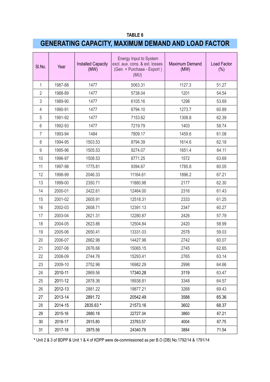# **GENERATING CAPACITY, MAXIMUM DEMAND AND LOAD FACTOR**

| SI.No.         | Year    | <b>Installed Capacity</b><br>(MW) | <b>Energy Input to System</b><br>excl. aux. cons. & ext. losses<br>(Gen. + Purchase - Export)<br>(MU) | Maximum Demand<br>(MW) | <b>Load Factor</b><br>(%) |
|----------------|---------|-----------------------------------|-------------------------------------------------------------------------------------------------------|------------------------|---------------------------|
| 1              | 1987-88 | 1477                              | 5063.31                                                                                               | 1127.3                 | 51.27                     |
| $\overline{2}$ | 1988-89 | 1477                              | 5738.04                                                                                               | 1201                   | 54.54                     |
| 3              | 1989-90 | 1477                              | 6105.16                                                                                               | 1298                   | 53.69                     |
| 4              | 1990-91 | 1477                              | 6794.10                                                                                               | 1273.7                 | 60.89                     |
| 5              | 1991-92 | 1477                              | 7153.62                                                                                               | 1308.8                 | 62.39                     |
| 6              | 1992-93 | 1477                              | 7219.79                                                                                               | 1403                   | 58.74                     |
| $\overline{7}$ | 1993-94 | 1484                              | 7809.17                                                                                               | 1459.6                 | 61.08                     |
| 8              | 1994-95 | 1503.53                           | 8794.39                                                                                               | 1614.6                 | 62.18                     |
| 9              | 1995-96 | 1505.53                           | 9274.07                                                                                               | 1651.4                 | 64.11                     |
| 10             | 1996-97 | 1508.53                           | 8771.25                                                                                               | 1572                   | 63.69                     |
| 11             | 1997-98 | 1775.81                           | 9394.67                                                                                               | 1785.8                 | 60.05                     |
| 12             | 1998-99 | 2046.33                           | 11164.61                                                                                              | 1896.2                 | 67.21                     |
| 13             | 1999-00 | 2350.71                           | 11880.98                                                                                              | 2177                   | 62.30                     |
| 14             | 2000-01 | 2422.61                           | 12464.00                                                                                              | 2316                   | 61.43                     |
| 15             | 2001-02 | 2605.91                           | 12518.31                                                                                              | 2333                   | 61.25                     |
| 16             | 2002-03 | 2608.71                           | 12391.13                                                                                              | 2347                   | 60.27                     |
| 17             | 2003-04 | 2621.31                           | 12280.87                                                                                              | 2426                   | 57.79                     |
| 18             | 2004-05 | 2623.86                           | 12504.84                                                                                              | 2420                   | 58.99                     |
| 19             | 2005-06 | 2650.41                           | 13331.03                                                                                              | 2578                   | 59.03                     |
| 20             | 2006-07 | 2662.96                           | 14427.96                                                                                              | 2742                   | 60.07                     |
| 21             | 2007-08 | 2676.66                           | 15065.15                                                                                              | 2745                   | 62.65                     |
| 22             | 2008-09 | 2744.76                           | 15293.41                                                                                              | 2765                   | 63.14                     |
| 23             | 2009-10 | 2752.96                           | 16982.29                                                                                              | 2998                   | 64.66                     |
| 24             | 2010-11 | 2869.56                           | 17340.28                                                                                              | 3119                   | 63.47                     |
| 25             | 2011-12 | 2878.36                           | 18938.81                                                                                              | 3348                   | 64.57                     |
| 26             | 2012-13 | 2881.22                           | 19877.21                                                                                              | 3268                   | 69.43                     |
| 27             | 2013-14 | 2891.72                           | 20542.49                                                                                              | 3588                   | 65.36                     |
| 28             | 2014-15 | 2835.63 *                         | 21573.16                                                                                              | 3602                   | 68.37                     |
| 29             | 2015-16 | 2880.18                           | 22727.34                                                                                              | 3860                   | 67.21                     |
| 30             | 2016-17 | 2915.80                           | 23763.57                                                                                              | 4004                   | 67.75                     |
| 31             | 2017-18 | 2975.56                           | 24340.79                                                                                              | 3884                   | 71.54                     |

**\*** Unit 2 & 3 of BDPP & Unit 1 & 4 of KDPP were de-commissioned as per B.O (DB) No.1792/14 & 1791/14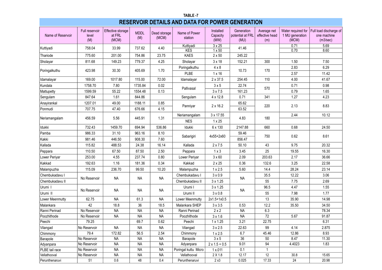|                                                            |                                                                                                                                                                                         |                 |                      |                       | TABLE-7                  |                                |                          |                       |                          |                         |  |  |  |  |  |
|------------------------------------------------------------|-----------------------------------------------------------------------------------------------------------------------------------------------------------------------------------------|-----------------|----------------------|-----------------------|--------------------------|--------------------------------|--------------------------|-----------------------|--------------------------|-------------------------|--|--|--|--|--|
|                                                            | <b>RESERVOIR DETAILS AND DATA FOR POWER GENERATION</b><br>Full reservoir<br>Effective storage<br>Generation<br>Average net<br>Water required for<br>Full load discharge of<br>Installed |                 |                      |                       |                          |                                |                          |                       |                          |                         |  |  |  |  |  |
| Name of Reservoir                                          | level<br>(M)                                                                                                                                                                            | at FRL<br>(MCM) | <b>MDDL</b><br>(M)   | Dead storage<br>(MCM) | Name of Power<br>station | Capacity<br>(MW)               | potential at FRL<br>(MU) | effective head<br>(m) | 1 MU generation<br>(MCM) | one machine<br>(m3/sec) |  |  |  |  |  |
| Kuttiyadi                                                  | 758.04                                                                                                                                                                                  | 33.99           | 737.62               | 4.40                  | Kuttiyadi<br><b>KES</b>  | $3 \times 25$                  | 41.46                    |                       | 0.71                     | 5.69                    |  |  |  |  |  |
| Thariode                                                   | 775.60                                                                                                                                                                                  | 201.00          | 754.86               | 23.75                 | <b>KAES</b>              | $1 \times 50$<br>$2 \times 50$ | 245.22                   |                       | 0.70                     | 8.60                    |  |  |  |  |  |
| Sholayar                                                   | 811.68                                                                                                                                                                                  | 149.23          | 779.37               | 4.25                  | Sholayar                 | $3 \times 18$                  | 152.21                   | 300                   | 1.50                     | 7.50                    |  |  |  |  |  |
|                                                            |                                                                                                                                                                                         |                 |                      |                       |                          |                                |                          |                       |                          | 6.29                    |  |  |  |  |  |
| Poringalkuthu                                              | 423.98                                                                                                                                                                                  | 30.30           | 405.69               | 1.70                  | Poringalkuthu<br>PLBE    | $4 \times 8$<br>$1 \times 16$  | 10.73                    | 170                   | 2.83<br>2.57             | 11.42                   |  |  |  |  |  |
| Idamalayar                                                 | 169.00                                                                                                                                                                                  | 1017.80         | 115.00               | 72.00                 | Idamalayar               | 2 x 37.5                       | 254.45                   | 110                   | 4.00                     | 41.67                   |  |  |  |  |  |
| Kundala                                                    | 1758.70                                                                                                                                                                                 | 7.80            | 1735.84              | 0.02                  |                          | 3 × 5                          | 22.74                    |                       | 0.71                     | 0.98                    |  |  |  |  |  |
| Mattupetty                                                 | 1599.59                                                                                                                                                                                 | 55.22           | 1554.48              | 0.13                  | Pallivasal               | $3 \times 7.5$                 | 161.23                   | 570                   | 0.79                     | 1.65                    |  |  |  |  |  |
| Sengulam                                                   | 847.64                                                                                                                                                                                  | 1.61            | 844.86               |                       | Sengulam                 | 4 x 12.8                       | 0.71                     | 341                   | 1.27                     | 4.23                    |  |  |  |  |  |
| Anayirankal                                                | 1207.01                                                                                                                                                                                 | 49.00           | 1188.11              | 0.85                  |                          |                                | 65.62                    |                       |                          |                         |  |  |  |  |  |
| Ponmudi                                                    | 707.75                                                                                                                                                                                  | 47.40           | 676.66               | 4.15                  | Panniyar                 | $2 \times 16.2$                | 63.52                    | 220                   | 2.13                     | 8.83                    |  |  |  |  |  |
|                                                            |                                                                                                                                                                                         |                 |                      |                       | Neriamangalam            | 3 x 17.55                      |                          |                       | 2.44                     | 10.12                   |  |  |  |  |  |
| Neriamangalam                                              | 456.59                                                                                                                                                                                  | 5.56            | 445.91               | 1.31                  | <b>NES</b>               | $1 \times 25$                  | 4.83                     | 180                   |                          |                         |  |  |  |  |  |
| Idukki                                                     | 732.43                                                                                                                                                                                  | 1459.70         | 694.94               | 536.86                | Idukki                   | 6 x 130                        | 2147.88                  | 660                   | 0.68                     | 24.50                   |  |  |  |  |  |
| Pamba                                                      | 986.33                                                                                                                                                                                  | 31.10           | 963.16               | 8.10                  | Sabarigiri               | 4x55+2x60                      | 59.46                    | 750                   | 0.62                     | 8.61                    |  |  |  |  |  |
| Kakki                                                      | 981.46                                                                                                                                                                                  | 446.50          | 908.30               | 7.60                  |                          |                                | 856.47                   |                       |                          |                         |  |  |  |  |  |
| Kallada                                                    | 115.82                                                                                                                                                                                  | 488.53          | 24.38                | 16.14                 | Kallada                  | $2 \times 7.5$                 | 50.10                    | 43                    | 9.75                     | 20.32                   |  |  |  |  |  |
| Peppara                                                    | 110.50                                                                                                                                                                                  | 67.50           | 87.50                | 2.50                  | Peppara                  | $1 \times 3$                   | 3.45                     | 25                    | 19.55                    | 16.30                   |  |  |  |  |  |
| Lower Periyar                                              | 253.00                                                                                                                                                                                  | 4.55            | 237.74               | 0.80                  | Lower Periyar            | $3 \times 60$                  | 2.09                     | 203.63                | 2.17                     | 36.66                   |  |  |  |  |  |
| Kakkad                                                     | 192.63                                                                                                                                                                                  | 1.16            | 181.36               | 0.34                  | Kakkad                   | $2 \times 25$                  | 0.36                     | 132.6                 | 3.25                     | 22.58                   |  |  |  |  |  |
| Malampuzha                                                 | 115.09                                                                                                                                                                                  | 236.70          | 99.50                | 10.20                 | Malampuzha               | $1 \times 2.5$                 | 5.60                     | 14.4                  | 28.24                    | 23.14                   |  |  |  |  |  |
| Chembukadavu I                                             | No Reservoir                                                                                                                                                                            |                 |                      |                       | Chembukadavu I           | $3 \times 0.9$                 |                          | 35.5                  | 12.22                    | 3.06                    |  |  |  |  |  |
| Chembukadavu II                                            |                                                                                                                                                                                         | <b>NA</b>       | <b>NA</b>            | <b>NA</b>             | Chembukadavu II          | 3 x 1.25                       | <b>NA</b>                | 55                    | 7.75                     | 2.69                    |  |  |  |  |  |
| Urumi I                                                    | No Reservoir                                                                                                                                                                            | <b>NA</b>       |                      | <b>NA</b>             | Urumi I                  | 3 x 1.25                       | <b>NA</b>                | 96.5                  | 4.47                     | 1.55                    |  |  |  |  |  |
| Urumi II                                                   |                                                                                                                                                                                         |                 | NA                   |                       | Urumi II                 | $3 \times 0.8$                 |                          | 55                    | 7.98                     | 1.77                    |  |  |  |  |  |
| Lower Meenmutty                                            | 62.75                                                                                                                                                                                   | <b>NA</b>       | 61.3                 | <b>NA</b>             | Lower Meenmutty          | $2x1.5+1x0.5$                  |                          | 13                    | 35.90                    | 14.98                   |  |  |  |  |  |
| Malankara                                                  | 42                                                                                                                                                                                      | 18.8            | 36                   | 18.5                  | Malankara SHEP           | $3 \times 3.5$                 | 0.53                     | 12.2                  | 35.50                    | 34.50                   |  |  |  |  |  |
| Ranni Perinad                                              | No Reservoir                                                                                                                                                                            | <b>NA</b>       | <b>NA</b>            | <b>NA</b>             | Ranni Perinad            | $2 \times 2$                   | <b>NA</b>                | 6.3                   |                          | 78.34                   |  |  |  |  |  |
| Poozhithode                                                | No Reservoir                                                                                                                                                                            | <b>NA</b>       | NA                   | NA                    | Poozhithode              | $3 \times 1.6$                 | <b>NA</b>                | $\overline{72}$       | 5.67                     | 91.87                   |  |  |  |  |  |
| Peechi                                                     | 79.25                                                                                                                                                                                   |                 | 69.7                 | 0.62                  | Peechi                   | $1 \times 1.25$                | 3.21                     | 22.75                 |                          | 6.31                    |  |  |  |  |  |
| Vilangad                                                   | No Reservoir                                                                                                                                                                            | <b>NA</b>       | <b>NA</b>            | <b>NA</b>             | Vilangad                 | $3 \times 2.5$                 | 22.63                    | 99                    | 4.14                     | 2.875                   |  |  |  |  |  |
| Chimmony                                                   | 79.4                                                                                                                                                                                    | 172.82          | 56.5                 | 2.54                  | Chimmony                 | $1 \times 2.5$                 | 6.7                      | 45.46                 | 12.86                    | 8.93                    |  |  |  |  |  |
| Barapole                                                   | No Reservoir                                                                                                                                                                            | <b>NA</b>       | <b>NA</b>            | <b>NA</b>             | Barapole                 | $3 \times 5$                   | 36                       | $50\,$                | 8.47                     | 11.30                   |  |  |  |  |  |
| Adyanpara                                                  | No Reservoir                                                                                                                                                                            | <b>NA</b>       | <b>NA</b>            | <b>NA</b>             | Adyanpara                | $2 \times 1.5 + 0.5$           | 9.01                     | 94                    | 4.4023                   | 1.83                    |  |  |  |  |  |
| PLBE tail race                                             | <b>NA</b><br>No Reservoir<br><b>NA</b><br><b>NA</b>                                                                                                                                     |                 | Poringal kuttu Micro | 1 x.011               | 0.1                      | 1                              |                          |                       |                          |                         |  |  |  |  |  |
| Vellathooval                                               | No Reservoir                                                                                                                                                                            | <b>NA</b>       | <b>NA</b>            | <b>NA</b>             | Vellathooval             | $2\times1.8$<br>2x3            | 12.17<br>0.025           | 12<br>17.33           | 30.8<br>24               | 15.65<br>20.98          |  |  |  |  |  |
| 0.6<br>51<br>48<br>0.4<br>Perunthenaruvi<br>Perunthenaruvi |                                                                                                                                                                                         |                 |                      |                       |                          |                                |                          |                       |                          |                         |  |  |  |  |  |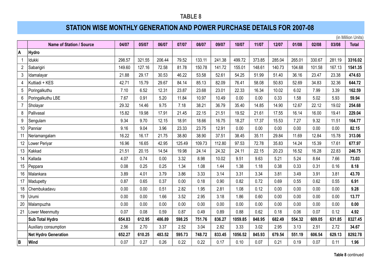## **STATION WISE MONTHLY GENERATION AND POWER PURCHASE DETAILS FOR 2007-08**

**A Hydro**

|                 |                          |        |        |        |        |        |        |         |        |        |        |        |        | (in Million Units) |
|-----------------|--------------------------|--------|--------|--------|--------|--------|--------|---------|--------|--------|--------|--------|--------|--------------------|
|                 | Name of Station / Source | 04/07  | 05/07  | 06/07  | 07/07  | 08/07  | 09/07  | 10/07   | 11/07  | 12/07  | 01/08  | 02/08  | 03/08  | <b>Total</b>       |
|                 | <b>Hydro</b>             |        |        |        |        |        |        |         |        |        |        |        |        |                    |
| $\mathbf{1}$    | Idukki                   | 298.57 | 321.55 | 206.44 | 79.52  | 133.11 | 241.38 | 499.72  | 373.85 | 285.04 | 265.01 | 330.67 | 281.19 | 3316.02            |
| $\overline{2}$  | Sabarigiri               | 149.60 | 127.16 | 72.58  | 81.78  | 150.78 | 141.72 | 155.01  | 148.61 | 140.73 | 104.68 | 101.58 | 167.13 | 1541.35            |
| $\mathbf{3}$    | Idamalayar               | 21.88  | 29.17  | 30.53  | 46.22  | 53.58  | 52.61  | 54.25   | 51.99  | 51.40  | 36.16  | 23.47  | 23.38  | 474.63             |
| 4               | Kuttiadi + KES           | 42.71  | 15.79  | 29.67  | 84.14  | 85.13  | 82.09  | 76.41   | 58.08  | 50.83  | 52.69  | 34.83  | 32.36  | 644.72             |
| 5               | Poringalkuthu            | 7.10   | 6.52   | 12.31  | 23.87  | 23.68  | 23.01  | 22.33   | 16.34  | 10.02  | 6.02   | 7.99   | 3.39   | 162.59             |
| $\,6\,$         | Poringalkuthu LBE        | 7.67   | 0.91   | 5.20   | 11.84  | 10.97  | 10.49  | 0.00    | 0.00   | 0.33   | 1.58   | 5.02   | 5.93   | 59.94              |
| $\overline{7}$  | Sholayar                 | 29.32  | 14.46  | 9.75   | 7.18   | 38.21  | 36.79  | 35.40   | 14.85  | 14.90  | 12.67  | 22.12  | 19.02  | 254.68             |
| 8               | Pallivasal               | 15.82  | 19.98  | 17.91  | 21.45  | 22.15  | 21.51  | 19.52   | 21.61  | 17.55  | 16.14  | 16.00  | 19.41  | 229.04             |
| 9               | Sengulam                 | 9.34   | 9.70   | 12.15  | 18.91  | 18.66  | 16.75  | 18.27   | 17.37  | 15.53  | 7.27   | 9.32   | 11.51  | 164.77             |
| 10 <sup>1</sup> | Panniar                  | 9.16   | 9.04   | 3.96   | 23.33  | 23.75  | 12.91  | 0.00    | 0.00   | 0.00   | 0.00   | 0.00   | 0.00   | 82.15              |
| 11              | Neriamangalam            | 16.22  | 16.17  | 21.75  | 38.80  | 38.90  | 37.51  | 38.45   | 35.11  | 29.84  | 11.69  | 12.84  | 15.78  | 313.06             |
| 12              | Lower Periyar            | 16.96  | 16.65  | 42.95  | 125.49 | 109.73 | 112.80 | 97.53   | 72.78  | 35.83  | 14.24  | 15.39  | 17.61  | 677.97             |
| 13              | Kakkad                   | 21.51  | 20.15  | 14.54  | 19.98  | 24.14  | 24.32  | 24.11   | 22.15  | 20.23  | 16.52  | 16.28  | 22.83  | 246.75             |
| 14              | Kallada                  | 4.07   | 0.74   | 0.00   | 3.32   | 8.98   | 10.02  | 9.51    | 9.63   | 5.21   | 5.24   | 8.64   | 7.66   | 73.03              |
| 15              | Peppara                  | 0.08   | 0.25   | 0.25   | 1.34   | 1.08   | 1.44   | 1.38    | 1.18   | 0.38   | 0.33   | 0.31   | 0.16   | 8.18               |
| 16              | Malankara                | 3.89   | 4.01   | 3.79   | 3.86   | 3.33   | 3.14   | 3.31    | 3.34   | 3.81   | 3.49   | 3.91   | 3.81   | 43.70              |
| 17              | Madupetty                | 0.87   | 0.65   | 0.37   | 0.00   | 0.18   | 0.90   | 0.82    | 0.72   | 0.69   | 0.55   | 0.62   | 0.55   | 6.91               |
| 18              | Chembukadavu             | 0.00   | 0.00   | 0.51   | 2.82   | 1.95   | 2.81   | 1.08    | 0.12   | 0.00   | 0.00   | 0.00   | 0.00   | 9.28               |
| 19              | Urumi                    | 0.00   | 0.00   | 1.66   | 3.52   | 2.95   | 3.18   | 1.86    | 0.60   | 0.00   | 0.00   | 0.00   | 0.00   | 13.77              |
| 20              | Malampuzha               | 0.00   | 0.00   | 0.00   | 0.00   | 0.00   | 0.00   | 0.00    | 0.00   | 0.00   | 0.00   | 0.00   | 0.00   | 0.00               |
| 21              | Lower Meenmutty          | 0.07   | 0.08   | 0.59   | 0.87   | 0.49   | 0.89   | 0.88    | 0.62   | 0.18   | 0.06   | 0.07   | 0.12   | 4.92               |
|                 | <b>Sub Total Hydro</b>   | 654.83 | 612.95 | 486.89 | 598.25 | 751.76 | 836.27 | 1059.85 | 848.95 | 682.49 | 554.32 | 609.05 | 631.85 | 8327.45            |
|                 | Auxiliary consumption    | 2.56   | 2.70   | 3.37   | 2.52   | 3.04   | 2.82   | 3.33    | 3.02   | 2.95   | 3.13   | 2.51   | 2.72   | 34.67              |

**Net Hydro Generation 652.27 610.25 483.52 595.73 748.72 833.45 1056.52 845.93 679.54 551.19 606.54 629.13 8292.78**

**B Wind** 0.07 0.27 0.26 0.22 0.22 0.17 0.10 0.07 0.21 0.19 0.07 0.11 **1.96**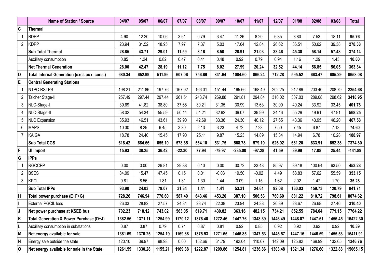|                | Name of Station / Source                     | 04/07   | 05/07   | 06/07   | 07/07    | 08/07   | 09/07    | 10/07     | 11/07    | 12/07   | 01/08   | 02/08   | 03/08   | <b>Total</b> |
|----------------|----------------------------------------------|---------|---------|---------|----------|---------|----------|-----------|----------|---------|---------|---------|---------|--------------|
| C              | <b>Thermal</b>                               |         |         |         |          |         |          |           |          |         |         |         |         |              |
| $\mathbf{1}$   | <b>BDPP</b>                                  | 4.90    | 12.20   | 10.06   | 3.61     | 0.79    | 3.47     | 11.26     | 8.20     | 6.85    | 8.80    | 7.53    | 18.11   | 95.76        |
| $\overline{2}$ | <b>KDPP</b>                                  | 23.94   | 31.52   | 18.95   | 7.97     | 7.37    | 5.03     | 17.64     | 12.84    | 26.62   | 36.51   | 50.62   | 39.38   | 278.38       |
|                | <b>Sub Total Thermal</b>                     | 28.85   | 43.71   | 29.01   | 11.59    | 8.16    | 8.50     | 28.91     | 21.03    | 33.46   | 45.30   | 58.14   | 57.48   | 374.14       |
|                | Auxiliary consumption                        | 0.85    | 1.24    | 0.82    | 0.47     | 0.41    | 0.48     | 0.92      | 0.79     | 0.94    | 1.16    | 1.29    | 1.43    | 10.80        |
|                | <b>Net Thermal Generation</b>                | 28.00   | 42.47   | 28.19   | 11.12    | 7.75    | 8.02     | 27.99     | 20.24    | 32.52   | 44.14   | 56.85   | 56.05   | 363.34       |
| D              | Total Internal Generation (excl. aux. cons.) | 680.34  | 652.99  | 511.96  | 607.06   | 756.69  | 841.64   | 1084.60   | 866.24   | 712.28  | 595.52  | 663.47  | 685.29  | 8658.08      |
| E              | <b>Central Generating Stations</b>           |         |         |         |          |         |          |           |          |         |         |         |         |              |
| $\mathbf{1}$   | NTPC-RSTPS                                   | 198.21  | 211.86  | 197.76  | 167.92   | 166.01  | 151.44   | 165.66    | 168.49   | 202.25  | 212.89  | 203.40  | 208.79  | 2254.68      |
| $\overline{2}$ | Talcher Stage-II                             | 257.49  | 297.44  | 297.44  | 261.51   | 243.74  | 269.88   | 291.81    | 294.84   | 310.02  | 307.03  | 289.08  | 298.62  | 3418.95      |
| 3              | NLC-Stage-I                                  | 39.69   | 41.82   | 38.80   | 37.68    | 30.21   | 31.35    | 30.99     | 13.63    | 30.00   | 40.24   | 33.92   | 33.45   | 401.78       |
| $\overline{4}$ | NLC-Stage-II                                 | 58.02   | 54.34   | 55.59   | 50.14    | 54.21   | 32.62    | 36.07     | 39.99    | 34.16   | 55.29   | 49.91   | 47.91   | 568.25       |
| 5              | <b>NLC Expansion</b>                         | 35.93   | 46.51   | 43.61   | 39.90    | 42.69   | 33.36    | 24.30     | 40.12    | 27.65   | 43.36   | 43.95   | 46.20   | 467.58       |
| 6              | <b>MAPS</b>                                  | 10.30   | 8.29    | 6.45    | 3.30     | 2.13    | 3.23     | 4.72      | 7.23     | 7.50    | 7.45    | 6.87    | 7.13    | 74.60        |
| $\overline{7}$ | <b>KAIGA</b>                                 | 18.78   | 24.40   | 15.45   | 17.90    | 25.11   | 9.87     | 15.23     | 14.89    | 15.34   | 14.94   | 6.78    | 10.28   | 188.97       |
|                | <b>Sub Total CGS</b>                         | 618.42  | 684.66  | 655.10  | 578.35   | 564.10  | 531.75   | 568.78    | 579.19   | 626.92  | 681.20  | 633.91  | 652.38  | 7374.80      |
| F              | <b>UI Import</b>                             | 15.93   | 38.25   | 36.42   | $-22.30$ | 77.94   | $-79.97$ | $-235.00$ | $-97.28$ | 41.59   | 39.99   | 17.08   | 25.44   | $-141.89$    |
| G              | <b>IPPs</b>                                  |         |         |         |          |         |          |           |          |         |         |         |         |              |
| $\overline{1}$ | <b>RGCCPP</b>                                | 0.00    | 0.00    | 29.81   | 29.88    | 0.10    | 0.00     | 30.72     | 23.48    | 85.97   | 89.18   | 100.64  | 63.50   | 453.28       |
| $\overline{2}$ | <b>BSES</b>                                  | 84.09   | 15.47   | 47.45   | 0.15     | 0.01    | $-0.03$  | 19.50     | $-0.02$  | 4.49    | 68.83   | 57.62   | 55.59   | 353.15       |
| 3              | <b>KPCL</b>                                  | 9.81    | 8.56    | 1.81    | 1.31     | 1.30    | 1.44     | 3.09      | 1.15     | 1.62    | 2.02    | 1.47    | 1.70    | 35.28        |
|                | <b>Sub Total IPPs</b>                        | 93.90   | 24.03   | 79.07   | 31.34    | 1.41    | 1.41     | 53.31     | 24.61    | 92.08   | 160.03  | 159.73  | 120.79  | 841.71       |
| H              | Total power purchase (E+F+G)                 | 728.26  | 746.94  | 770.60  | 587.40   | 643.46  | 453.20   | 387.10    | 506.53   | 760.60  | 881.22  | 810.72  | 798.61  | 8074.62      |
|                | <b>External PGCIL loss</b>                   | 26.03   | 28.82   | 27.57   | 24.34    | 23.74   | 22.38    | 23.94     | 24.38    | 26.39   | 28.67   | 26.68   | 27.46   | 310.40       |
| J              | Net power purchase at KSEB bus               | 702.23  | 718.12  | 743.02  | 563.05   | 619.71  | 430.82   | 363.16    | 482.15   | 734.21  | 852.55  | 784.04  | 771.15  | 7764.22      |
| K              | Total Generation & Power Purchase (D+J)      | 1382.56 | 1371.11 | 1254.99 | 1170.12  | 1376.40 | 1272.46  | 1447.76   | 1348.39  | 1446.49 | 1448.07 | 1447.51 | 1456.45 | 16422.30     |
| IL             | Auxiliary consumption in substations         | 0.87    | 0.87    | 0.79    | 0.74     | 0.87    | 0.81     | 0.92      | 0.85     | 0.92    | 0.92    | 0.92    | 0.92    | 10.39        |
| M              | Net energy available for sale                | 1381.69 | 1370.25 | 1254.19 | 1169.38  | 1375.53 | 1271.65  | 1446.85   | 1347.53  | 1445.57 | 1447.16 | 1446.59 | 1455.53 | 16411.91     |
| N              | Energy sale outside the state                | 120.10  | 39.97   | 98.98   | 0.00     | 152.66  | 61.79    | 192.04    | 110.67   | 142.09  | 125.82  | 169.99  | 132.65  | 1346.76      |
| 0              | Net energy available for sale in the State   | 1261.59 | 1330.28 | 1155.21 | 1169.38  | 1222.87 | 1209.86  | 1254.81   | 1236.86  | 1303.48 | 1321.34 | 1276.60 | 1322.88 | 15065.15     |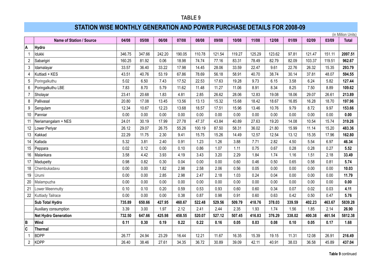### **STATION WISE MONTHLY GENERATION AND POWER PURCHASE DETAILS FOR 2008-09**

(in Million Units) **Name of Station / Source 04/08 05/08 06/08 07/08 08/08 09/08 10/08 11/08 12/08 01/09 02/09 03/09 Total A Hydro** Idukki 346.75 347.66 242.20 190.05 110.78 121.54 119.27 125.29 123.62 97.81 121.47 151.11 **2097.51** Sabarigiri 160.25 81.92 0.06 18.98 74.74 77.16 83.31 78.49 82.79 82.09 103.37 119.51 **962.67** Idamalayar 33.57 36.40 33.22 17.98 14.45 28.06 33.59 22.47 9.61 22.76 26.32 15.35 **293.79** Kuttiadi + KES 43.51 40.76 53.19 67.86 78.69 56.18 58.91 40.70 38.74 30.14 37.81 48.07 **594.55** Poringalkuthu 5.02 6.50 7.43 17.52 22.53 17.63 19.28 9.73 6.15 3.58 6.24 5.82 **127.44** Poringalkuthu LBE 7.83 8.70 5.79 11.62 11.48 11.27 11.06 8.91 8.34 8.25 7.50 8.89 **109.62** Sholayar 23.41 20.68 1.83 4.81 2.85 26.62 28.06 12.83 19.08 18.06 29.07 26.61 **213.89** Pallivasal 20.80 17.08 13.45 13.56 13.13 15.32 15.68 18.42 18.67 16.85 16.28 18.70 **197.96** Sengulam 12.34 10.67 12.23 13.68 18.57 17.51 15.96 13.46 10.76 9.79 8.72 9.97 **153.66** Panniar 0.00 0.00 0.00 0.00 0.00 0.00 0.00 0.00 0.00 0.00 0.00 0.00 **0.00** Neriamangalam + NES 24.01 30.19 17.99 27.78 47.37 43.84 40.89 27.63 19.20 14.08 10.54 15.74 **319.26** Lower Periyar 26.12 29.07 26.75 55.26 100.19 87.50 58.31 36.02 21.80 15.99 11.14 15.20 **483.36** Kakkad 22.29 11.75 2.30 9.41 15.75 15.26 14.49 12.57 12.54 13.12 15.35 17.96 **162.80** Kallada 5.32 3.81 2.40 0.91 1.23 1.26 3.88 7.71 2.82 4.50 5.54 6.97 **46.34** Peppara 0.02 0.12 0.00 0.10 0.86 1.07 1.11 0.75 0.67 0.28 0.28 0.27 **5.52** Malankara 3.58 4.42 3.93 4.19 3.43 3.20 2.29 1.84 1.74 1.16 1.51 2.18 **33.49** Madupetty 0.98 0.82 0.30 0.04 0.00 0.00 0.60 0.46 0.50 0.65 0.58 0.81 **5.74** Chembukadavu 0.00 0.00 1.82 2.98 2.58 2.06 0.56 0.05 0.00 0.00 0.00 0.00 **10.03** Urumi 0.00 0.00 2.85 2.98 2.47 2.18 1.03 0.24 0.04 0.00 0.00 0.00 **11.79** Malampuzha 0.00 0.00 0.00 0.00 0.00 0.00 0.00 0.00 0.00 0.00 0.00 0.00 **0.00** Lower Meenmutty 0.10 0.10 0.20 0.59 0.53 0.93 0.60 0.60 0.34 0.07 0.02 0.03 **4.11** Kuttiady Tailrace 0.00 0.00 0.00 0.38 0.87 0.98 0.91 0.60 0.63 0.42 0.50 0.47 **5.76 Sub Total Hydro 735.89 650.66 427.95 460.67 522.48 529.56 509.79 418.76 378.03 339.59 402.23 463.67 5839.28** Auxiliary consumption 3.39 3.00 1.97 2.12 2.41 2.44 2.35 1.93 1.74 1.56 1.85 2.14 **26.90 Net Hydro Generation 732.50 647.66 425.98 458.55 520.07 527.12 507.45 416.83 376.29 338.02 400.38 461.54 5812.38 B Wind 0.11 0.30 0.19 0.22 0.22 0.16 0.05 0.03 0.08 0.10 0.05 0.17 1.68 C Thermal** BDPP 26.77 24.94 23.29 16.44 12.21 11.67 16.35 15.39 19.15 11.31 12.08 26.91 **216.49** KDPP 26.40 38.46 27.61 34.35 36.72 30.89 39.09 42.11 40.91 38.03 36.58 45.89 **437.04**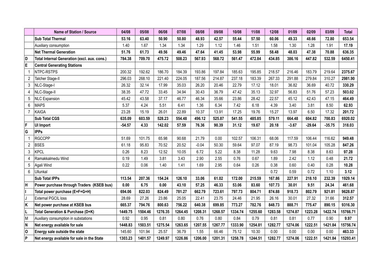|                | <b>Name of Station / Source</b>              | 04/08    | 05/08   | 06/08   | 07/08   | 08/08   | 09/08   | 10/08   | 11/08   | 12/08   | 01/09   | 02/09    | 03/09    | <b>Total</b> |
|----------------|----------------------------------------------|----------|---------|---------|---------|---------|---------|---------|---------|---------|---------|----------|----------|--------------|
|                | Sub Total Thermal                            | 53.16    | 63.40   | 50.90   | 50.80   | 48.93   | 42.57   | 55.44   | 57.50   | 60.06   | 49.33   | 48.66    | 72.80    | 653.54       |
|                | Auxiliary consumption                        | 1.40     | 1.67    | 1.34    | 1.34    | 1.29    | 1.12    | 1.46    | 1.51    | 1.58    | 1.30    | 1.28     | 1.91     | 17.19        |
|                | <b>Net Thermal Generation</b>                | 51.76    | 61.73   | 49.56   | 49.46   | 47.64   | 41.45   | 53.98   | 55.99   | 58.48   | 48.03   | 47.38    | 70.88    | 636.35       |
| 1D             | Total Internal Generation (excl. aux. cons.) | 784.38   | 709.70  | 475.72  | 508.23  | 567.93  | 568.72  | 561.47  | 472.84  | 434.85  | 386.16  | 447.82   | 532.59   | 6450.41      |
| ΙE             | <b>Central Generating Stations</b>           |          |         |         |         |         |         |         |         |         |         |          |          |              |
|                | NTPC-RSTPS                                   | 200.32   | 192.62  | 186.70  | 184.39  | 193.86  | 197.84  | 185.63  | 195.85  | 218.57  | 216.46  | 183.79   | 219.64   | 2375.67      |
| $\overline{2}$ | Talcher Stage-II                             | 296.03   | 268.10  | 221.40  | 224.05  | 187.56  | 214.87  | 237.18  | 183.39  | 267.33  | 291.88  | 279.84   | 310.27   | 2981.90      |
| 3              | NLC-Stage-I                                  | 26.32    | 32.14   | 17.99   | 35.03   | 26.20   | 20.46   | 22.79   | 17.12   | 18.01   | 36.82   | 36.69    | 40.72    | 330.29       |
| 4              | NLC-Stage-II                                 | 38.35    | 47.72   | 33.45   | 34.94   | 30.43   | 36.79   | 47.42   | 35.13   | 32.97   | 56.83   | 51.76    | 57.23    | 503.02       |
| 5              | <b>NLC</b> Expansion                         | 45.42    | 43.58   | 37.17   | 46.77   | 46.34   | 35.66   | 23.86   | 28.42   | 22.57   | 45.12   | 42.43    | 47.15    | 464.49       |
| 6              | <b>MAPS</b>                                  | 5.37     | 4.24    | 5.51    | 6.41    | 1.36    | 6.34    | 7.42    | 6.18    | 4.39    | 3.40    | 3.81     | 8.50     | 62.93        |
| $\overline{7}$ | KAIGA                                        | 23.28    | 15.19   | 26.01   | 22.89   | 10.37   | 13.91   | 17.25   | 19.76   | 15.27   | 13.97   | 6.50     | 17.32    | 201.72       |
|                | <b>Sub Total CGS</b>                         | 635.09   | 603.59  | 528.23  | 554.48  | 496.12  | 525.87  | 541.55  | 485.85  | 579.11  | 664.48  | 604.82   | 700.83   | 6920.02      |
| F              | UI Import                                    | $-54.57$ | 4.33    | 142.02  | 57.59   | 76.36   | 90.39   | 31.12   | 19.67   | 20.18   | $-3.67$ | $-29.64$ | $-35.75$ | 318.03       |
| G              | <b>IPPs</b>                                  |          |         |         |         |         |         |         |         |         |         |          |          |              |
| -1             | <b>RGCCPP</b>                                | 51.69    | 101.75  | 65.98   | 90.68   | 21.79   | 0.00    | 102.57  | 106.31  | 68.06   | 117.59  | 106.44   | 116.62   | 949.48       |
| $\overline{2}$ | <b>BSES</b>                                  | 61.18    | 95.83   | 70.52   | 20.52   | $-0.04$ | 50.30   | 59.64   | 97.07   | 87.19   | 98.73   | 101.04   | 105.28   | 847.26       |
| 3              | <b>KPCL</b>                                  | 0.26     | 8.23    | 12.52   | 10.05   | 6.72    | 5.22    | 8.38    | 11.28   | 9.63    | 7.98    | 8.38     | 8.63     | 97.28        |
| 4              | Ramakkalmedu Wind                            | 0.19     | 1.49    | 3.81    | 3.43    | 2.90    | 2.55    | 0.76    | 0.67    | 1.89    | 2.42    | 1.12     | 0.48     | 21.72        |
| 5              | Agali Wind                                   | 0.22     | 0.06    | 1.40    | 1.41    | 1.69    | 2.95    | 0.64    | 0.26    | 0.38    | 0.60    | 0.40     | 0.28     | 10.28        |
| 6              | Ullunkal                                     |          |         |         |         |         |         |         |         | 0.72    | 0.59    | 0.72     | 1.10     | 3.12         |
|                | Sub Total IPPs                               | 113.54   | 207.36  | 154.24  | 126.10  | 33.06   | 61.02   | 172.00  | 215.59  | 167.86  | 227.91  | 218.10   | 232.39   | 1929.14      |
| lн             | Power purchase through Traders (KSEB bus)    | 0.00     | 6.75    | 0.00    | 43.10   | 57.25   | 46.33   | 53.06   | 83.60   | 107.73  | 30.01   | 9.51     | 24.34    | 461.68       |
|                | Total power purchase (E+F+G+H)               | 694.06   | 822.03  | 824.49  | 781.27  | 662.79  | 723.61  | 797.73  | 804.71  | 874.88  | 918.73  | 802.79   | 921.81   | 9628.87      |
| IJ             | External PGCIL loss                          | 28.69    | 27.26   | 23.86   | 25.05   | 22.41   | 23.75   | 24.46   | 21.95   | 26.16   | 30.01   | 27.32    | 31.66    | 312.57       |
| ΙK             | Net power purchase at KSEB bus               | 665.37   | 794.76  | 800.63  | 756.22  | 640.38  | 699.85  | 773.27  | 782.76  | 848.73  | 888.71  | 775.47   | 890.15   | 9316.30      |
| ΙL             | Total Generation & Purchase (D+K)            | 1449.75  | 1504.46 | 1276.35 | 1264.45 | 1208.31 | 1268.57 | 1334.74 | 1255.60 | 1283.58 | 1274.87 | 1223.28  | 1422.74  | 15766.71     |
| M              | Auxiliary consumption in substations         | 0.92     | 0.95    | 0.81    | 0.80    | 0.76    | 0.80    | 0.84    | 0.79    | 0.81    | 0.81    | 0.77     | 0.90     | 9.97         |
| N              | Net energy available for sale                | 1448.83  | 1503.51 | 1275.54 | 1263.65 | 1207.55 | 1267.77 | 1333.90 | 1254.81 | 1282.77 | 1274.06 | 1222.51  | 1421.84  | 15756.74     |
| ۱o             | Energy sale outside the state                | 145.60   | 101.94  | 25.57   | 36.79   | 1.55    | 66.46   | 75.12   | 10.30   | 0.00    | 0.00    | 0.00     | 0.00     | 463.33       |
| P              | Net energy available for sale in the State   | 1303.23  | 1401.57 | 1249.97 | 1226.86 | 1206.00 | 1201.31 | 1258.78 | 1244.51 | 1282.77 | 1274.06 | 1222.51  | 1421.84  | 15293.41     |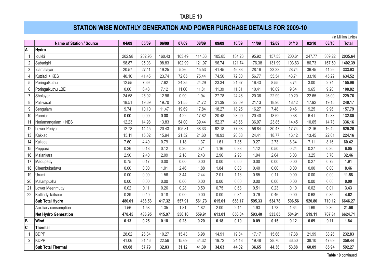## **STATION WISE MONTHLY GENERATION AND POWER PURCHASE DETAILS FOR 2009-10**

(in Million Units)

|                  | <b>Name of Station / Source</b> | 04/09  | 05/09  | 06/09  | 07/09  | 08/09  | 09/09  | 10/09  | 11/09  | 12/09  | 01/10  | 02/10  | 03/10  | <b>Total</b> |
|------------------|---------------------------------|--------|--------|--------|--------|--------|--------|--------|--------|--------|--------|--------|--------|--------------|
| A                | <b>Hydro</b>                    |        |        |        |        |        |        |        |        |        |        |        |        |              |
| $\overline{1}$   | Idukki                          | 202.98 | 202.95 | 160.43 | 103.49 | 114.66 | 105.85 | 134.26 | 95.92  | 157.53 | 200.61 | 247.77 | 309.22 | 2035.64      |
| $\overline{2}$   | Sabarigiri                      | 98.87  | 95.03  | 98.83  | 102.99 | 121.97 | 96.74  | 121.74 | 176.38 | 131.99 | 103.63 | 86.73  | 167.50 | 1402.39      |
| $\mathbf{3}$     | Idamalayar                      | 20.57  | 27.11  | 19.25  | 5.26   | 15.53  | 41.45  | 46.83  | 28.16  | 23.33  | 28.74  | 36.45  | 41.26  | 333.93       |
| $\overline{4}$   | Kuttiadi + KES                  | 40.10  | 41.45  | 23.74  | 72.65  | 75.44  | 74.50  | 72.30  | 56.77  | 55.54  | 43.71  | 33.10  | 45.22  | 634.52       |
| 5                | Poringalkuthu                   | 12.55  | 7.69   | 7.62   | 24.35  | 24.29  | 23.34  | 21.67  | 16.43  | 8.55   | 3.74   | 3.00   | 2.74   | 155.96       |
| $6\phantom{1}$   | Poringalkuthu LBE               | 0.06   | 6.48   | 7.12   | 11.66  | 11.81  | 11.39  | 11.31  | 10.41  | 10.09  | 9.64   | 9.65   | 9.20   | 108.82       |
| $\overline{7}$   | Sholayar                        | 24.58  | 25.92  | 12.96  | 0.90   | 1.94   | 27.78  | 24.48  | 20.36  | 22.99  | 19.20  | 22.65  | 26.00  | 229.76       |
| 8                | Pallivasal                      | 18.51  | 19.69  | 19.70  | 21.55  | 21.72  | 21.39  | 22.09  | 21.13  | 18.90  | 18.42  | 17.92  | 19.15  | 240.17       |
| $\boldsymbol{9}$ | Sengulam                        | 9.74   | 10.10  | 11.47  | 19.69  | 17.84  | 18.27  | 18.25  | 16.27  | 7.48   | 9.46   | 9.25   | 9.96   | 157.79       |
| 10               | Panniar                         | 0.00   | 0.00   | 0.00   | 4.22   | 17.82  | 20.48  | 23.09  | 20.40  | 18.62  | 9.38   | 6.41   | 12.38  | 132.80       |
| 11               | Neriamangalam + NES             | 12.23  | 14.98  | 13.83  | 54.00  | 39.44  | 52.37  | 48.66  | 36.97  | 23.85  | 14.45  | 10.65  | 14.73  | 336.16       |
| 12               | Lower Periyar                   | 12.78  | 14.45  | 20.43  | 105.81 | 68.33  | 92.18  | 77.63  | 56.84  | 30.47  | 17.74  | 12.16  | 16.42  | 525.26       |
| 13               | Kakkad                          | 15.11  | 15.02  | 15.94  | 21.52  | 21.60  | 18.93  | 20.68  | 24.41  | 18.77  | 16.12  | 13.45  | 22.61  | 224.16       |
| 14               | Kallada                         | 7.60   | 4.40   | 0.79   | 1.18   | 1.37   | 1.61   | 7.85   | 9.27   | 2.73   | 8.34   | 7.11   | 8.16   | 60.42        |
| 15               | Peppara                         | 0.26   | 0.18   | 0.12   | 0.30   | 0.71   | 1.16   | 0.88   | 1.12   | 0.50   | 0.24   | 0.27   | 0.30   | 6.05         |
| 16               | Malankara                       | 2.90   | 2.40   | 2.09   | 2.18   | 2.43   | 2.96   | 2.93   | 1.94   | 2.64   | 3.03   | 3.25   | 3.70   | 32.46        |
| 17               | Madupetty                       | 0.75   | 0.17   | 0.00   | 0.00   | 0.00   | 0.00   | 0.00   | 0.00   | 0.00   | 0.00   | 0.27   | 0.72   | 1.91         |
| 18               | Chembukadavu                    | 0.00   | 0.00   | 1.01   | 2.46   | 1.88   | 1.84   | 0.88   | 0.40   | 0.00   | 0.00   | 0.00   | 0.00   | 8.46         |
| 19               | Urumi                           | 0.00   | 0.00   | 1.56   | 3.44   | 2.44   | 2.01   | 1.16   | 0.85   | 0.11   | 0.00   | 0.00   | 0.00   | 11.58        |
| 20               | Malampuzha                      | 0.00   | 0.00   | 0.00   | 0.00   | 0.00   | 0.00   | 0.00   | 0.00   | 0.00   | 0.00   | 0.00   | 0.00   | 0.00         |
| 21               | Lower Meenmutty                 | 0.02   | 0.11   | 0.26   | 0.28   | 0.50   | 0.75   | 0.63   | 0.51   | 0.23   | 0.10   | 0.02   | 0.01   | 3.43         |
| 22               | Kuttiady Tailrace               | 0.39   | 0.40   | 0.18   | 0.00   | 0.00   | 0.00   | 0.84   | 0.79   | 0.46   | 0.00   | 0.68   | 0.85   | 4.62         |
|                  | Sub Total Hydro                 | 480.01 | 488.53 | 417.32 | 557.91 | 561.73 | 615.01 | 658.17 | 595.33 | 534.78 | 506.56 | 520.80 | 710.12 | 6646.27      |
|                  | Auxiliary consumption           | 1.56   | 1.58   | 1.35   | 1.81   | 1.82   | 2.00   | 2.14   | 1.93   | 1.73   | 1.64   | 1.69   | 2.30   | 21.56        |
|                  | <b>Net Hydro Generation</b>     | 478.45 | 486.95 | 415.97 | 556.10 | 559.91 | 613.01 | 656.04 | 593.40 | 533.05 | 504.91 | 519.11 | 707.81 | 6624.71      |
| B                | Wind                            | 0.13   | 0.25   | 0.18   | 0.23   | 0.20   | 0.18   | 0.10   | 0.09   | 0.15   | 0.12   | 0.09   | 0.11   | 1.84         |
| $\mathbf c$      | <b>Thermal</b>                  |        |        |        |        |        |        |        |        |        |        |        |        |              |
| $\overline{1}$   | <b>BDPP</b>                     | 28.62  | 26.34  | 10.27  | 15.43  | 6.98   | 14.91  | 19.84  | 17.17  | 15.66  | 17.38  | 21.99  | 38.26  | 232.83       |
| $\overline{2}$   | <b>KDPP</b>                     | 41.06  | 31.46  | 22.56  | 15.69  | 34.32  | 19.72  | 24.18  | 19.48  | 28.70  | 36.50  | 38.10  | 47.69  | 359.44       |
|                  | <b>Sub Total Thermal</b>        | 69.68  | 57.79  | 32.83  | 31.12  | 41.30  | 34.63  | 44.02  | 36.65  | 44.36  | 53.88  | 60.09  | 85.94  | 592.27       |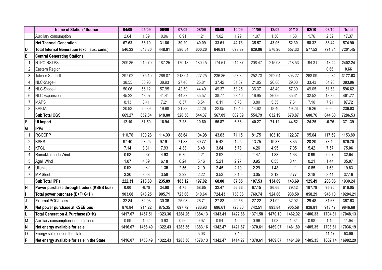|                | Name of Station / Source                     | 04/09   | 05/09   | 06/09   | 07/09   | 08/09   | 09/09   | 10/09   | 11/09   | 12/09   | 01/10   | 02/10   | 03/10   | <b>Total</b> |
|----------------|----------------------------------------------|---------|---------|---------|---------|---------|---------|---------|---------|---------|---------|---------|---------|--------------|
|                | Auxiliary consumption                        | 2.04    | 1.69    | 0.96    | 0.91    | 1.21    | 1.02    | 1.29    | 1.07    | 1.30    | 1.58    | 1.76    | 2.52    | 17.37        |
|                | <b>Net Thermal Generation</b>                | 67.63   | 56.10   | 31.86   | 30.20   | 40.09   | 33.61   | 42.73   | 35.57   | 43.06   | 52.30   | 58.32   | 83.42   | 574.90       |
| D              | Total Internal Generation (excl. aux. cons.) | 546.22  | 543.30  | 448.01  | 586.54  | 600.20  | 646.81  | 698.87  | 629.06  | 576.26  | 557.33  | 577.52  | 791.34  | 7201.45      |
| E              | <b>Central Generating Stations</b>           |         |         |         |         |         |         |         |         |         |         |         |         |              |
| $\mathbf{1}$   | NTPC-RSTPS                                   | 209.36  | 210.79  | 187.25  | 170.18  | 180.45  | 174.51  | 214.87  | 208.47  | 215.08  | 218.53  | 194.31  | 218.44  | 2402.24      |
| $\overline{2}$ | Eastern Region                               |         |         |         |         |         |         |         |         |         |         |         | 0.66    | 0.66         |
| 3              | Talcher Stage-II                             | 297.02  | 275.10  | 266.07  | 213.04  | 227.25  | 236.86  | 253.32  | 252.73  | 292.04  | 303.27  | 268.09  | 292.84  | 3177.63      |
| 4              | NLC-Stage-I                                  | 38.55   | 38.96   | 38.93   | 27.48   | 25.81   | 37.42   | 31.37   | 21.85   | 26.86   | 29.00   | 33.43   | 34.20   | 383.86       |
| 5              | NLC-Stage-II                                 | 50.06   | 56.12   | 57.95   | 42.59   | 44.49   | 49.37   | 53.25   | 36.37   | 48.40   | 57.39   | 49.05   | 51.58   | 596.62       |
| 6              | <b>NLC Expansion</b>                         | 45.22   | 43.07   | 41.41   | 44.87   | 35.57   | 38.77   | 23.40   | 16.95   | 26.06   | 35.61   | 32.52   | 18.32   | 401.77       |
| $\overline{7}$ | <b>MAPS</b>                                  | 8.13    | 8.41    | 7.21    | 8.57    | 8.54    | 8.11    | 6.78    | 3.80    | 5.35    | 7.81    | 7.10    | 7.91    | 87.72        |
| 8              | KAIGA                                        | 20.93   | 20.39   | 19.98   | 21.83   | 22.26   | 22.05   | 19.40   | 14.62   | 18.40   | 19.26   | 16.26   | 20.65   | 236.03       |
|                | <b>Sub Total CGS</b>                         | 669.27  | 652.84  | 618.80  | 528.56  | 544.37  | 567.09  | 602.39  | 554.79  | 632.19  | 670.87  | 600.76  | 644.60  | 7286.53      |
| F              | <b>UI Import</b>                             | 12.10   | 81.59   | 16.94   | 7.23    | 10.60   | 56.87   | 6.66    | 40.27   | 71.12   | 44.52   | 24.25   | $-0.76$ | 371.39       |
| G              | <b>IPPs</b>                                  |         |         |         |         |         |         |         |         |         |         |         |         |              |
| $\overline{1}$ | <b>RGCCPP</b>                                | 110.76  | 100.28  | 114.00  | 88.64   | 104.98  | 43.63   | 71.15   | 81.75   | 103.10  | 122.37  | 95.64   | 117.59  | 1153.89      |
| $\overline{2}$ | <b>BSES</b>                                  | 97.40   | 98.25   | 97.91   | 71.33   | 69.77   | 5.42    | 1.05    | 13.75   | 19.87   | 8.35    | 20.20   | 73.40   | 576.70       |
| 3              | <b>KPCL</b>                                  | 7.14    | 8.31    | 7.93    | 4.33    | 8.48    | 3.84    | 5.78    | 4.26    | 4.95    | 7.05    | 5.42    | 7.57    | 75.06        |
| 4              | Ramakkalmedu Wind                            | 0.93    | 2.67    | 4.93    | 6.79    | 4.21    | 3.92    | 2.20    | 1.47    | 1.83    | 1.63    | 0.99    | 0.97    | 32.54        |
| 5              | Agali Wind                                   | 1.87    | 4.59    | 6.18    | 6.24    | 5.16    | 5.21    | 2.27    | 0.95    | 0.55    | 0.41    | 0.21    | 1.44    | 35.07        |
| 6              | <b>Ullunkal</b>                              | 0.92    | 0.82    | 1.36    | 2.56    | 2.19    | 2.45    | 2.10    | 2.29    | 1.48    | 1.11    | 0.85    | 1.68    | 19.83        |
| $\overline{7}$ | <b>MP Steel</b>                              | 3.30    | 3.68    | 3.58    | 3.22    | 2.22    | 3.53    | 3.10    | 3.05    | 3.12    | 2.77    | 2.18    | 3.41    | 37.16        |
|                | <b>Sub Total IPPs</b>                        | 222.31  | 218.60  | 235.89  | 183.12  | 197.02  | 68.00   | 87.65   | 107.53  | 134.89  | 143.69  | 125.49  | 206.06  | 1930.24      |
| Iн             | Power purchase through traders (KSEB bus)    | 0.00    | $-6.78$ | 34.08   | 4.75    | 58.65   | 32.47   | 56.66   | 67.15   | 86.66   | 79.42   | 107.79  | 95.20   | 616.05       |
| II             | Total power purchase (E+F+G+H)               | 903.68  | 946.25  | 905.71  | 723.66  | 810.64  | 724.43  | 753.36  | 769.74  | 924.86  | 938.50  | 858.29  | 945.10  | 10204.21     |
| IJ             | <b>External PGCIL loss</b>                   | 32.84   | 32.03   | 30.36   | 25.93   | 26.71   | 27.83   | 29.56   | 27.22   | 31.02   | 32.92   | 29.48   | 31.63   | 357.53       |
| ΙK             | Net power purchase at KSEB bus               | 870.84  | 914.22  | 875.35  | 697.72  | 783.93  | 696.61  | 723.80  | 742.51  | 893.84  | 905.58  | 828.81  | 913.47  | 9846.68      |
| ΙL             | Total Generation & Purchase (D+K)            | 1417.07 | 1457.51 | 1323.36 | 1284.26 | 1384.13 | 1343.41 | 1422.66 | 1371.58 | 1470.10 | 1462.92 | 1406.33 | 1704.81 | 17048.13     |
| İМ             | Auxiliary consumption in substations         | 0.99    | 1.02    | 0.93    | 0.90    | 0.97    | 0.94    | 1.00    | 0.96    | 1.03    | 1.02    | 0.98    | 1.19    | 11.94        |
| N              | Net energy available for sale                | 1416.07 | 1456.49 | 1322.43 | 1283.36 | 1383.16 | 1342.47 | 1421.67 | 1370.61 | 1469.07 | 1461.89 | 1405.35 | 1703.61 | 17036.19     |
| lo             | Energy sale outside the state                |         |         |         |         | 5.03    |         | 7.40    |         |         |         |         | 41.47   | 53.90        |
| ∣P             | Net energy available for sale in the State   | 1416.07 | 1456.49 | 1322.43 | 1283.36 | 1378.13 | 1342.47 | 1414.27 | 1370.61 | 1469.07 | 1461.89 | 1405.35 | 1662.14 | 16982.29     |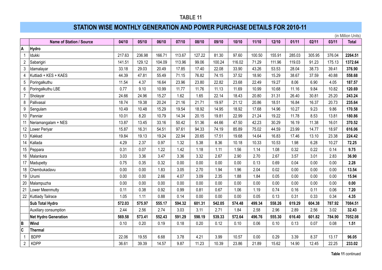## **STATION WISE MONTHLY GENERATION AND POWER PURCHASE DETAILS FOR 2010-11**

(in Million Units)

|                         | <b>Name of Station / Source</b> | 04/10  | 05/10  | 06/10  | 07/10  | 08/10  | 09/10  | 10/10  | $11/10$ | 12/10  | 01/11  | 02/11  | 03/11  | <b>Total</b> |
|-------------------------|---------------------------------|--------|--------|--------|--------|--------|--------|--------|---------|--------|--------|--------|--------|--------------|
| A                       | Hydro                           |        |        |        |        |        |        |        |         |        |        |        |        |              |
|                         | Idukki                          | 217.63 | 236.98 | 166.71 | 113.67 | 127.22 | 81.30  | 97.60  | 100.50  | 155.91 | 285.03 | 305.95 | 376.04 | 2264.51      |
| $\overline{2}$          | Sabarigiri                      | 141.51 | 129.12 | 104.09 | 113.96 | 99.06  | 100.24 | 116.02 | 71.29   | 111.96 | 119.03 | 91.23  | 175.13 | 1372.64      |
| 3                       | Idamalayar                      | 33.18  | 29.03  | 20.49  | 17.85  | 17.40  | 22.08  | 33.90  | 43.26   | 53.53  | 28.04  | 38.73  | 39.41  | 376.90       |
| 4                       | Kuttiadi + KES + KAES           | 44.39  | 47.81  | 55.49  | 71.15  | 76.82  | 74.15  | 37.52  | 18.90   | 15.29  | 38.67  | 37.59  | 40.88  | 558.68       |
| 5                       | Poringalkuthu                   | 11.54  | 4.37   | 16.64  | 23.96  | 23.80  | 22.82  | 23.68  | 22.49   | 19.27  | 8.06   | 6.90   | 4.05   | 187.57       |
| 6                       | Poringalkuthu LBE               | 0.77   | 9.10   | 10.99  | 11.77  | 11.76  | 11.13  | 11.69  | 10.99   | 10.68  | 11.16  | 9.84   | 10.82  | 120.69       |
| $\overline{7}$          | Sholayar                        | 24.66  | 24.96  | 15.27  | 1.62   | 1.65   | 22.14  | 18.43  | 20.80   | 31.31  | 26.40  | 30.81  | 25.20  | 243.24       |
| 8                       | Pallivasal                      | 18.74  | 19.38  | 20.24  | 21.16  | 21.71  | 19.97  | 21.12  | 20.86   | 18.51  | 16.84  | 16.37  | 20.73  | 235.64       |
| 9                       | Sengulam                        | 10.49  | 10.48  | 15.29  | 19.54  | 18.92  | 14.95  | 18.92  | 17.68   | 14.96  | 10.27  | 9.23   | 9.86   | 170.58       |
| 10                      | Panniar                         | 10.01  | 8.20   | 10.79  | 14.34  | 20.15  | 19.81  | 22.99  | 21.24   | 19.22  | 11.78  | 8.53   | 13.81  | 180.86       |
|                         | Neriamangalam + NES             | 13.87  | 13.45  | 33.16  | 50.42  | 51.36  | 44.66  | 47.50  | 42.23   | 30.29  | 16.19  | 11.38  | 16.01  | 370.52       |
| 12                      | Lower Periyar                   | 15.87  | 16.31  | 54.51  | 97.61  | 94.33  | 74.19  | 85.89  | 75.02   | 44.59  | 23.99  | 14.77  | 18.97  | 616.06       |
| 13                      | Kakkad                          | 19.84  | 19.13  | 19.24  | 22.94  | 20.65  | 17.51  | 19.68  | 14.64   | 16.83  | 17.46  | 13.10  | 23.38  | 224.42       |
| 14                      | Kallada                         | 4.29   | 2.37   | 0.97   | 1.32   | 5.38   | 8.36   | 10.18  | 10.33   | 10.53  | 1.98   | 6.28   | 10.27  | 72.25        |
| 15 <sup>15</sup>        | Peppara                         | 0.31   | 0.07   | 1.22   | 1.42   | 1.18   | 1.11   | 1.56   | 1.14    | 1.08   | 0.32   | 0.22   | 0.14   | 9.75         |
| 16                      | Malankara                       | 3.03   | 3.36   | 3.47   | 3.36   | 3.32   | 2.67   | 2.90   | 2.70    | 2.67   | 3.57   | 3.01   | 2.83   | 36.90        |
| 17                      | Madupetty                       | 0.75   | 0.35   | 0.32   | 0.00   | 0.00   | 0.00   | 0.00   | 0.13    | 0.69   | 0.04   | 0.00   | 0.00   | 2.28         |
| 18                      | Chembukadavu                    | 0.00   | 0.00   | 1.83   | 3.05   | 2.70   | 1.94   | 1.96   | 2.04    | 0.02   | 0.00   | 0.00   | 0.00   | 13.54        |
| 19                      | Urumi                           | 0.00   | 0.00   | 2.66   | 4.07   | 3.09   | 2.35   | 1.88   | 1.84    | 0.05   | 0.00   | 0.00   | 0.00   | 15.94        |
| 20                      | Malampuzha                      | 0.00   | 0.00   | 0.00   | 0.00   | 0.00   | 0.00   | 0.00   | 0.00    | 0.00   | 0.00   | 0.00   | 0.00   | 0.00         |
| 21                      | Lower Meenmutty                 | 0.11   | 0.38   | 0.92   | 0.99   | 0.81   | 0.67   | 1.06   | 1.19    | 0.74   | 0.16   | 0.11   | 0.06   | 7.20         |
| 22                      | Kuttiady Tailrace               | 1.05   | 1.11   | 0.88   | 0.14   | 0.00   | 0.00   | 0.00   | 0.05    | 0.13   | 0.31   | 0.33   | 0.34   | 4.35         |
|                         | Sub Total Hydro                 | 572.03 | 575.97 | 555.17 | 594.32 | 601.31 | 542.05 | 574.48 | 499.34  | 558.26 | 619.29 | 604.38 | 787.92 | 7084.51      |
|                         | Auxiliary consumption           | 2.44   | 2.56   | 2.74   | 3.03   | 3.11   | 2.71   | 1.84   | 2.58    | 2.96   | 2.89   | 2.56   | 3.02   | 32.43        |
|                         | Net Hydro Generation            | 569.58 | 573.41 | 552.43 | 591.29 | 598.19 | 539.33 | 572.64 | 496.76  | 555.30 | 616.40 | 601.82 | 784.90 | 7052.08      |
| B                       | Wind                            | 0.10   | 0.20   | 0.19   | 0.18   | 0.20   | 0.12   | 0.10   | 0.06    | 0.10   | 0.13   | 0.07   | 0.08   | 1.51         |
| $\overline{\mathsf{c}}$ | Thermal                         |        |        |        |        |        |        |        |         |        |        |        |        |              |
|                         | <b>BDPP</b>                     | 22.06  | 19.55  | 6.68   | 3.78   | 4.21   | 3.99   | 10.57  | 0.00    | 0.29   | 3.39   | 8.37   | 13.17  | 96.05        |
| $\overline{2}$          | <b>KDPP</b>                     | 36.61  | 39.39  | 14.57  | 9.87   | 11.23  | 10.39  | 23.86  | 21.89   | 15.62  | 14.90  | 12.45  | 22.25  | 233.02       |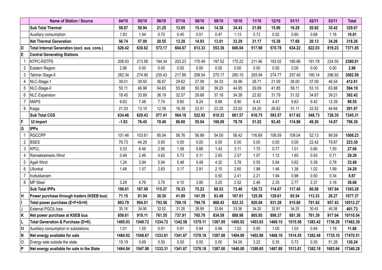|                | Name of Station / Source                     | 04/10   | 05/10   | 06/10   | 07/10   | 08/10   | 09/10   | 10/10   | 11/10   | 12/10   | 01/11   | 02/11   | 03/11   | <b>Total</b> |
|----------------|----------------------------------------------|---------|---------|---------|---------|---------|---------|---------|---------|---------|---------|---------|---------|--------------|
|                | <b>Sub Total Thermal</b>                     | 58.67   | 58.94   | 21.25   | 13.65   | 15.44   | 14.38   | 34.43   | 21.89   | 15.90   | 18.29   | 20.82   | 35.42   | 329.07       |
|                | Auxiliary consumption                        | 1.93    | 1.94    | 0.70    | 0.45    | 0.51    | 0.47    | 1.13    | 0.72    | 0.52    | 0.60    | 0.68    | 1.16    | 10.81        |
|                | <b>Net Thermal Generation</b>                | 56.74   | 57.00   | 20.55   | 13.20   | 14.93   | 13.91   | 33.29   | 21.17   | 15.38   | 17.69   | 20.13   | 34.26   | 318.26       |
| D)             | Total Internal Generation (excl. aux. cons.) | 626.42  | 630.62  | 573.17  | 604.67  | 613.33  | 553.36  | 606.04  | 517.98  | 570.78  | 634.22  | 622.03  | 819.23  | 7371.85      |
| ΙE             | <b>Central Generating Stations</b>           |         |         |         |         |         |         |         |         |         |         |         |         |              |
|                | NTPC-RSTPS                                   | 208.93  | 213.58  | 194.34  | 203.23  | 175.49  | 197.52  | 175.22  | 211.46  | 193.02  | 190.86  | 191.78  | 224.55  | 2380.01      |
| 2              | Eastern Region                               | 2.96    | 0.00    | 0.00    | 0.00    | 0.00    | 0.00    | 0.00    | 0.00    | 0.00    | 0.00    | 0.00    | 0.00    | 2.96         |
| 3              | Talcher Stage-II                             | 282.34  | 274.90  | 235.43  | 217.89  | 208.54  | 270.17  | 280.15  | 293.94  | 274.77  | 257.40  | 190.14  | 296.92  | 3082.59      |
| 4              | NLC-Stage-1                                  | 39.01   | 39.50   | 36.67   | 29.62   | 27.09   | 34.33   | 34.96   | 28.71   | 21.09   | 38.00   | 37.09   | 46.54   | 412.61       |
| 5              | NLC-Stage-II                                 | 55.11   | 46.98   | 54.65   | 55.88   | 50.38   | 39.20   | 44.95   | 29.09   | 41.85   | 59.11   | 53.10   | 63.88   | 594.19       |
| 6              | <b>NLC Expansion</b>                         | 18.45   | 33.89   | 36.19   | 32.57   | 29.68   | 37.16   | 34.38   | 22.92   | 31.79   | 31.52   | 34.67   | 39.21   | 382.42       |
| $\overline{7}$ | <b>MAPS</b>                                  | 6.63    | 7.48    | 7.74    | 8.60    | 8.24    | 8.68    | 8.90    | 6.43    | 4.41    | 9.63    | 9.42    | 12.39   | 98.55        |
| 8              | Kaiga                                        | 21.03   | 13.10   | 12.39   | 16.39   | 23.51   | 23.25   | 23.02   | 24.20   | 26.62   | 31.11   | 32.52   | 44.84   | 291.97       |
|                | <b>Sub Total CGS</b>                         | 634.46  | 629.43  | 577.41  | 564.18  | 522.92  | 610.33  | 601.57  | 616.75  | 593.57  | 617.62  | 548.73  | 728.35  | 7245.31      |
| F              | <b>UI Import</b>                             | $-1.83$ | 76.45   | 70.49   | 86.80   | 55.04   | 106.09  | 79.76   | 51.02   | 93.45   | 114.98  | 49.20   | 14.87   | 796.30       |
| G              | <b>IPPs</b>                                  |         |         |         |         |         |         |         |         |         |         |         |         |              |
|                | <b>RGCCPP</b>                                | 101.46  | 103.61  | 95.54   | 56.76   | 56.89   | 54.00   | 56.42   | 116.69  | 106.09  | 109.04  | 52.13   | 99.59   | 1008.23      |
| $\overline{2}$ | <b>BSES</b>                                  | 76.73   | 44.28   | 0.00    | 0.00    | 0.00    | 0.00    | 0.00    | 0.00    | 0.00    | 0.00    | 22.42   | 79.87   | 223.30       |
| 3              | <b>KPCL</b>                                  | 5.33    | 6.46    | 2.95    | 1.08    | 0.88    | 1.43    | 3.11    | 1.75    | 0.77    | 1.01    | 0.80    | 1.50    | 27.06        |
| 4              | Ramakkalmedu Wind                            | 0.49    | 2.46    | 4.62    | 5.73    | 5.11    | 2.93    | 2.57    | 1.07    | 1.12    | 1.65    | 0.93    | 0.71    | 29.39        |
| 5              | Agali Wind                                   | 1.24    | 3.94    | 5.94    | 5.48    | 5.49    | 4.32    | 3.78    | 0.55    | 0.94    | 0.62    | 0.39    | 0.78    | 33.48        |
| 6              | Ullunkal                                     | 1.48    | 1.57    | 2.63    | 3.17    | 2.91    | 2.10    | 2.60    | 1.98    | 1.46    | 1.38    | 1.02    | 1.99    | 24.29        |
|                | Iruttukkanam                                 |         |         |         |         |         | 0.50    | 2.41    | 2.21    | 1.94    | 0.98    | 0.50    | 0.34    | 8.87         |
| 8              | <b>MP Steel</b>                              | 3.29    | 4.76    | 3.70    | 4.10    | 3.95    | 3.25    | 2.52    | 2.46    | 2.35    | 2.77    | 2.37    | 3.16    | 38.68        |
|                | <b>Sub Total IPPs</b>                        | 190.01  | 167.09  | 115.37  | 76.33   | 75.23   | 68.53   | 73.40   | 126.72  | 114.67  | 117.45  | 80.56   | 187.94  | 1393.29      |
| Iн             | Power purchase through traders (KSEB bus)    | 71.15   | 81.04   | 30.30   | 41.89   | 141.59  | 83.49   | 167.61  | 125.56  | 129.61  | 65.54   | 113.33  | 26.27   | 1077.37      |
| II             | Total power purchase (E+F+G+H)               | 893.79  | 954.01  | 793.56  | 769.19  | 794.78  | 868.43  | 922.33  | 920.04  | 931.28  | 915.60  | 791.82  | 957.43  | 10512.27     |
| IJ             | External PGCIL loss                          | 35.18   | 34.90   | 32.02   | 31.28   | 28.99   | 33.84   | 33.36   | 34.20   | 32.91   | 34.25   | 30.43   | 40.38   | 401.73       |
| ∣ĸ             | Net power purchase at KSEB bus               | 858.61  | 919.11  | 761.55  | 737.91  | 765.79  | 834.59  | 888.98  | 885.85  | 898.37  | 881.36  | 761.39  | 917.04  | 10110.54     |
| ΙL             | Total Generation & Purchase (D+K)            | 1485.03 | 1549.72 | 1334.72 | 1342.58 | 1379.11 | 1387.95 | 1495.02 | 1403.83 | 1469.15 | 1515.58 | 1383.42 | 1736.28 | 17482.39     |
| M              | Auxiliary consumption in substations         | 1.01    | 1.05    | 0.91    | 0.91    | 0.94    | 0.94    | 1.02    | 0.95    | 1.00    | 1.03    | 0.94    | 1.18    | 11.88        |
| N              | Net energy available for sale                | 1484.02 | 1548.67 | 1333.81 | 1341.67 | 1378.18 | 1387.00 | 1494.00 | 1402.88 | 1468.16 | 1514.55 | 1382.48 | 1735.10 | 17470.51     |
| lo             | Energy sale outside the state                | 19.19   | 0.69    | 0.50    | 0.00    | 0.00    | 0.00    | 54.00   | 3.22    | 0.35    | 0.73    | 0.30    | 51.26   | 130.24       |
| ∣P             | Net energy available for sale in the State   | 1464.84 | 1547.98 | 1333.31 | 1341.67 | 1378.18 | 1387.00 | 1440.00 | 1399.65 | 1467.80 | 1513.81 | 1382.18 | 1683.84 | 17340.28     |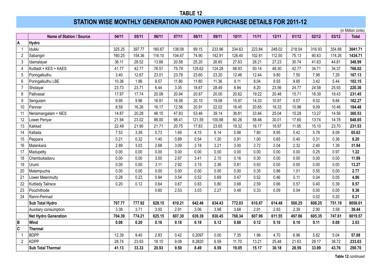# **STATION WISE MONTHLY GENERATION AND POWER PURCHASE DETAILS FOR 2011-12**

|                |                                 |        |        |        |        |        |        |        |        |        |        |        |        | (in Million Units) |
|----------------|---------------------------------|--------|--------|--------|--------|--------|--------|--------|--------|--------|--------|--------|--------|--------------------|
|                | <b>Name of Station / Source</b> | 04/11  | 05/11  | 06/11  | 07/11  | 08/11  | 09/11  | 10/11  | 11/11  | 12/11  | 01/12  | 02/12  | 03/12  | <b>Total</b>       |
| A              | Hydro                           |        |        |        |        |        |        |        |        |        |        |        |        |                    |
| $\overline{1}$ | Idukki                          | 325.25 | 397.77 | 160.67 | 138.08 | 89.15  | 233.96 | 334.63 | 223.84 | 248.02 | 218.54 | 316.93 | 354.88 | 3041.71            |
| $\overline{2}$ | Sabarigiri                      | 160.25 | 154.36 | 116.10 | 104.47 | 74.90  | 142.91 | 126.40 | 102.81 | 112.50 | 75.13  | 90.63  | 174.26 | 1434.71            |
| 3              | Idamalayar                      | 36.11  | 28.52  | 13.68  | 20.58  | 25.20  | 26.65  | 27.63  | 26.21  | 27.23  | 30.74  | 41.63  | 44.81  | 348.99             |
| $\overline{4}$ | Kuttiadi + KES + KAES           | 41.77  | 42.77  | 76.57  | 75.79  | 125.62 | 124.28 | 68.93  | 50.14  | 48.30  | 42.77  | 34.71  | 34.37  | 766.02             |
| 5              | Poringalkuthu                   | 3.40   | 12.67  | 23.01  | 23.78  | 23.60  | 23.20  | 12.46  | 12.44  | 9.80   | 7.50   | 7.98   | 7.29   | 167.13             |
| 6              | Poringalkuthu LBE               | 10.36  | 1.86   | 9.57   | 11.80  | 11.80  | 11.36  | 9.11   | 8.04   | 9.55   | 9.85   | 3.42   | 5.44   | 102.15             |
| $\overline{7}$ | Sholayar                        | 23.73  | 23.71  | 6.44   | 3.35   | 18.67  | 28.49  | 8.94   | 8.20   | 23.56  | 24.77  | 24.58  | 25.93  | 220.36             |
| 8              | Pallivasal                      | 17.97  | 17.74  | 20.08  | 20.94  | 20.87  | 20.00  | 20.62  | 19.22  | 20.48  | 15.71  | 18.39  | 19.43  | 231.45             |
| 9              | Sengulam                        | 9.95   | 9.96   | 16.91  | 16.58  | 20.10  | 19.08  | 15.97  | 14.33  | 10.97  | 9.57   | 9.02   | 9.84   | 162.27             |
| 10             | Panniar                         | 8.59   | 16.26  | 16.17  | 12.56  | 20.91  | 22.02  | 18.45  | 20.65  | 18.33  | 10.98  | 9.09   | 10.46  | 184.48             |
| 11             | Neriamangalam + NES             | 14.87  | 20.28  | 46.15  | 47.83  | 53.46  | 39.14  | 36.81  | 33.84  | 25.04  | 15.28  | 13.27  | 14.56  | 360.53             |
| 12             | Lower Periyar                   | 21.94  | 23.02  | 88.00  | 98.41  | 121.55 | 100.88 | 60.26  | 58.46  | 30.01  | 17.60  | 13.74  | 14.78  | 648.65             |
| 13             | Kakkad                          | 22.49  | 21.90  | 21.71  | 20.75  | 17.83  | 23.65  | 19.32  | 16.17  | 16.97  | 11.95  | 15.10  | 23.70  | 231.53             |
| 14             | Kallada                         | 7.53   | 3.39   | 0.73   | 1.69   | 4.15   | 6.14   | 5.98   | 7.80   | 8.95   | 5.42   | 5.78   | 8.09   | 65.63              |
| 15             | Peppara                         | 0.21   | 0.32   | 1.40   | 0.89   | 0.54   | 1.20   | 0.91   | 1.00   | 0.65   | 0.40   | 0.31   | 0.36   | 8.20               |
| 16             | Malankara                       | 2.89   | 3.03   | 2.68   | 3.09   | 3.18   | 3.21   | 3.00   | 2.72   | 2.04   | 2.32   | 2.40   | 1.39   | 31.94              |
| 17             | Madupetty                       | 0.00   | 0.00   | 0.00   | 0.00   | 0.00   | 0.00   | 0.00   | 0.00   | 0.00   | 0.00   | 0.25   | 0.97   | 1.22               |
| 18             | Chembukadavu                    | 0.00   | 0.00   | 3.00   | 2.97   | 3.41   | 2.15   | 0.16   | 0.30   | 0.00   | 0.00   | 0.00   | 0.00   | 11.99              |
| 19             | Urumi                           | 0.00   | 0.00   | 3.11   | 2.92   | 3.15   | 2.36   | 0.81   | 0.93   | 0.00   | 0.00   | 0.00   | 0.00   | 13.27              |
| 20             | Malampuzha                      | 0.00   | 0.00   | 0.00   | 0.00   | 0.00   | 0.00   | 0.00   | 0.35   | 0.86   | 1.01   | 0.55   | 0.00   | 2.77               |
| 21             | Lower Meenmutty                 | 0.28   | 0.23   | 0.94   | 0.54   | 0.52   | 0.69   | 0.47   | 0.52   | 0.46   | 0.11   | 0.04   | 0.05   | 4.86               |
| 22             | Kuttiady Tailrace               | 0.20   | 0.12   | 0.64   | 0.67   | 0.83   | 0.80   | 0.68   | 2.59   | 0.66   | 0.57   | 0.40   | 0.39   | 8.57               |
| 23             | Poozhithode                     |        |        | 0.60   | 2.53   | 3.03   | 2.27   | 0.48   | 0.33   | 0.09   | 0.04   | 0.00   | 0.00   | 9.36               |
| 24             | Ranni-Perinad                   |        |        |        |        |        |        |        |        |        |        | 0.02   | 0.20   | 0.21               |
|                | Sub Total Hydro                 | 707.77 | 777.92 | 628.15 | 610.21 | 642.46 | 834.43 | 772.03 | 610.87 | 614.48 | 500.25 | 608.25 | 751.19 | 8058.01            |
|                | Auxiliary consumption           | 3.38   | 3.71   | 3.00   | 2.91   | 3.06   | 3.98   | 3.68   | 2.91   | 2.93   | 2.39   | 2.90   | 3.58   | 38.44              |
|                | <b>Net Hydro Generation</b>     | 704.39 | 774.21 | 625.15 | 607.30 | 639.39 | 830.45 | 768.34 | 607.96 | 611.55 | 497.86 | 605.35 | 747.61 | 8019.57            |
| B              | Wind                            | 0.08   | 0.20   | 0.16   | 0.18   | 0.18   | 0.12   | 0.60   | 0.12   | 0.10   | 0.10   | 0.11   | 0.08   | 2.03               |
| Ċ              | <b>Thermal</b>                  |        |        |        |        |        |        |        |        |        |        |        |        |                    |
| $\overline{1}$ | <b>BDPP</b>                     | 12.39  | 9.40   | 2.83   | 0.42   | 0.2097 | 0.00   | 7.35   | 1.96   | 4.70   | 6.96   | 5.82   | 5.04   | 57.08              |
| $\overline{2}$ | <b>KDPP</b>                     | 28.74  | 23.93  | 18.10  | 9.08   | 8.2820 | 6.59   | 11.70  | 13.21  | 25.48  | 21.63  | 28.17  | 38.72  | 233.63             |
|                | <b>Sub Total Thermal</b>        | 41.13  | 33.33  | 20.93  | 9.50   | 8.49   | 6.59   | 19.05  | 15.17  | 30.18  | 28.59  | 33.99  | 43.76  | 290.70             |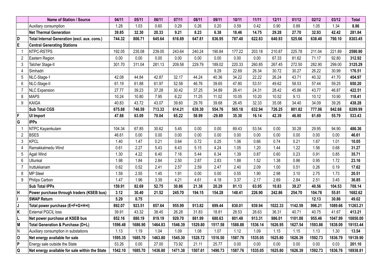|                         | Name of Station / Source                       | 04/11   | 05/11   | 06/11   | 07/11   | 08/11   | 09/11    | 10/11   | 11/11   | 12/11   | 01/12   | 02/12   | 03/12   | <b>Total</b> |
|-------------------------|------------------------------------------------|---------|---------|---------|---------|---------|----------|---------|---------|---------|---------|---------|---------|--------------|
|                         | Auxiliary consumption                          | 1.28    | 1.03    | 0.60    | 0.29    | 0.26    | 0.20     | 0.59    | 0.42    | 0.90    | 0.89    | 1.05    | 1.34    | 8.86         |
|                         | <b>Net Thermal Generation</b>                  | 39.85   | 32.30   | 20.33   | 9.21    | 8.23    | 6.38     | 18.46   | 14.75   | 29.28   | 27.70   | 32.93   | 42.42   | 281.84       |
| D                       | Total Internal Generation (excl. aux. cons.)   | 744.32  | 806.71  | 645.64  | 616.69  | 647.81  | 836.95   | 787.40  | 622.83  | 640.93  | 525.66  | 638.40  | 790.10  | 8303.45      |
| $\overline{\mathsf{E}}$ | <b>Central Generating Stations</b>             |         |         |         |         |         |          |         |         |         |         |         |         |              |
|                         | NTPC-RSTPS                                     | 192.05  | 235.08  | 239.05  | 243.64  | 240.24  | 190.84   | 177.22  | 203.18  | 210.87  | 225.78  | 211.04  | 221.89  | 2590.90      |
| $\overline{2}$          | Eastern Region                                 | 0.00    | 0.00    | 0.00    | 0.00    | 0.00    | 0.00     | 0.00    | 0.00    | 67.33   | 81.62   | 71.17   | 92.80   | 312.92       |
| $\mathbf{3}$            | Talcher Stage-II                               | 301.70  | 311.04  | 281.13  | 209.58  | 229.79  | 189.02   | 220.33  | 260.85  | 267.45  | 272.50  | 282.90  | 299.00  | 3125.29      |
| $\overline{4}$          | Simhadri                                       |         |         |         |         |         | 9.29     | 22.69   | 26.34   | 30.72   | 30.27   | 26.22   | 30.99   | 176.51       |
| $5\phantom{.0}$         | NLC-Stage-1                                    | 42.08   | 44.84   | 42.87   | 32.17   | 44.24   | 40.36    | 34.22   | 22.22   | 26.24   | 43.71   | 40.32   | 41.70   | 454.97       |
| 6                       | NLC-Stage-II                                   | 61.19   | 61.88   | 61.97   | 52.58   | 46.76   | 39.65    | 47.80   | 53.51   | 49.62   | 58.53   | 57.44   | 59.25   | 650.20       |
| $\overline{7}$          | <b>NLC Expansion</b>                           | 27.77   | 39.23   | 37.28   | 30.42   | 37.25   | 34.89    | 26.41   | 24.31   | 28.42   | 45.88   | 43.77   | 46.87   | 422.51       |
| 8                       | <b>MAPS</b>                                    | 10.24   | 10.80   | 7.95    | 6.22    | 11.25   | 11.02    | 10.05   | 10.20   | 10.52   | 9.13    | 10.12   | 10.90   | 118.41       |
| 9                       | <b>KAIGA</b>                                   | 40.83   | 43.72   | 43.07   | 39.60   | 29.76   | 39.68    | 26.45   | 32.33   | 35.08   | 34.40   | 34.09   | 39.26   | 438.28       |
|                         | <b>Sub Total CGS</b>                           | 675.88  | 746.59  | 713.33  | 614.21  | 639.30  | 554.76   | 565.18  | 632.94  | 726.25  | 801.82  | 777.06  | 842.68  | 8289.99      |
| $\overline{\mathsf{F}}$ | <b>UI Import</b>                               | 47.88   | 63.09   | 70.04   | 65.22   | 58.99   | $-29.89$ | 35.30   | 16.14   | 42.39   | 46.80   | 61.69   | 55.79   | 533.43       |
| $\overline{\mathsf{G}}$ | <b>IPPs</b>                                    |         |         |         |         |         |          |         |         |         |         |         |         |              |
| $\overline{\mathbf{1}}$ | NTPC Kayamkulam                                | 104.34  | 67.85   | 30.62   | 5.45    | 0.00    | 0.00     | 69.43   | 53.54   | 0.00    | 30.28   | 29.95   | 94.90   | 486.36       |
| $\overline{2}$          | BSES                                           | 46.61   | 0.00    | 0.00    | 0.00    | 0.00    | 0.00     | 0.00    | 0.00    | 0.00    | 0.00    | 0.00    | 0.00    | 46.61        |
| 3                       | <b>KPCL</b>                                    | 1.40    | 1.47    | 0.21    | 0.64    | 0.72    | 0.25     | 1.06    | 0.66    | 0.74    | 0.21    | 1.67    | 1.01    | 10.05        |
| 4                       | Ramakkalmedu Wind                              | 0.61    | 2.27    | 5.43    | 6.43    | 5.15    | 4.24     | 1.05    | 1.20    | 1.44    | 1.22    | 1.56    | 0.68    | 31.27        |
| 5                       | Agali Wind                                     | 1.30    | 4.22    | 6.40    | 7.16    | 5.44    | 6.34     | 1.39    | 0.87    | 0.60    | 0.23    | 0.91    | 0.85    | 35.71        |
| $6\phantom{.}$          | Ullunkal                                       | 1.98    | 1.84    | 2.84    | 2.50    | 2.87    | 2.83     | 1.88    | 1.52    | 1.38    | 0.86    | 0.95    | 1.72    | 23.16        |
| $\overline{7}$          | Iruttukkanam                                   | 0.62    | 0.52    | 2.41    | 2.57    | 2.59    | 2.47     | 2.40    | 2.09    | 1.00    | 0.51    | 0.26    | 0.19    | 17.62        |
| 8                       | <b>MP Steel</b>                                | 1.59    | 2.55    | 1.45    | 1.91    | 0.00    | 0.00     | 0.55    | 1.90    | 2.98    | 3.10    | 2.75    | 1.73    | 20.51        |
| 9                       | Philips Carbon                                 | 1.47    | 1.96    | 3.39    | 4.21    | 4.61    | 4.18     | 3.37    | 2.17    | 2.69    | 2.84    | 2.51    | 3.45    | 36.85        |
|                         | <b>Sub Total IPPs</b>                          | 159.91  | 82.69   | 52.75   | 30.86   | 21.38   | 20.29    | 81.13   | 63.95   | 10.83   | 39.27   | 40.56   | 104.53  | 708.14       |
| $\overline{\mathsf{H}}$ | Power purchase through traders (KSEB bus)      | 3.12    | 30.40   | 21.52   | 245.70  | 194.15  | 154.28   | 148.41  | 226.90  | 242.86  | 254.70  | 104.78  | 55.81   | 1682.62      |
|                         | <b>SWAP Return</b>                             | 5.29    | 0.75    |         |         |         |          |         |         |         |         | 12.13   | 30.86   | 49.02        |
| J                       | Total power purchase (E+F+G+H+I)               | 892.07  | 923.51  | 857.64  | 955.99  | 913.82  | 699.44   | 830.01  | 939.94  | 1022.33 | 1142.59 | 996.21  | 1089.66 | 11263.21     |
| $\overline{\mathbf{K}}$ | <b>External PGCIL loss</b>                     | 39.91   | 43.32   | 38.45   | 26.28   | 31.83   | 18.81    | 28.53   | 26.63   | 36.31   | 40.71   | 40.75   | 41.67   | 413.21       |
|                         | Net power purchase at KSEB bus                 | 852.16  | 880.19  | 819.19  | 929.70  | 881.99  | 680.63   | 801.48  | 913.31  | 986.01  | 1101.88 | 955.46  | 1047.99 | 10850.00     |
| M                       | Total Generation & Purchase (D+L)              | 1596.48 | 1686.90 | 1464.83 | 1546.39 | 1529.80 | 1517.58  | 1588.88 | 1536.14 | 1626.95 | 1627.54 | 1593.86 | 1838.09 | 19153.44     |
| N)                      | Auxiliary consumption in substations           | 1.13    | 1.19    | 1.04    | 1.09    | 1.08    | 1.07     | 1.12    | 1.09    | 1.15    | 1.15    | 1.13    | 1.30    | 13.54        |
| $\mathbf 0$             | Net energy available for sale                  | 1595.35 | 1685.70 | 1463.80 | 1545.30 | 1528.72 | 1516.50  | 1587.76 | 1535.05 | 1625.80 | 1626.39 | 1592.73 | 1836.79 | 19139.90     |
| $\overline{P}$          | Energy sale outside the State                  | 53.26   | 0.00    | 27.00   | 73.92   | 21.11   | 25.77    | 0.00    | 0.00    | 0.00    | 0.00    | 0.00    | 0.03    | 201.10       |
| Q                       | Net energy available for sale within the State | 1542.10 | 1685.70 | 1436.80 | 1471.38 | 1507.61 | 1490.73  | 1587.76 | 1535.05 | 1625.80 | 1626.39 | 1592.73 | 1836.76 | 18938.81     |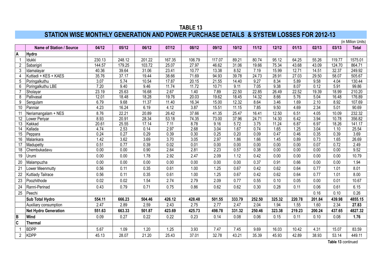### **TABLE 13 STATION WISE MONTHLY GENERATION AND POWER PURCHASE DETAILS & SYSTEM LOSSES FOR 2012-13**

|                 |                             |        |        |        |        |        |        |        |        |                  |        |        |        | (in Million Units) |
|-----------------|-----------------------------|--------|--------|--------|--------|--------|--------|--------|--------|------------------|--------|--------|--------|--------------------|
|                 | Name of Station / Source    | 04/12  | 05/12  | 06/12  | 07/12  | 08/12  | 09/12  | 10/12  | 11/12  | 12/12            | 01/13  | 02/13  | 03/13  | <b>Total</b>       |
| Α               | Hydro                       |        |        |        |        |        |        |        |        |                  |        |        |        |                    |
|                 | Idukki                      | 230.13 | 248.12 | 201.22 | 167.35 | 106.79 | 117.07 | 89.21  | 80.74  | 95.12            | 64.25  | 55.26  | 119.77 | 1575.01            |
| $\overline{2}$  | Sabarigiri                  | 144.57 | 179.25 | 103.72 | 25.07  | 27.97  | 46.62  | 31.06  | 19.66  | 75.34            | 43.68  | 43.09  | 124.70 | 864.71             |
| 3               | Idamalayar                  | 40.36  | 39.64  | 31.06  | 23.41  | 10.77  | 13.38  | 8.52   | 7.19   | 15.99            | 12.71  | 14.51  | 32.37  | 249.92             |
| 4               | Kuttiadi + KES + KAES       | 35.76  | 37.17  | 19.44  | 38.66  | 71.69  | 94.93  | 39.78  | 24.73  | 28.91            | 27.03  | 29.50  | 58.07  | 505.67             |
| 5               | Poringalkuthu               | 3.07   | 5.74   | 10.54  | 17.87  | 20.15  | 21.55  | 14.40  | 9.27   | 8.34             | 5.89   | 9.58   | 4.04   | 130.44             |
| 6               | Poringalkuthu LBE           | 7.20   | 9.40   | 9.46   | 11.74  | 11.72  | 10.71  | 9.11   | 7.05   | 9.38             | 8.07   | 0.12   | 5.91   | 99.86              |
|                 | Sholayar                    | 23.19  | 25.63  | 16.68  | 2.67   | 1.40   | 7.89   | 22.50  | 22.85  | 26.49            | 22.52  | 19.39  | 18.99  | 210.20             |
| $\overline{8}$  | Pallivasal                  | 12.01  | 18.48  | 18.28  | 19.76  | 20.03  | 19.62  | 18.45  | 14.32  | 8.66             | 5.76   | 5.04   | 16.48  | 176.89             |
| 9               | Sengulam                    | 6.79   | 9.68   | 11.37  | 11.40  | 16.34  | 15.00  | 12.32  | 8.64   | $\frac{1}{3.46}$ | 1.69   | 2.10   | 8.92   | 107.69             |
| 10 <sup>°</sup> | Panniar                     | 4.23   | 16.24  | 6.19   | 4.12   | 3.87   | 15.51  | 11.15  | 7.85   | 9.50             | 4.69   | 2.34   | 5.01   | 90.69              |
| 11              | Neriamangalam + NES         | 8.76   | 22.21  | 20.89  | 26.42  | 37.66  | 41.35  | 25.47  | 16.41  | 12.50            | 6.51   | 4.05   | 10.09  | 232.32             |
| $\overline{12}$ | Lower Periyar               | 8.93   | 20.91  | 28.34  | 53.18  | 74.35  | 73.00  | 37.96  | 24.71  | 14.30            | 6.42   | 3.94   | 10.78  | 356.82             |
| $\overline{13}$ | Kakkad                      | 20.61  | 25.55  | 17.14  | 7.11   | 8.78   | 9.16   | 5.72   | 3.75   | 11.24            | 6.87   | 6.97   | 18.26  | 141.17             |
| $\overline{14}$ | Kallada                     | 4.74   | 2.53   | 0.14   | 2.97   | 2.68   | 3.04   | 1.67   | 0.74   | 1.65             | 1.25   | 3.04   | 1.10   | 25.54              |
| 15              | Peppara                     | 0.24   | 0.27   | 0.29   | 0.39   | 0.30   | 0.25   | 0.20   | 0.09   | 0.47             | 0.46   | 0.35   | 0.39   | 3.69               |
| 16              | Malankara                   | 1.42   | 3.62   | 3.69   | 3.70   | 3.05   | 2.97   | 1.86   | 1.66   | 1.45             | 0.89   | 0.73   | 1.65   | 26.69              |
| 17              | Madupetty                   | 0.51   | 0.77   | 0.39   | 0.02   | 0.01   | 0.00   | 0.00   | 0.00   | 0.00             | 0.00   | 0.07   | 0.72   | 2.49               |
| 18              | Chembukadavu                | 0.00   | 0.00   | 0.90   | 2.64   | 2.81   | 2.23   | 0.57   | 0.38   | 0.00             | 0.00   | 0.00   | 0.00   | 9.52               |
| 19              | Urumi                       | 0.00   | 0.00   | 1.78   | 2.92   | 2.47   | 2.09   | 1.12   | 0.42   | 0.00             | 0.00   | 0.00   | 0.00   | 10.79              |
| 20              | Malampuzha                  | 0.00   | 0.00   | 0.00   | 0.00   | 0.00   | 0.00   | 0.00   | 0.37   | 0.91             | 0.66   | 0.00   | 0.00   | 1.94               |
| 21              | Lower Meenmutty             | 0.56   | 0.11   | 0.35   | 0.61   | 1.00   | 1.25   | 0.67   | 0.42   | 0.62             | 0.64   | 0.77   | 1.01   | 8.01               |
| 22              | Kuttiady Tailrace           | 0.56   | 0.11   | 0.35   | 0.61   | 1.00   | 1.25   | 0.67   | 0.42   | 0.62             | 0.64   | 0.77   | 1.01   | 8.00               |
| 23              | Poozhithode                 | 0.02   | 0.02   | 1.54   | 2.74   | 2.79   | 2.09   | 0.77   | 0.55   | 0.10             | 0.05   | 0.00   | 0.01   | 10.67              |
| 24              | Ranni-Perinad               | 0.43   | 0.79   | 0.71   | 0.75   | 0.86   | 0.62   | 0.62   | 0.30   | 0.28             | 0.11   | 0.06   | 0.61   | 6.15               |
| 25              | Peechi                      |        |        |        |        |        |        |        |        |                  |        | 0.16   | 0.10   | 0.26               |
|                 | Sub Total Hydro             | 554.11 | 666.23 | 504.46 | 426.12 | 428.48 | 501.55 | 333.79 | 252.50 | 325.32           | 220.78 | 201.84 | 439.98 | 4855.15            |
|                 | Auxiliary consumption       | 2.47   | 2.89   | 2.59   | 2.43   | 2.75   | 2.77   | 2.47   | 2.04   | 1.94             | 1.55   | 1.60   | 2.34   | 27.83              |
|                 | <b>Net Hydro Generation</b> | 551.63 | 663.33 | 501.87 | 423.69 | 425.73 | 498.78 | 331.32 | 250.46 | 323.38           | 219.23 | 200.24 | 437.65 | 4827.32            |
| B               | Wind                        | 0.09   | 0.27   | 0.22   | 0.22   | 0.23   | 0.14   | 0.08   | 0.06   | 0.15             | 0.11   | 0.10   | 0.08   | 1.76               |
| $\mathbf c$     | <b>Thermal</b>              |        |        |        |        |        |        |        |        |                  |        |        |        |                    |
|                 | <b>BDPP</b>                 | 5.67   | 1.09   | 1.20   | 1.25   | 3.93   | 7.47   | 7.45   | 9.69   | 16.03            | 10.42  | 4.31   | 15.07  | 83.59              |
| $\overline{2}$  | <b>KDPP</b>                 | 45.13  | 28.07  | 21.20  | 25.43  | 37.01  | 32.78  | 43.21  | 35.39  | 45.93            | 42.89  | 38.93  | 53.14  | 449.11             |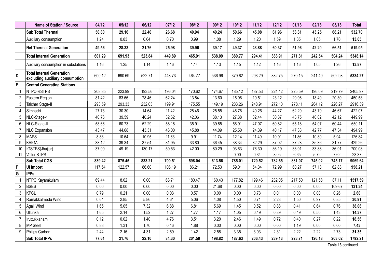|                 | Name of Station / Source                                            | 04/12  | 05/12  | 06/12  | 07/12  | 08/12  | 09/12  | 10/12  | 11/12  | 12/12  | 01/13  | 02/13  | 03/13  | <b>Total</b> |
|-----------------|---------------------------------------------------------------------|--------|--------|--------|--------|--------|--------|--------|--------|--------|--------|--------|--------|--------------|
|                 | <b>Sub Total Thermal</b>                                            | 50.80  | 29.16  | 22.40  | 26.68  | 40.94  | 40.24  | 50.66  | 45.08  | 61.96  | 53.31  | 43.25  | 68.21  | 532.70       |
|                 | Auxiliary consumption                                               | 1.24   | 0.83   | 0.64   | 0.70   | 0.99   | 1.08   | 1.29   | 1.20   | 1.59   | 1.35   | 1.05   | 1.70   | 13.65        |
|                 | <b>Net Thermal Generation</b>                                       | 49.56  | 28.33  | 21.76  | 25.98  | 39.96  | 39.17  | 49.37  | 43.88  | 60.37  | 51.96  | 42.20  | 66.51  | 519.05       |
|                 | <b>Total Internal Generation</b>                                    | 601.29 | 691.93 | 523.84 | 449.89 | 465.91 | 538.09 | 380.77 | 294.41 | 383.91 | 271.31 | 242.54 | 504.24 | 5348.14      |
|                 | Auxiliary consumption in substations                                | 1.16   | 1.25   | 1.14   | 1.16   | 1.14   | 1.13   | 1.15   | 1.12   | 1.16   | 1.16   | 1.05   | 1.26   | 13.87        |
| D               | <b>Total Internal Generation</b><br>excluding auxiliary consumption | 600.12 | 690.69 | 522.71 | 448.73 | 464.77 | 536.96 | 379.62 | 293.29 | 382.75 | 270.15 | 241.49 | 502.98 | 5334.27      |
| E               | <b>Central Generating Stations</b>                                  |        |        |        |        |        |        |        |        |        |        |        |        |              |
| $\overline{1}$  | NTPC-RSTPS                                                          | 208.85 | 223.99 | 193.56 | 196.04 | 170.62 | 174.67 | 185.12 | 187.53 | 224.12 | 225.59 | 196.09 | 219.79 | 2405.97      |
| $\overline{2}$  | Eastern Region                                                      | 81.42  | 83.66  | 78.46  | 62.24  | 13.84  | 13.60  | 15.96  | 19.51  | 23.12  | 20.06  | 18.40  | 20.30  | 450.58       |
| 3               | Talcher Stage-II                                                    | 293.59 | 293.33 | 232.03 | 199.91 | 175.55 | 149.19 | 283.26 | 248.91 | 272.10 | 278.11 | 264.12 | 226.27 | 2916.39      |
| $\overline{4}$  | Simhadri                                                            | 27.73  | 30.30  | 14.64  | 11.42  | 28.46  | 25.55  | 46.76  | 40.26  | 44.27  | 62.20  | 43.79  | 46.67  | 422.07       |
| 5               | NLC-Stage-1                                                         | 40.76  | 39.59  | 40.24  | 32.62  | 42.06  | 38.13  | 27.38  | 32.44  | 30.87  | 43.75  | 40.02  | 42.12  | 449.99       |
| $6\phantom{.}6$ | NLC-Stage-II                                                        | 58.66  | 60.73  | 52.29  | 58.18  | 35.91  | 39.85  | 56.91  | 47.07  | 60.82  | 65.18  | 54.07  | 60.44  | 650.11       |
| $\overline{7}$  | <b>NLC</b> Expansion                                                | 43.47  | 44.68  | 43.31  | 46.00  | 45.88  | 44.09  | 25.50  | 24.39  | 40.17  | 47.38  | 42.77  | 47.34  | 494.99       |
| 8               | <b>MAPS</b>                                                         | 8.83   | 10.64  | 10.95  | 11.63  | 9.91   | 11.74  | 12.14  | 11.49  | 10.91  | 11.86  | 10.80  | 5.94   | 126.84       |
| 9               | KAIGA                                                               | 38.12  | 39.34  | 37.54  | 31.95  | 33.80  | 36.45  | 38.34  | 32.29  | 37.02  | 37.28  | 35.36  | 31.77  | 429.26       |
| 10              | IGSTPS(Jhajjar)                                                     | 37.99  | 49.19  | 130.17 | 50.53  | 42.00  | 80.29  | 93.63  | 76.30  | 36.19  | 33.01  | 33.88  | 36.91  | 700.08       |
| 11              | <b>Vallur STPS</b>                                                  |        |        |        |        |        |        | 0.00   | 0.34   | 3.05   | 6.65   | 5.72   | 7.62   | 23.37        |
|                 | <b>Sub Total CGS</b>                                                | 839.42 | 875.45 | 833.21 | 700.51 | 598.04 | 613.56 | 785.01 | 720.52 | 782.65 | 831.07 | 745.02 | 745.17 | 9069.64      |
| F               | UI Import                                                           | 117.54 | 122.57 | 86.60  | 106.19 | 86.21  | 72.53  | 59.01  | 54.34  | 72.99  | 60.27  | 57.13  | 62.83  | 958.21       |
| G               | <b>IPPs</b>                                                         |        |        |        |        |        |        |        |        |        |        |        |        |              |
| $\overline{1}$  | NTPC Kayamkulam                                                     | 69.44  | 8.02   | 0.00   | 63.71  | 180.47 | 160.43 | 177.82 | 199.46 | 232.05 | 217.50 | 121.58 | 87.11  | 1517.59      |
| $\overline{2}$  | <b>BSES</b>                                                         | 0.00   | 0.00   | 0.00   | 0.00   | 0.00   | 21.68  | 0.00   | 0.00   | 0.00   | 0.00   | 0.00   | 109.67 | 131.34       |
| 3               | KPCL                                                                | 0.79   | 0.21   | 0.00   | 0.03   | 0.57   | 0.00   | 0.00   | 0.73   | 0.01   | 0.00   | 0.00   | 0.26   | 2.60         |
| 4               | Ramakkalmedu Wind                                                   | 0.64   | 2.85   | 5.86   | 4.61   | 5.06   | 4.08   | 1.50   | 0.71   | 2.28   | 1.50   | 0.97   | 0.85   | 30.91        |
| 5               | Agali Wind                                                          | 1.65   | 5.05   | 7.32   | 6.88   | 6.81   | 5.69   | 1.45   | 0.52   | 0.88   | 0.41   | 0.64   | 0.76   | 38.06        |
| $6\phantom{a}$  | Ullunkal                                                            | 1.65   | 2.14   | 1.52   | 1.27   | 1.77   | 1.17   | 1.05   | 0.49   | 0.89   | 0.49   | 0.50   | 1.43   | 14.37        |
| 7               | Iruttukkanam                                                        | 0.12   | 0.02   | 1.40   | 4.76   | 3.51   | 3.20   | 2.46   | 1.49   | 0.72   | 0.40   | 0.27   | 0.22   | 18.56        |
| 8               | <b>MP Steel</b>                                                     | 0.88   | 1.31   | 1.70   | 0.46   | 1.88   | 0.00   | 0.00   | 0.00   | 0.00   | 1.19   | 0.00   | 0.00   | 7.43         |
| 9               | Philips Carbon                                                      | 2.44   | 2.16   | 4.31   | 2.59   | 1.42   | 2.58   | 3.35   | 3.03   | 2.31   | 2.22   | 2.22   | 2.73   | 31.35        |
|                 | <b>Sub Total IPPs</b>                                               | 77.61  | 21.76  | 22.10  | 84.30  | 201.50 | 198.82 | 187.63 | 206.43 | 239.13 | 223.71 | 126.18 | 203.02 | 1792.21      |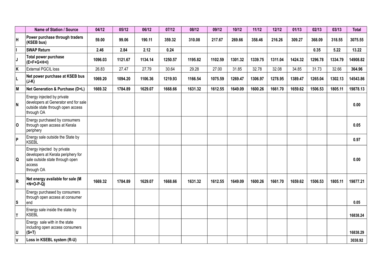|                         | Name of Station / Source                                                                                                    | 04/12   | 05/12   | 06/12   | 07/12   | 08/12   | 09/12   | 10/12   | 11/12   | 12/12   | 01/13   | 02/13   | 03/13   | <b>Total</b> |
|-------------------------|-----------------------------------------------------------------------------------------------------------------------------|---------|---------|---------|---------|---------|---------|---------|---------|---------|---------|---------|---------|--------------|
| H                       | Power purchase through traders<br>(KSEB bus)                                                                                | 59.00   | 99.06   | 190.11  | 359.32  | 310.08  | 217.67  | 269.66  | 358.46  | 216.26  | 309.27  | 368.09  | 318.55  | 3075.55      |
| I                       | <b>SWAP Return</b>                                                                                                          | 2.46    | 2.84    | 2.12    | 0.24    |         |         |         |         |         |         | 0.35    | 5.22    | 13.22        |
| IJ                      | Total power purchase<br>$(E+F+G+H+I)$                                                                                       | 1096.03 | 1121.67 | 1134.14 | 1250.57 | 1195.82 | 1102.59 | 1301.32 | 1339.75 | 1311.04 | 1424.32 | 1296.78 | 1334.79 | 14908.82     |
| $\overline{\mathsf{K}}$ | External PGCIL loss                                                                                                         | 26.83   | 27.47   | 27.79   | 30.64   | 29.28   | 27.00   | 31.85   | 32.78   | 32.08   | 34.85   | 31.73   | 32.66   | 364.96       |
| L                       | Net power purchase at KSEB bus<br>$(J-K)$                                                                                   | 1069.20 | 1094.20 | 1106.36 | 1219.93 | 1166.54 | 1075.59 | 1269.47 | 1306.97 | 1278.95 | 1389.47 | 1265.04 | 1302.13 | 14543.86     |
| M                       | Net Generation & Purchase (D+L)                                                                                             | 1669.32 | 1784.89 | 1629.07 | 1668.66 | 1631.32 | 1612.55 | 1649.09 | 1600.26 | 1661.70 | 1659.62 | 1506.53 | 1805.11 | 19878.13     |
| N                       | Energy injected by private<br>developers at Generator end for sale<br>outside state through open access<br>through OA       |         |         |         |         |         |         |         |         |         |         |         |         | 0.00         |
| O                       | Energy purchased by consumers<br>through open access at Kerala<br>periphery                                                 |         |         |         |         |         |         |         |         |         |         |         |         | 0.05         |
| ∣p                      | Energy sale outside the State by<br><b>KSEBL</b>                                                                            |         |         |         |         |         |         |         |         |         |         |         |         | 0.97         |
| IQ.                     | Energy injected by private<br>developers at Kerala periphery for<br>sale outside state through open<br>access<br>through OA |         |         |         |         |         |         |         |         |         |         |         |         | 0.00         |
| R                       | Net energy available for sale (M<br>$+N+O-P-Q$                                                                              | 1669.32 | 1784.89 | 1629.07 | 1668.66 | 1631.32 | 1612.55 | 1649.09 | 1600.26 | 1661.70 | 1659.62 | 1506.53 | 1805.11 | 19877.21     |
| ls                      | Energy purchased by consumers<br>through open access at consumer<br>lend                                                    |         |         |         |         |         |         |         |         |         |         |         |         | 0.05         |
| T                       | Energy sale inside the state by<br><b>KSEBL</b>                                                                             |         |         |         |         |         |         |         |         |         |         |         |         | 16838.24     |
| ΙU                      | Energy sale with in the state<br>including open access consumers<br>$(S+T)$                                                 |         |         |         |         |         |         |         |         |         |         |         |         | 16838.29     |
| ١V                      | Loss in KSEBL system (R-U)                                                                                                  |         |         |         |         |         |         |         |         |         |         |         |         | 3038.92      |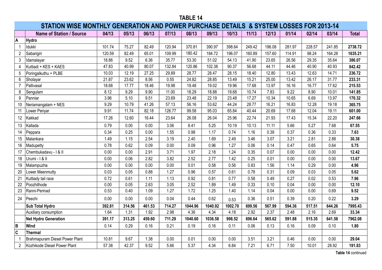|                | STATION WISE MONTHLY GENERATION AND POWER PURCHASE DETAILS & SYSTEM LOSSES FOR 2013-14 |        |        |        |        |         |         |         |        |        |        |        |        |              |
|----------------|----------------------------------------------------------------------------------------|--------|--------|--------|--------|---------|---------|---------|--------|--------|--------|--------|--------|--------------|
|                | <b>Name of Station / Source</b>                                                        | 04/13  | 05/13  | 06/13  | 07/13  | 08/13   | 09/13   | 10/13   | 11/13  | 12/13  | 01/14  | 02/14  | 03/14  | <b>Total</b> |
| Α              | Hydro                                                                                  |        |        |        |        |         |         |         |        |        |        |        |        |              |
|                | Idukki                                                                                 | 101.74 | 75.27  | 82.49  | 120.94 | 370.81  | 390.97  | 398.64  | 249.42 | 196.08 | 281.97 | 228.57 | 241.85 | 2738.72      |
| $\overline{2}$ | Sabarigiri                                                                             | 120.59 | 82.49  | 65.01  | 109.99 | 180.42  | 184.72  | 196.07  | 160.89 | 157.60 | 114.91 | 98.24  | 164.28 | 1635.21      |
| 3              | Idamalayar                                                                             | 18.86  | 9.52   | 6.36   | 35.77  | 53.30   | 51.02   | 54.13   | 41.90  | 23.65  | 26.56  | 29.35  | 35.64  | 386.07       |
| 4              | Kuttiadi + KES + KAES                                                                  | 47.83  | 40.99  | 80.07  | 132.84 | 120.86  | 102.38  | 90.37   | 56.68  | 44.11  | 44.46  | 40.90  | 40.93  | 842.42       |
| 5              | Poringalkuthu + PLBE                                                                   | 10.03  | 12.19  | 27.25  | 29.89  | 28.77   | 28.47   | 28.15   | 18.40  | 12.80  | 13.43  | 12.63  | 14.71  | 236.72       |
| 6              | Sholayar                                                                               | 21.87  | 23.62  | 8.56   | 0.55   | 24.82   | 28.85   | 13.49   | 15.21  | 25.00  | 13.42  | 26.17  | 31.77  | 233.31       |
| $\overline{7}$ | Pallivasal                                                                             | 18.68  | 17.77  | 18.46  | 19.98  | 19.48   | 19.02   | 19.96   | 17.68  | 13.97  | 16.16  | 16.77  | 17.62  | 215.53       |
| 8              | Sengulam                                                                               | 8.12   | 9.29   | 9.90   | 11.00  | 18.29   | 18.88   | 19.68   | 10.74  | 7.83   | 9.22   | 8.90   | 10.01  | 141.85       |
| 9              | Panniar                                                                                | 3.96   | 5.10   | 9.51   | 23.69  | 23.48   | 22.19   | 23.48   | 17.27  | 10.34  | 10.65  | 6.69   | 13.97  | 170.32       |
| 10             | Neriamangalam + NES                                                                    | 9.29   | 10.79  | 41.26  | 57.13  | 56.16   | 53.62   | 44.24   | 28.77  | 16.21  | 16.83  | 12.28  | 19.18  | 365.75       |
| 11             | Lower Periyar                                                                          | 9.91   | 11.74  | 82.18  | 126.77 | 99.58   | 95.03   | 65.84   | 40.44  | 20.69  | 17.68  | 12.04  | 19.11  | 601.00       |
| 12             | Kakkad                                                                                 | 17.26  | 12.60  | 16.44  | 23.64  | 26.08   | 26.04   | 25.96   | 22.74  | 21.93  | 17.43  | 15.34  | 22.20  | 247.66       |
| 13             | Kallada                                                                                | 0.79   | 0.00   | 0.00   | 3.06   | 8.41    | 5.25    | 10.19   | 10.13  | 11.11  | 5.66   | 5.27   | 7.68   | 67.55        |
| 14             | Peppara                                                                                | 0.34   | 0.25   | 0.00   | 1.55   | 0.98    | 1.17    | 0.74    | 1.16   | 0.39   | 0.37   | 0.36   | 0.33   | 7.63         |
| 15             | Malankara                                                                              | 1.49   | 1.15   | 2.54   | 3.19   | 2.40    | 1.69    | 2.49    | 3.46   | 3.07   | 3.21   | 2.81   | 2.88   | 30.38        |
| 16             | Madupetty                                                                              | 0.78   | 0.62   | 0.09   | 0.00   | 0.09    | 0.96    | 1.27    | 0.06   | 0.14   | 0.47   | 0.65   | 0.64   | 5.75         |
| 17             | Chembukadavu - I & II                                                                  | 0.00   | 0.00   | 2.91   | 3.71   | 1.97    | 2.18    | 1.24    | 0.35   | 0.07   | 0.00   | 0.00   | 0.00   | 12.42        |
| 18             | Urumi - I & II                                                                         | 0.00   | 0.06   | 2.82   | 3.82   | 2.52    | 2.77    | 1.42    | 0.25   | 0.01   | 0.00   | 0.00   | 0.00   | 13.67        |
| 19             | Malampuzha                                                                             | 0.00   | 0.00   | 0.00   | 0.00   | 0.01    | 0.58    | 0.56    | 0.83   | 1.56   | 1.14   | 0.29   | 0.00   | 4.96         |
| 20             | Lower Meenmutty                                                                        | 0.03   | 0.05   | 0.88   | 1.27   | 0.96    | 0.57    | 0.61    | 0.78   | 0.31   | 0.09   | 0.03   | 0.05   | 5.62         |
| 21             | Kuttiady tail race                                                                     | 0.72   | 0.61   | 1.11   | 1.13   | 0.92    | 0.81    | 0.77    | 0.58   | 0.49   | 0.27   | 0.02   | 0.53   | 7.96         |
|                | 22 Poozhithode                                                                         | 0.00   | 0.05   | 2.63   | 3.05   | 2.52    | 1.89    | 1.49    | 0.33   | 0.10   | 0.04   | 0.00   | 0.00   | 12.10        |
| 23             | Ranni-Perinad                                                                          | 0.53   | 0.40   | 1.09   | 1.27   | 1.72    | 1.25    | 1.40    | 1.14   | 0.04   | 0.00   | 0.00   | 0.69   | 9.52         |
| 24             | Peechi                                                                                 | 0.00   | 0.00   | 0.00   | 0.04   | 0.44    | 0.62    | 0.53    | 0.36   | 0.51   | 0.39   | 0.20   | 0.22   | 3.29         |
|                | Sub Total Hydro                                                                        | 392.81 | 314.56 | 461.53 | 714.27 | 1044.96 | 1040.92 | 1002.70 | 699.56 | 567.99 | 594.36 | 517.51 | 644.26 | 7995.43      |
|                | Auxiliary consumption                                                                  | 1.64   | 1.31   | 1.92   | 2.98   | 4.36    | 4.34    | 4.18    | 2.92   | 2.37   | 2.48   | 2.16   | 2.69   | 33.34        |
|                | Net Hydro Generation                                                                   | 391.17 | 313.25 | 459.60 | 711.29 | 1040.60 | 1036.58 | 998.52  | 696.64 | 565.62 | 591.88 | 515.35 | 641.58 | 7962.08      |
| B              | Wind                                                                                   | 0.14   | 0.29   | 0.16   | 0.21   | 0.19    | 0.16    | 0.11    | 0.06   | 0.13   | 0.16   | 0.09   | 0.10   | 1.80         |
| $\mathbf c$    | <b>Thermal</b>                                                                         |        |        |        |        |         |         |         |        |        |        |        |        |              |
|                | Brahmapuram Diesel Power Plant                                                         | 10.81  | 9.67   | 1.38   | 0.00   | 0.01    | 0.00    | 0.00    | 3.51   | 3.21   | 0.46   | 0.00   | 0.00   | 29.04        |
|                | 2 Kozhikode Diesel Power Plant                                                         | 57.38  | 42.37  | 9.52   | 5.66   | 5.37    | 4.34    | 6.84    | 7.21   | 6.71   | 7.50   | 10.01  | 28.92  | 191.83       |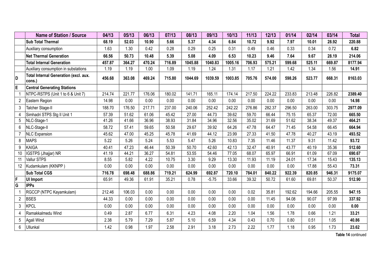|                         | <b>Name of Station / Source</b>                        | 04/13  | 05/13  | 06/13  | 07/13  | 08/13   | 09/13   | 10/13   | 11/13  | 12/13  | 01/14  | 02/14  | 03/14  | <b>Total</b> |
|-------------------------|--------------------------------------------------------|--------|--------|--------|--------|---------|---------|---------|--------|--------|--------|--------|--------|--------------|
|                         | Sub Total Thermal                                      | 68.19  | 52.03  | 10.90  | 5.66   | 5.37    | 4.34    | 6.84    | 10.72  | 9.92   | 7.97   | 10.01  | 28.92  | 220.88       |
|                         | Auxiliary consumption                                  | 1.63   | 1.30   | 0.42   | 0.28   | 0.29    | 0.25    | 0.31    | 0.49   | 0.46   | 0.33   | 0.34   | 0.72   | 6.82         |
|                         | <b>Net Thermal Generation</b>                          | 66.56  | 50.73  | 10.48  | 5.39   | 5.08    | 4.09    | 6.53    | 10.23  | 9.46   | 7.64   | 9.67   | 28.19  | 214.06       |
|                         | <b>Total Internal Generation</b>                       | 457.87 | 364.27 | 470.24 | 716.89 | 1045.88 | 1040.83 | 1005.16 | 706.93 | 575.21 | 599.68 | 525.11 | 669.87 | 8177.94      |
|                         | Auxiliary consumption in substations                   | 1.19   | 1.19   | 1.00   | 1.09   | 1.19    | 1.24    | 1.31    | 1.17   | 1.21   | 1.42   | 1.34   | 1.56   | 14.91        |
| D                       | <b>Total Internal Generation (excl. aux.</b><br>cons.) | 456.68 | 363.08 | 469.24 | 715.80 | 1044.69 | 1039.59 | 1003.85 | 705.76 | 574.00 | 598.26 | 523.77 | 668.31 | 8163.03      |
| E                       | <b>Central Generating Stations</b>                     |        |        |        |        |         |         |         |        |        |        |        |        |              |
|                         | NTPC-RSTPS (Unit 1 to 6 & Unit 7)                      | 214.74 | 221.77 | 176.06 | 180.02 | 141.71  | 165.11  | 174.14  | 217.50 | 224.22 | 233.83 | 213.48 | 226.82 | 2389.40      |
| $\overline{2}$          | Eastern Region                                         | 14.98  | 0.00   | 0.00   | 0.00   | 0.00    | 0.00    | 0.00    | 0.00   | 0.00   | 0.00   | 0.00   | 0.00   | 14.98        |
| 3                       | Talcher Stage-II                                       | 188.70 | 176.50 | 217.71 | 237.00 | 240.06  | 252.42  | 242.22  | 276.86 | 282.37 | 296.50 | 263.00 | 303.75 | 2977.09      |
|                         | Simhadri STPS Stg II Unit 1                            | 57.39  | 51.62  | 61.06  | 45.42  | 27.00   | 44.73   | 39.62   | 59.70  | 66.44  | 75.15  | 65.37  | 72.00  | 665.50       |
| 5                       | NLC-Stage-1                                            | 41.26  | 41.66  | 36.96  | 38.93  | 31.84   | 34.96   | 32.56   | 35.02  | 31.69  | 51.62  | 38.34  | 49.37  | 464.21       |
| 6                       | NLC-Stage-II                                           | 58.72  | 57.41  | 59.65  | 50.58  | 29.67   | 39.92   | 64.26   | 47.78  | 64.47  | 71.45  | 54.58  | 66.45  | 664.94       |
|                         | <b>NLC Expansion</b>                                   | 45.62  | 47.00  | 45.25  | 45.78  | 41.69   | 44.12   | 23.99   | 27.33  | 41.50  | 47.78  | 40.27  | 43.19  | 493.52       |
| 8                       | <b>MAPS</b>                                            | 5.22   | 5.26   | 5.24   | 5.53   | 5.47    | 5.26    | 10.83   | 7.35   | 11.46  | 11.37  | 9.31   | 11.42  | 93.72        |
| 9                       | KAIGA                                                  | 40.41  | 47.23  | 46.44  | 50.39  | 50.70   | 42.60   | 42.13   | 32.47  | 40.91  | 43.77  | 40.19  | 35.36  | 512.60       |
| 10                      | IGSTPS (Jhajjar) NR                                    | 41.19  | 44.21  | 36.27  | 54.81  | 53.55   | 54.46   | 77.05   | 68.07  | 65.97  | 66.91  | 61.09  | 67.09  | 690.67       |
| 11                      | Vallur STPS                                            | 8.55   | 5.82   | 4.22   | 10.75  | 3.30    | 9.29    | 13.30   | 11.93  | 11.19  | 24.01  | 17.34  | 15.43  | 135.13       |
| 12                      | Kudamkulam (KKNPP)                                     | 0.00   | 0.00   | 0.00   | 0.00   | 0.00    | 0.00    | 0.00    | 0.00   | 0.00   | 0.00   | 17.88  | 55.43  | 73.31        |
|                         | <b>Sub Total CGS</b>                                   | 716.78 | 698.48 | 688.86 | 719.21 | 624.99  | 692.87  | 720.10  | 784.01 | 840.22 | 922.39 | 820.85 | 946.31 | 9175.07      |
| $\mathsf F$             | <b>UI Import</b>                                       | 65.91  | 49.36  | 61.91  | 35.21  | 0.78    | $-5.75$ | 33.66   | 39.32  | 50.72  | 61.60  | 69.81  | 50.37  | 512.90       |
| $\overline{\mathsf{G}}$ | <b>IPPs</b>                                            |        |        |        |        |         |         |         |        |        |        |        |        |              |
|                         | RGCCP (NTPC Kayamkulam)                                | 212.46 | 106.03 | 0.00   | 0.00   | 0.00    | 0.00    | 0.00    | 0.02   | 35.81  | 192.62 | 194.66 | 205.55 | 947.15       |
| $\overline{2}$          | <b>BSES</b>                                            | 44.33  | 0.00   | 0.00   | 0.00   | 0.00    | 0.00    | 0.00    | 0.00   | 11.45  | 94.08  | 90.07  | 97.99  | 337.92       |
| $\mathfrak{Z}$          | <b>KPCL</b>                                            | 0.00   | 0.00   | 0.00   | 0.00   | 0.00    | 0.00    | 0.00    | 0.00   | 0.00   | 0.00   | 0.00   | 0.00   | 0.00         |
| 4                       | Ramakkalmedu Wind                                      | 0.49   | 2.87   | 6.77   | 6.31   | 4.23    | 4.08    | 2.20    | 1.04   | 1.56   | 1.78   | 0.66   | 1.21   | 33.21        |
| $5\phantom{.0}$         | Agali Wind                                             | 2.38   | 5.79   | 7.29   | 5.87   | 5.10    | 6.59    | 4.34    | 0.43   | 0.70   | 0.80   | 0.51   | 1.05   | 40.86        |
| 6                       | Ullunkal                                               | 1.42   | 0.98   | 1.97   | 2.58   | 2.91    | 3.18    | 2.73    | 2.22   | 1.77   | 1.18   | 0.95   | 1.73   | 23.62        |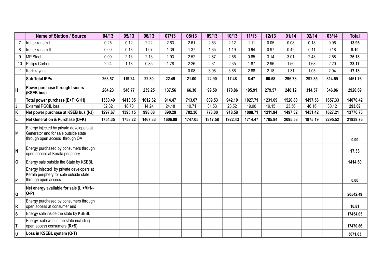|                         | <b>Name of Station / Source</b>                                                                                    | 04/13   | 05/13   | 06/13   | 07/13   | 08/13   | 09/13   | 10/13   | 11/13   | 12/13   | 01/14   | 02/14   | 03/14   | <b>Total</b> |
|-------------------------|--------------------------------------------------------------------------------------------------------------------|---------|---------|---------|---------|---------|---------|---------|---------|---------|---------|---------|---------|--------------|
|                         | Iruttukkanam I                                                                                                     | 0.25    | 0.12    | 2.22    | 2.63    | 2.61    | 2.53    | 2.12    | 1.11    | 0.05    | 0.08    | 0.18    | 0.06    | 13.96        |
| 8                       | Iruttukkanam II                                                                                                    | 0.00    | 0.13    | 1.07    | 1.39    | 1.37    | 1.35    | 1.19    | 0.94    | 0.97    | 0.42    | 0.11    | 0.18    | 9.10         |
| 9                       | <b>MP Steel</b>                                                                                                    | 0.00    | 2.13    | 2.13    | 1.93    | 2.52    | 2.87    | 2.56    | 0.85    | 3.14    | 3.01    | 2.48    | 2.58    | 26.18        |
| 10 <sup>1</sup>         | Philips Carbon                                                                                                     | 2.24    | 1.18    | 0.85    | 1.78    | 2.26    | 2.31    | 2.35    | 1.87    | 2.96    | 1.50    | 1.68    | 2.20    | 23.17        |
| 11                      | Karikkayam                                                                                                         |         |         |         |         | 0.08    | 3.98    | 3.66    | 2.88    | 2.18    | 1.31    | 1.05    | 2.04    | 17.18        |
|                         | <b>Sub Total IPPs</b>                                                                                              | 263.57  | 119.24  | 22.30   | 22.49   | 21.00   | 22.90   | 17.48   | 8.47    | 60.58   | 296.78  | 292.35  | 314.59  | 1461.76      |
| ΙH                      | Power purchase through traders<br>(KSEB bus)                                                                       | 284.23  | 546.77  | 239.25  | 137.56  | 66.30   | 99.50   | 170.86  | 195.91  | 279.57  | 240.12  | 314.57  | 346.06  | 2920.69      |
| I                       | Total power purchase (E+F+G+H)                                                                                     | 1330.49 | 1413.85 | 1012.32 | 914.47  | 713.07  | 809.53  | 942.10  | 1027.71 | 1231.09 | 1520.88 | 1497.58 | 1657.33 | 14070.42     |
| $\sqrt{\frac{J}{K}}$    | <b>External PGCIL loss</b>                                                                                         | 32.82   | 18.70   | 14.24   | 24.18   | 10.71   | 31.53   | 23.52   | 19.00   | 19.15   | 23.56   | 46.16   | 30.12   | 293.69       |
|                         | Net power purchase at KSEB bus (I-J)                                                                               | 1297.67 | 1395.15 | 998.08  | 890.29  | 702.36  | 778.00  | 918.58  | 1008.71 | 1211.94 | 1497.32 | 1451.42 | 1627.21 | 13776.73     |
| IL.                     | Net Generation & Purchase (D+K)                                                                                    | 1754.35 | 1758.22 | 1467.33 | 1606.09 | 1747.05 | 1817.58 | 1922.43 | 1714.47 | 1785.94 | 2095.58 | 1975.19 | 2295.52 | 21939.76     |
| ١M                      | Energy injected by private developers at<br>Generator end for sale outside state<br>through open access through OA |         |         |         |         |         |         |         |         |         |         |         |         | 0.00         |
| N                       | Energy purchased by consumers through<br>open access at Kerala periphery                                           |         |         |         |         |         |         |         |         |         |         |         |         | 17.33        |
| $\overline{\mathsf{o}}$ | Energy sale outside the State by KSEBL                                                                             |         |         |         |         |         |         |         |         |         |         |         |         | 1414.60      |
| Þ                       | Energy injected by private developers at<br>Kerala periphery for sale outside state<br>through open access         |         |         |         |         |         |         |         |         |         |         |         |         | 0.00         |
| ∣Q                      | Net energy available for sale (L +M+N-<br>$ O-P\rangle$                                                            |         |         |         |         |         |         |         |         |         |         |         |         | 20542.49     |
| R                       | Energy purchased by consumers through<br>open access at consumer end                                               |         |         |         |         |         |         |         |         |         |         |         |         | 16.81        |
| ls.                     | Energy sale inside the state by KSEBL                                                                              |         |         |         |         |         |         |         |         |         |         |         |         | 17454.05     |
| İΤ.                     | Energy sale with in the state including<br>open access consumers (R+S)                                             |         |         |         |         |         |         |         |         |         |         |         |         | 17470.86     |
| ΙU                      | Loss in KSEBL system (Q-T)                                                                                         |         |         |         |         |         |         |         |         |         |         |         |         | 3071.63      |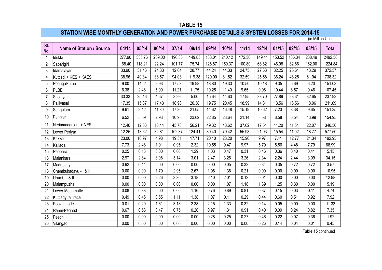## **STATION WISE MONTHLY GENERATION AND POWER PURCHASE DETAILS & SYSTEM LOSSES FOR 2014-15**

(in Million Units)

| SI.<br>No.     | <b>Name of Station / Source</b> | 04/14  | 05/14  | 06/14  | 07/14  | 08/14  | 09/14  | 10/14  | 11/14  | 12/14  | 01/15  | 02/15  | 03/15  | <b>Total</b> |
|----------------|---------------------------------|--------|--------|--------|--------|--------|--------|--------|--------|--------|--------|--------|--------|--------------|
| -1             | Idukki                          | 277.90 | 335.76 | 289.00 | 196.88 | 149.85 | 133.01 | 210.12 | 172.30 | 149.41 | 153.52 | 186.34 | 238.49 | 2492.58      |
| $\overline{2}$ | Sabarigiri                      | 168.40 | 118.21 | 22.24  | 101.77 | 75.74  | 126.87 | 150.37 | 100.80 | 68.82  | 46.98  | 82.66  | 162.00 | 1224.84      |
| 3              | Idamalayar                      | 33.90  | 31.46  | 24.33  | 12.04  | 28.77  | 44.24  | 44.33  | 24.73  | 27.63  | 32.25  | 25.61  | 43.29  | 372.57       |
| 4              | Kuttiadi + KES + KAES           | 38.96  | 40.34  | 38.57  | 94.03  | 119.38 | 120.90 | 81.52  | 32.59  | 25.58  | 36.24  | 48.25  | 61.94  | 738.32       |
| 5              | Poringalkuthu                   | 9.00   | 14.54  | 9.93   | 17.53  | 19.98  | 18.80  | 19.33  | 10.50  | 10.18  | 9.35   | 5.69   | 6.20   | 151.03       |
| 6              | <b>PLBE</b>                     | 6.38   | 2.48   | 5.90   | 11.21  | 11.75  | 10.25  | 11.40  | 9.65   | 9.96   | 10.44  | 8.57   | 9.46   | 107.45       |
| $\overline{7}$ | Sholayar                        | 33.33  | 25.16  | 4.67   | 3.99   | 5.00   | 15.64  | 14.63  | 17.95  | 33.70  | 27.89  | 23.31  | 32.65  | 237.93       |
| 8              | Pallivasal                      | 17.35  | 15.37  | 17.43  | 18.98  | 20.38  | 19.75  | 20.45  | 18.99  | 14.81  | 13.56  | 16.56  | 18.06  | 211.69       |
| 9              | Sengulam                        | 9.61   | 9.42   | 11.80  | 17.30  | 21.05  | 14.62  | 16.48  | 15.19  | 10.62  | 7.23   | 8.38   | 9.65   | 151.35       |
| 10             | Panniar                         | 6.52   | 5.59   | 2.93   | 10.98  | 23.62  | 22.85  | 23.64  | 21.14  | 8.58   | 8.58   | 6.54   | 13.99  | 154.95       |
| 11             | Neriamangalam + NES             | 12.46  | 12.53  | 18.44  | 45.78  | 56.21  | 49.32  | 48.62  | 37.62  | 17.51  | 14.20  | 11.54  | 22.07  | 346.30       |
| 12             | Lower Periyar                   | 12.25  | 13.62  | 32.81  | 102.37 | 124.41 | 89.40  | 79.42  | 55.98  | 21.93  | 15.54  | 11.02  | 18.77  | 577.50       |
| 13             | Kakkad                          | 23.00  | 16.97  | 4.98   | 19.51  | 17.71  | 20.10  | 23.20  | 15.96  | 9.97   | 7.41   | 12.77  | 21.34  | 192.93       |
| 14             | Kallada                         | 7.73   | 2.48   | 1.91   | 0.95   | 2.32   | 10.55  | 9.47   | 9.97   | 5.79   | 5.56   | 4.48   | 7.79   | 68.99        |
| 15             | Peppara                         | 0.25   | 0.13   | 0.00   | 0.00   | 1.29   | 1.03   | 0.47   | 0.31   | 0.46   | 0.36   | 0.40   | 0.41   | 5.13         |
| 16             | Malankara                       | 2.97   | 2.84   | 3.08   | 3.14   | 3.01   | 2.47   | 3.26   | 3.26   | 2.34   | 2.24   | 2.44   | 3.09   | 34.15        |
| 17             | Madupetty                       | 0.62   | 0.44   | 0.00   | 0.00   | 0.00   | 0.00   | 0.05   | 0.32   | 0.34   | 0.35   | 0.72   | 0.72   | 3.57         |
| 18             | Chembukadavu - I & II           | 0.00   | 0.00   | 1.79   | 2.95   | 2.67   | 1.96   | 1.36   | 0.21   | 0.00   | 0.00   | 0.00   | 0.00   | 10.95        |
| 19             | Urumi - I & II                  | 0.00   | 0.00   | 2.26   | 3.30   | 3.18   | 2.10   | 2.01   | 0.12   | 0.01   | 0.00   | 0.00   | 0.00   | 12.98        |
| 20             | Malampuzha                      | 0.00   | 0.00   | 0.00   | 0.00   | 0.00   | 0.00   | 1.07   | 1.18   | 1.39   | 1.25   | 0.30   | 0.00   | 5.19         |
| 2 <sup>1</sup> | Lower Meenmutty                 | 0.08   | 0.38   | 0.00   | 0.00   | 1.16   | 0.76   | 0.89   | 0.81   | 0.37   | 0.15   | 0.03   | 0.11   | 4.74         |
| 22             | Kuttiady tail race              | 0.49   | 0.45   | 0.55   | 1.11   | 1.38   | 1.07   | 0.11   | 0.29   | 0.44   | 0.60   | 0.51   | 0.92   | 7.92         |
| 23             | Poozhithode                     | 0.01   | 0.20   | 1.61   | 3.13   | 2.38   | 2.15   | 1.33   | 0.32   | 0.14   | 0.05   | 0.00   | 0.00   | 11.33        |
| 24             | Ranni-Perinad                   | 0.67   | 0.53   | 0.47   | 0.75   | 0.20   | 0.97   | 1.31   | 0.91   | 0.40   | 0.09   | 0.24   | 0.82   | 7.35         |
| 25             | Peechi                          | 0.00   | 0.00   | 0.00   | 0.00   | 0.00   | 0.28   | 0.25   | 0.27   | 0.46   | 0.22   | 0.07   | 0.36   | 1.92         |
| 26             | Vilangad                        | 0.00   | 0.00   | 0.00   | 0.00   | 0.00   | 0.00   | 0.00   | 0.00   | 0.26   | 0.14   | 0.04   | 0.01   | 0.45         |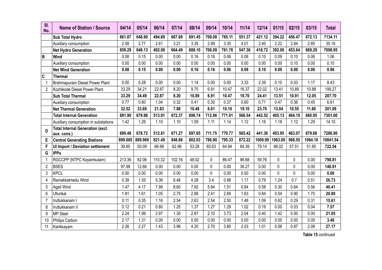| SI.<br>No.     | <b>Name of Station / Source</b>                        | 04/14   | 05/14   | 06/14  | 07/14  | 08/14  | 09/14        | 10/14  | 11/14  | 12/14   | 01/15    | 02/15  | 03/15   | <b>Total</b> |
|----------------|--------------------------------------------------------|---------|---------|--------|--------|--------|--------------|--------|--------|---------|----------|--------|---------|--------------|
|                | <b>Sub Total Hydro</b>                                 | 661.87  | 648.90  | 494.69 | 667.69 | 691.45 | 709.08       | 765.11 | 551.37 | 421.12  | 394.22   | 456.47 | 672.13  | 7134.11      |
|                | Auxiliary consumption                                  | 2.58    | 2.77    | 2.61   | 3.21   | 3.35   | 2.99         | 3.35   | 4.01   | 2.40    | 2.22     | 2.84   | 2.85    | 35.16        |
|                | <b>Net Hydro Generation</b>                            | 659.29  | 646.13  | 492.08 | 664.49 | 688.10 | 706.09       | 761.76 | 547.36 | 418.72  | 392.00   | 453.64 | 669.29  | 7098.95      |
| İΒ.            | Wind                                                   | 0.08    | 0.15    | 0.00   | 0.00   | 0.16   | 0.16         | 0.06   | 0.08   | 0.10    | 0.09     | 0.10   | 0.06    | 1.06         |
|                | Auxiliary consumption                                  | 0.00    | 0.00    | 0.00   | 0.00   | 0.00   | 0.00         | 0.00   | 0.00   | 0.00    | 0.00     | 0.10   | 0.00    | 0.10         |
|                | <b>Net Wind Generation</b>                             | 0.08    | 0.15    | 0.00   | 0.00   | 0.16   | 0.16         | 0.06   | 0.08   | 0.10    | 0.09     | 0.00   | 0.06    | 0.96         |
| $ {\bf c} $    | <b>Thermal</b>                                         |         |         |        |        |        |              |        |        |         |          |        |         |              |
|                | Brahmapuram Diesel Power Plant                         | 0.00    | 0.28    | 0.00   | 0.00   | 1.14   | 0.00         | 0.00   | 3.33   | 2.39    | 0.10     | 0.03   | 1.17    | 8.43         |
| 2              | Kozhikode Diesel Power Plant                           | 33.29   | 34.21   | 22.87  | 8.20   | 9.75   | 6.91         | 10.47  | 16.37  | 22.02   | 13.41    | 10.89  | 10.88   | 199.27       |
|                | <b>Sub Total Thermal</b>                               | 33.29   | 34.49   | 22.87  | 8.20   | 10.89  | 6.91         | 10.47  | 19.70  | 24.41   | 13.51    | 10.91  | 12.05   | 207.70       |
|                | Auxiliary consumption                                  | 0.77    | 0.80    | 1.04   | 0.32   | 0.41   | 0.30         | 0.37   | 0.60   | 0.71    | 0.47     | 0.36   | 0.45    | 6.61         |
|                | <b>Net Thermal Generation</b>                          | 32.52   | 33.69   | 21.83  | 7.88   | 10.48  | 6.61         | 10.10  | 19.10  | 23.70   | 13.04    | 10.55  | 11.60   | 201.09       |
|                | <b>Total Internal Generation</b>                       | 691.90  | 679.98  | 513.91 | 672.37 | 698.74 | 712.86       | 771.91 | 566.54 | 442.52  | 405.13   | 464.19 | 680.95  | 7301.00      |
|                | Auxiliary consumption in substations                   | 1.42    | 1.26    | 1.10   | 1.10   | 1.09   | 1.11         | 1.14   | 1.12   | 1.16    | 1.18     | 1.12   | 1.29    | 14.10        |
| D              | <b>Total Internal Generation (excl.</b><br>aux. cons.) | 690.48  | 678.72  | 512.81 | 671.27 | 697.65 | 711.75       | 770.77 | 565.42 | 441.36  | 403.95   | 463.07 | 679.66  | 7286.90      |
| Е              | <b>Central Generating Stations</b>                     | 899.085 | 889.969 | 821.49 | 848.88 | 802.03 | 786.90       | 795.33 | 872.22 | 1009.99 | 1063.00  | 988.55 | 1064.10 | 10841.54     |
| F              | <b>UI Import / Deviation settlement</b>                | 39.85   | 50.09   | 66.98  | 62.96  | 53.28  | 65.63        | 64.84  | 64.39  | 79.14   | 66.02    | 57.51  | 51.85   | 722.54       |
| G              | <b>IPPs</b>                                            |         |         |        |        |        |              |        |        |         |          |        |         |              |
|                | RGCCPP (NTPC Kayamkulam)                               | 213.36  | 82.06   | 110.32 | 102.16 | 48.02  | 0            | 86.47  | 96.68  | 59.76   | $\Omega$ | 0      | 0.00    | 798.81       |
| $\overline{2}$ | <b>BSES</b>                                            | 97.98   | 12.66   | 0.00   | 0.00   | 0.00   | $\mathbf 0$  | 0.00   | 36.27  | 0.00    | $\Omega$ | 0      | 0.00    | 146.91       |
| 3              | <b>KPCL</b>                                            | 0.00    | 0.00    | 0.00   | 0.00   | 0.00   | $\mathbf{0}$ | 0.00   | 0.00   | 0.00    | $\Omega$ | 0      | 0.00    | 0.00         |
| 4              | Ramakkalmedu Wind                                      | 0.39    | 1.55    | 5.36   | 6.46   | 4.28   | 3.4          | 0.88   | 1.17   | 0.79    | 1.24     | 0.7    | 0.51    | 26.73        |
| 5              | Agali Wind                                             | 1.47    | 4.17    | 7.99   | 8.60   | 7.92   | 5.84         | 1.51   | 0.84   | 0.58    | 0.30     | 0.64   | 0.56    | 40.41        |
| 6              | Ullunkal                                               | 1.81    | 1.61    | 1.05   | 2.75   | 2.88   | 2.41         | 2.69   | 1.63   | 0.84    | 0.54     | 0.90   | 1.70    | 20.80        |
| 7              | Iruttukkanam I                                         | 0.11    | 0.35    | 1.16   | 2.54   | 2.63   | 2.54         | 2.50   | 1.48   | 1.09    | 0.62     | 0.29   | 0.31    | 15.61        |
| 8              | Iruttukkanam II                                        | 0.12    | 0.21    | 0.80   | 1.25   | 1.37   | 1.27         | 1.29   | 1.02   | 0.19    | 0.00     | 0.03   | 0.04    | 7.57         |
| 9              | <b>MP Steel</b>                                        | 2.24    | 1.99    | 2.97   | 1.30   | 2.87   | 2.10         | 3.73   | 2.04   | 0.40    | 1.42     | 0.00   | 0.00    | 21.05        |
| 10             | Philips Carbon                                         | 2.17    | 1.31    | 0.00   | 0.00   | 0.00   | 0.00         | 0.00   | 0.00   | 0.00    | 0.00     | 0.00   | 0.00    | 3.48         |
| 11             | Karikkayam                                             | 2.26    | 2.27    | 1.43   | 3.96   | 4.20   | 2.70         | 3.80   | 2.03   | 1.01    | 0.56     | 0.87   | 2.09    | 27.17        |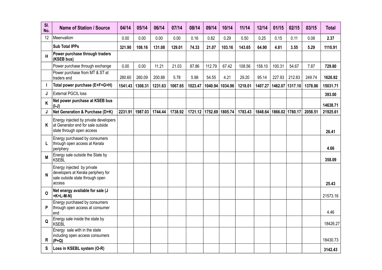| SI.<br>No. | <b>Name of Station / Source</b>                                                                               | 04/14   | 05/14   | 06/14   | 07/14   | 08/14                   | 09/14   | 10/14   | 11/14   | 12/14   | 01/15                       | 02/15           | 03/15   | <b>Total</b> |
|------------|---------------------------------------------------------------------------------------------------------------|---------|---------|---------|---------|-------------------------|---------|---------|---------|---------|-----------------------------|-----------------|---------|--------------|
| 12         | Meenvallom                                                                                                    | 0.00    | 0.00    | 0.00    | 0.00    | 0.16                    | 0.82    | 0.29    | 0.50    | 0.25    | 0.15                        | 0.11            | 0.08    | 2.37         |
|            | <b>Sub Total IPPs</b>                                                                                         | 321.90  | 108.16  | 131.08  | 129.01  | 74.33                   | 21.07   | 103.16  | 143.65  | 64.90   | 4.81                        | 3.55            | 5.29    | 1110.91      |
| H          | Power purchase through traders<br>(KSEB bus)                                                                  |         |         |         |         |                         |         |         |         |         |                             |                 |         |              |
|            | Power purchase through exchange                                                                               | 0.00    | 0.00    | 11.21   | 21.03   | 87.86                   | 112.79  | 67.42   | 108.56  | 158.10  | 100.31                      | 54.67           | 7.87    | 729.80       |
|            | Power purchase from MT & ST at<br>traders end                                                                 | 280.60  | 260.09  | 200.88  | 5.78    | 5.98                    | 54.55   | 4.21    | 29.20   | 95.14   | 227.93                      | 212.83          | 249.74  | 1626.92      |
|            | Total power purchase (E+F+G+H)                                                                                | 1541.43 | 1308.31 | 1231.63 | 1067.65 | 1023.47                 | 1040.94 | 1034.96 | 1218.01 | 1407.27 |                             | 1462.07 1317.10 | 1378.86 | 15031.71     |
| J          | <b>External PGCIL loss</b>                                                                                    |         |         |         |         |                         |         |         |         |         |                             |                 |         | 393.00       |
| Κ          | Net power purchase at KSEB bus<br>$(I-J)$                                                                     |         |         |         |         |                         |         |         |         |         |                             |                 |         | 14638.71     |
| J          | Net Generation & Purchase (D+K)                                                                               | 2231.91 | 1987.03 | 1744.44 | 1738.92 | 1721.12 1752.69 1805.74 |         |         | 1783.43 |         | 1848.64   1866.02   1780.17 |                 | 2058.51 | 21925.61     |
| Κ          | Energy injected by private developers<br>at Generator end for sale outside<br>state through open access       |         |         |         |         |                         |         |         |         |         |                             |                 |         | 26.41        |
| L          | Energy purchased by consumers<br>through open access at Kerala<br>periphery                                   |         |         |         |         |                         |         |         |         |         |                             |                 |         | 4.66         |
| M          | Energy sale outside the State by<br><b>KSEBL</b>                                                              |         |         |         |         |                         |         |         |         |         |                             |                 |         | 358.09       |
| N          | Energy injected by private<br>developers at Kerala periphery for<br>sale outside state through open<br>access |         |         |         |         |                         |         |         |         |         |                             |                 |         | 25.43        |
| O          | Net energy available for sale (J<br>+K+L-M-N)                                                                 |         |         |         |         |                         |         |         |         |         |                             |                 |         | 21573.16     |
| P          | Energy purchased by consumers<br>through open access at consumer<br>end                                       |         |         |         |         |                         |         |         |         |         |                             |                 |         | 4.46         |
| Q          | Energy sale inside the state by<br>KSEBL                                                                      |         |         |         |         |                         |         |         |         |         |                             |                 |         | 18426.27     |
| R          | Energy sale with in the state<br>including open access consumers<br>$(P+Q)$                                   |         |         |         |         |                         |         |         |         |         |                             |                 |         | 18430.73     |
| S          | Loss in KSEBL system (O-R)                                                                                    |         |         |         |         |                         |         |         |         |         |                             |                 |         | 3142.43      |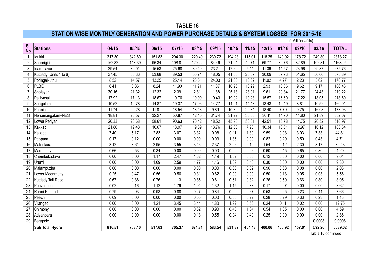### **STATION WISE MONTHLY GENERATION AND POWER PURCHASE DETAILS & SYSTEM LOSSES FOR 2015-16**

|                  |                         |        |        |        |        |        |        |        |        |        |        | (in Million Units) |                    |              |
|------------------|-------------------------|--------|--------|--------|--------|--------|--------|--------|--------|--------|--------|--------------------|--------------------|--------------|
| SI.<br><b>No</b> | <b>Stations</b>         | 04/15  | 05/15  | 06/15  | 07/15  | 08/15  | 09/15  | 10/15  | 11/15  | 12/15  | 01/16  | 02/16              | 03/16              | <b>TOTAL</b> |
| 1                | Idukki                  | 217.30 | 342.80 | 151.83 | 204.30 | 220.40 | 230.72 | 194.23 | 115.01 | 118.25 | 149.92 | 178.72             | 249.80             | 2373.27      |
| 2                | Sabarigiri              | 162.82 | 143.39 | 96.34  | 108.81 | 120.22 | 84.49  | 71.94  | 42.71  | 69.77  | 82.76  | 82.89              | 102.81             | 1168.95      |
| 3                | Idamalayar              | 39.54  | 39.01  | 15.53  | 25.68  | 30.40  | 23.21  | 17.69  | 5.44   | 11.36  | 14.57  | 23.96              | 29.37              | 275.76       |
| 4                | Kuttiady (Units 1 to 6) | 37.45  | 53.36  | 53.68  | 89.53  | 55.74  | 48.05  | 41.38  | 20.57  | 30.09  | 37.73  | 51.65              | 56.66              | 575.89       |
| 5                | Poringalkuthu           | 8.52   | 14.57  | 13.25  | 25.14  | 23.61  | 24.03  | 21.88  | 18.62  | 11.02  | 4.27   | 2.23               | 3.62               | 170.77       |
| 6                | PLBE                    | 6.41   | 3.86   | 8.24   | 11.90  | 11.91  | 11.07  | 10.96  | 10.29  | 2.93   | 10.06  | 9.62               | 9.17               | 106.43       |
|                  | Sholayar                | 30.16  | 21.32  | 12.32  | 2.39   | 2.81   | 11.88  | 25.18  | 28.01  | 9.61   | 20.34  | 21.77              | 24.43              | 210.22       |
| 8                | Pallivasal              | 17.92  | 17.13  | 18.67  | 19.76  | 19.99  | 19.43  | 19.02  | 19.23  | 15.57  | 16.60  | 17.22              | 18.05              | 218.60       |
| 9                | Sengulam                | 10.52  | 10.78  | 14.87  | 19.37  | 17.96  | 14.77  | 14.91  | 14.48  | 13.43  | 10.49  | 8.81               | 10.52              | 160.91       |
| 10               | Panniar                 | 11.74  | 20.28  | 11.81  | 18.54  | 18.43  | 9.89   | 10.89  | 20.34  | 18.40  | 7.79   | 9.75               | 16.08              | 173.93       |
| 11               | Neriamangalam+NES       | 18.81  | 26.57  | 32.27  | 50.87  | 42.45  | 31.74  | 31.22  | 36.63  | 30.11  | 14.70  | 14.80              | 21.89              | 352.07       |
| 12               | Lower Periyar           | 20.33  | 28.68  | 58.61  | 90.63  | 70.42  | 48.52  | 45.90  | 53.31  | 42.51  | 16.78  | 14.75              | 20.52              | 510.97       |
| 13               | Kakkad                  | 21.80  | 19.48  | 16.67  | 18.97  | 19.69  | 13.76  | 12.88  | 7.93   | 10.34  | 13.01  | 12.97              | 16.12              | 183.64       |
| 14               | Kallada                 | 7.40   | 5.17   | 2.83   | 3.07   | 3.32   | 0.08   | 0.11   | 1.89   | 9.59   | 0.98   | 3.03               | 7.33               | 44.81        |
| 15               | Peppara                 | 0.17   | 0.12   | 0.00   | 0.00   | 0.00   | 0.03   | 1.36   | 0.99   | 0.82   | 0.29   | 0.50               | 0.43               | 4.71         |
| 16               | Malankara               | 3.12   | 3.61   | 2.95   | 3.55   | 3.46   | 2.37   | 2.06   | 2.19   | 1.54   | 2.12   | 2.30               | 3.17               | 32.43        |
| 17               | Madupetty               | 0.66   | 0.53   | 0.34   | 0.00   | 0.00   | 0.00   | 0.00   | 0.26   | 0.60   | 0.45   | 0.65               | 0.80               | 4.29         |
| 18               | Chembukadavu            | 0.00   | 0.00   | 1.17   | 2.47   | 1.62   | 1.49   | 1.52   | 0.65   | 0.12   | 0.00   | 0.00               | 0.00               | 9.04         |
| 19               | Urumi                   | 0.00   | 0.00   | 1.69   | 2.59   | 1.77   | 1.16   | 1.39   | 0.40   | 0.30   | 0.00   | 0.00               | 0.00               | 9.30         |
| 20               | Malampuzha              | 0.00   | 0.00   | 0.00   | 0.00   | 0.00   | 0.00   | 0.00   | 0.32   | 0.96   | 0.68   | 0.08               | 0.00               | 2.03         |
| 21               | Lower Meenmutty         | 0.25   | 0.47   | 0.56   | 0.56   | 0.31   | 0.82   | 0.90   | 0.99   | 0.50   | 0.13   | 0.05               | 0.03               | 5.56         |
| 22               | Kuttiady Tail Race      | 0.67   | 0.88   | 0.76   | 1.13   | 0.85   | 0.61   | 0.61   | 0.32   | 0.26   | 0.50   | 0.66               | 0.80               | 8.05         |
| 23               | Poozhithode             | 0.02   | 0.16   | 1.12   | 1.79   | 1.94   | 1.32   | 1.15   | 0.88   | 0.17   | 0.07   | 0.00               | 0.00               | 8.62         |
| 24               | Ranni-Perinad           | 0.79   | 0.93   | 0.93   | 0.88   | 0.27   | 0.84   | 0.90   | 0.67   | 0.53   | 0.25   | 0.23               | 0.44               | 7.66         |
| 25               | Peechi                  | 0.09   | 0.00   | 0.00   | 0.00   | 0.00   | 0.00   | 0.00   | 0.22   | 0.28   | 0.29   | 0.33               | 0.23               | 1.43         |
| 26               | Vilangad                | 0.00   | 0.00   | 1.21   | 3.45   | 3.44   | 1.80   | 1.92   | 0.56   | 0.24   | 0.11   | 0.02               | 0.00               | 12.75        |
| 27               | Chimony                 | 0.00   | 0.00   | 0.00   | 0.00   | 0.62   | 0.90   | 0.43   | 1.04   | 0.54   | 1.05   | 0.00               | 0.00               | 4.59         |
| 28               | Adyanpara               | 0.00   | 0.00   | 0.00   | 0.00   | 0.13   | 0.55   | 0.94   | 0.49   | 0.25   | 0.00   | 0.00               | 0.00               | 2.36         |
| 29               | Barapole                |        |        |        |        |        |        |        |        |        |        |                    | 0.0008             | 0.0008       |
|                  | <b>Sub Total Hydro</b>  | 616.51 | 753.10 | 517.63 | 705.37 | 671.81 | 583.54 | 531.39 | 404.43 | 400.06 | 405.92 | 457.01             | 592.26             | 6639.02      |
|                  |                         |        |        |        |        |        |        |        |        |        |        |                    | Table 16 continued |              |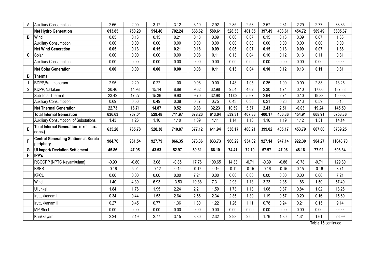|                | <b>Auxiliary Consumption</b>                              | 2.66    | 2.90    | 3.17    | 3.12    | 3.19    | 2.92    | 2.85    | 2.58    | 2.57    | 2.31    | 2.29    | 2.77    | 33.35    |
|----------------|-----------------------------------------------------------|---------|---------|---------|---------|---------|---------|---------|---------|---------|---------|---------|---------|----------|
|                | <b>Net Hydro Generation</b>                               | 613.85  | 750.20  | 514.46  | 702.24  | 668.62  | 580.61  | 528.53  | 401.85  | 397.49  | 403.61  | 454.72  | 589.49  | 6605.67  |
| B              | Wind                                                      | 0.05    | 0.13    | 0.15    | 0.21    | 0.18    | 0.09    | 0.06    | 0.07    | 0.15    | 0.13    | 0.09    | 0.07    | 1.38     |
|                | <b>Auxiliary Consumption</b>                              | 0.00    | 0.00    | 0.00    | 0.00    | 0.00    | 0.00    | 0.00    | 0.00    | 0.00    | 0.00    | 0.00    | 0.00    | 0.00     |
|                | <b>Net Wind Generation</b>                                | 0.05    | 0.13    | 0.15    | 0.21    | 0.18    | 0.09    | 0.06    | 0.07    | 0.15    | 0.13    | 0.09    | 0.07    | 1.38     |
| C              | Solar                                                     | 0.00    | 0.00    | 0.00    | 0.00    | 0.08    | 0.11    | 0.13    | 0.04    | 0.10    | 0.12    | 0.13    | 0.11    | 0.81     |
|                | <b>Auxiliary Consumption</b>                              | 0.00    | 0.00    | 0.00    | 0.00    | 0.00    | 0.00    | 0.00    | 0.00    | 0.00    | 0.00    | 0.00    | 0.00    | 0.00     |
|                | <b>Net Solar Generation</b>                               | 0.00    | 0.00    | 0.00    | 0.00    | 0.08    | 0.11    | 0.13    | 0.04    | 0.10    | 0.12    | 0.13    | 0.11    | 0.81     |
| D              | <b>Thermal</b>                                            |         |         |         |         |         |         |         |         |         |         |         |         |          |
|                | BDPP, Brahmapuram                                         | 2.95    | 2.29    | 0.22    | 1.00    | 0.08    | 0.00    | 1.48    | 1.05    | 0.35    | 1.00    | 0.00    | 2.83    | 13.25    |
| $\overline{2}$ | KDPP, Nallalam                                            | 20.46   | 14.98   | 15.14   | 8.89    | 9.62    | 32.98   | 9.54    | 4.62    | 2.30    | 1.74    | 0.10    | 17.00   | 137.38   |
|                | Sub Total Thermal                                         | 23.42   | 17.27   | 15.36   | 9.90    | 9.70    | 32.98   | 11.02   | 5.67    | 2.64    | 2.74    | 0.10    | 19.83   | 150.63   |
|                | <b>Auxiliary Consumption</b>                              | 0.69    | 0.56    | 0.49    | 0.38    | 0.37    | 0.75    | 0.43    | 0.30    | 0.21    | 0.23    | 0.13    | 0.59    | 5.13     |
|                | <b>Net Thermal Generation</b>                             | 22.73   | 16.71   | 14.87   | 9.52    | 9.33    | 32.23   | 10.59   | 5.37    | 2.43    | 2.51    | $-0.03$ | 19.24   | 145.50   |
|                | <b>Total Internal Generation</b>                          | 636.63  | 767.04  | 529.48  | 711.97  | 678.20  | 613.04  | 539.31  | 407.33  | 400.17  | 406.36  | 454.91  | 608.91  | 6753.36  |
|                | Auxiliary Consumption of Substations                      | 1.43    | 1.26    | 1.10    | 1.10    | 1.09    | 1.11    | 1.14    | 1.13    | 1.16    | 1.19    | 1.12    | 1.31    | 14.14    |
| E              | Total Internal Generation (excl. aux.<br>cons.)           | 635.20  | 765.78  | 528.38  | 710.87  | 677.12  | 611.94  | 538.17  | 406.21  | 399.02  | 405.17  | 453.79  | 607.60  | 6739.25  |
| F              | <b>Central Generating Stations at Kerala</b><br>periphery | 984.76  | 961.54  | 927.79  | 866.35  | 873.36  | 833.73  | 966.29  | 934.02  | 927.14  | 947.14  | 922.30  | 904.27  | 11048.70 |
| G              | <b>UI Import/ Deviation Settlement</b>                    | 45.86   | 47.95   | 43.53   | 52.97   | 59.31   | 66.10   | 74.41   | 72.10   | 57.97   | 47.06   | 48.16   | 77.92   | 693.34   |
| H              | IPP's                                                     |         |         |         |         |         |         |         |         |         |         |         |         |          |
|                | RGCCPP (NPTC Kayamkulam)                                  | $-0.90$ | $-0.80$ | 3.08    | $-0.85$ | 17.76   | 100.65  | 14.33   | $-0.71$ | $-0.39$ | $-0.86$ | $-0.78$ | $-0.71$ | 129.80   |
|                | <b>BSES</b>                                               | $-0.16$ | 5.04    | $-0.12$ | $-0.15$ | $-0.17$ | $-0.16$ | $-0.11$ | $-0.15$ | $-0.16$ | $-0.15$ | 0.15    | $-0.16$ | 3.71     |
|                | <b>KPCL</b>                                               | 0.00    | 0.00    | 0.00    | 0.00    | 7.21    | 0.00    | 0.00    | 0.00    | 0.00    | 0.00    | 0.00    | 0.00    | 7.21     |
|                | Wind                                                      | 1.40    | 4.30    | 6.93    | 13.53   | 10.88   | 7.31    | 2.93    | 1.18    | 3.23    | 2.35    | 1.86    | 1.50    | 57.40    |
|                | Ullunkal                                                  | 1.84    | 1.76    | 1.95    | 2.24    | 2.21    | 1.59    | 1.73    | 1.13    | 1.08    | 0.87    | 0.84    | 1.02    | 18.26    |
|                | Iruttukkanam I                                            | 0.34    | 0.44    | 1.53    | 2.64    | 2.56    | 2.34    | 2.35    | 1.39    | 1.19    | 0.57    | 0.20    | 0.16    | 15.69    |
|                | Iruttukkanam II                                           | 0.27    | 0.45    | 0.77    | 1.36    | 1.30    | 1.22    | 1.26    | 1.11    | 0.78    | 0.24    | 0.21    | 0.15    | 9.14     |
|                | <b>MP Steel</b>                                           | 0.00    | 0.00    | 0.00    | 0.00    | 0.00    | 0.00    | 0.00    | 0.00    | 0.00    | 0.00    | 0.00    | 0.00    | 0.00     |
|                | Karikkayam                                                | 2.24    | 2.19    | 2.77    | 3.15    | 3.30    | 2.32    | 2.98    | 2.05    | 1.76    | 1.30    | 1.31    | 1.61    | 26.99    |

**Table 16** continued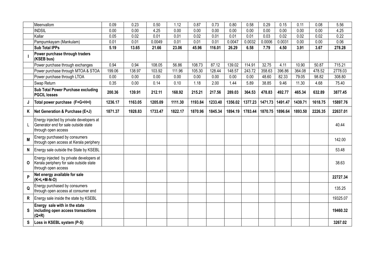|    | Meenvallom                                                                                                 | 0.09    | 0.23    | 0.50    | 1.12    | 0.87    | 0.73    | 0.80    | 0.58    | 0.29    | 0.15    | 0.11    | 0.08    | 5.56     |
|----|------------------------------------------------------------------------------------------------------------|---------|---------|---------|---------|---------|---------|---------|---------|---------|---------|---------|---------|----------|
|    | <b>INDSIL</b>                                                                                              | 0.00    | 0.00    | 4.25    | 0.00    | 0.00    | 0.00    | 0.00    | 0.00    | 0.00    | 0.00    | 0.00    | 0.00    | 4.25     |
|    | Kallar                                                                                                     | 0.05    | 0.02    | 0.01    | 0.01    | 0.02    | 0.01    | 0.01    | 0.01    | 0.03    | 0.02    | 0.02    | 0.02    | 0.22     |
|    | Pampumkayam (Mankulam)                                                                                     | 0.01    | 0.01    | 0.0049  | 0.01    | 0.01    | 0.01    | 0.0047  | 0.0032  | 0.0006  | 0.0031  | 0.00    | 0.00    | 0.06     |
|    | <b>Sub Total IPPs</b>                                                                                      | 5.19    | 13.65   | 21.66   | 23.06   | 45.96   | 116.01  | 26.29   | 6.58    | 7.79    | 4.50    | 3.91    | 3.67    | 278.28   |
|    | Power purchase through traders<br>(KSEB bus)                                                               |         |         |         |         |         |         |         |         |         |         |         |         |          |
|    | Power purchase through exchanges                                                                           | 0.94    | 0.94    | 108.05  | 56.86   | 108.73  | 87.12   | 139.02  | 114.91  | 32.75   | 4.11    | 10.90   | 50.87   | 715.21   |
|    | Power purchase through MTOA & STOA                                                                         | 199.06  | 138.97  | 103.92  | 111.96  | 105.30  | 128.44  | 148.57  | 243.72  | 358.63  | 396.86  | 364.08  | 478.52  | 2778.03  |
|    | Power purchase through LTOA                                                                                | 0.00    | 0.00    | 0.00    | 0.00    | 0.00    | 0.00    | 0.00    | 0.00    | 48.60   | 82.33   | 79.05   | 98.82   | 308.80   |
|    | Swap Return                                                                                                | 0.35    | 0.00    | 0.14    | 0.10    | 1.18    | 2.00    | 1.44    | 5.89    | 38.85   | 9.46    | 11.30   | 4.68    | 75.40    |
|    | Sub Total Power Purchase excluding<br><b>PGCIL losses</b>                                                  | 200.36  | 139.91  | 212.11  | 168.92  | 215.21  | 217.56  | 289.03  | 364.53  | 478.83  | 492.77  | 465.34  | 632.89  | 3877.45  |
| J  | Total power purchase (F+G+H+I)                                                                             | 1236.17 | 1163.05 | 1205.09 | 1111.30 | 1193.84 | 1233.40 | 1356.02 | 1377.23 | 1471.73 | 1491.47 | 1439.71 | 1618.75 | 15897.76 |
| Κ  | Net Generation & Purchase (E+J)                                                                            | 1871.37 | 1928.83 | 1733.47 | 1822.17 | 1870.96 | 1845.34 | 1894.19 | 1783.44 | 1870.75 | 1896.64 | 1893.50 | 2226.35 | 22637.01 |
|    | Energy injected by private developers at<br>Generator end for sale outside state<br>through open access    |         |         |         |         |         |         |         |         |         |         |         |         | 40.44    |
| М  | Energy purchased by consumers<br>through open access at Kerala periphery                                   |         |         |         |         |         |         |         |         |         |         |         |         | 142.00   |
| N  | Energy sale outside the State by KSEBL                                                                     |         |         |         |         |         |         |         |         |         |         |         |         | 53.48    |
| 0  | Energy injected by private developers at<br>Kerala periphery for sale outside state<br>through open access |         |         |         |         |         |         |         |         |         |         |         |         | 38.63    |
| P  | Net energy available for sale<br>$(K+L+M-N-O)$                                                             |         |         |         |         |         |         |         |         |         |         |         |         | 22727.34 |
| Q  | Energy purchased by consumers<br>through open access at consumer end                                       |         |         |         |         |         |         |         |         |         |         |         |         | 135.25   |
| R. | Energy sale inside the state by KSEBL                                                                      |         |         |         |         |         |         |         |         |         |         |         |         | 19325.07 |
| S  | Energy sale with in the state<br>including open access transactions<br>$(Q+R)$                             |         |         |         |         |         |         |         |         |         |         |         |         | 19460.32 |
| S  | Loss in KSEBL system (P-S)                                                                                 |         |         |         |         |         |         |         |         |         |         |         |         | 3267.02  |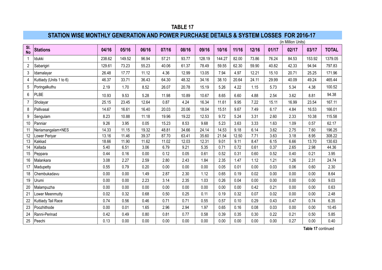## **STATION WISE MONTHLY GENERATION AND POWER PURCHASE DETAILS & SYSTEM LOSSES FOR 2016-17**

|                  |                         |        |        |       |       |       |        |        |       |       |       | (in Million Units) |        |              |
|------------------|-------------------------|--------|--------|-------|-------|-------|--------|--------|-------|-------|-------|--------------------|--------|--------------|
| SI.<br><b>No</b> | <b>Stations</b>         | 04/16  | 05/16  | 06/16 | 07/16 | 08/16 | 09/16  | 10/16  | 11/16 | 12/16 | 01/17 | 02/17              | 03/17  | <b>TOTAL</b> |
| $\mathbf{1}$     | Idukki                  | 238.62 | 149.52 | 96.94 | 57.21 | 93.77 | 128.19 | 144.27 | 82.00 | 73.86 | 76.24 | 84.53              | 153.92 | 1379.05      |
| $\overline{2}$   | Sabarigiri              | 129.61 | 73.23  | 55.23 | 40.06 | 61.37 | 78.49  | 59.55  | 62.30 | 59.90 | 40.82 | 42.33              | 94.94  | 797.83       |
| 3                | Idamalayar              | 26.48  | 17.77  | 11.12 | 4.36  | 12.99 | 13.05  | 7.94   | 4.97  | 12.21 | 15.10 | 20.71              | 25.25  | 171.96       |
| 4                | Kuttiady (Units 1 to 6) | 46.37  | 33.71  | 36.43 | 64.30 | 48.32 | 34.16  | 38.10  | 20.64 | 24.11 | 29.99 | 40.09              | 49.24  | 465.44       |
| $5\phantom{.0}$  | Poringalkuthu           | 2.19   | 1.70   | 8.52  | 26.07 | 20.78 | 15.19  | 5.26   | 4.22  | 1.15  | 5.73  | 5.34               | 4.38   | 100.52       |
| 6                | PLBE                    | 10.93  | 9.53   | 5.28  | 11.98 | 10.89 | 10.67  | 8.65   | 6.60  | 4.88  | 2.54  | 3.62               | 8.81   | 94.38        |
| $\overline{7}$   | Sholayar                | 25.15  | 23.45  | 12.64 | 0.87  | 4.24  | 16.34  | 11.61  | 9.95  | 7.22  | 15.11 | 16.99              | 23.54  | 167.11       |
| 8                | Pallivasal              | 14.67  | 16.61  | 16.40 | 20.03 | 20.06 | 18.04  | 15.51  | 9.67  | 7.49  | 6.17  | 4.84               | 16.53  | 166.01       |
| 9                | Sengulam                | 8.23   | 10.88  | 11.18 | 19.96 | 19.22 | 12.53  | 9.72   | 5.24  | 3.31  | 2.60  | 2.33               | 10.38  | 115.58       |
| 10               | Panniar                 | 9.26   | 3.95   | 0.05  | 15.23 | 8.53  | 9.68   | 5.23   | 3.63  | 3.33  | 1.63  | 1.09               | 0.57   | 62.17        |
| 11               | Neriamangalam+NES       | 14.33  | 11.15  | 19.32 | 48.81 | 34.66 | 24.14  | 14.53  | 9.18  | 6.14  | 3.62  | 2.75               | 7.60   | 196.25       |
| 12               | Lower Periyar           | 13.16  | 11.46  | 39.37 | 87.70 | 63.41 | 35.60  | 21.54  | 12.50 | 7.71  | 3.63  | 3.18               | 8.95   | 308.22       |
| 13               | Kakkad                  | 18.66  | 11.90  | 11.62 | 11.02 | 12.03 | 12.31  | 9.01   | 9.11  | 8.47  | 6.15  | 6.66               | 13.70  | 130.63       |
| 14               | Kallada                 | 5.40   | 6.51   | 3.06  | 6.79  | 9.21  | 5.35   | 0.71   | 0.72  | 0.61  | 0.37  | 2.65               | 2.98   | 44.36        |
| 15               | Peppara                 | 0.44   | 0.16   | 0.00  | 0.12  | 0.05  | 0.61   | 0.52   | 0.31  | 0.60  | 0.52  | 0.40               | 0.21   | 3.95         |
| 16               | Malankara               | 3.08   | 2.27   | 2.59  | 2.80  | 2.43  | 1.84   | 2.35   | 1.47  | 1.12  | 1.21  | 1.26               | 2.31   | 24.74        |
| 17               | Madupetty               | 0.55   | 0.79   | 0.20  | 0.00  | 0.00  | 0.00   | 0.05   | 0.01  | 0.00  | 0.03  | 0.06               | 0.60   | 2.30         |
| 18               | Chembukadavu            | 0.00   | 0.00   | 1.49  | 2.87  | 2.30  | 1.12   | 0.65   | 0.19  | 0.02  | 0.00  | 0.00               | 0.00   | 8.64         |
| 19               | Urumi                   | 0.00   | 0.00   | 2.23  | 3.14  | 2.35  | 1.03   | 0.26   | 0.04  | 0.00  | 0.00  | 0.00               | 0.00   | 9.03         |
| 20               | Malampuzha              | 0.00   | 0.00   | 0.00  | 0.00  | 0.00  | 0.00   | 0.00   | 0.00  | 0.42  | 0.21  | 0.00               | 0.00   | 0.63         |
| 21               | Lower Meenmutty         | 0.02   | 0.32   | 0.68  | 0.50  | 0.25  | 0.11   | 0.19   | 0.32  | 0.07  | 0.02  | 0.00               | 0.00   | 2.48         |
| 22               | Kuttiady Tail Race      | 0.74   | 0.56   | 0.46  | 0.71  | 0.71  | 0.55   | 0.57   | 0.10  | 0.29  | 0.43  | 0.47               | 0.74   | 6.35         |
| 23               | Poozhithode             | 0.00   | 0.01   | 1.65  | 2.96  | 2.94  | 1.97   | 0.65   | 0.16  | 0.08  | 0.03  | 0.00               | 0.00   | 10.45        |
| 24               | Ranni-Perinad           | 0.42   | 0.49   | 0.80  | 0.81  | 0.77  | 0.58   | 0.39   | 0.35  | 0.30  | 0.22  | 0.21               | 0.50   | 5.85         |
| 25               | Peechi                  | 0.13   | 0.00   | 0.00  | 0.00  | 0.00  | 0.00   | 0.00   | 0.00  | 0.00  | 0.00  | 0.27               | 0.00   | 0.40         |

**Table 17** continued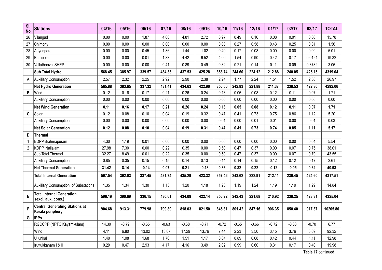| SI.<br><b>No</b> | <b>Stations</b>                                           | 04/16  | 05/16   | 06/16   | 07/16   | 08/16   | 09/16   | 10/16   | 11/16   | 12/16   | 01/17   | 02/17   | 03/17   | <b>TOTAL</b> |
|------------------|-----------------------------------------------------------|--------|---------|---------|---------|---------|---------|---------|---------|---------|---------|---------|---------|--------------|
| 26               | Vilangad                                                  | 0.00   | 0.00    | 1.87    | 4.68    | 4.81    | 2.72    | 0.97    | 0.49    | 0.16    | 0.08    | 0.01    | 0.00    | 15.78        |
| 27               | Chimony                                                   | 0.00   | 0.00    | 0.00    | 0.00    | 0.00    | 0.00    | 0.00    | 0.27    | 0.58    | 0.43    | 0.25    | 0.01    | 1.56         |
| 28               | Adyanpara                                                 | 0.00   | 0.00    | 0.45    | 1.36    | 1.44    | 1.02    | 0.49    | 0.17    | 0.08    | 0.00    | 0.00    | 0.00    | 5.01         |
| 29               | Barapole                                                  | 0.00   | 0.00    | 0.01    | 1.33    | 4.42    | 6.52    | 4.00    | 1.54    | 0.90    | 0.42    | 0.17    | 0.0124  | 19.32        |
| 30               | Vellathooval SHEP                                         | 0.00   | 0.00    | 0.00    | 0.41    | 0.89    | 0.49    | 0.32    | 0.21    | 0.14    | 0.11    | 0.09    | 0.3782  | 3.05         |
|                  | Sub Total Hydro                                           | 568.45 | 385.97  | 339.57  | 434.33  | 437.53  | 425.28  | 358.74  | 244.60  | 224.12  | 212.88  | 240.05  | 425.15  | 4319.04      |
| A                | <b>Auxiliary Consumption</b>                              | 2.57   | 2.32    | 2.25    | 2.92    | 2.90    | 2.38    | 2.24    | 1.77    | 2.24    | 1.51    | 1.52    | 2.36    | 26.97        |
|                  | <b>Net Hydro Generation</b>                               | 565.88 | 383.65  | 337.32  | 431.41  | 434.63  | 422.90  | 356.50  | 242.83  | 221.88  | 211.37  | 238.53  | 422.80  | 4292.06      |
| B                | Wind                                                      | 0.12   | 0.16    | 0.17    | 0.21    | 0.26    | 0.24    | 0.13    | 0.05    | 0.08    | 0.12    | 0.11    | 0.07    | 1.71         |
|                  | <b>Auxiliary Consumption</b>                              | 0.00   | 0.00    | 0.00    | 0.00    | 0.00    | 0.00    | 0.00    | 0.00    | 0.00    | 0.00    | 0.00    | 0.00    | 0.00         |
|                  | <b>Net Wind Generation</b>                                | 0.11   | 0.16    | 0.17    | 0.21    | 0.26    | 0.24    | 0.13    | 0.05    | 0.08    | 0.12    | 0.11    | 0.07    | 1.71         |
| $\mathbf{C}$     | Solar                                                     | 0.12   | 0.08    | 0.10    | 0.04    | 0.19    | 0.32    | 0.47    | 0.41    | 0.73    | 0.75    | 0.86    | 1.12    | 5.20         |
|                  | <b>Auxiliary Consumption</b>                              | 0.00   | 0.00    | 0.00    | 0.00    | 0.00    | 0.00    | 0.01    | 0.00    | 0.01    | 0.01    | 0.00    | 0.01    | 0.03         |
|                  | <b>Net Solar Generation</b>                               | 0.12   | 0.08    | 0.10    | 0.04    | 0.19    | 0.31    | 0.47    | 0.41    | 0.73    | 0.74    | 0.85    | 1.11    | 5.17         |
| D                | <b>Thermal</b>                                            |        |         |         |         |         |         |         |         |         |         |         |         |              |
| $\overline{1}$   | BDPP, Brahmapuram                                         | 4.30   | 1.19    | 0.01    | 0.00    | 0.00    | 0.00    | 0.00    | 0.00    | 0.00    | 0.00    | 0.00    | 0.04    | 5.54         |
| $\overline{c}$   | KDPP, Nallalam                                            | 27.98  | 7.30    | 0.00    | 0.22    | 0.35    | 0.00    | 0.50    | 0.47    | 0.37    | 0.00    | 0.07    | 0.75    | 38.01        |
|                  | Sub Total Thermal                                         | 32.27  | 8.49    | 0.01    | 0.22    | 0.35    | 0.00    | 0.50    | 0.47    | 0.37    | 0.00    | 0.07    | 0.79    | 43.55        |
|                  | <b>Auxiliary Consumption</b>                              | 0.85   | 0.35    | 0.15    | 0.15    | 0.14    | 0.13    | 0.14    | 0.14    | 0.15    | 0.12    | 0.12    | 0.17    | 2.61         |
|                  | <b>Net Thermal Generation</b>                             | 31.42  | 8.14    | $-0.14$ | 0.07    | 0.21    | $-0.13$ | 0.36    | 0.32    | 0.22    | $-0.12$ | $-0.05$ | 0.62    | 40.93        |
|                  | <b>Total Internal Generation</b>                          | 597.54 | 392.03  | 337.45  | 431.74  | 435.29  | 423.32  | 357.46  | 243.62  | 222.91  | 212.11  | 239.45  | 424.60  | 4317.51      |
|                  | Auxiliary Consumption of Substations                      | 1.35   | 1.34    | 1.30    | 1.13    | 1.20    | 1.18    | 1.23    | 1.19    | 1.24    | 1.19    | 1.19    | 1.29    | 14.84        |
| E                | <b>Total Internal Generation</b><br>(excl. aux. cons.)    | 596.19 | 390.69  | 336.15  | 430.61  | 434.09  | 422.14  | 356.22  | 242.43  | 221.68  | 210.92  | 238.25  | 423.31  | 4325.04      |
| F                | <b>Central Generating Stations at</b><br>Kerala periphery | 904.68 | 913.31  | 779.98  | 799.80  | 818.03  | 821.50  | 845.81  | 801.42  | 847.16  | 906.35  | 850.40  | 917.37  | 10205.80     |
| G                | <b>IPPs</b>                                               |        |         |         |         |         |         |         |         |         |         |         |         |              |
|                  | RGCCPP (NPTC Kayamkulam)                                  | 14.30  | $-0.79$ | $-0.65$ | $-0.63$ | $-0.68$ | $-0.71$ | $-0.72$ | $-0.65$ | $-0.66$ | $-0.72$ | $-0.63$ | $-0.70$ | 6.77         |
|                  | Wind                                                      | 4.11   | 6.80    | 13.02   | 13.87   | 17.29   | 13.76   | 7.44    | 2.23    | 3.50    | 3.45    | 3.76    | 3.09    | 92.32        |
|                  | Ullunkal                                                  | 1.40   | 1.08    | 1.68    | 1.76    | 1.51    | 1.17    | 0.84    | 0.89    | 0.68    | 0.42    | 0.44    | 1.11    | 12.98        |
|                  | Iruttukkanam I & II                                       | 0.29   | 0.47    | 2.93    | 4.17    | 4.16    | 3.49    | 2.02    | 0.99    | 0.60    | 0.31    | 0.17    | 0.40    | 19.98        |

**Table 17** continued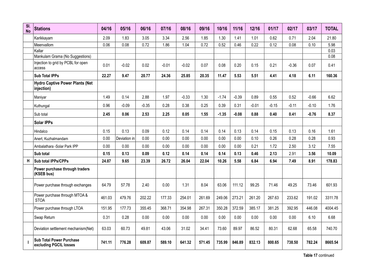| SI.<br><b>No</b> | <b>Stations</b>                                           | 04/16  | 05/16        | 06/16   | 07/16   | 08/16   | 09/16  | 10/16   | 11/16   | 12/16   | 01/17   | 02/17   | 03/17   | <b>TOTAL</b> |
|------------------|-----------------------------------------------------------|--------|--------------|---------|---------|---------|--------|---------|---------|---------|---------|---------|---------|--------------|
|                  | Karikkayam                                                | 2.09   | 1.83         | 3.05    | 3.34    | 2.56    | 1.85   | 1.30    | 1.41    | 1.01    | 0.62    | 0.71    | 2.04    | 21.80        |
|                  | Meenvallom                                                | 0.06   | 0.08         | 0.72    | 1.86    | 1.04    | 0.72   | 0.52    | 0.46    | 0.22    | 0.12    | 0.08    | 0.10    | 5.98         |
|                  | Kallar                                                    |        |              |         |         |         |        |         |         |         |         |         |         | 0.03         |
|                  | Mankulam Grama (No Suggestions)                           |        |              |         |         |         |        |         |         |         |         |         |         | 0.08         |
|                  | Injection to grid by PCBL for open<br>access              | 0.01   | $-0.02$      | 0.02    | $-0.01$ | $-0.02$ | 0.07   | 0.08    | 0.20    | 0.15    | 0.21    | $-0.36$ | 0.07    | 0.41         |
|                  | <b>Sub Total IPPs</b>                                     | 22.27  | 9.47         | 20.77   | 24.36   | 25.85   | 20.35  | 11.47   | 5.53    | 5.51    | 4.41    | 4.18    | 6.11    | 160.36       |
|                  | <b>Hydro Captive Power Plants (Net</b><br>injection)      |        |              |         |         |         |        |         |         |         |         |         |         |              |
|                  | Maniyar                                                   | 1.49   | 0.14         | 2.88    | 1.97    | $-0.33$ | 1.30   | $-1.74$ | $-0.39$ | 0.89    | 0.55    | 0.52    | $-0.66$ | 6.62         |
|                  | Kuthungal                                                 | 0.96   | $-0.09$      | $-0.35$ | 0.28    | 0.38    | 0.25   | 0.39    | 0.31    | $-0.01$ | $-0.15$ | $-0.11$ | $-0.10$ | 1.76         |
|                  | Sub total                                                 | 2.45   | 0.06         | 2.53    | 2.25    | 0.05    | 1.55   | $-1.35$ | $-0.08$ | 0.88    | 0.40    | 0.41    | $-0.76$ | 8.37         |
|                  | <b>Solar IPPs</b>                                         |        |              |         |         |         |        |         |         |         |         |         |         |              |
|                  | Hindalco                                                  | 0.15   | 0.13         | 0.09    | 0.12    | 0.14    | 0.14   | 0.14    | 0.13    | 0.14    | 0.15    | 0.13    | 0.16    | 1.61         |
|                  | Anert, Kuzhalmandam                                       | 0.00   | Deviation in | 0.00    | 0.00    | 0.00    | 0.00   | 0.00    | 0.00    | 0.10    | 0.26    | 0.28    | 0.28    | 0.93         |
|                  | Ambalathara -Solar Park IPP                               | 0.00   | 0.00         | 0.00    | 0.00    | 0.00    | 0.00   | 0.00    | 0.00    | 0.21    | 1.72    | 2.50    | 3.12    | 7.55         |
|                  | Sub total                                                 | 0.15   | 0.13         | 0.09    | 0.12    | 0.14    | 0.14   | 0.14    | 0.13    | 0.46    | 2.13    | 2.91    | 3.56    | 10.09        |
| н                | Sub total IPPs/CPPs                                       | 24.87  | 9.65         | 23.39   | 26.72   | 26.04   | 22.04  | 10.26   | 5.58    | 6.84    | 6.94    | 7.49    | 8.91    | 178.83       |
|                  | Power purchase through traders<br>(KSEB bus)              |        |              |         |         |         |        |         |         |         |         |         |         |              |
|                  | Power purchase through exchanges                          | 64.79  | 57.78        | 2.40    | 0.00    | 1.31    | 8.04   | 63.06   | 111.12  | 99.25   | 71.46   | 49.25   | 73.46   | 601.93       |
|                  | Power purchase through MTOA &<br><b>STOA</b>              | 461.03 | 479.76       | 202.22  | 177.33  | 254.01  | 261.69 | 249.06  | 273.21  | 261.20  | 267.63  | 233.62  | 191.02  | 3311.78      |
|                  | Power purchase through LTOA                               | 151.95 | 177.73       | 355.45  | 368.71  | 354.98  | 267.31 | 350.28  | 372.59  | 385.17  | 381.25  | 392.95  | 446.08  | 4004.45      |
|                  | Swap Return                                               | 0.31   | 0.28         | 0.00    | 0.00    | 0.00    | 0.00   | 0.00    | 0.00    | 0.00    | 0.00    | 0.00    | 6.10    | 6.68         |
|                  | Deviation settlement mechanism(Net)                       | 63.03  | 60.73        | 49.81   | 43.06   | 31.02   | 34.41  | 73.60   | 89.97   | 86.52   | 80.31   | 62.68   | 65.58   | 740.70       |
|                  | <b>Sub Total Power Purchase</b><br>excluding PGCIL losses | 741.11 | 776.28       | 609.87  | 589.10  | 641.32  | 571.45 | 735.99  | 846.89  | 832.13  | 800.65  | 738.50  | 782.24  | 8665.54      |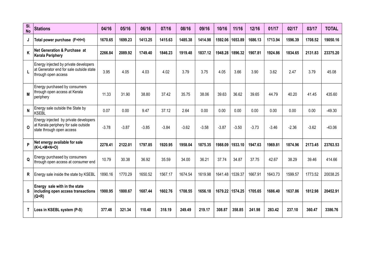| SI.<br><b>No</b> | <b>Stations</b>                                                                                            | 04/16   | 05/16   | 06/16   | 07/16   | 08/16   | 09/16   | 10/16   | 11/16           | 12/16   | 01/17   | 02/17   | 03/17   | <b>TOTAL</b> |
|------------------|------------------------------------------------------------------------------------------------------------|---------|---------|---------|---------|---------|---------|---------|-----------------|---------|---------|---------|---------|--------------|
| J                | Total power purchase (F+H+I)                                                                               | 1670.65 | 1699.23 | 1413.25 | 1415.63 | 1485.38 | 1414.98 | 1592.06 | 1653.89         | 1686.13 | 1713.94 | 1596.39 | 1708.52 | 19050.16     |
| K                | <b>Net Generation &amp; Purchase at</b><br><b>Kerala Periphery</b>                                         | 2266.84 | 2089.92 | 1749.40 | 1846.23 | 1919.48 | 1837.12 | 1948.28 | 1896.32         | 1907.81 | 1924.86 | 1834.65 | 2131.83 | 23375.20     |
| L                | Energy injected by private developers<br>at Generator end for sale outside state<br>through open access    | 3.95    | 4.05    | 4.03    | 4.02    | 3.79    | 3.75    | 4.05    | 3.66            | 3.90    | 3.62    | 2.47    | 3.79    | 45.08        |
| M                | Energy purchased by consumers<br>through open access at Kerala<br>periphery                                | 11.33   | 31.90   | 38.80   | 37.42   | 35.75   | 38.06   | 39.63   | 36.62           | 39.65   | 44.79   | 40.20   | 41.45   | 435.60       |
| N                | Energy sale outside the State by<br>KSEBL                                                                  | 0.07    | 0.00    | 9.47    | 37.12   | 2.64    | 0.00    | 0.00    | 0.00            | 0.00    | 0.00    | 0.00    | 0.00    | $-49.30$     |
| $\Omega$         | Energy injected by private developers<br>at Kerala periphery for sale outside<br>state through open access | $-3.78$ | $-3.87$ | $-3.85$ | $-3.84$ | $-3.62$ | $-3.58$ | $-3.87$ | $-3.50$         | $-3.73$ | $-3.46$ | $-2.36$ | $-3.62$ | $-43.06$     |
| P                | Net energy available for sale<br>$(K+L+M+N+O)$                                                             | 2278.41 | 2122.01 | 1797.85 | 1920.95 | 1958.04 | 1875.35 | 1988.09 | 1933.10         | 1947.63 | 1969.81 | 1874.96 | 2173.45 | 23763.53     |
| Q                | Energy purchased by consumers<br>through open access at consumer end                                       | 10.79   | 30.38   | 36.92   | 35.59   | 34.00   | 36.21   | 37.74   | 34.87           | 37.75   | 42.67   | 38.29   | 39.46   | 414.66       |
| R                | Energy sale inside the state by KSEBL                                                                      | 1890.16 | 1770.29 | 1650.52 | 1567.17 | 1674.54 | 1619.98 | 1641.48 | 1539.37         | 1667.91 | 1643.73 | 1599.57 | 1773.52 | 20038.25     |
| s                | Energy sale with in the state<br>including open access transactions<br>$(Q+R)$                             | 1900.95 | 1800.67 | 1687.44 | 1602.76 | 1708.55 | 1656.18 |         | 1679.22 1574.25 | 1705.65 | 1686.40 | 1637.86 | 1812.98 | 20452.91     |
| Τ                | Loss in KSEBL system (P-S)                                                                                 | 377.46  | 321.34  | 110.40  | 318.19  | 249.49  | 219.17  | 308.87  | 358.85          | 241.98  | 283.42  | 237.10  | 360.47  | 3386.76      |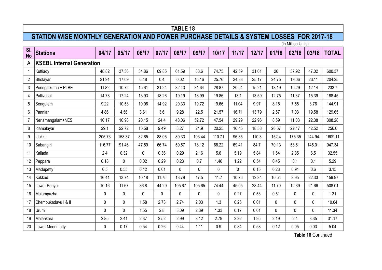# **STATION WISE MONTHLY GENERATION AND POWER PURCHASE DETAILS & SYSTEM LOSSES FOR 2017-18**

|                  |                                  |        |             |              |       |        |        |             |       |       |              | (in Million Units) |              |              |
|------------------|----------------------------------|--------|-------------|--------------|-------|--------|--------|-------------|-------|-------|--------------|--------------------|--------------|--------------|
| SI.<br><b>No</b> | <b>Stations</b>                  | 04/17  | 05/17       | 06/17        | 07/17 | 08/17  | 09/17  | 10/17       | 11/17 | 12/17 | 01/18        | 02/18              | 03/18        | <b>TOTAL</b> |
| A                | <b>KSEBL Internal Generation</b> |        |             |              |       |        |        |             |       |       |              |                    |              |              |
| $\mathbf 1$      | Kuttiady                         | 48.82  | 37.36       | 34.86        | 69.85 | 61.59  | 88.6   | 74.75       | 42.59 | 31.01 | 26           | 37.92              | 47.02        | 600.37       |
| $\overline{2}$   | Sholayar                         | 21.91  | 17.09       | 6.48         | 0.4   | 0.02   | 16.16  | 25.76       | 24.33 | 25.17 | 24.75        | 19.06              | 23.11        | 204.25       |
| 3                | Poringalkuthu + PLBE             | 11.82  | 10.72       | 15.61        | 31.24 | 32.43  | 31.64  | 28.87       | 20.54 | 15.21 | 13.19        | 10.29              | 12.14        | 233.7        |
| 4                | Pallivasal                       | 14.78  | 17.24       | 13.93        | 18.26 | 19.19  | 18.99  | 19.86       | 13.1  | 13.59 | 12.75        | 11.37              | 15.39        | 188.45       |
| 5                | Sengulam                         | 9.22   | 10.53       | 10.06        | 14.92 | 20.33  | 19.72  | 19.66       | 11.04 | 9.97  | 8.15         | 7.55               | 3.76         | 144.91       |
| 6                | Panniar                          | 4.86   | 4.56        | 3.61         | 3.6   | 9.28   | 22.5   | 21.57       | 16.71 | 13.79 | 2.57         | 7.03               | 19.58        | 129.65       |
| $\overline{7}$   | Neriamangalam+NES                | 10.17  | 10.98       | 20.15        | 24.4  | 48.06  | 52.72  | 47.54       | 29.29 | 22.96 | 8.59         | 11.03              | 22.38        | 308.28       |
| 8                | Idamalayar                       | 29.1   | 22.72       | 15.58        | 9.49  | 8.27   | 24.9   | 20.25       | 16.45 | 18.58 | 26.57        | 22.17              | 42.52        | 256.6        |
| 9                | Idukki                           | 205.73 | 158.37      | 82.65        | 88.05 | 80.33  | 103.44 | 110.71      | 96.85 | 110.3 | 152.4        | 175.35             | 244.94       | 1609.11      |
| 10               | Sabarigiri                       | 116.77 | 91.46       | 47.59        | 66.74 | 50.57  | 78.12  | 68.22       | 69.41 | 84.7  | 70.13        | 58.61              | 145.01       | 947.34       |
| 11               | Kallada                          | 2.4    | 0.32        | $\mathbf{0}$ | 0.36  | 0.29   | 2.16   | 5.6         | 5.19  | 5.84  | 1.54         | 2.35               | 6.5          | 32.55        |
| 12               | Peppara                          | 0.18   | $\mathbf 0$ | 0.02         | 0.29  | 0.23   | 0.7    | 1.46        | 1.22  | 0.54  | 0.45         | 0.1                | 0.1          | 5.29         |
| 13               | Madupetty                        | 0.5    | 0.55        | 0.12         | 0.01  | 0      | 0      | $\mathbf 0$ | 0     | 0.15  | 0.28         | 0.94               | 0.6          | 3.15         |
| 14               | Kakkad                           | 16.41  | 13.74       | 10.18        | 11.75 | 13.79  | 17.5   | 11.7        | 10.76 | 12.34 | 10.54        | 8.95               | 22.33        | 159.97       |
| 15               | Lower Periyar                    | 10.16  | 11.67       | 36.8         | 44.29 | 105.67 | 105.65 | 74.44       | 45.05 | 28.44 | 11.79        | 12.39              | 21.66        | 508.01       |
| 16               | Malampuzha                       | 0      | $\mathbf 0$ | 0            | 0     | 0      | 0      | $\mathbf 0$ | 0.27  | 0.53  | 0.51         | 0                  | 0            | 1.31         |
| 17               | Chembukadavu   &                 | 0      | $\mathbf 0$ | 1.58         | 2.73  | 2.74   | 2.03   | 1.3         | 0.26  | 0.01  | $\mathbf{0}$ | 0                  | $\mathbf{0}$ | 10.64        |
| 18               | Urumi                            | 0      | $\mathbf 0$ | 1.55         | 2.8   | 3.09   | 2.39   | 1.33        | 0.17  | 0.01  | $\mathbf 0$  | 0                  | $\mathbf{0}$ | 11.34        |
| 19               | Malankara                        | 2.85   | 2.41        | 2.37         | 2.52  | 2.99   | 3.12   | 2.79        | 2.22  | 1.95  | 2.19         | 2.4                | 3.35         | 31.17        |
| 20               | Lower Meenmutty                  | 0      | 0.17        | 0.54         | 0.26  | 0.44   | 1.11   | 0.9         | 0.84  | 0.58  | 0.12         | 0.05               | 0.03         | 5.04         |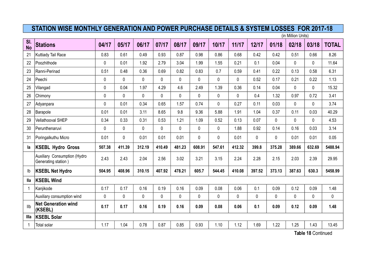(in Million Units)

| SI.<br><b>No</b> | <b>Stations</b>                                     | 04/17  | 05/17       | 06/17  | 07/17       | 08/17       | 09/17       | 10/17       | 11/17  | 12/17  | 01/18       | 02/18        | 03/18       | <b>TOTAL</b> |
|------------------|-----------------------------------------------------|--------|-------------|--------|-------------|-------------|-------------|-------------|--------|--------|-------------|--------------|-------------|--------------|
| 21               | Kuttiady Tail Race                                  | 0.83   | 0.61        | 0.49   | 0.93        | 0.87        | 0.98        | 0.86        | 0.68   | 0.42   | 0.42        | 0.51         | 0.66        | 8.26         |
| 22               | Poozhithode                                         | 0      | 0.01        | 1.92   | 2.79        | 3.04        | 1.99        | 1.55        | 0.21   | 0.1    | 0.04        | $\mathbf 0$  | 0           | 11.64        |
| 23               | Ranni-Perinad                                       | 0.51   | 0.48        | 0.36   | 0.69        | 0.82        | 0.83        | 0.7         | 0.59   | 0.41   | 0.22        | 0.13         | 0.58        | 6.31         |
| 24               | Peechi                                              | 0      | $\mathbf 0$ | 0      | $\pmb{0}$   | $\mathbf 0$ | $\mathbf 0$ | $\mathbf 0$ | 0      | 0.52   | 0.17        | 0.21         | 0.22        | 1.13         |
| 25               | Vilangad                                            | 0      | 0.04        | 1.97   | 4.29        | 4.6         | 2.49        | 1.39        | 0.36   | 0.14   | 0.04        | $\mathbf 0$  | 0           | 15.32        |
| 26               | Chimony                                             | 0      | $\mathbf 0$ | 0      | 0           | $\mathbf 0$ | $\mathbf 0$ | 0           | 0      | 0.4    | 1.32        | 0.97         | 0.72        | 3.41         |
| 27               | Adyanpara                                           | 0      | 0.01        | 0.34   | 0.65        | 1.57        | 0.74        | $\mathbf 0$ | 0.27   | 0.11   | 0.03        | $\mathbf 0$  | $\mathbf 0$ | 3.74         |
| 28               | Barapole                                            | 0.01   | 0.01        | 3.11   | 8.65        | 9.8         | 9.36        | 5.88        | 1.91   | 1.04   | 0.37        | 0.11         | 0.03        | 40.29        |
| 29               | Vellathooval SHEP                                   | 0.34   | 0.33        | 0.31   | 0.53        | 1.21        | 1.09        | 0.52        | 0.13   | 0.07   | 0           | $\mathbf 0$  | $\pmb{0}$   | 4.53         |
| 30               | Perunthenaruvi                                      | 0      | $\mathbf 0$ | 0      | $\pmb{0}$   | $\mathbf 0$ | $\mathbf 0$ | 0           | 1.88   | 0.92   | 0.14        | 0.16         | 0.03        | 3.14         |
| 31               | Poringalkuthu Micro                                 | 0.01   | $\mathbf 0$ | 0.01   | 0.01        | 0.01        | 0           | 0           | 0.01   | 0      | $\mathbf 0$ | 0.01         | 0.01        | 0.05         |
| la               | <b>KSEBL Hydro Gross</b>                            | 507.38 | 411.39      | 312.19 | 410.49      | 481.23      | 608.91      | 547.61      | 412.32 | 399.8  | 375.28      | 389.66       | 632.69      | 5488.94      |
|                  | Auxiliary Consumption (Hydro<br>Generating station) | 2.43   | 2.43        | 2.04   | 2.56        | 3.02        | 3.21        | 3.15        | 2.24   | 2.28   | 2.15        | 2.03         | 2.39        | 29.95        |
| Ib               | <b>KSEBL Net Hydro</b>                              | 504.95 | 408.96      | 310.15 | 407.92      | 478.21      | 605.7       | 544.45      | 410.08 | 397.52 | 373.13      | 387.63       | 630.3       | 5458.99      |
| lla              | <b>KSEBL Wind</b>                                   |        |             |        |             |             |             |             |        |        |             |              |             |              |
| 1                | Kanjikode                                           | 0.17   | 0.17        | 0.16   | 0.19        | 0.16        | 0.09        | 0.08        | 0.06   | 0.1    | 0.09        | 0.12         | 0.09        | 1.48         |
|                  | Auxiliary consumption wind                          | 0      | $\mathbf 0$ | 0      | $\mathbf 0$ | 0           | $\mathbf 0$ | 0           | 0      | 0      | 0           | $\mathbf{0}$ | 0           | 0            |
| Ilb              | <b>Net Generation wind</b><br>(KSEBL)               | 0.17   | 0.17        | 0.16   | 0.19        | 0.16        | 0.09        | 0.08        | 0.06   | 0.1    | 0.09        | 0.12         | 0.09        | 1.48         |
| Illa             | <b>KSEBL Solar</b>                                  |        |             |        |             |             |             |             |        |        |             |              |             |              |
| $\overline{1}$   | Total solar                                         | 1.17   | 1.04        | 0.78   | 0.87        | 0.85        | 0.93        | 1.10        | 1.12   | 1.69   | 1.22        | 1.25         | 1.43        | 13.45        |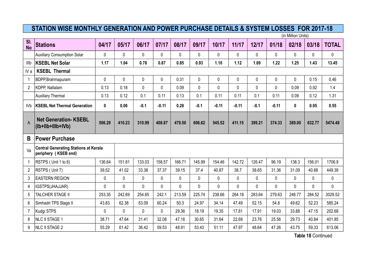(in Million Units)

| SI.<br><b>No</b> | <b>Stations</b>                                                      | 04/17          | 05/17        | 06/17  | 07/17     | 08/17       | 09/17       | 10/17   | 11/17   | 12/17  | 01/18   | 02/18       | 03/18        | <b>TOTAL</b> |
|------------------|----------------------------------------------------------------------|----------------|--------------|--------|-----------|-------------|-------------|---------|---------|--------|---------|-------------|--------------|--------------|
|                  | <b>Auxiliary Consumption Solar</b>                                   | 0              | 0            | 0      | 0         | 0           | $\Omega$    | 0       | 0       | 0      | 0       | 0           | 0            | 0            |
| IIIb             | <b>KSEBL Net Solar</b>                                               | 1.17           | 1.04         | 0.78   | 0.87      | 0.85        | 0.93        | 1.10    | 1.12    | 1.69   | 1.22    | 1.25        | 1.43         | 13.45        |
| IV a             | <b>KSEBL Thermal</b>                                                 |                |              |        |           |             |             |         |         |        |         |             |              |              |
| $\mathbf{1}$     | BDPP, Brahmapuram                                                    | $\overline{0}$ | 0            | 0      | $\pmb{0}$ | 0.31        | $\mathbf 0$ | 0       | 0       | 0      | 0       | $\mathbf 0$ | 0.15         | 0.46         |
| $\overline{2}$   | KDPP, Nallalam                                                       | 0.13           | 0.18         | 0      | $\pmb{0}$ | 0.09        | 0           | 0       | 0       | 0      | 0       | 0.09        | 0.92         | 1.4          |
|                  | <b>Auxiliary Thermal</b>                                             | 0.13           | 0.12         | 0.1    | 0.11      | 0.13        | 0.1         | 0.11    | 0.11    | 0.1    | 0.11    | 0.09        | 0.12         | 1.31         |
| IV <sub>b</sub>  | <b>KSEBL Net Thermal Generation</b>                                  | $\mathbf 0$    | 0.06         | $-0.1$ | $-0.11$   | 0.28        | $-0.1$      | $-0.11$ | $-0.11$ | $-0.1$ | $-0.11$ | 0           | 0.95         | 0.55         |
| $\mathsf{A}$     | <b>Net Generation- KSEBL</b><br>(lb+llb+lllb+lVb)                    | 506.29         | 410.23       | 310.99 | 408.87    | 479.50      | 606.62      | 545.52  | 411.15  | 399.21 | 374.33  | 389.00      | 632.77       | 5474.48      |
| B                | <b>Power Purchase</b>                                                |                |              |        |           |             |             |         |         |        |         |             |              |              |
| Va               | <b>Central Generating Stations at Kerala</b><br>periphery (KSEB end) |                |              |        |           |             |             |         |         |        |         |             |              |              |
| $\mathbf{1}$     | RSTPS (Unit 1 to 6)                                                  | 136.64         | 151.81       | 133.03 | 158.57    | 166.71      | 145.99      | 154.46  | 142.72  | 126.47 | 96.19   | 138.3       | 156.01       | 1706.9       |
| $\overline{2}$   | RSTPS (Unit 7)                                                       | 39.52          | 41.02        | 33.38  | 37.37     | 39.15       | 37.4        | 40.87   | 38.7    | 38.65  | 31.36   | 31.09       | 40.88        | 449.39       |
| 3                | <b>EASTERN REGION</b>                                                | 0              | 0            | 0      | 0         | $\mathbf 0$ | 0           | 0       | 0       | 0      | 0       | $\mathbf 0$ | $\mathbf{0}$ | 0            |
| 4                | IGSTPS(JHAJJAR)                                                      | 0              | $\mathbf{0}$ | 0      | 0         | $\mathbf 0$ | 0           | 0       | 0       | 0      | 0       | 0           | $\mathbf 0$  | 0            |
| 5                | TALCHER STAGE II                                                     | 253.35         | 242.69       | 254.65 | 242.1     | 213.59      | 225.74      | 238.66  | 264.18  | 283.64 | 279.63  | 246.77      | 284.52       | 3029.52      |
| 6                | Simhadri TPS Stage II                                                | 43.83          | 62.38        | 53.09  | 60.24     | 50.3        | 24.97       | 34.14   | 47.49   | 52.15  | 54.8    | 49.62       | 52.23        | 585.24       |
| $\overline{7}$   | Kudgi STPS                                                           | 0              | 0            | 0      | 0         | 29.36       | 18.19       | 19.35   | 17.81   | 17.91  | 19.03   | 33.88       | 47.15        | 202.68       |
| 8                | <b>NLC II STAGE 1</b>                                                | 38.71          | 47.64        | 31.41  | 32.08     | 47.16       | 30.65       | 31.64   | 22.69   | 23.76  | 25.56   | 29.73       | 40.84        | 401.85       |
| 9                | <b>NLC II STAGE 2</b>                                                | 55.29          | 61.42        | 36.42  | 59.53     | 48.91       | 53.43       | 51.11   | 47.97   | 48.64  | 47.26   | 43.75       | 59.33        | 613.06       |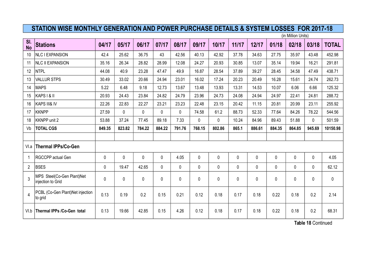(in Million Units)

| SI.<br><b>No</b> | <b>Stations</b>                                 | 04/17  | 05/17  | 06/17    | 07/17  | 08/17       | 09/17        | 10/17        | 11/17 | 12/17       | 01/18    | 02/18    | 03/18        | <b>TOTAL</b> |
|------------------|-------------------------------------------------|--------|--------|----------|--------|-------------|--------------|--------------|-------|-------------|----------|----------|--------------|--------------|
| 10               | <b>NLC I EXPANSION</b>                          | 42.4   | 25.62  | 36.75    | 43     | 42.56       | 40.13        | 42.92        | 37.78 | 34.63       | 27.75    | 35.97    | 43.48        | 452.98       |
| 11               | <b>NLC II EXPANSION</b>                         | 35.16  | 26.34  | 28.82    | 28.99  | 12.08       | 24.27        | 20.93        | 30.85 | 13.07       | 35.14    | 19.94    | 16.21        | 291.81       |
| 12               | <b>NTPL</b>                                     | 44.08  | 40.9   | 23.28    | 47.47  | 49.9        | 16.87        | 28.54        | 37.89 | 39.27       | 28.45    | 34.58    | 47.49        | 438.71       |
| 13               | <b>VALLUR STPS</b>                              | 30.49  | 33.02  | 20.66    | 24.94  | 23.01       | 16.02        | 17.24        | 20.23 | 20.49       | 16.28    | 15.61    | 24.74        | 262.73       |
| 14               | <b>MAPS</b>                                     | 5.22   | 6.48   | 9.18     | 12.73  | 13.67       | 13.48        | 13.93        | 13.31 | 14.53       | 10.07    | 6.06     | 6.66         | 125.32       |
| 15               | KAPS I & II                                     | 20.93  | 24.43  | 23.84    | 24.82  | 24.79       | 23.96        | 24.73        | 24.08 | 24.94       | 24.97    | 22.41    | 24.81        | 288.72       |
| 16               | KAPS III& IV                                    | 22.26  | 22.83  | 22.27    | 23.21  | 23.23       | 22.48        | 23.15        | 20.42 | 11.15       | 20.81    | 20.99    | 23.11        | 255.92       |
| 17               | <b>KKNPP</b>                                    | 27.59  | 0      | $\Omega$ | 0      | 0           | 74.58        | 61.2         | 88.73 | 52.33       | 77.64    | 84.26    | 78.22        | 544.56       |
| 18               | <b>KKNPP unit 2</b>                             | 53.88  | 37.24  | 77.45    | 89.18  | 7.33        | $\Omega$     | $\Omega$     | 10.24 | 84.96       | 89.43    | 51.88    | 0            | 501.59       |
| Vb               | <b>TOTAL CGS</b>                                | 849.35 | 823.82 | 784.22   | 884.22 | 791.76      | 768.15       | 802.86       | 865.1 | 886.61      | 884.35   | 864.85   | 945.69       | 10150.98     |
|                  |                                                 |        |        |          |        |             |              |              |       |             |          |          |              |              |
| VI.a             | <b>Thermal IPPs/Co-Gen</b>                      |        |        |          |        |             |              |              |       |             |          |          |              |              |
| 1                | RGCCPP actual Gen                               | 0      | 0      | $\Omega$ | 0      | 4.05        | 0            | 0            | 0     | $\mathbf 0$ | $\Omega$ | $\Omega$ | 0            | 4.05         |
| $\overline{2}$   | <b>BSES</b>                                     | 0      | 19.47  | 42.65    | 0      | $\mathbf 0$ | $\mathbf{0}$ | $\mathbf{0}$ | 0     | $\mathbf 0$ | $\Omega$ | $\Omega$ | $\mathbf{0}$ | 62.12        |
| 3                | MPS Steel(Co-Gen Plant)Net<br>injection to Grid | 0      | 0      | 0        | 0      | $\mathbf 0$ | 0            | 0            | 0     | $\mathbf 0$ | 0        | 0        | 0            | 0            |
| $\overline{4}$   | PCBL (Co-Gen Plant)Net injection<br>to grid     | 0.13   | 0.19   | 0.2      | 0.15   | 0.21        | 0.12         | 0.18         | 0.17  | 0.18        | 0.22     | 0.18     | 0.2          | 2.14         |
| VI.b             | Thermal IPPs /Co-Gen total                      | 0.13   | 19.66  | 42.85    | 0.15   | 4.26        | 0.12         | 0.18         | 0.17  | 0.18        | 0.22     | 0.18     | 0.2          | 68.31        |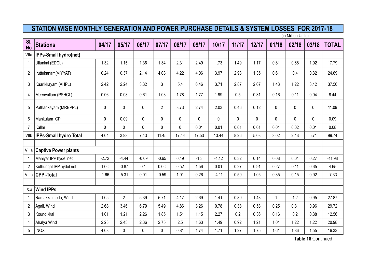(in Million Units)

| SI.<br><b>No</b> | <b>Stations</b>               | 04/17       | 05/17          | 06/17       | 07/17          | 08/17       | 09/17       | 10/17   | 11/17       | 12/17       | 01/18        | 02/18       | 03/18       | <b>TOTAL</b> |
|------------------|-------------------------------|-------------|----------------|-------------|----------------|-------------|-------------|---------|-------------|-------------|--------------|-------------|-------------|--------------|
| Vlla             | IPPs-Small hydro(net)         |             |                |             |                |             |             |         |             |             |              |             |             |              |
| $\mathbf{1}$     | Ullunkal (EDCL)               | 1.32        | 1.15           | 1.36        | 1.34           | 2.31        | 2.49        | 1.73    | 1.49        | 1.17        | 0.81         | 0.68        | 1.92        | 17.79        |
| $\overline{2}$   | Iruttukanam(VIYYAT)           | 0.24        | 0.37           | 2.14        | 4.08           | 4.22        | 4.06        | 3.97    | 2.93        | 1.35        | 0.61         | 0.4         | 0.32        | 24.69        |
| 3                | Kaarikkayam (AHPL)            | 2.42        | 2.24           | 3.32        | 3              | 5.4         | 6.46        | 3.71    | 2.87        | 2.07        | 1.43         | 1.22        | 3.42        | 37.56        |
| 4                | Meenvallam (PSHCL)            | 0.06        | 0.08           | 0.61        | 1.03           | 1.78        | 1.77        | 1.99    | 0.5         | 0.31        | 0.16         | 0.11        | 0.04        | 8.44         |
| $\sqrt{5}$       | Pathankayam (MREPPL)          | $\mathbf 0$ | $\mathbf 0$    | 0           | $\overline{2}$ | 3.73        | 2.74        | 2.03    | 0.46        | 0.12        | 0            | 0           | $\pmb{0}$   | 11.09        |
| 6                | Mankulam GP                   | $\mathbf 0$ | 0.09           | $\mathbf 0$ | $\pmb{0}$      | $\mathbf 0$ | $\mathbf 0$ | 0       | $\mathbf 0$ | $\mathbf 0$ | 0            | $\mathbf 0$ | $\mathbf 0$ | 0.09         |
| $\overline{7}$   | Kallar                        | 0           | $\mathbf 0$    | 0           | $\pmb{0}$      | $\mathbf 0$ | 0.01        | 0.01    | 0.01        | 0.01        | 0.01         | 0.02        | 0.01        | 0.08         |
| VIIb             | <b>IPPs-Small hydro Total</b> | 4.04        | 3.93           | 7.43        | 11.45          | 17.44       | 17.53       | 13.44   | 8.26        | 5.03        | 3.02         | 2.43        | 5.71        | 99.74        |
|                  |                               |             |                |             |                |             |             |         |             |             |              |             |             |              |
| VIIIa            | <b>Captive Power plants</b>   |             |                |             |                |             |             |         |             |             |              |             |             |              |
| $\mathbf{1}$     | Maniyar IPP hydel net         | $-2.72$     | $-4.44$        | $-0.09$     | $-0.65$        | 0.49        | $-1.3$      | $-4.12$ | 0.32        | 0.14        | 0.08         | 0.04        | 0.27        | $-11.98$     |
| $\overline{2}$   | Kuthungal IPP hydel net       | 1.06        | $-0.87$        | 0.1         | 0.06           | 0.52        | 1.56        | 0.01    | 0.27        | 0.91        | 0.27         | 0.11        | 0.65        | 4.65         |
| VIIIb            | <b>CPP-Total</b>              | $-1.66$     | $-5.31$        | 0.01        | $-0.59$        | 1.01        | 0.26        | $-4.11$ | 0.59        | 1.05        | 0.35         | 0.15        | 0.92        | $-7.33$      |
|                  |                               |             |                |             |                |             |             |         |             |             |              |             |             |              |
| IX.a             | <b>Wind IPPs</b>              |             |                |             |                |             |             |         |             |             |              |             |             |              |
| $\mathbf{1}$     | Ramakkalmedu, Wind            | 1.05        | $\overline{2}$ | 5.39        | 5.71           | 4.17        | 2.69        | 1.41    | 0.89        | 1.43        | $\mathbf{1}$ | 1.2         | 0.95        | 27.87        |
| $\overline{2}$   | Agali, Wind                   | 2.68        | 3.46           | 6.79        | 5.49           | 4.86        | 3.26        | 0.78    | 0.38        | 0.53        | 0.25         | 0.31        | 0.96        | 29.72        |
| 3                | Koundikkal                    | 1.01        | 1.21           | 2.26        | 1.85           | 1.51        | 1.15        | 2.27    | 0.2         | 0.36        | 0.16         | 0.2         | 0.38        | 12.56        |
| $\overline{4}$   | Ahalya Wind                   | 2.23        | 2.43           | 2.36        | 2.75           | 2.5         | 1.63        | 1.49    | 0.92        | 1.21        | 1.01         | 1.22        | 1.22        | 20.98        |
| 5                | <b>INOX</b>                   | 4.03        | $\pmb{0}$      | 0           | $\pmb{0}$      | 0.81        | 1.74        | 1.71    | 1.27        | 1.75        | 1.61         | 1.86        | 1.55        | 16.33        |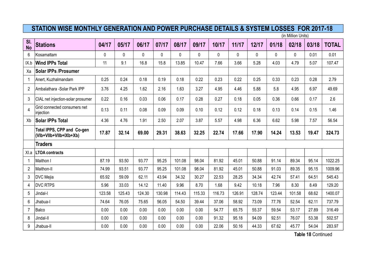(in Million Units)

| SI.<br><b>No</b> | <b>Stations</b>                                      | 04/17  | 05/17  | 06/17  | 07/17  | 08/17  | 09/17  | 10/17  | 11/17  | 12/17  | 01/18    | 02/18    | 03/18 | <b>TOTAL</b> |
|------------------|------------------------------------------------------|--------|--------|--------|--------|--------|--------|--------|--------|--------|----------|----------|-------|--------------|
| 6                | Kosamattam                                           | 0      | 0      | 0      | 0      | 0      | 0      | 0      | 0      | 0      | $\Omega$ | $\Omega$ | 0.01  | 0.01         |
| IX.b             | <b>Wind IPPs Total</b>                               | 11     | 9.1    | 16.8   | 15.8   | 13.85  | 10.47  | 7.66   | 3.66   | 5.28   | 4.03     | 4.79     | 5.07  | 107.47       |
| Xa               | <b>Solar IPPs /Prosumer</b>                          |        |        |        |        |        |        |        |        |        |          |          |       |              |
| 1                | Anert, Kuzhalmandam                                  | 0.25   | 0.24   | 0.18   | 0.19   | 0.18   | 0.22   | 0.23   | 0.22   | 0.25   | 0.33     | 0.23     | 0.28  | 2.79         |
| $\overline{2}$   | Ambalathara -Solar Park IPP                          | 3.76   | 4.25   | 1.62   | 2.16   | 1.63   | 3.27   | 4.95   | 4.46   | 5.88   | 5.8      | 4.95     | 6.97  | 49.69        |
| 3                | CIAL net injection-solar prosumer                    | 0.22   | 0.16   | 0.03   | 0.06   | 0.17   | 0.28   | 0.27   | 0.18   | 0.05   | 0.36     | 0.66     | 0.17  | 2.6          |
| 4                | Grid connected consumers net<br>injection            | 0.13   | 0.11   | 0.08   | 0.09   | 0.09   | 0.10   | 0.12   | 0.12   | 0.18   | 0.13     | 0.14     | 0.15  | 1.46         |
| Xb               | <b>Solar IPPs Total</b>                              | 4.36   | 4.76   | 1.91   | 2.50   | 2.07   | 3.87   | 5.57   | 4.98   | 6.36   | 6.62     | 5.98     | 7.57  | 56.54        |
|                  | Total IPPS, CPP and Co-gen<br>(Vlb+Vllb+Vllb+IXb+Xb) | 17.87  | 32.14  | 69.00  | 29.31  | 38.63  | 32.25  | 22.74  | 17.66  | 17.90  | 14.24    | 13.53    | 19.47 | 324.73       |
|                  | <b>Traders</b>                                       |        |        |        |        |        |        |        |        |        |          |          |       |              |
| XI.a             | <b>LTOA contracts</b>                                |        |        |        |        |        |        |        |        |        |          |          |       |              |
| 1                | Maithon I                                            | 87.19  | 93.50  | 93.77  | 95.25  | 101.08 | 98.04  | 81.92  | 45.01  | 50.88  | 91.14    | 89.34    | 95.14 | 1022.25      |
| $\overline{2}$   | Maithon-II                                           | 74.99  | 93.51  | 93.77  | 95.25  | 101.08 | 98.04  | 81.92  | 45.01  | 50.88  | 91.03    | 89.35    | 95.15 | 1009.96      |
| 3                | DVC Mejia                                            | 65.92  | 59.09  | 62.11  | 43.94  | 34.32  | 30.27  | 22.53  | 28.25  | 34.34  | 42.74    | 57.41    | 64.51 | 545.43       |
| 4                | <b>DVC RTPS</b>                                      | 5.96   | 33.03  | 14.12  | 11.40  | 9.96   | 8.70   | 1.68   | 9.42   | 10.18  | 7.96     | 8.30     | 8.49  | 129.20       |
| 5                | Jindal-I                                             | 123.58 | 125.43 | 124.30 | 130.98 | 114.43 | 115.33 | 116.73 | 126.91 | 128.74 | 123.44   | 101.58   | 68.62 | 1400.07      |
| 6                | Jhabua-I                                             | 74.64  | 76.05  | 75.65  | 56.05  | 54.50  | 39.44  | 37.06  | 58.92  | 73.09  | 77.76    | 52.54    | 62.11 | 737.79       |
| $\overline{7}$   | Balco                                                | 0.00   | 0.00   | 0.00   | 0.00   | 0.00   | 0.00   | 54.77  | 65.75  | 55.37  | 59.54    | 53.17    | 27.89 | 316.49       |
| 8                | Jindal-II                                            | 0.00   | 0.00   | 0.00   | 0.00   | 0.00   | 0.00   | 91.32  | 95.18  | 94.09  | 92.51    | 76.07    | 53.38 | 502.57       |
| 9                | Jhabua-II                                            | 0.00   | 0.00   | 0.00   | 0.00   | 0.00   | 0.00   | 22.06  | 50.16  | 44.33  | 67.62    | 45.77    | 54.04 | 283.97       |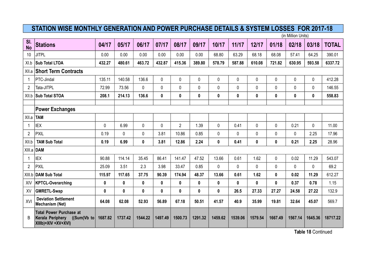(in Million Units)

| SI.<br><b>No</b> | <b>Stations</b>                                                                          | 04/17   | 05/17       | 06/17    | 07/17   | 08/17          | 09/17        | 10/17        | 11/17    | 12/17   | 01/18        | 02/18        | 03/18        | <b>TOTAL</b> |
|------------------|------------------------------------------------------------------------------------------|---------|-------------|----------|---------|----------------|--------------|--------------|----------|---------|--------------|--------------|--------------|--------------|
| 10               | <b>JITPL</b>                                                                             | 0.00    | 0.00        | 0.00     | 0.00    | 0.00           | 0.00         | 68.80        | 63.29    | 68.18   | 68.08        | 57.41        | 64.25        | 390.01       |
| XI.b             | <b>Sub Total LTOA</b>                                                                    | 432.27  | 480.61      | 463.72   | 432.87  | 415.36         | 389.80       | 578.79       | 587.88   | 610.08  | 721.82       | 630.95       | 593.58       | 6337.72      |
| XII.a            | <b>Short Term Contracts</b>                                                              |         |             |          |         |                |              |              |          |         |              |              |              |              |
| $\overline{1}$   | PTC-Jindal                                                                               | 135.11  | 140.58      | 136.6    | 0       | $\mathbf 0$    | 0            | 0            | 0        | 0       | 0            | $\mathbf 0$  | 0            | 412.28       |
| $\overline{2}$   | Tata-JITPL                                                                               | 72.99   | 73.56       | $\Omega$ | 0       | $\pmb{0}$      | 0            | $\mathbf 0$  | 0        | 0       | 0            | $\mathbf{0}$ | $\mathbf 0$  | 146.55       |
| XII.b            | <b>Sub Total STOA</b>                                                                    | 208.1   | 214.13      | 136.6    | 0       | $\pmb{0}$      | $\mathbf 0$  | $\pmb{0}$    | 0        | 0       | 0            | 0            | $\mathbf 0$  | 558.83       |
|                  | <b>Power Exchanges</b>                                                                   |         |             |          |         |                |              |              |          |         |              |              |              |              |
| XII.a            | TAM                                                                                      |         |             |          |         |                |              |              |          |         |              |              |              |              |
| $\overline{1}$   | <b>IEX</b>                                                                               | 0       | 6.99        | 0        | 0       | $\overline{2}$ | 1.39         | 0            | 0.41     | 0       | 0            | 0.21         | 0            | 11.00        |
| $\overline{2}$   | PXIL                                                                                     | 0.19    | $\mathbf 0$ | 0        | 3.81    | 10.86          | 0.85         | $\mathbf 0$  | 0        | 0       | 0            | $\mathbf{0}$ | 2.25         | 17.96        |
| XII.b            | <b>TAM Sub Total</b>                                                                     | 0.19    | 6.99        | 0        | 3.81    | 12.86          | 2.24         | $\pmb{0}$    | 0.41     | 0       | 0            | 0.21         | 2.25         | 28.96        |
| XIII.a           | DAM                                                                                      |         |             |          |         |                |              |              |          |         |              |              |              |              |
|                  | <b>IEX</b>                                                                               | 90.88   | 114.14      | 35.45    | 86.41   | 141.47         | 47.52        | 13.66        | 0.61     | 1.62    | 0            | 0.02         | 11.29        | 543.07       |
| $\overline{2}$   | PXIL                                                                                     | 25.09   | 3.51        | 2.3      | 3.98    | 33.47          | 0.85         | $\mathbf{0}$ | $\Omega$ | 0       | 0            | $\Omega$     | $\mathbf{0}$ | 69.2         |
| XIII.b           | DAM Sub Total                                                                            | 115.97  | 117.65      | 37.75    | 90.39   | 174.94         | 48.37        | 13.66        | 0.61     | 1.62    | 0            | 0.02         | 11.29        | 612.27       |
| XIV              | <b>KPTCL-Overarching</b>                                                                 | 0       | 0           | 0        | 0       | $\pmb{0}$      | $\mathbf{0}$ | $\mathbf 0$  | 0        | 0       | $\mathbf{0}$ | 0.37         | 0.78         | 1.15         |
| XV               | <b>GMRETL-Swap</b>                                                                       | 0       | 0           | 0        | 0       | $\pmb{0}$      | 0            | 0            | 26.5     | 27.33   | 27.27        | 24.58        | 27.22        | 132.9        |
| XVI              | <b>Deviation Settlement</b><br><b>Mechanism (Net)</b>                                    | 64.08   | 62.08       | 52.93    | 56.89   | 67.18          | 50.51        | 41.57        | 40.9     | 35.99   | 19.81        | 32.64        | 45.07        | 569.7        |
| B                | <b>Total Power Purchase at</b><br>Kerala Periphery<br>((Sum(Vb to<br>XIIIb)+XIV +XV+XVI) | 1687.82 | 1737.42     | 1544.22  | 1497.49 | 1500.73        | 1291.32      | 1459.62      | 1539.06  | 1579.54 | 1667.49      | 1567.14      | 1645.36      | 18717.22     |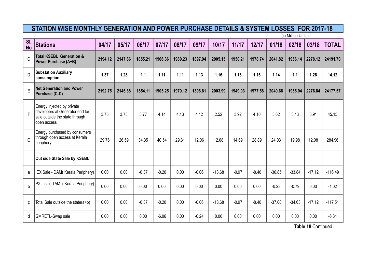(in Million Units)

| $\overline{\mathsf{SI}}$ .<br><b>No</b> | <b>Stations</b>                                                                                                | 04/17   | 05/17   | 06/17   | 07/17   | 08/17   | 09/17   | 10/17    | 11/17   | 12/17   | 01/18    | 02/18    | 03/18    | <b>TOTAL</b> |
|-----------------------------------------|----------------------------------------------------------------------------------------------------------------|---------|---------|---------|---------|---------|---------|----------|---------|---------|----------|----------|----------|--------------|
| $\mathsf C$                             | <b>Total KSEBL Generation &amp;</b><br>Power Purchase (A+B)                                                    | 2194.12 | 2147.66 | 1855.21 | 1906.36 | 1980.23 | 1897.94 | 2005.15  | 1950.21 | 1978.74 | 2041.82  | 1956.14  | 2278.12  | 24191.70     |
| D                                       | <b>Substation Auxiliary</b><br>consumption                                                                     | 1.37    | 1.28    | 1.1     | 1.11    | 1.11    | 1.13    | 1.16     | 1.18    | 1.16    | 1.14     | 1.1      | 1.28     | 14.12        |
| E                                       | <b>Net Generation and Power</b><br>Purchase (C-D)                                                              | 2192.75 | 2146.38 | 1854.11 | 1905.25 | 1979.12 | 1896.81 | 2003.99  | 1949.03 | 1977.58 | 2040.68  | 1955.04  | 2276.84  | 24177.57     |
| F                                       | Energy injected by private<br>developers at Generator end for<br>sale outside the state through<br>open access | 3.75    | 3.73    | 3.77    | 4.14    | 4.13    | 4.12    | 2.52     | 3.92    | 4.10    | 3.62     | 3.43     | 3.91     | 45.15        |
| G                                       | Energy purchased by consumers<br>through open access at Kerala<br>periphery                                    | 29.76   | 26.59   | 34.35   | 40.54   | 29.31   | 12.06   | 12.68    | 14.69   | 28.89   | 24.03    | 19.98    | 12.08    | 284.96       |
|                                         | Out side State Sale by KSEBL                                                                                   |         |         |         |         |         |         |          |         |         |          |          |          |              |
| a                                       | IEX Sale - DAM(Kerala Periphery)                                                                               | 0.00    | 0.00    | $-0.37$ | $-0.20$ | 0.00    | $-0.06$ | $-18.68$ | $-0.97$ | $-8.40$ | $-36.85$ | $-33.84$ | $-17.12$ | $-116.49$    |
| $\mathsf b$                             | PXIL sale TAM (Kerala Periphery)                                                                               | 0.00    | 0.00    | 0.00    | 0.00    | 0.00    | 0.00    | 0.00     | 0.00    | 0.00    | $-0.23$  | $-0.79$  | 0.00     | $-1.02$      |
| C                                       | Total Sale outside the state(a+b)                                                                              | 0.00    | 0.00    | $-0.37$ | $-0.20$ | 0.00    | $-0.06$ | $-18.68$ | $-0.97$ | $-8.40$ | $-37.08$ | $-34.63$ | $-17.12$ | $-117.51$    |
| d                                       | GMRETL-Swap sale                                                                                               | 0.00    | 0.00    | 0.00    | $-6.06$ | 0.00    | $-0.24$ | 0.00     | 0.00    | 0.00    | 0.00     | 0.00     | 0.00     | $-6.31$      |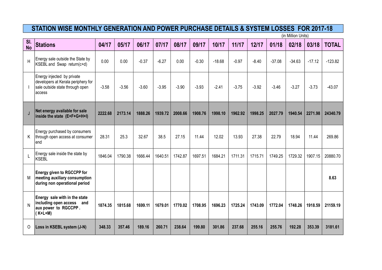(in Million Units)

| SI.<br><b>No</b> | <b>Stations</b>                                                                                               | 04/17   | 05/17   | 06/17   | 07/17   | 08/17   | 09/17   | 10/17    | 11/17   | 12/17   | 01/18    | 02/18    | 03/18    | <b>TOTAL</b> |
|------------------|---------------------------------------------------------------------------------------------------------------|---------|---------|---------|---------|---------|---------|----------|---------|---------|----------|----------|----------|--------------|
| H                | Energy sale outside the State by<br>KSEBL and Swap return(c+d)                                                | 0.00    | 0.00    | $-0.37$ | $-6.27$ | 0.00    | $-0.30$ | $-18.68$ | $-0.97$ | $-8.40$ | $-37.08$ | $-34.63$ | $-17.12$ | $-123.82$    |
|                  | Energy injected by private<br>developers at Kerala periphery for<br>sale outside state through open<br>access | $-3.58$ | $-3.56$ | $-3.60$ | $-3.95$ | $-3.90$ | $-3.93$ | $-2.41$  | $-3.75$ | $-3.92$ | $-3.46$  | $-3.27$  | $-3.73$  | $-43.07$     |
| J                | Net energy available for sale<br>inside the state (E+F+G+H+I)                                                 | 2222.68 | 2173.14 | 1888.26 | 1939.72 | 2008.66 | 1908.76 | 1998.10  | 1962.92 | 1998.25 | 2027.79  | 1940.54  | 2271.98  | 24340.79     |
| K                | Energy purchased by consumers<br>through open access at consumer<br>end                                       | 28.31   | 25.3    | 32.67   | 38.5    | 27.15   | 11.44   | 12.02    | 13.93   | 27.38   | 22.79    | 18.94    | 11.44    | 269.86       |
|                  | Energy sale inside the state by<br><b>KSEBL</b>                                                               | 1846.04 | 1790.38 | 1666.44 | 1640.51 | 1742.87 | 1697.51 | 1684.21  | 1711.31 | 1715.71 | 1749.25  | 1729.32  | 1907.15  | 20880.70     |
| М                | <b>Energy given to RGCCPP for</b><br>meeting auxiliary consumption<br>during non operational period           |         |         |         |         |         |         |          |         |         |          |          |          | 8.63         |
| N                | Energy sale with in the state<br>including open access<br>and<br>aux power to RGCCPP.<br>$(K+L+M)$            | 1874.35 | 1815.68 | 1699.11 | 1679.01 | 1770.02 | 1708.95 | 1696.23  | 1725.24 | 1743.09 | 1772.04  | 1748.26  | 1918.59  | 21159.19     |
| 0                | Loss in KSEBL system (J-N)                                                                                    | 348.33  | 357.46  | 189.16  | 260.71  | 238.64  | 199.80  | 301.86   | 237.68  | 255.16  | 255.76   | 192.28   | 353.39   | 3181.61      |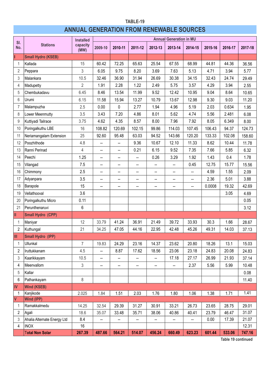### **TABLE-19 ANNUAL GENERATION FROM RENEWABLE SOURCES**

| <b>Stations</b><br>capacity<br>No.<br>2009-10<br>2010-11<br>2011-12<br>2012-13<br>2013-14<br>2016-17<br>2014-15<br>2015-16<br>(MW)<br><b>Small Hydro (KSEB)</b><br>15<br>60.42<br>72.25<br>65.63<br>25.54<br>68.99<br>44.36<br>Kallada<br>67.55<br>44.81<br>1<br>3<br>2<br>6.05<br>9.75<br>8.20<br>3.69<br>7.63<br>5.13<br>4.71<br>3.94<br>Peppara<br>5.77<br>10.5<br>31.94<br>34.15<br>24.74<br>32.46<br>36.90<br>26.69<br>30.38<br>32.43<br>3<br>Malankara<br>$\overline{2}$<br>2.28<br>1.22<br>3.94<br>1.91<br>2.49<br>5.75<br>3.57<br>4.29<br>2.55<br>4<br>Madupetty<br>5<br>Chembukadavu<br>6.45<br>8.46<br>13.54<br>11.99<br>9.52<br>12.42<br>10.95<br>8.64<br>9.04<br>6.15<br>11.58<br>12.98<br>9.30<br>9.03<br>6<br>15.94<br>13.27<br>10.79<br>13.67<br>Urumi<br>2.5<br>0.00<br>2.77<br>1.94<br>4.96<br>5.19<br>0.634<br>0<br>2.03<br>1.95<br>$\overline{7}$<br>Malampuzha<br>3.5<br>3.43<br>7.20<br>8.01<br>5.62<br>8<br>Lower Meenmutty<br>4.86<br>4.74<br>5.56<br>2.481<br>6.08<br>3.75<br>4.62<br>4.35<br>8.57<br>8.00<br>7.96<br>7.92<br>8.05<br>6.349<br>9<br>Kuttiyadi Tailrace<br>8.00<br>16<br>108.82<br>120.69<br>102.15<br>99.86<br>114.03<br>106.43<br>94.37<br>Poringalkuthu LBE<br>107.45<br>10 |     |                         | <b>Installed</b> |       |       |       |       | <b>Annual Generation in MU</b> |        |        |        |                |
|-----------------------------------------------------------------------------------------------------------------------------------------------------------------------------------------------------------------------------------------------------------------------------------------------------------------------------------------------------------------------------------------------------------------------------------------------------------------------------------------------------------------------------------------------------------------------------------------------------------------------------------------------------------------------------------------------------------------------------------------------------------------------------------------------------------------------------------------------------------------------------------------------------------------------------------------------------------------------------------------------------------------------------------------------------------------------------------------------------------------------------------------------------------------------------------------------------------------------|-----|-------------------------|------------------|-------|-------|-------|-------|--------------------------------|--------|--------|--------|----------------|
|                                                                                                                                                                                                                                                                                                                                                                                                                                                                                                                                                                                                                                                                                                                                                                                                                                                                                                                                                                                                                                                                                                                                                                                                                       | SI. |                         |                  |       |       |       |       |                                |        |        |        | 2017-18        |
|                                                                                                                                                                                                                                                                                                                                                                                                                                                                                                                                                                                                                                                                                                                                                                                                                                                                                                                                                                                                                                                                                                                                                                                                                       |     |                         |                  |       |       |       |       |                                |        |        |        |                |
|                                                                                                                                                                                                                                                                                                                                                                                                                                                                                                                                                                                                                                                                                                                                                                                                                                                                                                                                                                                                                                                                                                                                                                                                                       |     |                         |                  |       |       |       |       |                                |        |        |        | 36.56          |
|                                                                                                                                                                                                                                                                                                                                                                                                                                                                                                                                                                                                                                                                                                                                                                                                                                                                                                                                                                                                                                                                                                                                                                                                                       |     |                         |                  |       |       |       |       |                                |        |        |        |                |
|                                                                                                                                                                                                                                                                                                                                                                                                                                                                                                                                                                                                                                                                                                                                                                                                                                                                                                                                                                                                                                                                                                                                                                                                                       |     |                         |                  |       |       |       |       |                                |        |        |        | 29.49          |
|                                                                                                                                                                                                                                                                                                                                                                                                                                                                                                                                                                                                                                                                                                                                                                                                                                                                                                                                                                                                                                                                                                                                                                                                                       |     |                         |                  |       |       |       |       |                                |        |        |        |                |
|                                                                                                                                                                                                                                                                                                                                                                                                                                                                                                                                                                                                                                                                                                                                                                                                                                                                                                                                                                                                                                                                                                                                                                                                                       |     |                         |                  |       |       |       |       |                                |        |        |        | 10.65          |
|                                                                                                                                                                                                                                                                                                                                                                                                                                                                                                                                                                                                                                                                                                                                                                                                                                                                                                                                                                                                                                                                                                                                                                                                                       |     |                         |                  |       |       |       |       |                                |        |        |        | 11.20          |
|                                                                                                                                                                                                                                                                                                                                                                                                                                                                                                                                                                                                                                                                                                                                                                                                                                                                                                                                                                                                                                                                                                                                                                                                                       |     |                         |                  |       |       |       |       |                                |        |        |        |                |
|                                                                                                                                                                                                                                                                                                                                                                                                                                                                                                                                                                                                                                                                                                                                                                                                                                                                                                                                                                                                                                                                                                                                                                                                                       |     |                         |                  |       |       |       |       |                                |        |        |        |                |
|                                                                                                                                                                                                                                                                                                                                                                                                                                                                                                                                                                                                                                                                                                                                                                                                                                                                                                                                                                                                                                                                                                                                                                                                                       |     |                         |                  |       |       |       |       |                                |        |        |        |                |
|                                                                                                                                                                                                                                                                                                                                                                                                                                                                                                                                                                                                                                                                                                                                                                                                                                                                                                                                                                                                                                                                                                                                                                                                                       |     |                         |                  |       |       |       |       |                                |        |        |        | 124.73         |
|                                                                                                                                                                                                                                                                                                                                                                                                                                                                                                                                                                                                                                                                                                                                                                                                                                                                                                                                                                                                                                                                                                                                                                                                                       | 11  | Neriamangalam Extension | 25               | 92.60 | 95.48 | 63.03 | 94.52 | 143.66                         | 120.20 | 133.33 | 102.08 | 158.60         |
| Poozhithode<br>12<br>4.8<br>9.36<br>10.67<br>12.10<br>11.33<br>8.62<br>10.44<br>--<br>--                                                                                                                                                                                                                                                                                                                                                                                                                                                                                                                                                                                                                                                                                                                                                                                                                                                                                                                                                                                                                                                                                                                              |     |                         |                  |       |       |       |       |                                |        |        |        | 11.78          |
| 4<br>6.15<br>0.21<br>9.52<br>7.35<br>7.66<br>5.85<br>6.32<br>13<br>Ranni Perinad<br>--<br>--                                                                                                                                                                                                                                                                                                                                                                                                                                                                                                                                                                                                                                                                                                                                                                                                                                                                                                                                                                                                                                                                                                                          |     |                         |                  |       |       |       |       |                                |        |        |        |                |
| 14<br>Peechi<br>1.25<br>0.26<br>3.29<br>1.43<br>1.92<br>0.4<br>1.78<br>$\overline{\phantom{a}}$<br>Щ,<br>--                                                                                                                                                                                                                                                                                                                                                                                                                                                                                                                                                                                                                                                                                                                                                                                                                                                                                                                                                                                                                                                                                                           |     |                         |                  |       |       |       |       |                                |        |        |        |                |
| Vilangad<br>7.5<br>12.75<br>15<br>0.45<br>15.77<br>$\overline{\phantom{a}}$<br>--<br>--<br>--<br>--                                                                                                                                                                                                                                                                                                                                                                                                                                                                                                                                                                                                                                                                                                                                                                                                                                                                                                                                                                                                                                                                                                                   |     |                         |                  |       |       |       |       |                                |        |        |        | 15.56          |
| 2.5<br>16<br>Chimmony<br>4.59<br>1.55<br>2.09<br>--<br>--<br>--<br>--<br>--<br>$\overline{\phantom{a}}$                                                                                                                                                                                                                                                                                                                                                                                                                                                                                                                                                                                                                                                                                                                                                                                                                                                                                                                                                                                                                                                                                                               |     |                         |                  |       |       |       |       |                                |        |        |        |                |
| 3.5<br>5.01<br>17<br>Adyanpara<br>2.36<br>3.88<br>--<br>$\overline{\phantom{a}}$<br>--<br>--<br>--<br>--                                                                                                                                                                                                                                                                                                                                                                                                                                                                                                                                                                                                                                                                                                                                                                                                                                                                                                                                                                                                                                                                                                              |     |                         |                  |       |       |       |       |                                |        |        |        |                |
| 18<br>Barapole<br>15<br>19.32<br>0.0008<br>--<br>Ξ.<br>۰.<br>--<br>--<br>--                                                                                                                                                                                                                                                                                                                                                                                                                                                                                                                                                                                                                                                                                                                                                                                                                                                                                                                                                                                                                                                                                                                                           |     |                         |                  |       |       |       |       |                                |        |        |        | 42.69          |
| 3.6<br>3.05<br>19<br>Vellathooval<br>4.69                                                                                                                                                                                                                                                                                                                                                                                                                                                                                                                                                                                                                                                                                                                                                                                                                                                                                                                                                                                                                                                                                                                                                                             |     |                         |                  |       |       |       |       |                                |        |        |        |                |
| Poringalkuthu Micro<br>0.11<br>20<br>0.05                                                                                                                                                                                                                                                                                                                                                                                                                                                                                                                                                                                                                                                                                                                                                                                                                                                                                                                                                                                                                                                                                                                                                                             |     |                         |                  |       |       |       |       |                                |        |        |        |                |
| Perunthenaruvi<br>6<br>21<br>3.12                                                                                                                                                                                                                                                                                                                                                                                                                                                                                                                                                                                                                                                                                                                                                                                                                                                                                                                                                                                                                                                                                                                                                                                     |     |                         |                  |       |       |       |       |                                |        |        |        |                |
| II<br><b>Small Hydro (CPP)</b>                                                                                                                                                                                                                                                                                                                                                                                                                                                                                                                                                                                                                                                                                                                                                                                                                                                                                                                                                                                                                                                                                                                                                                                        |     |                         |                  |       |       |       |       |                                |        |        |        |                |
| 12<br>33.79<br>41.24<br>36.91<br>21.49<br>39.72<br>33.93<br>30.3<br>Maniyar<br>1.66<br>1                                                                                                                                                                                                                                                                                                                                                                                                                                                                                                                                                                                                                                                                                                                                                                                                                                                                                                                                                                                                                                                                                                                              |     |                         |                  |       |       |       |       |                                |        |        |        | 28.67          |
| 21<br>22.95<br>2<br>Kuthungal<br>34.25<br>47.05<br>44.16<br>42.48<br>45.26<br>49.31<br>14.03                                                                                                                                                                                                                                                                                                                                                                                                                                                                                                                                                                                                                                                                                                                                                                                                                                                                                                                                                                                                                                                                                                                          |     |                         |                  |       |       |       |       |                                |        |        |        | 37.13          |
| Ш<br><b>Small Hydro (IPP)</b>                                                                                                                                                                                                                                                                                                                                                                                                                                                                                                                                                                                                                                                                                                                                                                                                                                                                                                                                                                                                                                                                                                                                                                                         |     |                         |                  |       |       |       |       |                                |        |        |        |                |
| $\overline{7}$<br>24.29<br>19.83<br>23.16<br>14.37<br>23.62<br>20.80<br>18.26<br>13.1<br>1<br>Ullunkal                                                                                                                                                                                                                                                                                                                                                                                                                                                                                                                                                                                                                                                                                                                                                                                                                                                                                                                                                                                                                                                                                                                |     |                         |                  |       |       |       |       |                                |        |        |        | 15.03          |
| Iruttukkanam<br>4.5<br>8.87<br>17.62<br>18.56<br>23.06<br>23.18<br>24.83<br>20.08<br>2<br>--                                                                                                                                                                                                                                                                                                                                                                                                                                                                                                                                                                                                                                                                                                                                                                                                                                                                                                                                                                                                                                                                                                                          |     |                         |                  |       |       |       |       |                                |        |        |        | 24.83          |
| 10.5<br>17.18<br>27.17<br>26.99<br>21.93<br>3<br>Kaarikkayam<br>--<br>--<br>--<br>--                                                                                                                                                                                                                                                                                                                                                                                                                                                                                                                                                                                                                                                                                                                                                                                                                                                                                                                                                                                                                                                                                                                                  |     |                         |                  |       |       |       |       |                                |        |        |        | 37.14          |
| 3<br>Meenvallom<br>2.37<br>5.56<br>5.99<br>4<br>--<br>-−<br>⊷<br>−−<br>−−                                                                                                                                                                                                                                                                                                                                                                                                                                                                                                                                                                                                                                                                                                                                                                                                                                                                                                                                                                                                                                                                                                                                             |     |                         |                  |       |       |       |       |                                |        |        |        | 10.48          |
| Kallar<br>0.08<br>5                                                                                                                                                                                                                                                                                                                                                                                                                                                                                                                                                                                                                                                                                                                                                                                                                                                                                                                                                                                                                                                                                                                                                                                                   |     |                         |                  |       |       |       |       |                                |        |        |        |                |
| 8<br>6<br>Pathankayam                                                                                                                                                                                                                                                                                                                                                                                                                                                                                                                                                                                                                                                                                                                                                                                                                                                                                                                                                                                                                                                                                                                                                                                                 |     |                         |                  |       |       |       |       |                                |        |        |        | 11.40          |
| IV<br><b>Wind (KSEB)</b>                                                                                                                                                                                                                                                                                                                                                                                                                                                                                                                                                                                                                                                                                                                                                                                                                                                                                                                                                                                                                                                                                                                                                                                              |     |                         |                  |       |       |       |       |                                |        |        |        |                |
| 1.41<br>2.025<br>1.84<br>1.51<br>2.03<br>1.76<br>1.80<br>1.06<br>1.38<br>1.71<br>1<br>Kanjikode                                                                                                                                                                                                                                                                                                                                                                                                                                                                                                                                                                                                                                                                                                                                                                                                                                                                                                                                                                                                                                                                                                                       |     |                         |                  |       |       |       |       |                                |        |        |        |                |
| IV.<br><b>Wind (IPP)</b>                                                                                                                                                                                                                                                                                                                                                                                                                                                                                                                                                                                                                                                                                                                                                                                                                                                                                                                                                                                                                                                                                                                                                                                              |     |                         |                  |       |       |       |       |                                |        |        |        |                |
| 33.21<br>32.54<br>31.27<br>30.91<br>26.73<br>23.65<br>Ramakkalmedu<br>14.25<br>29.39<br>28.75<br>$\mathbf 1$                                                                                                                                                                                                                                                                                                                                                                                                                                                                                                                                                                                                                                                                                                                                                                                                                                                                                                                                                                                                                                                                                                          |     |                         |                  |       |       |       |       |                                |        |        |        | 29.01          |
| 18.6<br>35.71<br>40.86<br>23.79<br>2<br>Agali<br>35.07<br>33.48<br>38.06<br>40.41<br>46.47                                                                                                                                                                                                                                                                                                                                                                                                                                                                                                                                                                                                                                                                                                                                                                                                                                                                                                                                                                                                                                                                                                                            |     |                         |                  |       |       |       |       |                                |        |        |        | 31.07          |
| 8.4<br>Ahalia Alternate Energy Ltd<br>0.00<br>3<br>17.39<br>--<br>--<br>--<br>$\overline{\phantom{a}}$<br>16<br>4<br><b>INOX</b>                                                                                                                                                                                                                                                                                                                                                                                                                                                                                                                                                                                                                                                                                                                                                                                                                                                                                                                                                                                                                                                                                      |     |                         |                  |       |       |       |       |                                |        |        |        | 21.07<br>12.31 |
| <b>Total Non Solar</b><br>660.49<br>623.23<br>533.06<br>267.39<br>487.66<br>564.21<br>514.07<br>456.24<br>601.44                                                                                                                                                                                                                                                                                                                                                                                                                                                                                                                                                                                                                                                                                                                                                                                                                                                                                                                                                                                                                                                                                                      |     |                         |                  |       |       |       |       |                                |        |        |        | 747.16         |

**Table 19 continued**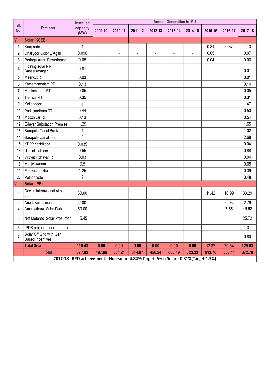| SI.                      |                                                    | <b>Installed</b>                                                                    |                          |                          |                          |                          | <b>Annual Generation in MU</b> |                |         |         |         |
|--------------------------|----------------------------------------------------|-------------------------------------------------------------------------------------|--------------------------|--------------------------|--------------------------|--------------------------|--------------------------------|----------------|---------|---------|---------|
| No.                      | <b>Stations</b>                                    | capacity<br>(MW)                                                                    | 2009-10                  | 2010-11                  | 2011-12                  | 2012-13                  | 2013-14                        | 2014-15        | 2015-16 | 2016-17 | 2017-18 |
| VI                       | <b>Solar (KSEB)</b>                                |                                                                                     |                          |                          |                          |                          |                                |                |         |         |         |
| 1                        | Kanjikode                                          | 1                                                                                   | ÷,                       | $\overline{\phantom{0}}$ | $\blacksquare$           | $\overline{\phantom{a}}$ | $\blacksquare$                 | $\blacksquare$ | 0.81    | 0.87    | 1.13    |
| $\overline{\mathbf{c}}$  | Chaliyoor Colony, Agali                            | 0.096                                                                               |                          | ÷,                       | $\overline{\phantom{a}}$ | $\blacksquare$           | ÷,                             | ä,             | 0.05    |         | 0.07    |
| 3                        | Poringalkuthu Powerhouse                           | 0.05                                                                                | $\overline{\phantom{a}}$ | ÷,                       | $\overline{a}$           | ÷,                       |                                |                | 0.04    |         | 0.06    |
| 4                        | Floating solar RT-<br>Banasurasagar                | 0.01                                                                                |                          |                          |                          |                          |                                |                |         |         | 0.01    |
| 5                        | Meencut RT                                         | 0.03                                                                                |                          |                          |                          |                          |                                |                |         |         | 0.01    |
| 6                        | Kothamangalam RT                                   | 0.13                                                                                |                          |                          |                          |                          |                                |                |         |         | 0.14    |
| 7                        | Moolamattom RT                                     | 0.05                                                                                |                          |                          |                          |                          |                                |                |         |         | 0.05    |
| 8                        | <b>Thrissur RT</b>                                 | 0.35                                                                                |                          |                          |                          |                          |                                |                |         |         | 0.31    |
| 9                        | Kollengode                                         | 1                                                                                   |                          |                          |                          |                          |                                |                |         |         | 1.47    |
| 10                       | Padinjarethara DT                                  | 0.44                                                                                |                          |                          |                          |                          |                                |                |         |         | 0.50    |
| 11                       | Moozhiyar RT                                       | 0.13                                                                                |                          |                          |                          |                          |                                |                |         |         | 0.54    |
| 12                       | <b>Edayar Substation Premise</b>                   | 1.25                                                                                |                          |                          |                          |                          |                                |                |         |         | 1.65    |
| 13                       | Barapole Canal Bank                                | 1                                                                                   |                          |                          |                          |                          |                                |                |         |         | 1.02    |
| 14                       | <b>Barapole Canal Top</b>                          | 3                                                                                   |                          |                          |                          |                          |                                |                |         |         | 2.68    |
| 15                       | KDPP, Kozhikode                                    | 0.035                                                                               |                          |                          |                          |                          |                                |                |         |         | 0.04    |
| 16                       | Thalakulathoor                                     | 0.65                                                                                |                          |                          |                          |                          |                                |                |         |         | 0.88    |
| 17                       | Vydyuthi bhavan RT                                 | 0.03                                                                                |                          |                          |                          |                          |                                |                |         |         | 0.04    |
| 18                       | Manjeswaram                                        | 0.5                                                                                 |                          |                          |                          |                          |                                |                |         |         | 0.65    |
| 19                       | Moovattupuzha                                      | 1.25                                                                                |                          |                          |                          |                          |                                |                |         |         | 0.39    |
| 20                       | Pothencode                                         | $\overline{2}$                                                                      |                          |                          |                          |                          |                                |                |         |         | 0.48    |
| VI                       | Solar (IPP)                                        |                                                                                     |                          |                          |                          |                          |                                |                |         |         |         |
| $\overline{\phantom{a}}$ | Cochin International Airport<br>Ltd                | 30.00                                                                               |                          |                          |                          |                          |                                |                | 11.42   | 10.99   | 33.29   |
| 3                        | Anert, Kuzhalmandam                                | 2.00                                                                                |                          |                          |                          |                          |                                |                |         | 0.93    | 2.79    |
| 4                        | Ambalathara -Solar Park                            | 50.00                                                                               |                          |                          |                          |                          |                                |                |         | 7.55    | 49.62   |
| 5                        | Net Metered Solar Prosumer                         | 15.45                                                                               |                          |                          |                          |                          |                                |                |         |         | 25.72   |
| 6                        | IPDS project under progress                        |                                                                                     |                          |                          |                          |                          |                                |                |         |         | 1.31    |
| $\overline{7}$           | Solar Off Grid with Gen<br><b>Based Incentives</b> |                                                                                     |                          |                          |                          |                          |                                |                |         |         | 0.80    |
|                          | <b>Total Solar</b>                                 | 110.43                                                                              | 0.00                     | 0.00                     | 0.00                     | 0.00                     | 0.00                           | 0.00           | 12.32   | 20.34   | 125.63  |
|                          | <b>Total</b>                                       | 377.82                                                                              | 487.66                   | 564.21                   | 514.07                   | 456.24                   | 660.49                         | 623.23         | 613.76  | 553.41  | 872.79  |
|                          |                                                    | 2017-18 RPO achievement:- Non-solar- 4.84%(Target -6%) ; Solar - 0.81%(Target-1.5%) |                          |                          |                          |                          |                                |                |         |         |         |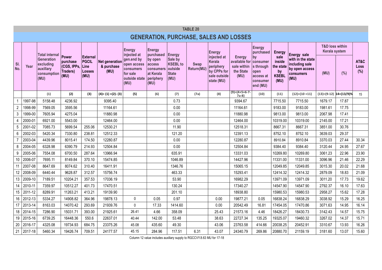|                |         |                                                             |                                                          |                                                           |                                      |                                                                             |                                                                         |                                                               | <b>TABLE 20</b>           |                                                                                 |                                                                    |                                                                          |                                                           |                                                                            |                                             |       |                     |
|----------------|---------|-------------------------------------------------------------|----------------------------------------------------------|-----------------------------------------------------------|--------------------------------------|-----------------------------------------------------------------------------|-------------------------------------------------------------------------|---------------------------------------------------------------|---------------------------|---------------------------------------------------------------------------------|--------------------------------------------------------------------|--------------------------------------------------------------------------|-----------------------------------------------------------|----------------------------------------------------------------------------|---------------------------------------------|-------|---------------------|
|                |         |                                                             |                                                          |                                                           |                                      |                                                                             |                                                                         |                                                               |                           |                                                                                 | <b>GENERATION, PURCHASE, SALES AND LOSSES</b>                      |                                                                          |                                                           |                                                                            |                                             |       |                     |
|                |         | Total internal                                              |                                                          |                                                           |                                      | <b>Energy</b><br>injected at                                                | <b>Energy</b><br>purchased                                              | Energy                                                        |                           | <b>Energy</b>                                                                   |                                                                    | <b>Energy</b><br>purchased                                               | <b>Energy</b>                                             | Energy sale                                                                | <b>T&amp;D loss within</b><br>Kerala system |       |                     |
| SI.<br>No.     | Year    | Generation<br>excluding<br>auxillary<br>consumption<br>(MU) | Power<br>purchase<br>(CGS, IPPs,<br>Traders)<br>$ $ (MU) | <b>External</b><br>PGCIL<br>Line<br><b>Losses</b><br>(MU) | Net generation<br>& purchase<br>(MU) | gen.end by<br>open access<br>consumers<br>for sale<br>outside state<br>(MU) | by open<br><b>access</b><br>consumers<br>at Kerala<br>periphery<br>(MU) | Sale by<br><b>KSEBL</b> to<br>outside<br><b>State</b><br>(MU) | <b>Swap</b><br>Return(MU) | injected at<br>Kerala<br>periphery<br>by CPPs for<br>sale outside<br>state (MU) | <b>Energy</b><br>available for<br>sale within<br>the State<br>(MU) | by<br>consumer<br>s through<br>open<br>access at<br>consumer<br>end (MU) | sale<br>inside<br>the state<br>by<br><b>KSEBL</b><br>(MU) | with in the state<br>including sale<br>by open access<br>consumers<br>(MU) | (MU)                                        | (%)   | AT&C<br>Loss<br>(%) |
|                |         | (1)                                                         | (2)                                                      | (3)                                                       | $(4)=(1)+(2)-(3)$                    | (5)                                                                         | (6)                                                                     | (7)                                                           | (7a)                      | (8)                                                                             | $(9) = (4+5+6-7-$<br>$7a-8$                                        | (10)                                                                     | (11)                                                      | $(12)=(10+11)$                                                             | $(13)=(9-12)$ 14= $(13/9)\%$                |       | 15                  |
|                | 1997-98 | 5158.48                                                     | 4236.92                                                  |                                                           | 9395.40                              |                                                                             |                                                                         | 0.73                                                          |                           |                                                                                 | 9394.67                                                            |                                                                          | 7715.50                                                   | 7715.50                                                                    | 1679.17                                     | 17.87 |                     |
| $\overline{2}$ | 1998-99 | 7569.05                                                     | 3595.56                                                  |                                                           | 11164.61                             |                                                                             |                                                                         | 0.00                                                          |                           |                                                                                 | 11164.61                                                           |                                                                          | 9183.00                                                   | 9183.00                                                                    | 1981.61                                     | 17.75 |                     |
| 3              | 1999-00 | 7605.94                                                     | 4275.04                                                  |                                                           | 11880.98                             |                                                                             |                                                                         | 0.00                                                          |                           |                                                                                 | 11880.98                                                           |                                                                          | 9813.00                                                   | 9813.00                                                                    | 2067.98                                     | 17.41 |                     |
| 4              | 2000-01 | 6921.00                                                     | 5543.00                                                  |                                                           | 12464.00                             |                                                                             |                                                                         | 0.00                                                          |                           |                                                                                 | 12464.00                                                           |                                                                          | 10319.00                                                  | 10319.00                                                                   | 2145.00                                     | 17.21 |                     |
| 5              | 2001-02 | 7085.73                                                     | 5699.54                                                  | 255.06                                                    | 12530.21                             |                                                                             |                                                                         | 11.90                                                         |                           |                                                                                 | 12518.31                                                           |                                                                          | 8667.31                                                   | 8667.31                                                                    | 3851.00                                     | 30.76 |                     |
| 6              | 2002-03 | 5420.34                                                     | 7330.80                                                  | 238.81                                                    | 12512.33                             |                                                                             |                                                                         | 121.20                                                        |                           |                                                                                 | 12391.13                                                           |                                                                          | 8752.10                                                   | 8752.10                                                                    | 3639.03                                     | 29.37 |                     |
|                | 2003-04 | 4439.96                                                     | 8015.41                                                  | 174.50                                                    | 12280.87                             |                                                                             |                                                                         | 0.00                                                          |                           |                                                                                 | 12280.87                                                           |                                                                          | 8910.84                                                   | 8910.84                                                                    | 3370.03                                     | 27.44 | 30.34               |
| 8              | 2004-05 | 6328.98                                                     | 6390.79                                                  | 214.93                                                    | 12504.84                             |                                                                             |                                                                         | 0.00                                                          |                           |                                                                                 | 12504.84                                                           |                                                                          | 9384.40                                                   | 9384.40                                                                    | 3120.44                                     | 24.95 | 27.67               |
| 9              | 2005-06 | 7554.08                                                     | 6700.50                                                  | 287.64                                                    | 13966.94                             |                                                                             |                                                                         | 635.91                                                        |                           |                                                                                 | 13331.03                                                           |                                                                          | 10269.80                                                  | 10269.80                                                                   | 3061.23                                     | 22.96 | 23.90               |
| 10             | 2006-07 | 7695.11                                                     | 8149.84                                                  | 370.10                                                    | 15474.85                             |                                                                             |                                                                         | 1046.89                                                       |                           |                                                                                 | 14427.96                                                           |                                                                          | 11331.00                                                  | 11331.00                                                                   | 3096.96                                     | 21.46 | 22.29               |
| 11             | 2007-08 | 8647.69                                                     | 8074.62                                                  | 310.40                                                    | 16411.91                             |                                                                             |                                                                         | 1346.76                                                       |                           |                                                                                 | 15065.15                                                           |                                                                          | 12049.85                                                  | 12049.85                                                                   | 3015.30                                     | 20.02 | 21.68               |
| 12             | 2008-09 | 6440.44                                                     | 9628.87                                                  | 312.57                                                    | 15756.74                             |                                                                             |                                                                         | 463.33                                                        |                           |                                                                                 | 15293.41                                                           |                                                                          | 12414.32                                                  | 12414.32                                                                   | 2879.09                                     | 18.83 | 21.09               |
| 13             | 2009-10 | 7189.51                                                     | 10204.21                                                 | 357.53                                                    | 17036.19                             |                                                                             |                                                                         | 53.90                                                         |                           |                                                                                 | 16982.29                                                           |                                                                          | 13971.09                                                  | 13971.09                                                                   | 3011.20                                     | 17.73 | 19.62               |
| 14             | 2010-11 | 7359.97                                                     | 10512.27                                                 | 401.73                                                    | 17470.51                             |                                                                             |                                                                         | 130.24                                                        |                           |                                                                                 | 17340.27                                                           |                                                                          | 14547.90                                                  | 14547.90                                                                   | 2792.37                                     | 16.10 | 17.63               |
| 15             | 2011-12 | 8289.91                                                     | 11263.21                                                 | 413.21                                                    | 19139.90                             |                                                                             |                                                                         | 201.10                                                        |                           |                                                                                 | 18938.80                                                           |                                                                          | 15980.53                                                  | 15980.53                                                                   | 2958.27                                     | 15.62 | 17.28               |
| 16             | 2012-13 | 5334.27                                                     | 14908.82                                                 | 364.96                                                    | 19878.13                             | $\mathbf{0}$                                                                | 0.05                                                                    | 0.97                                                          |                           | 0.00                                                                            | 19877.21                                                           | 0.05                                                                     | 16838.24                                                  | 16838.29                                                                   | 3038.92                                     | 15.29 | 16.25               |
| 17             | 2013-14 | 8163.03                                                     | 14070.42                                                 | 293.69                                                    | 21939.76                             | $\mathbf{0}$                                                                | 17.33                                                                   | 1414.60                                                       |                           | 0.00                                                                            | 20542.49                                                           | 16.81                                                                    | 17454.05                                                  | 17470.86                                                                   | 3071.63                                     | 14.95 | 16.14               |
| 18             | 2014-15 | 7286.90                                                     | 15031.71                                                 | 393.00                                                    | 21925.61                             | 26.41                                                                       | 4.66                                                                    | 358.09                                                        |                           | 25.43                                                                           | 21573.16                                                           | 4.46                                                                     | 18426.27                                                  | 18430.73                                                                   | 3142.43                                     | 14.57 | 15.75               |
| 19             | 2015-16 | 6739.25                                                     | 16448.36                                                 | 550.6                                                     | 22637.01                             | 40.44                                                                       | 142.00                                                                  | 53.48                                                         |                           | 38.63                                                                           | 22727.34                                                           | 135.25                                                                   | 19325.07                                                  | 19460.32                                                                   | 3267.02                                     | 14.37 | 15.71               |
| 20             | 2016-17 | 4325.08                                                     | 19734.93                                                 | 684.75                                                    | 23375.26                             | 45.08                                                                       | 435.60                                                                  | 49.30                                                         |                           | 43.06                                                                           | 23763.58                                                           | 414.66                                                                   | 20038.25                                                  | 20452.91                                                                   | 3310.67                                     | 13.93 | 16.26               |
| 21             | 2017-18 | 5460.34                                                     | 19426.74                                                 | 709.51                                                    | 24177.57                             | 45.15                                                                       | 284.96                                                                  | 117.51                                                        | 6.31                      | 43.07                                                                           | 24340.79                                                           | 269.86                                                                   | 20880.70                                                  | 21159.19                                                                   | 3181.60                                     | 13.07 | 15.60               |

Column 12 value includes auxiliary supply to RGCCVY.8.63 MU for 17-18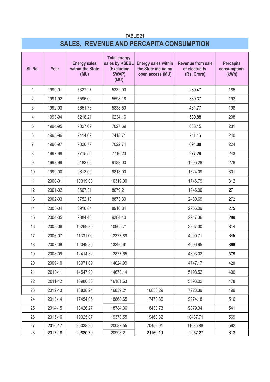### **TABLE 21 SALES, REVENUE AND PERCAPITA CONSUMPTION**

| SI. No.        | Year    | <b>Energy sales</b><br>within the State<br>(MU) | <b>Total energy</b><br>sales by KSEBL<br>(Excluding<br>SWAP)<br>(MU) | <b>Energy sales within</b><br>the State including<br>open access (MU) | <b>Revenue from sale</b><br>of electricity<br>(Rs. Crore) | Percapita<br>consumption<br>(kWh) |
|----------------|---------|-------------------------------------------------|----------------------------------------------------------------------|-----------------------------------------------------------------------|-----------------------------------------------------------|-----------------------------------|
| $\mathbf{1}$   | 1990-91 | 5327.27                                         | 5332.00                                                              |                                                                       | 280.47                                                    | 185                               |
| $\overline{2}$ | 1991-92 | 5596.00                                         | 5598.18                                                              |                                                                       | 330.37                                                    | 192                               |
| 3              | 1992-93 | 5651.73                                         | 5838.50                                                              |                                                                       | 431.77                                                    | 198                               |
| $\overline{4}$ | 1993-94 | 6218.21                                         | 6234.16                                                              |                                                                       | 530.88                                                    | 208                               |
| 5              | 1994-95 | 7027.69                                         | 7027.69                                                              |                                                                       | 633.15                                                    | 231                               |
| 6              | 1995-96 | 7414.62                                         | 7418.71                                                              |                                                                       | 711.16                                                    | 240                               |
| $\overline{7}$ | 1996-97 | 7020.77                                         | 7022.74                                                              |                                                                       | 691.88                                                    | 224                               |
| 8              | 1997-98 | 7715.50                                         | 7716.23                                                              |                                                                       | 977.29                                                    | 243                               |
| $9\,$          | 1998-99 | 9183.00                                         | 9183.00                                                              |                                                                       | 1205.28                                                   | 278                               |
| 10             | 1999-00 | 9813.00                                         | 9813.00                                                              |                                                                       | 1624.09                                                   | 301                               |
| 11             | 2000-01 | 10319.00                                        | 10319.00                                                             |                                                                       | 1746.79                                                   | 312                               |
| 12             | 2001-02 | 8667.31                                         | 8679.21                                                              |                                                                       | 1946.00                                                   | 271                               |
| 13             | 2002-03 | 8752.10                                         | 8873.30                                                              |                                                                       | 2480.69                                                   | 272                               |
| 14             | 2003-04 | 8910.84                                         | 8910.84                                                              |                                                                       | 2756.09                                                   | 275                               |
| 15             | 2004-05 | 9384.40                                         | 9384.40                                                              |                                                                       | 2917.36                                                   | 289                               |
| 16             | 2005-06 | 10269.80                                        | 10905.71                                                             |                                                                       | 3367.30                                                   | 314                               |
| 17             | 2006-07 | 11331.00                                        | 12377.89                                                             |                                                                       | 4009.71                                                   | 345                               |
| 18             | 2007-08 | 12049.85                                        | 13396.61                                                             |                                                                       | 4696.95                                                   | 366                               |
| 19             | 2008-09 | 12414.32                                        | 12877.65                                                             |                                                                       | 4893.02                                                   | 375                               |
| 20             | 2009-10 | 13971.09                                        | 14024.99                                                             |                                                                       | 4747.17                                                   | 420                               |
| 21             | 2010-11 | 14547.90                                        | 14678.14                                                             |                                                                       | 5198.52                                                   | 436                               |
| 22             | 2011-12 | 15980.53                                        | 16181.63                                                             |                                                                       | 5593.02                                                   | 478                               |
| 23             | 2012-13 | 16838.24                                        | 16839.21                                                             | 16838.29                                                              | 7223.39                                                   | 499                               |
| 24             | 2013-14 | 17454.05                                        | 18868.65                                                             | 17470.86                                                              | 9974.18                                                   | 516                               |
| 25             | 2014-15 | 18426.27                                        | 18784.36                                                             | 18430.73                                                              | 9879.34                                                   | 541                               |
| 26             | 2015-16 | 19325.07                                        | 19378.55                                                             | 19460.32                                                              | 10487.71                                                  | 569                               |
| 27             | 2016-17 | 20038.25                                        | 20087.55                                                             | 20452.91                                                              | 11035.88                                                  | 592                               |
| 28             | 2017-18 | 20880.70                                        | 20998.21                                                             | 21159.19                                                              | 12057.27                                                  | 613                               |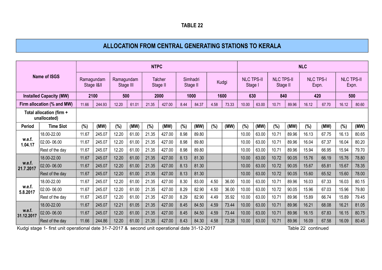### **ALLOCATION FROM CENTRAL GENERATING STATIONS TO KERALA**

|                      |                                          |            |            |                         |       | <b>NTPC</b> |                     |                      |       |       |       |                              |       |                               |       | <b>NLC</b>       |       |                            |       |
|----------------------|------------------------------------------|------------|------------|-------------------------|-------|-------------|---------------------|----------------------|-------|-------|-------|------------------------------|-------|-------------------------------|-------|------------------|-------|----------------------------|-------|
|                      | <b>Name of ISGS</b>                      | Ramagundam | Stage I&II | Ramagundam<br>Stage III |       |             | Talcher<br>Stage II | Simhadri<br>Stage II |       | Kudgi |       | <b>NLC TPS-II</b><br>Stage I |       | <b>NLC TPS-II</b><br>Stage II |       | <b>NLC TPS-I</b> | Expn. | <b>NLC TPS-II</b><br>Expn. |       |
|                      | <b>Installed Capacity (MW)</b>           |            | 2100       | 500                     |       |             | 2000                | 1000                 |       | 1600  |       | 630                          |       | 840                           |       | 420              |       | 500                        |       |
|                      | Firm allocation (% and MW)               | 11.66      | 244.93     | 12.20                   | 61.01 | 21.35       | 427.00              | 8.44                 | 84.37 | 4.58  | 73.33 | 10.00                        | 63.00 | 10.71                         | 89.96 | 16.12            | 67.70 | 16.12                      | 80.60 |
|                      | Total allocation (firm +<br>unallocated) |            |            |                         |       |             |                     |                      |       |       |       |                              |       |                               |       |                  |       |                            |       |
| <b>Period</b>        | <b>Time Slot</b>                         | (%)        | (MW)       | (%)                     | (MW)  | (%)         | (MW)                | (%)                  | (MW)  | (%)   | (MW)  | (%)                          | (MW)  | (%)                           | (MW)  | (%)              | (MW)  | (%)                        | (MW)  |
|                      | 18.00-22.00                              | 11.67      | 245.07     | 12.20                   | 61.00 | 21.35       | 427.00              | 8.98                 | 89.80 |       |       | 10.00                        | 63.00 | 10.71                         | 89.96 | 16.13            | 67.75 | 16.13                      | 80.65 |
| w.e.f.<br>1.04.17    | 02.00-06.00                              | 11.67      | 245.07     | 12.20                   | 61.00 | 21.35       | 427.00              | 8.98                 | 89.80 |       |       | 10.00                        | 63.00 | 10.71                         | 89.96 | 16.04            | 67.37 | 16.04                      | 80.20 |
|                      | Rest of the day                          | 11.67      | 245.07     | 12.20                   | 61.00 | 21.35       | 427.00              | 8.98                 | 89.80 |       |       | 10.00                        | 63.00 | 10.71                         | 89.96 | 15.94            | 66.95 | 15.94                      | 79.70 |
|                      | 18.00-22.00                              | 11.67      | 245.07     | 12.20                   | 61.00 | 21.35       | 427.00              | 8.13                 | 81.30 |       |       | 10.00                        | 63.00 | 10.72                         | 90.05 | 15.76            | 66.19 | 15.76                      | 78.80 |
| w.e.f.<br>21.7.2017  | 02.00-06.00                              | 11.67      | 245.07     | 12.20                   | 61.00 | 21.35       | 427.00              | 8.13                 | 81.30 |       |       | 10.00                        | 63.00 | 10.72                         | 90.05 | 15.67            | 65.81 | 15.67                      | 78.35 |
|                      | Rest of the day                          | 11.67      | 245.07     | 12.20                   | 61.00 | 21.35       | 427.00              | 8.13                 | 81.30 |       |       | 10.00                        | 63.00 | 10.72                         | 90.05 | 15.60            | 65.52 | 15.60                      | 78.00 |
|                      | 18.00-22.00                              | 11.67      | 245.07     | 12.20                   | 61.00 | 21.35       | 427.00              | 8.30                 | 83.00 | 4.50  | 36.00 | 10.00                        | 63.00 | 10.71                         | 89.96 | 16.03            | 67.33 | 16.03                      | 80.15 |
| w.e.f.<br>5.8.2017   | 02.00-06.00                              | 11.67      | 245.07     | 12.20                   | 61.00 | 21.35       | 427.00              | 8.29                 | 82.90 | 4.50  | 36.00 | 10.00                        | 63.00 | 10.72                         | 90.05 | 15.96            | 67.03 | 15.96                      | 79.80 |
|                      | Rest of the day                          | 11.67      | 245.07     | 12.20                   | 61.00 | 21.35       | 427.00              | 8.29                 | 82.90 | 4.49  | 35.92 | 10.00                        | 63.00 | 10.71                         | 89.96 | 15.89            | 66.74 | 15.89                      | 79.45 |
|                      | 18.00-22.00                              | 11.67      | 245.07     | 12.21                   | 61.05 | 21.35       | 427.00              | 8.45                 | 84.50 | 4.59  | 73.44 | 10.00                        | 63.00 | 10.71                         | 89.96 | 16.21            | 68.08 | 16.21                      | 81.05 |
| w.e.f.<br>31.12.2017 | 02.00-06.00                              | 11.67      | 245.07     | 12.20                   | 61.00 | 21.35       | 427.00              | 8.45                 | 84.50 | 4.59  | 73.44 | 10.00                        | 63.00 | 10.71                         | 89.96 | 16.15            | 67.83 | 16.15                      | 80.75 |
|                      | Rest of the day                          | 11.66      | 244.86     | 12.20                   | 61.00 | 21.35       | 427.00              | 8.43                 | 84.30 | 4.58  | 73.28 | 10.00                        | 63.00 | 10.71                         | 89.96 | 16.09            | 67.58 | 16.09                      | 80.45 |

Kudgi stage 1- first unit operational date 31-7-2017 & second unit operational date 31-12-2017 Table 22 continued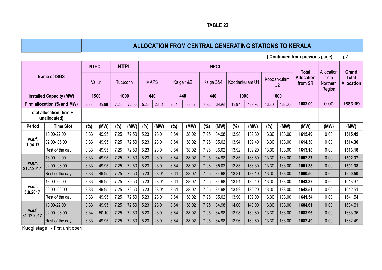## **ALLOCATION FROM CENTRAL GENERATING STATIONS TO KERALA ALLOCATION FROM CENTRAL GENERATING STATIONS TO KERALA**

 **( Continued from previous page) p2**

|                      |                                          | <b>NTECL</b> |        | <b>NTPL</b> |       |      |             |      |           |           | <b>NPCL</b> |                |        |             |                | <b>Total</b>                 | Allocation                 | <b>Grand</b>                      |
|----------------------|------------------------------------------|--------------|--------|-------------|-------|------|-------------|------|-----------|-----------|-------------|----------------|--------|-------------|----------------|------------------------------|----------------------------|-----------------------------------|
|                      | <b>Name of ISGS</b>                      |              | Vallur | Tutucorin   |       |      | <b>MAPS</b> |      | Kaiga 1&2 | Kaiga 3&4 |             | Koodankulam U1 |        | Koodankulam | U <sub>2</sub> | <b>Allocation</b><br>from SR | from<br>Northern<br>Region | <b>Total</b><br><b>Allocation</b> |
|                      | <b>Installed Capacity (MW)</b>           | 1500         |        | 1000        |       | 440  |             |      | 440       | 440       |             | 1000           |        |             | 1000           |                              |                            |                                   |
|                      | Firm allocation (% and MW)               | 3.33         | 49.98  | 7.25        | 72.50 | 5.23 | 23.01       | 8.64 | 38.02     | 7.95      | 34.98       | 13.97          | 139.70 | 13.30       | 133.00         | 1683.09                      | 0.00                       | 1683.09                           |
|                      | Total allocation (firm +<br>unallocated) |              |        |             |       |      |             |      |           |           |             |                |        |             |                |                              |                            |                                   |
| <b>Period</b>        | <b>Time Slot</b>                         | (%)          | (MW)   | $(\%)$      | (MW)  | (%)  | (MW)        | (%)  | (MW)      | (%)       | (MW)        | (%)            | (MW)   | (%)         | (MW)           | (MW)                         | (MW)                       | (MW)                              |
|                      | 18.00-22.00                              | 3.33         | 49.95  | 7.25        | 72.50 | 5.23 | 23.01       | 8.64 | 38.02     | 7.95      | 34.98       | 13.98          | 139.80 | 13.30       | 133.00         | 1615.49                      | 0.00                       | 1615.49                           |
| w.e.f.<br>1.04.17    | 02.00-06.00                              | 3.33         | 49.95  | 7.25        | 72.50 | 5.23 | 23.01       | 8.64 | 38.02     | 7.96      | 35.02       | 13.94          | 139.40 | 13.30       | 133.00         | 1614.30                      | 0.00                       | 1614.30                           |
|                      | Rest of the day                          | 3.33         | 49.95  | 7.25        | 72.50 | 5.23 | 23.01       | 8.64 | 38.02     | 7.96      | 35.02       | 13.92          | 139.20 | 13.30       | 133.00         | 1613.18                      | 0.00                       | 1613.18                           |
|                      | 18.00-22.00                              | 3.33         | 49.95  | 7.25        | 72.50 | 5.23 | 23.01       | 8.64 | 38.02     | 7.95      | 34.98       | 13.85          | 138.50 | 13.30       | 133.00         | 1602.37                      | 0.00                       | 1602.37                           |
| w.e.f.<br>21.7.2017  | 02.00-06.00                              | 3.33         | 49.95  | 7.25        | 72.50 | 5.23 | 23.01       | 8.64 | 38.02     | 7.96      | 35.02       | 13.83          | 138.30 | 13.30       | 133.00         | 1601.38                      | 0.00                       | 1601.38                           |
|                      | Rest of the day                          | 3.33         | 49.95  | 7.25        | 72.50 | 5.23 | 23.01       | 8.64 | 38.02     | 7.95      | 34.98       | 13.81          | 138.10 | 13.30       | 133.00         | 1600.50                      | 0.00                       | 1600.50                           |
|                      | 18.00-22.00                              | 3.33         | 49.95  | 7.25        | 72.50 | 5.23 | 23.01       | 8.64 | 38.02     | 7.95      | 34.98       | 13.94          | 139.40 | 13.30       | 133.00         | 1643.37                      | 0.00                       | 1643.37                           |
| w.e.f.               | 02.00-06.00                              | 3.33         | 49.95  | 7.25        | 72.50 | 5.23 | 23.01       | 8.64 | 38.02     | 7.95      | 34.98       | 13.92          | 139.20 | 13.30       | 133.00         | 1642.51                      | 0.00                       | 1642.51                           |
| 5.8.2017             | Rest of the day                          | 3.33         | 49.95  | 7.25        | 72.50 | 5.23 | 23.01       | 8.64 | 38.02     | 7.96      | 35.02       | 13.90          | 139.00 | 13.30       | 133.00         | 1641.54                      | 0.00                       | 1641.54                           |
|                      | 18.00-22.00                              | 3.33         | 49.95  | 7.25        | 72.50 | 5.23 | 23.01       | 8.64 | 38.02     | 7.95      | 34.98       | 14.00          | 140.00 | 13.30       | 133.00         | 1684.61                      | 0.00                       | 1684.61                           |
| w.e.f.<br>31.12.2017 | 02.00-06.00                              | 3.34         | 50.10  | 7.25        | 72.50 | 5.23 | 23.01       | 8.64 | 38.02     | 7.95      | 34.98       | 13.98          | 139.80 | 13.30       | 133.00         | 1683.96                      | 0.00                       | 1683.96                           |
|                      | Rest of the day                          | 3.33         | 49.95  | 7.25        | 72.50 | 5.23 | 23.01       | 8.64 | 38.02     | 7.95      | 34.98       | 13.96          | 139.60 | 13.30       | 133.00         | 1682.49                      | 0.00                       | 1682.49                           |

Kudgi stage 1- first unit operational date

**TABLE 22 TABLE 22**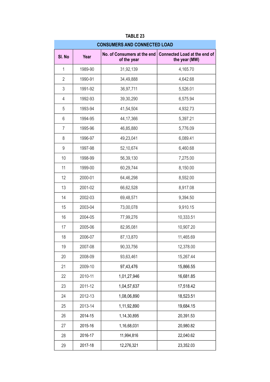|                |         | <b>CONSUMERS AND CONNECTED LOAD</b> |                                                                             |
|----------------|---------|-------------------------------------|-----------------------------------------------------------------------------|
| SI. No         | Year    | of the year                         | No. of Consumers at the end   Connected Load at the end of<br>the year (MW) |
| 1              | 1989-90 | 31,92,139                           | 4,165.70                                                                    |
| $\overline{2}$ | 1990-91 | 34,49,888                           | 4,642.68                                                                    |
| 3              | 1991-92 | 36,97,711                           | 5,526.01                                                                    |
| 4              | 1992-93 | 39,30,290                           | 6,575.94                                                                    |
| 5              | 1993-94 | 41,54,504                           | 4,932.73                                                                    |
| 6              | 1994-95 | 44, 17, 366                         | 5,397.21                                                                    |
| 7              | 1995-96 | 46,85,880                           | 5,776.09                                                                    |
| 8              | 1996-97 | 49,23,041                           | 6,089.41                                                                    |
| 9              | 1997-98 | 52,10,674                           | 6,460.68                                                                    |
| 10             | 1998-99 | 56,39,130                           | 7,275.00                                                                    |
| 11             | 1999-00 | 60,29,744                           | 8,150.00                                                                    |
| 12             | 2000-01 | 64,46,298                           | 8,552.00                                                                    |
| 13             | 2001-02 | 66,62,528                           | 8,917.08                                                                    |
| 14             | 2002-03 | 69,48,571                           | 9,394.50                                                                    |
| 15             | 2003-04 | 73,00,078                           | 9,910.15                                                                    |
| 16             | 2004-05 | 77,99,276                           | 10,333.51                                                                   |
| 17             | 2005-06 | 82,95,081                           | 10,907.20                                                                   |
| 18             | 2006-07 | 87,13,870                           | 11,465.69                                                                   |
| 19             | 2007-08 | 90,33,756                           | 12,378.00                                                                   |
| 20             | 2008-09 | 93,63,461                           | 15,267.44                                                                   |
| 21             | 2009-10 | 97,43,476                           | 15,866.55                                                                   |
| 22             | 2010-11 | 1,01,27,946                         | 16,681.85                                                                   |
| 23             | 2011-12 | 1,04,57,637                         | 17,518.42                                                                   |
| 24             | 2012-13 | 1,08,06,890                         | 18,523.51                                                                   |
| 25             | 2013-14 | 1,11,92,890                         | 19,684.15                                                                   |
| 26             | 2014-15 | 1,14,30,895                         | 20,391.53                                                                   |
| 27             | 2015-16 | 1,16,68,031                         | 20,980.82                                                                   |
| 28             | 2016-17 | 11,994,816                          | 22,040.62                                                                   |
| 29             | 2017-18 | 12,276,321                          | 23,352.03                                                                   |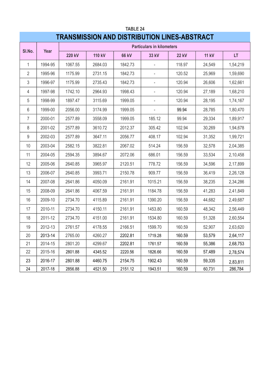## **TABLE 24 TRANSMISSION AND DISTRIBUTION LINES-ABSTRACT**

|                | Year    |               |         |              | <b>Particulars in kilometers</b> |              |              |          |
|----------------|---------|---------------|---------|--------------|----------------------------------|--------------|--------------|----------|
| SI.No.         |         | <b>220 kV</b> | 110 kV  | <b>66 kV</b> | 33 kV                            | <b>22 kV</b> | <b>11 kV</b> | LT.      |
| 1              | 1994-95 | 1067.55       | 2684.03 | 1842.73      |                                  | 118.97       | 24,549       | 1,54,219 |
| $\overline{2}$ | 1995-96 | 1175.99       | 2731.15 | 1842.73      |                                  | 120.52       | 25,969       | 1,59,690 |
| 3              | 1996-97 | 1175.99       | 2735.43 | 1842.73      |                                  | 120.94       | 26,606       | 1,62,661 |
| $\overline{4}$ | 1997-98 | 1742.10       | 2964.93 | 1998.43      |                                  | 120.94       | 27,189       | 1,68,210 |
| 5              | 1998-99 | 1897.47       | 3115.69 | 1999.05      | $\overline{\phantom{a}}$         | 120.94       | 28,195       | 1,74,167 |
| 6              | 1999-00 | 2056.00       | 3174.99 | 1999.05      | $\overline{\phantom{a}}$         | 99.94        | 28,785       | 1,80,470 |
| $\overline{7}$ | 2000-01 | 2577.89       | 3558.09 | 1999.05      | 185.12                           | 99.94        | 29,334       | 1,89,917 |
| 8              | 2001-02 | 2577.89       | 3610.72 | 2012.37      | 305.42                           | 102.94       | 30,269       | 1,94,678 |
| $9\,$          | 2002-03 | 2577.89       | 3647.11 | 2056.77      | 408.17                           | 102.94       | 31,352       | 1,99,721 |
| 10             | 2003-04 | 2582.15       | 3822.81 | 2067.02      | 514.24                           | 156.59       | 32,578       | 2,04,385 |
| 11             | 2004-05 | 2594.35       | 3894.67 | 2072.06      | 686.01                           | 156.59       | 33,534       | 2,10,458 |
| 12             | 2005-06 | 2640.85       | 3965.97 | 2120.51      | 778.72                           | 156.59       | 34,596       | 2,17,899 |
| 13             | 2006-07 | 2640.85       | 3993.71 | 2150.78      | 909.77                           | 156.59       | 36,419       | 2,26,128 |
| 14             | 2007-08 | 2641.86       | 4050.09 | 2161.91      | 1015.21                          | 156.59       | 38,235       | 2,34,286 |
| 15             | 2008-09 | 2641.86       | 4067.59 | 2161.91      | 1184.78                          | 156.59       | 41,283       | 2,41,849 |
| 16             | 2009-10 | 2734.70       | 4115.89 | 2161.91      | 1390.20                          | 156.59       | 44,682       | 2,49,687 |
| 17             | 2010-11 | 2734.70       | 4150.11 | 2161.91      | 1453.80                          | 160.59       | 48,342       | 2,56,449 |
| 18             | 2011-12 | 2734.70       | 4151.00 | 2161.91      | 1534.80                          | 160.59       | 51,328       | 2,60,554 |
| 19             | 2012-13 | 2761.57       | 4178.55 | 2166.51      | 1599.70                          | 160.59       | 52,907       | 2,63,620 |
| 20             | 2013-14 | 2765.00       | 4260.27 | 2202.81      | 1719.28                          | 160.59       | 53,579       | 2,64,117 |
| 21             | 2014-15 | 2801.20       | 4299.67 | 2202.81      | 1761.57                          | 160.59       | 55,386       | 2,68,753 |
| 22             | 2015-16 | 2801.88       | 4345.52 | 2220.56      | 1826.66                          | 160.59       | 57,489       | 2,78,574 |
| 23             | 2016-17 | 2801.88       | 4460.75 | 2154.75      | 1902.43                          | 160.59       | 59,335       | 2,83,811 |
| 24             | 2017-18 | 2856.88       | 4521.50 | 2151.12      | 1943.51                          | 160.59       | 60,731       | 286,784  |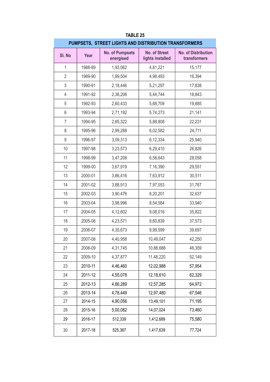|                  |         | PUMPSETS, STREET LIGHTS AND DISTRIBUTION TRANSFORMERS |                                          |                                            |
|------------------|---------|-------------------------------------------------------|------------------------------------------|--------------------------------------------|
| SI. No           | Year    | <b>No. of Pumpsets</b><br>energised                   | <b>No. of Street</b><br>lights installed | <b>No. of Distribution</b><br>transformers |
| 1                | 1988-89 | 1,93,062                                              | 4,81,221                                 | 15,177                                     |
| $\overline{2}$   | 1989-90 | 1,99,504                                              | 4,98,493                                 | 16,394                                     |
| 3                | 1990-91 | 2,18,446                                              | 5,21,297                                 | 17,838                                     |
| $\overline{4}$   | 1991-92 | 2,38,206                                              | 5,44,744                                 | 18,843                                     |
| 5                | 1992-93 | 2,60,433                                              | 5,68,709                                 | 19,885                                     |
| 6                | 1993-94 | 2,71,192                                              | 5,74,273                                 | 21,141                                     |
| $\overline{7}$   | 1994-95 | 2,85,322                                              | 5,88,808                                 | 22,231                                     |
| 8                | 1995-96 | 2,99,288                                              | 6,02,582                                 | 24,711                                     |
| $\boldsymbol{9}$ | 1996-97 | 3,09,313                                              | 6,12,334                                 | 25,940                                     |
| 10               | 1997-98 | 3,23,573                                              | 6,29,410                                 | 26,826                                     |
| 11               | 1998-99 | 3,47,208                                              | 6,58,643                                 | 28,058                                     |
| 12               | 1999-00 | 3,67,919                                              | 7,16,390                                 | 29,551                                     |
| 13               | 2000-01 | 3,86,416                                              | 7,63,912                                 | 30,511                                     |
| 14               | 2001-02 | 3,88,913                                              | 7,97,053                                 | 31,767                                     |
| 15               | 2002-03 | 3,90,476                                              | 8,20,201                                 | 32,637                                     |
| 16               | 2003-04 | 3,98,996                                              | 8,54,584                                 | 33,940                                     |
| 17               | 2004-05 | 4,12,602                                              | 9,08,016                                 | 35,822                                     |
| 18               | 2005-06 | 4,23,571                                              | 9,60,839                                 | 37,573                                     |
| 19               | 2006-07 | 4,35,673                                              | 9,99,599                                 | 39,697                                     |
| 20               | 2007-08 | 4,40,958                                              | 10,49,047                                | 42,250                                     |
| 21               | 2008-09 | 4,31,745                                              | 10,86,688                                | 46,359                                     |
| 22               | 2009-10 | 4,37,877                                              | 11,48,220                                | 52,149                                     |
| 23               | 2010-11 | 4,46,460                                              | 12,02,988                                | 57,954                                     |
| 24               | 2011-12 | 4,55,078                                              | 12,18,610                                | 62,329                                     |
| 25               | 2012-13 | 4,66,289                                              | 12,57,285                                | 64,972                                     |
| 26               | 2013-14 | 4,78,449                                              | 12,97,480                                | 67,546                                     |
| 27               | 2014-15 | 4,90,056                                              | 13,49,101                                | 71,195                                     |
| 28               | 2015-16 | 5,00,082                                              | 14,07,024                                | 73,460                                     |
| 29               | 2016-17 | 512,339                                               | 1,412,689                                | 75,580                                     |
| 30               | 2017-18 | 525,367                                               | 1,417,639                                | 77,724                                     |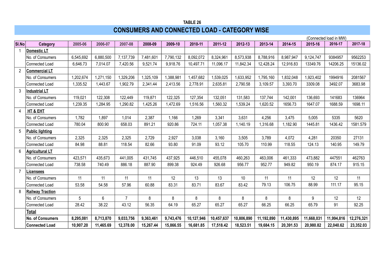## **CONSUMERS AND CONNECTED LOAD - CATEGORY WISE**

|                |                         |           |           |                |           |           |            |            |            |            |            |            | (Connected load in MW) |            |
|----------------|-------------------------|-----------|-----------|----------------|-----------|-----------|------------|------------|------------|------------|------------|------------|------------------------|------------|
| SI.No          | Category                | 2005-06   | 2006-07   | 2007-08        | 2008-09   | 2009-10   | 2010-11    | 2011-12    | 2012-13    | 2013-14    | 2014-15    | 2015-16    | 2016-17                | 2017-18    |
| $\mathbf{1}$   | Domestic LT             |           |           |                |           |           |            |            |            |            |            |            |                        |            |
|                | No. of Consumers        | 6,545,692 | 6,880,500 | 7,137,739      | 7,481,601 | 7,790,132 | 8,092,072  | 8,324,961  | 8,573,938  | 8,788,916  | 8,987,947  | 9,124,747  | 9384957                | 9562253    |
|                | Connected Load          | 6,646.73  | 7,014.07  | 7,420.56       | 9,521.74  | 9,918.76  | 10,497.71  | 11,096.17  | 11,842.34  | 12,428.24  | 12,916.83  | 13349.76   | 14206.25               | 15136.02   |
| $\overline{2}$ | <b>Commercial LT</b>    |           |           |                |           |           |            |            |            |            |            |            |                        |            |
|                | No. of Consumers        | 1,202,674 | 1,271,150 | 1,329,206      | 1,325,109 | 1,388,981 | 1,457,682  | 1,539,025  | 1,633,952  | 1,795,160  | 1,832,048  | 1,923,402  | 1994916                | 2081567    |
|                | Connected Load          | 1,335.52  | 1,443.67  | 1,902.79       | 2,341.44  | 2,413.56  | 2,778.91   | 2,635.81   | 2,790.58   | 3,109.57   | 3,393.70   | 3309.08    | 3492.07                | 3683.98    |
| 3              | <b>Industrial LT</b>    |           |           |                |           |           |            |            |            |            |            |            |                        |            |
|                | No. of Consumers        | 119,021   | 122,308   | 122,449        | 119,871   | 122,325   | 127,354    | 132,051    | 131,583    | 137,744    | 142,001    | 136,693    | 141683                 | 136964     |
|                | Connected Load          | 1,239.35  | 1,284.95  | 1,290.82       | 1,425.26  | 1,472.69  | 1,516.56   | 1,560.32   | 1,539.24   | 1,620.52   | 1656.73    | 1647.07    | 1688.59                | 1698.11    |
| 4              | HT & EHT                |           |           |                |           |           |            |            |            |            |            |            |                        |            |
|                | No. of Consumers        | 1,782     | 1,897     | 1,014          | 2,387     | 1,166     | 1,269      | 3,341      | 3,631      | 4,256      | 3,475      | 5,005      | 5335                   | 5620       |
|                | Connected Load          | 780.04    | 800.90    | 658.03         | 891.21    | 920.86    | 724.11     | 1,057.38   | 1,140.19   | 1,316.68   | 1,182.90   | 1445.81    | 1436.42                | 1581.579   |
| 5              | <b>Public lighting</b>  |           |           |                |           |           |            |            |            |            |            |            |                        |            |
|                | No. of Consumers        | 2,325     | 2,325     | 2,325          | 2,729     | 2,927     | 3,038      | 3,160      | 3,505      | 3,789      | 4,072      | 4,281      | 20350                  | 27131      |
|                | Connected Load          | 84.98     | 88.81     | 118.54         | 82.66     | 93.80     | 91.09      | 93.12      | 105.70     | 110.99     | 118.55     | 124.13     | 140.95                 | 149.79     |
| 6              | <b>Agricultural LT</b>  |           |           |                |           |           |            |            |            |            |            |            |                        |            |
|                | No. of Consumers        | 423,571   | 435,673   | 441,005        | 431,745   | 437,925   | 446,510    | 455,078    | 460,263    | 463,006    | 461,333    | 473,882    | 447551                 | 462763     |
|                | Connected Load          | 738.58    | 740.49    | 886.18         | 887.90    | 899.38    | 924.49     | 926.68     | 956.77     | 952.77     | 949.82     | 950.19     | 874.17                 | 915.15     |
| $\overline{7}$ | Licensees               |           |           |                |           |           |            |            |            |            |            |            |                        |            |
|                | No. of Consumers        | 11        | 11        | 11             | 11        | 12        | 13         | 13         | 10         | 11         | 11         | 12         | 12                     | 11         |
|                | Connected Load          | 53.58     | 54.58     | 57.96          | 60.88     | 83.31     | 83.71      | 83.67      | 83.42      | 79.13      | 106.75     | 88.99      | 111.17                 | 95.15      |
| 8              | <b>Railway Traction</b> |           |           |                |           |           |            |            |            |            |            |            |                        |            |
|                | No. of Consumers        | 5         | 6         | $\overline{7}$ | 8         | 8         | 8          | 8          | 8          | 8          | 8          | 9          | 12                     | 12         |
|                | Connected Load          | 28.42     | 38.22     | 43.12          | 56.35     | 64.19     | 65.27      | 65.27      | 65.27      | 66.25      | 66.25      | 65.79      | 91                     | 92.25      |
|                | Total                   |           |           |                |           |           |            |            |            |            |            |            |                        |            |
|                | <b>No. of Consumers</b> | 8,295,081 | 8,713,870 | 9,033,756      | 9,363,461 | 9,743,476 | 10,127,946 | 10,457,637 | 10,806,890 | 11,192,890 | 11,430,895 | 11,668,031 | 11,994,816             | 12,276,321 |
|                | <b>Connected Load</b>   | 10,907.20 | 11,465.69 | 12,378.00      | 15,267.44 | 15,866.55 | 16,681.85  | 17,518.42  | 18,523.51  | 19,684.15  | 20,391.53  | 20,980.82  | 22,040.62              | 23,352.03  |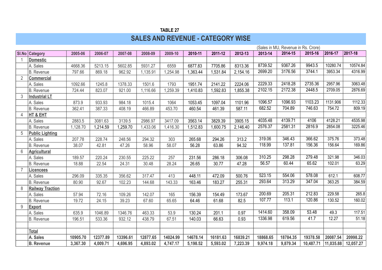## **TABLE 27 SALES AND REVENUE - CATEGORY WISE**

|                |                         |          |          |          |          |          |          |          |          |          | (Sales in MU, Revenue in Rs. Crore) |           |           |           |
|----------------|-------------------------|----------|----------|----------|----------|----------|----------|----------|----------|----------|-------------------------------------|-----------|-----------|-----------|
|                | <b>SI.No Category</b>   | 2005-06  | 2006-07  | 2007-08  | 2008-09  | 2009-10  | 2010-11  | 2011-12  | 2012-13  | 2013-14  | 2014-15                             | 2015-16   | 2016-17   | 2017-18   |
|                | <b>Domestic</b>         |          |          |          |          |          |          |          |          |          |                                     |           |           |           |
|                | A. Sales                | 4668.36  | 5213.15  | 5602.85  | 5931.27  | 6559     | 6877.83  | 7705.86  | 8313.36  | 8739.52  | 9367.26                             | 9943.5    | 10280.74  | 10574.84  |
|                | <b>B.</b> Revenue       | 797.66   | 869.18   | 962.92   | 1,135.91 | 1,254.98 | 1,363.44 | 1,531.84 | 2,154.16 | 2699.20  | 3176.56                             | 3744.1    | 3953.34   | 4316.99   |
| $\overline{2}$ | <b>Commercial</b>       |          |          |          |          |          |          |          |          |          |                                     |           |           |           |
|                | A. Sales                | 1092.66  | 1245.8   | 1378.33  | 1501.6   | 1793     | 1951.74  | 2141.22  | 2224.06  | 2229.33  | 2418.28                             | 2735.36   | 2957.96   | 3063.48   |
|                | <b>B.</b> Revenue       | 724.44   | 823.07   | 921.00   | 1,116.66 | 1,259.39 | 1,410.83 | 1,592.83 | 1,855.38 | 2102.15  | 2172.38                             | 2448.5    | 2709.05   | 2876.69   |
| 3              | <b>Industrial LT</b>    |          |          |          |          |          |          |          |          |          |                                     |           |           |           |
|                | A. Sales                | 873.9    | 933.93   | 984.18   | 1015.4   | 1064     | 1053.45  | 1097.04  | 1101.96  | 1096.57  | 1096.93                             | 1103.23   | 1131.906  | 1112.33   |
|                | <b>B.</b> Revenue       | 362.41   | 387.33   | 408.19   | 466.89   | 453.70   | 460.54   | 461.39   | 587.11   | 682.52   | 704.89                              | 746.63    | 754.72    | 809.19    |
| 4              | HT & EHT                |          |          |          |          |          |          |          |          |          |                                     |           |           |           |
|                | A. Sales                | 2883.5   | 3081.63  | 3139.5   | 2986.97  | 3417.09  | 3563.14  | 3829.39  | 3905.15  | 4035.48  | 4139.71                             | 4106      | 4128.21   | 4535.98   |
|                | <b>B.</b> Revenue       | 1,128.70 | 1,214.59 | 1,259.70 | 1,433.06 | 1,416.30 | 1,512.83 | 1,600.75 | 2,146.40 | 2576.37  | 2581.31                             | 2816.9    | 2854.08   | 3225.46   |
| 5              | <b>Public Lighting</b>  |          |          |          |          |          |          |          |          |          |                                     |           |           |           |
|                | A. Sales                | 207.78   | 228.74   | 248.56   | 294.32   | 303      | 265.68   | 294.26   | 313.2    | 319.06   | 346.43                              | 366.62    | 375.76    | 373.48    |
|                | <b>B.</b> Revenue       | 38.07    | 42.81    | 47.26    | 58.96    | 58.07    | 56.28    | 63.86    | 94.32    | 118.99   | 137.81                              | 156.36    | 156.64    | 169.86    |
| 6              | <b>Agricultural</b>     |          |          |          |          |          |          |          |          |          |                                     |           |           |           |
|                | A. Sales                | 189.57   | 220.24   | 230.55   | 225.22   | 257      | 231.56   | 286.18   | 306.08   | 310.25   | 298.28                              | 279.48    | 321.98    | 346.03    |
|                | <b>B.</b> Revenue       | 18.88    | 22.54    | 24.31    | 30.48    | 28.24    | 26.65    | 30.77    | 47.28    | 56.57    | 60.44                               | 65.62     | 102.01    | 63.29     |
| 7              | <b>Licencees</b>        |          |          |          |          |          |          |          |          |          |                                     |           |           |           |
|                | A. Sales                | 296.09   | 335.35   | 356.62   | 317.47   | 413      | 448.11   | 472.09   | 500.76   | 523.15   | 554.06                              | 578.08    | 612.1     | 608.77    |
|                | <b>B.</b> Revenue       | 80.90    | 92.67    | 102.23   | 144.68   | 143.33   | 163.46   | 183.27   | 255.31   | 293.64   | 313.29                              | 347.04    | 363.25    | 384.59    |
| 8              | <b>Railway Traction</b> |          |          |          |          |          |          |          |          |          |                                     |           |           |           |
|                | A. Sales                | 57.94    | 72.16    | 109.26   | 142.07   | 165      | 156.39   | 154.49   | 173.67   | 200.69   | 205.31                              | 212.83    | 229.58    | 265.8     |
|                | <b>B.</b> Revenue       | 19.72    | 24.15    | 39.23    | 67.60    | 65.65    | 64.46    | 61.68    | 82.5     | 107.77   | 113.1                               | 120.86    | 130.52    | 160.02    |
| 9              | <b>Export</b>           |          |          |          |          |          |          |          |          |          |                                     |           |           |           |
|                | A. Sales                | 635.9    | 1046.89  | 1346.76  | 463.33   | 53.9     | 130.24   | 201.1    | 0.97     | 1414.60  | 358.09                              | 53.48     | 49.3      | 117.51    |
|                | <b>B.</b> Revenue       | 196.51   | 533.36   | 932.12   | 438.79   | 67.51    | 140.03   | 66.63    | 0.93     | 1336.98  | 619.56                              | 41.7      | 12.27     | 51.18     |
|                |                         |          |          |          |          |          |          |          |          |          |                                     |           |           |           |
|                | Total                   |          |          |          |          |          |          |          |          |          |                                     |           |           |           |
|                | A. Sales                | 10905.70 | 12377.89 | 13396.61 | 12877.65 | 14024.99 | 14678.14 | 16181.63 | 16839.21 | 18868.65 | 18784.35                            | 19378.58  | 20087.54  | 20998.22  |
|                | <b>B.</b> Revenue       | 3,367.30 | 4,009.71 | 4,696.95 | 4,893.02 | 4,747.17 | 5,198.52 | 5,593.02 | 7,223.39 | 9,974.18 | 9,879.34                            | 10,487.71 | 11,035.88 | 12,057.27 |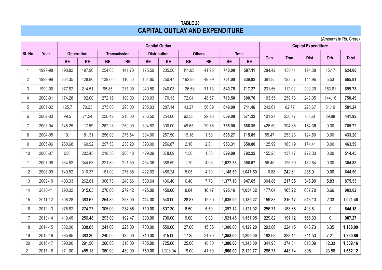### **TABLE 28 CAPITAL OUTLAY AND EXPENDITURE**

(Amounts in Rs. Crore)

|                |         |           |                   |           |                     |           | <b>Capital Outlay</b> |           |               |           |              |        |        | <b>Capital Expenditure</b> |        |              |
|----------------|---------|-----------|-------------------|-----------|---------------------|-----------|-----------------------|-----------|---------------|-----------|--------------|--------|--------|----------------------------|--------|--------------|
| SI. No         | Year    |           | <b>Generation</b> |           | <b>Transmission</b> |           | <b>Distribution</b>   |           | <b>Others</b> |           | <b>Total</b> | Gen.   | Tran.  | Dist.                      | Oth.   | <b>Total</b> |
|                |         | <b>BE</b> | <b>RE</b>         | <b>BE</b> | <b>RE</b>           | <b>BE</b> | <b>RE</b>             | <b>BE</b> | <b>RE</b>     | <b>BE</b> | <b>RE</b>    |        |        |                            |        |              |
|                | 1997-98 | 198.82    | 197.96            | 254.03    | 141.70              | 175.50    | 205.50                | 111.65    | 41.95         | 740.00    | 587.11       | 284.42 | 130.11 | 194.38                     | 15.17  | 624.08       |
| $\overline{2}$ | 1998-99 | 264.35    | 428.86            | 139.00    | 110.50              | 154.85    | 250.47                | 192.80    | 49.99         | 751.00    | 839.82       | 391.85 | 123.57 | 144.96                     | 5.53   | 665.91       |
| 3              | 1999-00 | 377.82    | 214.51            | 95.85     | 231.00              | 240.50    | 240.03                | 126.58    | 31.73         | 840.75    | 717.27       | 231.56 | 112.02 | 202.39                     | 153.81 | 699.78       |
| $\overline{4}$ | 2000-01 | 174.28    | 192.00            | 272.15    | 190.00              | 200.03    | 170.13                | 72.04     | 48.57         | 718.50    | 600.70       | 103.55 | 259.73 | 243.05                     | 144.16 | 750.49       |
| 5              | 2001-02 | 125.7     | 70.23             | 275.00    | 298.00              | 205.03    | 287.14                | 43.27     | 56.09         | 649.00    | 711.46       | 243.61 | 62.77  | 223.67                     | 51.19  | 581.24       |
| 6              | 2002-03 | 99.5      | 71.24             | 250.42    | 216.00              | 256.50    | 254.00                | 62.58     | 29.98         | 669.00    | 571.22       | 101.27 | 250.17 | 60.60                      | 29.88  | 441.92       |
| $\overline{7}$ | 2003-04 | 148.25    | 117.59            | 262.28    | 250.00              | 304.82    | 300.00                | 49.65     | 20.76         | 765.00    | 688.35       | 426.50 | 204.86 | 154.36                     | 0.00   | 785.72       |
| 8              | 2004-05 | 119.11    | 181.31            | 256.00    | 275.54              | 304.00    | 257.50                | 19.16     | 1.50          | 698.27    | 715.85       | 55.47  | 253.23 | 124.50                     | 0.00   | 433.20       |
| 9              | 2005-06 | 260.68    | 160.92            | 297.53    | 230.20              | 393.00    | 256.87                | 2.10      | 2.01          | 953.31    | 650.00       | 125.99 | 163.19 | 174.41                     | 0.00   | 463.59       |
| 10             | 2006-07 | 250       | 202.45            | 218.50    | 200.18              | 429.09    | 378.09                | 1.50      | 1.50          | 899.09    | 782.22       | 155.25 | 137.17 | 222.03                     | 0.00   | 514.45       |
| 11             | 2007-08 | 334.52    | 344.53            | 221.80    | 221.50              | 464.36    | 388.59                | 1.70      | 4.05          | 1,022.38  | 958.67       | 56.45  | 125.59 | 182.84                     | 0.00   | 364.88       |
| 12             | 2008-09 | 540.52    | 310.37            | 181.00    | 276.88              | 422.02    | 456.24                | 5.05      | 4.10          | 1,148.59  | 1,047.59     | 116.88 | 242.61 | 285.01                     | 0.00   | 644.50       |
| 13             | 2009-10 | 403.33    | 262.81            | 366.73    | 240.66              | 600.64    | 436.40                | 6.40      | 7.78          | 1,377.10  | 947.65       | 304.86 | 217.85 | 346.99                     | 5.83   | 875.53       |
| 14             | 2010-11 | 290.32    | 315.03            | 270.00    | 279.12              | 425.00    | 450.00                | 9.84      | 10.17         | 995.16    | 1,054.32     | 177.04 | 165.22 | 637.70                     | 3.66   | 983.62       |
| 15             | 2011-12 | 308.28    | 383.67            | 254.85    | 253.00              | 444.00    | 540.00                | 28.87     | 12.60         | 1,036.00  | 1,189.27     | 159.83 | 316.17 | 543.13                     | 2.33   | 1,021.46     |
| 16             | 2012-13 | 375.62    | 274.27            | 305.00    | 234.85              | 710.00    | 607.30                | 6.50      | 5.50          | 1,397.12  | 1,121.92     | 256.71 | 183.66 | 403.81                     | 0      | 844.18       |
| 17             | 2013-14 | 419.45    | 256.48            | 293.00    | 192.47              | 800.00    | 700.00                | 9.00      | 9.00          | 1,521.45  | 1,157.95     | 229.82 | 191.12 | 566.33                     | 0      | 987.27       |
| 18             | 2014-15 | 332.00    | 338.85            | 241.00    | 225.00              | 700.00    | 550.00                | 27.00     | 15.35         | 1,300.00  | 1,129.20     | 293.86 | 224.15 | 643.73                     | 6.35   | 1,168.09     |
| 19             | 2015-16 | 385.65    | 383.30            | 240.00    | 185.00              | 710.00    | 615.00                | 17.35     | 21.70         | 1,353.00  | 1,205.00     | 183.98 | 328.14 | 741.53                     | 7.21   | 1,260.86     |
| 20             | 2016-17 | 390.00    | 291.50            | 260.00    | 310.00              | 705.00    | 725.00                | 25.00     | 18.50         | 1,380.00  | 1,345.00     | 341.93 | 374.81 | 810.09                     | 12.33  | 1,539.16     |
| 21             | 2017-18 | 371.00    | 455.13            | 360.00    | 430.00              | 750.00    | 1,203.04              | 19.00     | 41.60         | 1,500.00  | 2,129.77     | 286.71 | 443.74 | 898.11                     | 23.56  | 1,652.12     |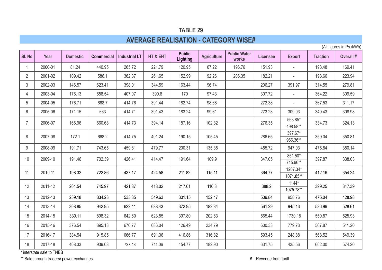# **AVERAGE REALISATION - CATEGORY WISE#**

(All figures in Ps./kWh)

| SI. No         | Year    | <b>Domestic</b> | <b>Commercial</b> | <b>Industrial LT</b> | HT & EHT | <b>Public</b><br>Lighting | <b>Agriculture</b> | <b>Public Water</b><br>works | <b>Licensee</b> | <b>Export</b>         | <b>Traction</b> | <b>Overall #</b> |
|----------------|---------|-----------------|-------------------|----------------------|----------|---------------------------|--------------------|------------------------------|-----------------|-----------------------|-----------------|------------------|
|                | 2000-01 | 81.24           | 440.95            | 265.72               | 221.79   | 120.95                    | 67.22              | 196.76                       | 151.93          |                       | 198.48          | 169.41           |
| $\overline{2}$ | 2001-02 | 109.42          | 586.1             | 362.37               | 261.65   | 152.99                    | 92.26              | 206.35                       | 182.21          | $\blacksquare$        | 198.66          | 223.94           |
| 3              | 2002-03 | 146.57          | 623.41            | 398.01               | 344.59   | 163.44                    | 96.74              |                              | 206.27          | 391.97                | 314.55          | 279.81           |
| 4              | 2003-04 | 176.13          | 658.54            | 407.07               | 390.8    | 170                       | 97.43              |                              | 307.72          | $\blacksquare$        | 364.22          | 309.59           |
| 5              | 2004-05 | 176.71          | 668.7             | 414.76               | 391.44   | 182.74                    | 98.68              |                              | 272.38          | $\blacksquare$        | 367.53          | 311.17           |
| 6              | 2005-06 | 171.15          | 663               | 414.71               | 391.43   | 183.24                    | 99.61              |                              | 273.23          | 309.03                | 340.43          | 308.98           |
|                | 2006-07 | 166.96          | 660.68            | 414.73               | 394.14   | 187.16                    | 102.32             |                              | 276.35          | 563.85*               | 334.73          | 324.13           |
|                |         |                 |                   |                      |          |                           |                    |                              |                 | 498.58**<br>397.67*   |                 |                  |
| 8              | 2007-08 | 172.1           | 668.2             | 414.75               | 401.24   | 190.15                    | 105.45             |                              | 286.65          | 966.36**              | 359.04          | 350.81           |
| 9              | 2008-09 | 191.71          | 743.65            | 459.81               | 479.77   | 200.31                    | 135.35             |                              | 455.72          | 947.03                | 475.84          | 380.14           |
| 10             | 2009-10 | 191.46          | 702.39            | 426.41               | 414.47   | 191.64                    | 109.9              |                              | 347.05          | 851.50*               | 397.87          | 338.03           |
|                |         |                 |                   |                      |          |                           |                    |                              |                 | 715.96**              |                 |                  |
| 11             | 2010-11 | 198.32          | 722.86            | 437.17               | 424.58   | 211.82                    | 115.11             |                              | 364.77          | 1207.34*<br>1071.85** | 412.16          | 354.24           |
|                |         |                 |                   |                      |          |                           |                    |                              |                 | $1144*$               |                 |                  |
| 12             | 2011-12 | 201.54          | 745.97            | 421.87               | 418.02   | 217.01                    | 110.3              |                              | 388.2           | 1075.78**             | 399.25          | 347.39           |
| 13             | 2012-13 | 259.18          | 834.23            | 533.35               | 549.63   | 301.15                    | 152.47             |                              | 509.84          | 958.76                | 475.04          | 428.98           |
| 14             | 2013-14 | 308.85          | 942.95            | 622.41               | 638.43   | 372.95                    | 182.34             |                              | 561.29          | 945.13                | 536.99          | 528.61           |
| 15             | 2014-15 | 339.11          | 898.32            | 642.60               | 623.55   | 397.80                    | 202.63             |                              | 565.44          | 1730.18               | 550.87          | 525.93           |
| 16             | 2015-16 | 376.54          | 895.13            | 676.77               | 686.04   | 426.49                    | 234.79             |                              | 600.33          | 779.73                | 567.87          | 541.20           |
| 17             | 2016-17 | 384.54          | 915.85            | 666.77               | 691.36   | 416.86                    | 316.82             |                              | 593.45          | 248.88                | 568.52          | 549.39           |
| 18             | 2017-18 | 408.33          | 939.03            | 727.48               | 711.06   | 454.77                    | 182.90             |                              | 631.75          | 435.56                | 602.00          | 574.20           |

\* interstate sale to TNEB

\*\* Sale through traders/ power exchanges **All and Tariff** Sale through traders/ power exchanges **#** Revenue from tariff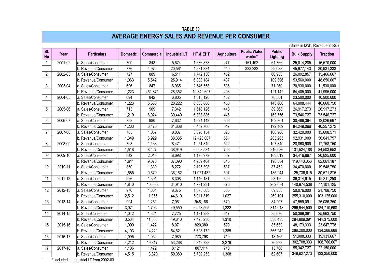#### **TABLE 30 AVERAGE ENERGY SALES AND REVENUE PER CONSUMER**

|                  |         |                     |                 |                   |                      |            |                    |                               |                           | (Sales in kWh, Revenue in Rs.) |                 |
|------------------|---------|---------------------|-----------------|-------------------|----------------------|------------|--------------------|-------------------------------|---------------------------|--------------------------------|-----------------|
| SI.<br><b>No</b> | Year    | <b>Particulars</b>  | <b>Domestic</b> | <b>Commercial</b> | <b>Industrial LT</b> | HT & EHT   | <b>Agriculture</b> | <b>Public Water</b><br>works* | <b>Public</b><br>Lighting | <b>Bulk Supply</b>             | <b>Traction</b> |
| $\mathbf{1}$     | 2001-02 | a. Sales/Consumer   | 709             | 848               | 5,674                | 1,636,878  | 477                | 161,492                       | 64,766                    | 25,014,285                     | 15,570,000      |
|                  |         | b. Revenue/Consumer | 776             | 4,972             | 20,561               | 4,281,384  | 440                | 333,232                       | 99,088                    | 45,977,143                     | 30,931,333      |
| $\overline{c}$   | 2002-03 | a. Sales/Consumer   | 727             | 889               | 6,511                | 1,742,136  | 452                |                               | 66,933                    | 26,092,857                     | 15,466,667      |
|                  |         | b. Revenue/Consumer | 1,063           | 5,542             | 25,914               | 6,003,184  | 437                |                               | 109,396                   | 53,560,000                     | 48,650,667      |
| 3                | 2003-04 | a. Sales/Consumer   | 696             | 847               | 6,965                | 2,646,558  | 506                |                               | 71,260                    | 20,930,000                     | 11,530,000      |
|                  |         | b. Revenue/Consumer | 1,223           | 451,871           | 28,352               | 10,342,697 | 493                |                               | 121,142                   | 64,405,000                     | 41,995,000      |
| $\overline{4}$   | 2004-05 | a. Sales/Consumer   | 694             | 842               | 6,805                | 1,618,126  | 462                |                               | 78,581                    | 23,500,000                     | 10,900,000      |
|                  |         | b. Revenue/Consumer | 1,223           | 5,633             | 28,222               | 6,333,886  | 456                |                               | 143,600                   | 64,008,444                     | 40,060,750      |
| 5                | 2005-06 | a. Sales/Consumer   | 713             | 909               | 7,342                | 1,618,126  | 448                |                               | 89,368                    | 26,917,273                     | 26,917,273      |
|                  |         | b. Revenue/Consumer | 1,219           | 6,024             | 30,449               | 6,333,886  | 446                |                               | 163,756                   | 73,546,727                     | 73,546,727      |
| 6                | 2006-07 | a. Sales/Consumer   | 758             | 980               | 7,632                | 1,624,143  | 506                |                               | 102,804                   | 30,486,364                     | 12,026,667      |
|                  |         | b. Revenue/Consumer | 1,263           | 6,475             | 31,668               | 6,402,706  | 517                |                               | 192,409                   | 84,249,066                     | 40,257,272      |
| 7                | 2007-08 | a. Sales/Consumer   | 785             | 1,037             | 8,037                | 3,096,154  | 523                |                               | 106,908                   | 32,420,000                     | 15,608,571      |
|                  |         | b. Revenue/Consumer | 1,349           | 6,929             | 33,335               | 12,423,007 | 551                |                               | 203,285                   | 92,931,909                     | 56,041,757      |
| 8                | 2008-09 | a. Sales/Consumer   | 793             | 1,133             | 8,471                | 1,251,349  | 522                |                               | 107,849                   | 28,860,909                     | 17,758,750      |
|                  |         | b. Revenue/Consumer | 1,518           | 8,427             | 38,949               | 6,003,584  | 706                |                               | 216,036                   | 131,524,188                    | 84,503,653      |
| 9                | 2009-10 | a. Sales/Consumer   | 842             | 2,010             | 8,698                | 1,198,979  | 587                |                               | 103,519                   | 34,416,667                     | 20,625,000      |
|                  |         | b. Revenue/Consumer | 1,611           | 9,078             | 37,090               | 4,969,464  | 645                |                               | 198,384                   | 119,443,056                    | 82,061,187      |
| 10               | 2010-11 | a. Sales/Consumer   | 850             | 1,339             | 8,272                | 2,125,398  | 537                |                               | 87,452                    | 34,470,000                     | 19,548,750      |
|                  |         | b. Revenue/Consumer | 1,685           | 9,679             | 36,162               | 11,921,432 | 597                |                               | 185,244                   | 125,736,615                    | 80,571,875      |
| 11               | 2011-12 | a. Sales/Consumer   | 926             | 1,391             | 8,308                | 1,146,181  | 629                |                               | 93,120                    | 36,314,615                     | 19,311,250      |
|                  |         | b. Revenue/Consumer | 1,840           | 10,350            | 34,940               | 4,791,231  | 676                |                               | 202,084                   | 140,974,538                    | 77,101,125      |
| 12               | 2012-13 | a. Sales/Consumer   | 970             | 1,361             | 8,375                | 1,075,503  | 665                |                               | 89,358                    | 50,076,000                     | 21,708,750      |
|                  |         | b. Revenue/Consumer | 2,512           | 11,355            | 44,619               | 5,911,319  | 1,027              |                               | 269,101                   | 255,310,000                    | 103,125,000     |
| 13               | 2013-14 | a. Sales/Consumer   | 994             | 1,251             | 7,961                | 948,186    | 670                |                               | 84,207                    | 47,559,091                     | 25,086,250      |
|                  |         | b. Revenue/Consumer | 3,071           | 1,795             | 49,550               | 6,053,505  | 1,222              |                               | 314,048                   | 266,944,500                    | 134,710,698     |
| 14               | 2014-15 | a. Sales/Consumer   | 1,042           | 1,321             | 7,725                | 1,191,283  | 647                |                               | 85,076                    | 50,369,091                     | 25,663,750      |
|                  |         | b. Revenue/Consumer | 3,534           | 11,865            | 49,640               | 7,428,230  | 1,310              |                               | 338,433                   | 284,809,091                    | 141,375,000     |
| 15               | 2015-16 | a. Sales/Consumer   | 1,090           | 1,422             | 8,071                | 820,380    | 590                |                               | 85,639                    | 48,173,333                     | 23,647,778      |
|                  |         | b. Revenue/Consumer | 4,103           | 14,221            | 54,621               | 5,628,172  | 1,385              |                               | 365,242                   | 289,200,000                    | 134,288,889     |
| 16               | 2016-17 | a. Sales/Consumer   | 1,095           | 1,054             | 7,989                | 773,798    | 719                |                               | 18,465                    | 51,008,333                     | 19,131,667      |
|                  |         | b. Revenue/Consumer | 4,212           | 19,817            | 53,268               | 5,349,728  | 2,279              |                               | 76,973                    | 302,708,333                    | 108,766,667     |
| 17               | 2017-18 | a. Sales/Consumer   | 1,106           | 1,472             | 8,121                | 807,114    | 748                |                               | 13,766                    | 55,342,727                     | 22,150,000      |
|                  |         | b. Revenue/Consumer | 4,515           | 13,820            | 59,080               | 5,739,253  | 1,368              |                               | 62,607                    | 349,627,273                    | 133,350,000     |

\* included in Industrial LT from 2002-03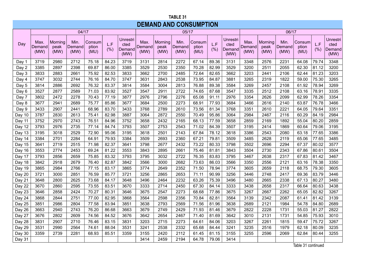#### **TABLE 31 DEMAND AND CONSUMPTION**

|          |                        |                         | 04/17                  |                         |             |                                    |                        |                         | 05/17                  |                         |            |                                           |                        |                         | 06/17                  |                         |             |                                           |
|----------|------------------------|-------------------------|------------------------|-------------------------|-------------|------------------------------------|------------------------|-------------------------|------------------------|-------------------------|------------|-------------------------------------------|------------------------|-------------------------|------------------------|-------------------------|-------------|-------------------------------------------|
| Day      | Max.<br>Demand<br>(MW) | Morning<br>peak<br>(MW) | Min.<br>Demand<br>(MW) | Consum<br>ption<br>(MU) | L.F<br>(% ) | Unrestri<br>cted<br>Demand<br>(MW) | Max.<br>Demand<br>(MW) | Morning<br>peak<br>(MW) | Min.<br>Demand<br>(MW) | Consum<br>ption<br>(MU) | L.F<br>(%) | <b>Unrestri</b><br>cted<br>Demand<br>(MW) | Max.<br>Demand<br>(MW) | Morning<br>peak<br>(MW) | Min.<br>Demand<br>(MW) | Consum<br>ption<br>(MU) | L.F<br>(% ) | <b>Unrestri</b><br>cted<br>Demand<br>(MW) |
| Day 1    | 3719                   | 2980                    | 2712                   | 75.18                   | 84.23       | 3719                               | 3131                   | 2814                    | 2272                   | 67.14                   | 89.36      | 3131                                      | 3348                   | 2576                    | 2231                   | 64.08                   | 79.74       | 3348                                      |
| Day 2    | 3385                   | 2897                    | 2398                   | 69.87                   | 86.00       | 3385                               | 3529                   | 2530                    | 2350                   | 70.28                   | 82.99      | 3529                                      | 3200                   | 2511                    | 2055                   | 62.30                   | 81.12       | 3200                                      |
| Day 3    | 3833                   | 2883                    | 2661                   | 75.92                   | 82.53       | 3833                               | 3662                   | 2700                    | 2485                   | 72.64                   | 82.65      | 3662                                      | 3203                   | 2441                    | 2106                   | 62.44                   | 81.23       | 3203                                      |
| Day 4    | 3747                   | 3032                    | 2744                   | 76.16                   | 84.70       | 3747                               | 3631                   | 2843                    | 2538                   | 73.95                   | 84.87      | 3881                                      | 3265                   | 2319                    | 1822                   | 59.00                   | 75.30       | 3265                                      |
| Day 5    | 3814                   | 2886                    | 2692                   | 76.32                   | 83.37       | 3814                               | 3584                   | 3004                    | 2813                   | 76.88                   | 89.38      | 3584                                      | 3269                   | 2457                    | 2108                   | 61.92                   | 78.94       | 3269                                      |
| Day 6    | 3527                   | 2877                    | 2589                   | 71.03                   | 83.92       | 3527                               | 3547                   | 2911                    | 2722                   | 74.65                   | 87.68      | 3547                                      | 3335                   | 2512                    | 2108                   | 63.16                   | 78.91       | 3335                                      |
| Day 7    | 3802                   | 2472                    | 2278                   | 70.43                   | 77.19       | 3877                               | 2976                   | 2796                    | 2276                   | 65.08                   | 91.11      | 2976                                      | 3354                   | 2626                    | 2099                   | 62.99                   | 78.26       | 3354                                      |
| Day 8    | 3677                   | 2941                    | 2689                   | 75.77                   | 85.86       | 3677                               | 3684                   | 2500                    | 2273                   | 68.91                   | 77.93      | 3684                                      | 3466                   | 2616                    | 2140                   | 63.87                   | 76.78       | 3466                                      |
| Day 9    | 3433                   | 2907                    | 2441                   | 68.96                   | 83.70       | 3433                               | 3768                   | 2789                    | 2610                   | 73.56                   | 81.34      | 3768                                      | 3351                   | 2610                    | 2221                   | 64.05                   | 79.64       | 3351                                      |
| Day 10   | 3787                   | 2830                    | 2613                   | 75.41                   | 82.98       | 3887                               | 3064                   | 2872                    | 2550                   | 70.49                   | 95.86      | 3064                                      | 2984                   | 2467                    | 2116                   | 60.29                   | 84.19       | 2984                                      |
| Day 11   | 3752                   | 2970                    | 2743                   | 76.51                   | 84.96       | 3752                               | 3658                   | 2432                    | 2165                   | 68.13                   | 77.59      | 3658                                      | 2859                   | 2169                    | 1892                   | 55.04                   | 80.20       | 2859                                      |
| Day 12   | 3793                   | 2976                    | 2735                   | 77.14                   | 84.74       | 3793                               | 3507                   | 2753                    | 2543                   | 71.02                   | 84.39      | 3507                                      | 3195                   | 2414                    | 1869                   | 60.64                   | 79.06       | 3195                                      |
| Day $13$ | 3195                   | 3018                    | 2529                   | 72.90                   | 95.06       | 3195                               | 3618                   | 2501                    | 2143                   | 67.84                   | 78.12      | 3618                                      | 3386                   | 2543                    | 2080                   | 63.18                   | 77.65       | 3386                                      |
| Day 14   | 3384                   | 2701                    | 2284                   | 64.91                   | 79.93       | 3384                               | 3509                   | 2693                    | 2360                   | 67.21                   | 79.81      | 3509                                      | 3485                   | 2628                    | 2119                   | 65.06                   | 77.65       | 3485                                      |
| Day 15   | 3641                   | 2719                    | 2515                   | 71.98                   | 82.37       | 3641                               | 3798                   | 2677                    | 2432                   | 73.22                   | 80.33      | 3798                                      | 3502                   | 2696                    | 2294                   | 67.37                   | 80.02       | 3577                                      |
| Day 16   | 3553                   | 2774                    | 2453                   | 69.24                   | 81.22       | 3553                               | 3843                   | 2895                    | 2661                   | 75.46                   | 81.81      | 3843                                      | 3504                   | 2730                    | 2343                   | 67.86                   | 80.61       | 3504                                      |
| Day 17   | 3793                   | 2856                    | 2659                   | 75.85                   | 83.32       | 3793                               | 3795                   | 3032                    | 2722                   | 76.35                   | 83.83      | 3795                                      | 3467                   | 2638                    | 2317                   | 67.83                   | 81.42       | 3467                                      |
| Day 18   | 3842                   | 2918                    | 2679                   | 76.40                   | 82.87       | 3842                               | 3566                   | 3000                    | 2682                   | 73.63                   | 86.03      | 3566                                      | 3350                   | 2556                    | 2121                   | 63.16                   | 78.38       | 3350                                      |
| Day 19   | 3865                   | 2984                    | 2766                   | 77.15                   | 83.17       | 3865                               | 3774                   | 2649                    | 2352                   | 71.50                   | 78.94      | 3774                                      | 3605                   | 2659                    | 2118                   | 68.75                   | 79.30       | 3605                                      |
| Day 20   | 3721                   | 3000                    | 2851                   | 76.59                   | 85.77       | 3721                               | 3256                   | 2865                    | 2653                   | 71.11                   | 90.99      | 3256                                      | 3446                   | 2748                    | 2417                   | 69.36                   | 83.79       | 3446                                      |
| Day 21   | 3648                   | 2800                    | 2625                   | 73.68                   | 84.17       | 3648                               | 3496                   | 2464                    | 2232                   | 63.26                   | 75.39      | 3496                                      | 3480                   | 2665                    | 2338                   | 67.13                   | 80.27       | 3480                                      |
| Day 22   | 3670                   | 2860                    | 2595                   | 73.55                   | 83.51       | 3670                               | 3333                   | 2714                    | 2450                   | 67.30                   | 84.14      | 3333                                      | 3438                   | 2658                    | 2317                   | 66.64                   | 80.63       | 3438                                      |
| Day 23   | 3646                   | 2858                    | 2424                   | 70.27                   | 80.31       | 3646                               | 3675                   | 2547                    | 2273                   | 68.68                   | 77.86      | 3675                                      | 3267                   | 2667                    | 2262                   | 65.05                   | 82.82       | 3267                                      |
| Day 24   | 3868                   | 2844                    | 2751                   | 77.00                   | 82.95       | 3868                               | 3564                   | 2598                    | 2356                   | 70.84                   | 82.81      | 3564                                      | 3139                   | 2342                    | 2087                   | 61.41                   | 81.42       | 3139                                      |
| Day 25   | 3851                   | 2986                    | 2804                   | 77.58                   | 83.94       | 3851                               | 3638                   | 2793                    | 2569                   | 71.56                   | 81.96      | 3638                                      | 2689                   | 2121                    | 1984                   | 54.78                   | 84.80       | 2689                                      |
| Day 26   | 3663                   | 2940                    | 2743                   | 76.20                   | 86.68       | 3663                               | 3679                   | 2749                    | 2429                   | 71.93                   | 81.46      | 3679                                      | 2822                   | 2228                    | 1731                   | 55.03                   | 81.27       | 2822                                      |
| Day 27   | 3676                   | 2802                    | 2609                   | 74.56                   | 84.52       | 3676                               | 3642                   | 2654                    | 2467                   | 71.40                   | 81.69      | 3642                                      | 3010                   | 2131                    | 1731                   | 54.85                   | 75.93       | 3010                                      |
| Day 28   | 3831                   | 2907                    | 2710                   | 76.46                   | 83.15       | 3831                               | 3203                   | 2715                    | 2273                   | 64.61                   | 84.06      | 3203                                      | 3267                   | 2261                    | 1815                   | 59.47                   | 75.72       | 3267                                      |
| Day 29   | 3531                   | 2990                    | 2564                   | 74.61                   | 88.04       | 3531                               | 3241                   | 2538                    | 2332                   | 65.68                   | 84.44      | 3241                                      | 3235                   | 2516                    | 1979                   | 62.18                   | 80.09       | 3235                                      |
| Day $30$ | 3359                   | 2739                    | 2281                   | 68.93                   | 85.51       | 3359                               | 3155                   | 2420                    | 2112                   | 61.45                   | 81.15      | 3155                                      | 3255                   | 2596                    | 2069                   | 62.84                   | 80.44       | 3255                                      |
| Day 31   |                        |                         |                        |                         |             |                                    | 3414                   | 2459                    | 2194                   | 64.78                   | 79.06      | 3414                                      |                        |                         |                        |                         |             |                                           |

Table 31 continued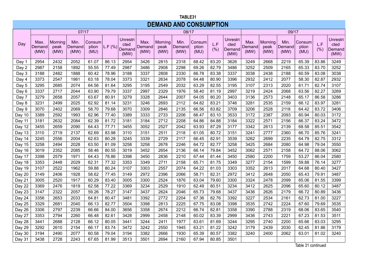#### **TABLE 31 TABLE31 DEMAND AND CONSUMPTION DEMAND AND CONSUMPTION**

|          |                        |                         | 07/17                  |                         |        |                                    |                        |                         | 08/17                  |                         |             |                                    |                        |                         | 09/17                  |                         |             |                                           |
|----------|------------------------|-------------------------|------------------------|-------------------------|--------|------------------------------------|------------------------|-------------------------|------------------------|-------------------------|-------------|------------------------------------|------------------------|-------------------------|------------------------|-------------------------|-------------|-------------------------------------------|
| Day      | Max.<br>Demand<br>(MW) | Morning<br>peak<br>(MW) | Min.<br>Demand<br>(MW) | Consum<br>ption<br>(MU) | L.F(%) | Unrestri<br>cted<br>Demand<br>(MW) | Max.<br>Demand<br>(MW) | Morning<br>peak<br>(MW) | Min.<br>Demand<br>(MW) | Consum<br>ption<br>(MU) | L.F<br>(% ) | Unrestri<br>cted<br>Demand<br>(MW) | Max.<br>Demand<br>(MW) | Morning<br>peak<br>(MW) | Min.<br>Demand<br>(MW) | Consum<br>ption<br>(MU) | L.F<br>(% ) | <b>Unrestri</b><br>cted<br>Demand<br>(MW) |
| Day 1    | 2954                   | 2432                    | 2052                   | 61.07                   | 86.13  | 2954                               | 3426                   | 2815                    | 2318                   | 68.42                   | 83.20       | 3626                               | 3249                   | 2668                    | 2219                   | 65.39                   | 83.86       | 3249                                      |
| Day 2    | 2987                   | 2158                    | 1892                   | 55.55                   | 77.49  | 2987                               | 3486                   | 2908                    | 2298                   | 69.26                   | 82.79       | 3486                               | 3252                   | 2509                    | 2165                   | 65.33                   | 83.70       | 3252                                      |
| Day 3    | 3188                   | 2482                    | 1888                   | 60.42                   | 78.96  | 3188                               | 3337                   | 2808                    | 2330                   | 66.78                   | 83.38       | 3337                               | 3038                   | 2438                    | 2188                   | 60.59                   | 83.08       | 3038                                      |
| Day 4    | 3373                   | 2547                    | 1981                   | 63.18                   | 78.04  | 3373                               | 3321                   | 2634                    | 2078                   | 64.48                   | 80.90       | 3396                               | 2932                   | 2412                    | 2077                   | 58.30                   | 82.87       | 2932                                      |
| Day 5    | 3295                   | 2685                    | 2074                   | 64.56                   | 81.64  | 3295                               | 3195                   | 2549                    | 2032                   | 63.29                   | 82.55       | 3195                               | 3107                   | 2313                    | 2020                   | 61.71                   | 82.74       | 3107                                      |
| Day 6    | 3337                   | 2717                    | 2044                   | 63.90                   | 79.79  | 3337                               | 2997                   | 2329                    | 1976                   | 58.40                   | 81.19       | 2997                               | 3219                   | 2424                    | 2068                   | 63.56                   | 82.27       | 3269                                      |
| Day 7    | 3279                   | 2658                    | 2057                   | 63.67                   | 80.91  | 3279                               | 3328                   | 2644                    | 2007                   | 64.05                   | 80.20       | 3403                               | 3136                   | 2573                    | 2148                   | 65.17                   | 86.58       | 3286                                      |
| Day 8    | 3231                   | 2499                    | 2025                   | 62.92                   | 81.14  | 3231                               | 3246                   | 2693                    | 2112                   | 64.82                   | 83.21       | 3746                               | 3281                   | 2535                    | 2159                   | 66.12                   | 83.97       | 3281                                      |
| Day 9    | 3070                   | 2402                    | 2069                   | 58.70                   | 79.68  | 3070                               | 3309                   | 2846                    | 2135                   | 66.56                   | 83.82       | 3709                               | 3206                   | 2528                    | 2118                   | 64.42                   | 83.72       | 3406                                      |
| Day 10   | 3389                   | 2592                    | 1993                   | 62.96                   | 77.40  | 3389                               | 3333                   | 2733                    | 2206                   | 66.47                   | 83.10       | 3533                               | 3172                   | 2387                    | 2093                   | 60.94                   | 80.03       | 3172                                      |
| Day 11   | 3181                   | 2632                    | 2084                   | 62.39                   | 81.72  | 3181                               | 3184                   | 2712                    | 2208                   | 64.86                   | 84.88       | 3184                               | 3322                   | 2571                    | 2156                   | 66.37                   | 83.24       | 3472                                      |
| Day 12   | 3455                   | 2659                    | 2090                   | 64.43                   | 77.71  | 3455                               | 3052                   | 2527                    | 2042                   | 63.93                   | 87.29       | 3177                               | 3342                   | 2613                    | 2139                   | 68.58                   | 85.51       | 3542                                      |
| Day 13   | 3110                   | 2719                    | 2137                   | 62.69                   | 83.98  | 3110                               | 3151                   | 2511                    | 2118                   | 61.05                   | 80.72       | 3151                               | 3241                   | 2777                    | 2360                   | 66.70                   | 85.76       | 3241                                      |
| Day 14   | 3245                   | 2556                    | 2004                   | 62.63                   | 80.28  | 3245                               | 3339                   | 2729                    | 2117                   | 66.45                   | 82.91       | 3539                               | 3262                   | 2699                    | 2235                   | 64.79                   | 82.75       | 3312                                      |
| Day 15   | 3258                   | 2494                    | 2028                   | 63.50                   | 81.09  | 3258                               | 3258                   | 2678                    | 2246                   | 64.72                   | 82.77       | 3258                               | 3425                   | 2684                    | 2080                   | 64.98                   | 79.04       | 3550                                      |
| Day 16   | 3019                   | 2352                    | 2085                   | 58.46                   | 80.55  | 3019                               | 3452                   | 2654                    | 2136                   | 66.14                   | 79.84       | 3452                               | 3062                   | 2571                    | 2158                   | 64.72                   | 88.06       | 3062                                      |
| Day 17   | 3398                   | 2579                    | 1971                   | 64.43                   | 78.86  | 3398                               | 3450                   | 2836                    | 2210                   | 67.44                   | 81.44       | 3450                               | 2580                   | 2200                    | 1759                   | 53.27                   | 86.04       | 2580                                      |
| Day 18   | 3353                   | 2448                    | 2029                   | 62.31                   | 77.32  | 3353                               | 3349                   | 2711                    | 2158                   | 65.71                   | 81.75       | 3349                               | 3277                   | 2154                    | 1599                   | 59.88                   | 76.14       | 3277                                      |
| Day 19   | 3107                   | 2522                    | 1962                   | 59.88                   | 80.24  | 3107                               | 3303                   | 2557                    | 2074                   | 64.22                   | 81.03       | 3303                               | 3352                   | 2613                    | 2017                   | 64.68                   | 80.40       | 3427                                      |
| Day 20   | 3149                   | 2406                    | 1928                   | 58.62                   | 77.45  | 3149                               | 2972                   | 2396                    | 2066                   | 58.71                   | 82.31       | 2972                               | 3412                   | 2648                    | 2050                   | 65.43                   | 79.91       | 3487                                      |
| Day 21   | 3005                   | 2520                    | 1917                   | 60.29                   | 83.40  | 3005                               | 3300                   | 2524                    | 1876                   | 63.04                   | 79.60       | 3300                               | 3324                   | 2478                    | 2099                   | 65.06                   | 81.55       | 3399                                      |
| Day 22   | 3369                   | 2476                    | 1819                   | 62.58                   | 77.22  | 3369                               | 3234                   | 2529                    | 1910                   | 62.49                   | 80.51       | 3234                               | 3412                   | 2625                    | 2096                   | 65.60                   | 80.12       | 3487                                      |
| Day 23   | 3147                   | 2322                    | 2057                   | 59.26                   | 78.27  | 3147                               | 3437                   | 2624                    | 2046                   | 65.73                   | 79.68       | 3437                               | 3436                   | 2626                    | 2179                   | 66.72                   | 80.89       | 3436                                      |
| Day 24   | 3356                   | 2653                    | 2033                   | 64.81                   | 80.47  | 3481                               | 3392                   | 2772                    | 2204                   | 67.36                   | 82.76       | 3392                               | 3227                   | 2534                    | 2161                   | 62.73                   | 81.00       | 3227                                      |
| Day 25   | 3329                   | 2681                    | 2040                   | 66.13                   | 82.77  | 3504                               | 3398                   | 2813                    | 2225                   | 67.75                   | 83.08       | 3398                               | 3535                   | 2742                    | 2224                   | 67.60                   | 79.69       | 3535                                      |
| Day 26   | 3306                   | 2797                    | 2239                   | 66.66                   | 84.00  | 3656                               | 3358                   | 2674                    | 2212                   | 66.74                   | 82.81       | 3358                               | 3390                   | 2788                    | 2319                   | 68.06                   | 83.65       | 3540                                      |
| Day 27   | 3353                   | 2794                    | 2260                   | 66.48                   | 82.61  | 3428                               | 2999                   | 2458                    | 2148                   | 60.02                   | 83.39       | 2999                               | 3436                   | 2743                    | 2221                   | 67.23                   | 81.53       | 3511                                      |
| Day 28   | 3441                   | 2688                    | 2128                   | 66.12                   | 80.05  | 3441                               | 3244                   | 2411                    | 1977                   | 63.61                   | 81.69       | 3244                               | 3295                   | 2740                    | 2200                   | 65.66                   | 83.03       | 3295                                      |
| Day $29$ | 3292                   | 2610                    | 2154                   | 66.17                   | 83.74  | 3472                               | 3242                   | 2550                    | 1945                   | 63.21                   | 81.22       | 3242                               | 3179                   | 2439                    | 2030                   | 62.45                   | 81.86       | 3179                                      |
| Day $30$ | 3194                   | 2490                    | 2077                   | 60.58                   | 79.04  | 3194                               | 3382                   | 2666                    | 1930                   | 65.39                   | 80.57       | 3382                               | 3240                   | 2400                    | 2062                   | 63.01                   | 81.02       | 3240                                      |
| Day 31   | 3438                   | 2728                    | 2243                   | 67.65                   | 81.99  | 3513                               | 3501                   | 2694                    | 2160                   | 67.94                   | 80.85       | 3501                               |                        |                         |                        |                         |             |                                           |

Table 31 continued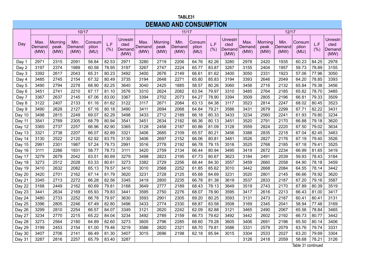#### **TABLE 31 TABLE31 DEMAND AND CONSUMPTION DEMAND AND CONSUMPTION**

|        |                        |                         | 10/17                  |                         |            |                                           |                        |                         | 11/17                  |                         |             |                                    |                        |                         | 12/17                  |                         |             |                                           |
|--------|------------------------|-------------------------|------------------------|-------------------------|------------|-------------------------------------------|------------------------|-------------------------|------------------------|-------------------------|-------------|------------------------------------|------------------------|-------------------------|------------------------|-------------------------|-------------|-------------------------------------------|
| Day    | Max.<br>Demand<br>(MW) | Morning<br>peak<br>(MW) | Min.<br>Demand<br>(MW) | Consum<br>ption<br>(MU) | L.F<br>(%) | <b>Unrestri</b><br>cted<br>Demand<br>(MW) | Max.<br>Demand<br>(MW) | Morning<br>peak<br>(MW) | Min.<br>Demand<br>(MW) | Consum<br>ption<br>(MU) | L.F<br>(% ) | Unrestri<br>cted<br>Demand<br>(MW) | Max.<br>Demand<br>(MW) | Morning<br>peak<br>(MW) | Min.<br>Demand<br>(MW) | Consum<br>ption<br>(MU) | L.F<br>(% ) | <b>Unrestri</b><br>cted<br>Demand<br>(MW) |
| Day 1  | 2971                   | 2315                    | 2091                   | 58.84                   | 82.53      | 2971                                      | 3280                   | 2719                    | 2206                   | 64.76                   | 82.26       | 3280                               | 2978                   | 2420                    | 1935                   | 60.23                   | 84.25       | 2978                                      |
| Day 2  | 3197                   | 2374                    | 1989                   | 60.58                   | 78.95      | 3197                                      | 3267                   | 2747                    | 2224                   | 65.77                   | 83.87       | 3267                               | 3155                   | 2404                    | 1957                   | 59.73                   | 78.89       | 3155                                      |
| Day 3  | 3392                   | 2617                    | 2043                   | 65.31                   | 80.23      | 3492                                      | 3400                   | 2676                    | 2149                   | 66.61                   | 81.62       | 3400                               | 3050                   | 2331                    | 1923                   | 57.06                   | 77.96       | 3050                                      |
| Day 4  | 3485                   | 2745                    | 2154                   | 67.32                   | 80.49      | 3735                                      | 3194                   | 2648                    | 2271                   | 65.80                   | 85.83       | 3194                               | 3393                   | 2646                    | 2049                   | 64.20                   | 78.85       | 3393                                      |
| Day 5  | 3490                   | 2794                    | 2278                   | 68.90                   | 82.25      | 3640                                      | 3040                   | 2425                    | 1885                   | 58.57                   | 80.26       | 3060                               | 3456                   | 2716                    | 2132                   | 65.84                   | 79.38       | 3456                                      |
| Day 6  | 3451                   | 2741                    | 2210                   | 67.17                   | 81.10      | 3576                                      | 3310                   | 2624                    | 2082                   | 63.54                   | 79.97       | 3310                               | 3485                   | 2764                    | 2185                   | 65.82                   | 78.70       | 3485                                      |
| Day 7  | 3367                   | 2637                    | 2145                   | 67.06                   | 83.00      | 3367                                      | 3394                   | 2702                    | 2073                   | 64.27                   | 78.90       | 3394                               | 3509                   | 2805                    | 2196                   | 66.81                   | 79.33       | 3509                                      |
| Day 8  | 3122                   | 2407                    | 2133                   | 61.16                   | 81.62      | 3122                                      | 3117                   | 2671                    | 2084                   | 63.13                   | 84.38       | 3117                               | 3523                   | 2814                    | 2247                   | 68.02                   | 80.45       | 3523                                      |
| Day 9  | 3490                   | 2628                    | 2127                   | 67.16                   | 80.18      | 3490                                      | 3411                   | 2694                    | 2068                   | 64.84                   | 79.21       | 3586                               | 3431                   | 2679                    | 2299                   | 67.71                   | 82.22       | 3431                                      |
| Day 10 | 3498                   | 2815                    | 2249                   | 69.07                   | 82.29      | 3498                                      | 3433                   | 2712                    | 2189                   | 66.18                   | 80.33       | 3433                               | 3234                   | 2560                    | 2241                   | 61.93                   | 79.80       | 3234                                      |
| Day 11 | 3541                   | 2769                    | 2305                   | 68.79                   | 80.94      | 3541                                      | 3451                   | 2634                    | 2182                   | 66.36                   | 80.13       | 3451                               | 3520                   | 2791                    | 2170                   | 66.88                   | 79.18       | 3620                                      |
| Day 12 | 3365                   | 2737                    | 2257                   | 66.96                   | 82.90      | 3365                                      | 3128                   | 2458                    | 2187                   | 60.86                   | 81.09       | 3128                               | 3559                   | 2824                    | 2220                   | 67.50                   | 79.02       | 3634                                      |
| Day 13 | 3321                   | 2738                    | 2207                   | 66.07                   | 82.89      | 3321                                      | 3406                   | 2685                    | 2109                   | 65.57                   | 80.21       | 3456                               | 3388                   | 2835                    | 2218                   | 67.04                   | 82.45       | 3463                                      |
| Day 14 | 3130                   | 2522                    | 2120                   | 62.92                   | 83.75      | 3130                                      | 3406                   | 2697                    | 2152                   | 66.06                   | 80.81       | 3481                               | 3526                   | 2827                    | 2176                   | 67.19                   | 79.40       | 3526                                      |
| Day 15 | 2991                   | 2301                    | 1987                   | 57.24                   | 79.73      | 2991                                      | 3516                   | 2778                    | 2192                   | 66.78                   | 79.15       | 3516                               | 3525                   | 2768                    | 2185                   | 67.18                   | 79.41       | 3525                                      |
| Day 16 | 3111                   | 2286                    | 1931                   | 58.77                   | 78.73      | 3111                                      | 3420                   | 2759                    | 2134                   | 66.44                   | 80.94       | 3495                               | 3419                   | 2672                    | 2234                   | 66.99                   | 81.65       | 3419                                      |
| Day 17 | 3279                   | 2679                    | 2042                   | 63.51                   | 80.69      | 3279                                      | 3498                   | 2823                    | 2195                   | 67.73                   | 80.67       | 3623                               | 3184                   | 2491                    | 2039                   | 59.93                   | 78.43       | 3184                                      |
| Day 18 | 3273                   | 2512                    | 2028                   | 63.33                   | 80.61      | 3273                                      | 3382                   | 2729                    | 2256                   | 68.44                   | 84.30       | 3557                               | 3459                   | 2660                    | 2058                   | 64.90                   | 78.18       | 3459                                      |
| Day 19 | 3410                   | 2632                    | 2082                   | 65.13                   | 79.57      | 3410                                      | 3010                   | 2568                    | 2252                   | 61.85                   | 85.62       | 3010                               | 3442                   | 2668                    | 2084                   | 64.55                   | 78.14       | 3442                                      |
| Day 20 | 3420                   | 2701                    | 2162                   | 67.14                   | 81.79      | 3620                                      | 3231                   | 2728                    | 2125                   | 65.68                   | 84.69       | 3231                               | 3520                   | 2801                    | 2145                   | 66.66                   | 78.92       | 3620                                      |
| Day 21 | 3345                   | 2713                    | 2272                   | 66.28                   | 82.56      | 3345                                      | 3419                   | 2800                    | 2235                   | 66.78                   | 81.38       | 3619                               | 3537                   | 2833                    | 2187                   | 67.20                   | 79.16       | 3587                                      |
| Day 22 | 3168                   | 2449                    | 2162                   | 60.69                   | 79.81      | 3168                                      | 3649                   | 2777                    | 2189                   | 68.43                   | 78.13       | 3649                               | 3519                   | 2743                    | 2170                   | 67.89                   | 80.39       | 3519                                      |
| Day 23 | 3441                   | 2634                    | 2169                   | 65.93                   | 79.83      | 3441                                      | 3595                   | 2750                    | 2276                   | 68.07                   | 78.90       | 3595                               | 3417                   | 2616                    | 2213                   | 66.43                   | 81.00       | 3417                                      |
| Day 24 | 3480                   | 2733                    | 2252                   | 66.78                   | 79.97      | 3630                                      | 3593                   | 2901                    | 2305                   | 69.20                   | 80.25       | 3593                               | 3131                   | 2473                    | 2187                   | 60.41                   | 80.41       | 3131                                      |
| Day 25 | 3396                   | 2805                    | 2246                   | 67.49                   | 82.80      | 3496                                      | 3433                   | 2774                    | 2330                   | 68.87                   | 83.58       | 3508                               | 3169                   | 2345                    | 2041                   | 58.94                   | 77.48       | 3169                                      |
| Day 26 | 3299                   | 2810                    | 2254                   | 66.57                   | 84.07      | 3349                                      | 3121                   | 2620                    | 2242                   | 62.09                   | 82.88       | 3121                               | 3465                   | 2490                    | 2067                   | 65.56                   | 78.84       | 3465                                      |
| Day 27 | 3234                   | 2770                    | 2215                   | 65.22                   | 84.04      | 3234                                      | 3492                   | 2789                    | 2159                   | 66.73                   | 79.62       | 3492                               | 3442                   | 2602                    | 2192                   | 66.73                   | 80.77       | 3442                                      |
| Day 28 | 3273                   | 2564                    | 2180                   | 64.89                   | 82.60      | 3273                                      | 3605                   | 2796                    | 2285                   | 68.60                   | 79.28       | 3605                               | 3406                   | 2691                    | 2196                   | 65.50                   | 80.14       | 3406                                      |
| Day 29 | 3199                   | 2453                    | 2154                   | 61.00                   | 79.46      | 3219                                      | 3586                   | 2820                    | 2321                   | 68.70                   | 79.81       | 3586                               | 3331                   | 2579                    | 2079                   | 63.76                   | 79.74       | 3331                                      |
| Day 30 | 3407                   | 2706                    | 2141                   | 66.49                   | 81.30      | 3407                                      | 3015                   | 2696                    | 2198                   | 62.18                   | 85.94       | 3015                               | 3304                   | 2533                    | 2027                   | 63.20                   | 79.69       | 3304                                      |
| Day 31 | 3287                   | 2816                    | 2257                   | 65.79                   | 83.40      | 3287                                      |                        |                         |                        |                         |             |                                    | 3126                   | 2418                    | 2059                   | 58.68<br>$T + 1 - 04$   | 78.21       | 3126                                      |

Table 31 continued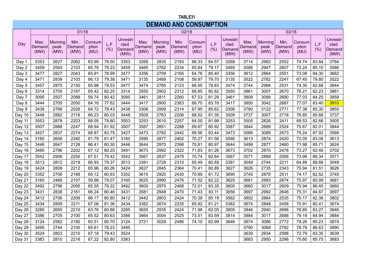#### **TABLE 31 TABLE31 DEMAND AND CONSUMPTION DEMAND AND CONSUMPTION**

|        |                        |                         | 01/18                  |                         |             |                                           |                        |                         | 02/18                  |                         |             |                                           |                        |                         | 03/18                  |                         |             |                                    |
|--------|------------------------|-------------------------|------------------------|-------------------------|-------------|-------------------------------------------|------------------------|-------------------------|------------------------|-------------------------|-------------|-------------------------------------------|------------------------|-------------------------|------------------------|-------------------------|-------------|------------------------------------|
| Day    | Max.<br>Demand<br>(MW) | Morning<br>peak<br>(MW) | Min.<br>Demand<br>(MW) | Consum<br>ption<br>(MU) | L.F<br>(% ) | <b>Unrestri</b><br>cted<br>Demand<br>(MW) | Max.<br>Demand<br>(MW) | Morning<br>peak<br>(MW) | Min.<br>Demand<br>(MW) | Consum<br>ption<br>(MU) | L.F<br>(% ) | <b>Unrestri</b><br>cted<br>Demand<br>(MW) | Max.<br>Demand<br>(MW) | Morning<br>peak<br>(MW) | Min.<br>Demand<br>(MW) | Consum<br>ption<br>(MU) | L.F<br>(% ) | Unrestri<br>cted<br>Demand<br>(MW) |
| Day 1  | 3353                   | 2627                    | 2062                   | 63.99                   | 79.50       | 3353                                      | 3268                   | 2835                    | 2193                   | 66.33                   | 84.57       | 3268                                      | 3714                   | 2982                    | 2552                   | 74.74                   | 83.84       | 3764                               |
| Day 2  | 3459                   | 2593                    | 2103                   | 65.78                   | 79.23       | 3459                                      | 3465                   | 2762                    | 2234                   | 65.84                   | 79.17       | 3465                                      | 3586                   | 2947                    | 2607                   | 73.24                   | 85.10       | 3586                               |
| Day 3  | 3477                   | 2827                    | 2043                   | 65.91                   | 78.99       | 3477                                      | 3356                   | 2709                    | 2165                   | 64.76                   | 80.40       | 3356                                      | 3612                   | 2864                    | 2501                   | 73.08                   | 84.30       | 3662                               |
| Day 4  | 3471                   | 2839                    | 2103                   | 66.13                   | 79.38       | 3471                                      | 3135                   | 2489                    | 2108                   | 59.97                   | 79.70       | 3135                                      | 3522                   | 2782                    | 2247                   | 67.45                   | 79.80       | 3522                               |
| Day 5  | 3457                   | 2875                    | 2150                   | 65.98                   | 79.53       | 3477                                      | 3474                   | 2785                    | 2123                   | 66.55                   | 79.83       | 3474                                      | 3744                   | 2966                    | 2531                   | 74.30                   | 82.68       | 3844                               |
| Day 6  | 3314                   | 2705                    | 2187                   | 65.42                   | 82.25       | 3314                                      | 3550                   | 2902                    | 2312                   | 68.85                   | 80.82       | 3550                                      | 3861                   | 3007                    | 2670                   | 76.21                   | 82.23       | 3861                               |
| Day 7  | 3095                   | 2507                    | 2088                   | 59.74                   | 80.42       | 3095                                      | 3461                   | 2811                    | 2260                   | 67.53                   | 81.29       | 3461                                      | 3809                   | 3089                    | 2690                   | 77.03                   | 84.25       | 3859                               |
| Day 8  | 3444                   | 2705                    | 2050                   | 64.16                   | 77.62       | 3444                                      | 3417                   | 2900                    | 2363                   | 68.70                   | 83.78       | 3417                                      | 3850                   | 3042                    | 2687                   | 77.07                   | 83.40       | 3910                               |
| Day 9  | 3438                   | 2766                    | 2026                   | 64.72                   | 78.43       | 3438                                      | 3306                   | 2908                    | 2314                   | 67.95                   | 85.62       | 3306                                      | 3780                   | 3122                    | 2771                   | 77.38                   | 85.30       | 3855                               |
| Day 10 | 3448                   | 2882                    | 2118                   | 66.23                   | 80.03       | 3448                                      | 3509                   | 2763                    | 2206                   | 68.52                   | 81.35       | 3509                                      | 3737                   | 3007                    | 2718                   | 76.85                   | 85.68       | 3737                               |
| Day 11 | 3553                   | 2878                    | 2203                   | 68.05                   | 79.80       | 3553                                      | 3253                   | 2610                    | 2257                   | 64.00                   | 81.99       | 3253                                      | 3505                   | 2826                    | 2411                   | 69.53                   | 82.66       | 3505                               |
| Day 12 | 3507                   | 2888                    | 2247                   | 68.94                   | 81.92       | 3507                                      | 3587                   | 2851                    | 2288                   | 69.67                   | 80.92       | 3587                                      | 3844                   | 2889                    | 2524                   | 75.67                   | 82.01       | 3844                               |
| Day 13 | 3427                   | 2837                    | 2274                   | 68.87                   | 83.75       | 3427                                      | 3473                   | 2782                    | 2442                   | 69.56                   | 83.44       | 3473                                      | 3566                   | 3089                    | 2673                   | 75.24                   | 87.92       | 3566                               |
| Day 14 | 3160                   | 2606                    | 2240                   | 61.79                   | 81.47       | 3160                                      | 3590                   | 2877                    | 2402                   | 70.27                   | 81.56       | 3590                                      | 3613                   | 2874                    | 2420                   | 72.05                   | 83.08       | 3613                               |
| Day 15 | 3446                   | 2647                    | 2126                   | 66.41                   | 80.30       | 3446                                      | 3644                   | 2970                    | 2398                   | 70.81                   | 80.97       | 3644                                      | 3499                   | 2877                    | 2460                   | 71.98                   | 85.71       | 3624                               |
| Day 16 | 3485                   | 2796                    | 2202                   | 67.12                   | 80.25       | 3491                                      | 3673                   | 2992                    | 2322                   | 71.63                   | 81.26       | 3673                                      | 3702                   | 2870                    | 2478                   | 73.27                   | 82.46       | 3702                               |
| Day 17 | 3542                   | 2906                    | 2250                   | 67.51                   | 79.42       | 3542                                      | 3567                   | 2837                    | 2479                   | 70.74                   | 82.64       | 3567                                      | 3571                   | 2889                    | 2506                   | 73.99                   | 86.34       | 3571                               |
| Day 18 | 3513                   | 2812                    | 2219                   | 66.93                   | 79.37       | 3513                                      | 3391                   | 2728                    | 2310                   | 65.49                   | 80.48       | 3391                                      | 3049                   | 2744                    | 2211                   | 64.89                   | 88.66       | 3049                               |
| Day 19 | 3424                   | 2808                    | 2212                   | 65.96                   | 80.26       | 3424                                      | 3627                   | 2845                    | 2364                   | 70.41                   | 80.89       | 3627                                      | 3626                   | 2735                    | 2343                   | 70.94                   | 81.51       | 3626                               |
| Day 20 | 3352                   | 2706                    | 2188                   | 65.12                   | 80.93       | 3352                                      | 3615                   | 2920                    | 2430                   | 70.89                   | 81.72       | 3690                                      | 3745                   | 2878                    | 2511                   | 74.17                   | 82.52       | 3745                               |
| Day 21 | 3160                   | 2468                    | 2107                   | 59.98                   | 79.07       | 3160                                      | 3625                   | 2990                    | 2476                   | 71.52                   | 82.22       | 3625                                      | 3681                   | 2993                    | 2674                   | 75.97                   | 85.99       | 3681                               |
| Day 22 | 3492                   | 2796                    | 2095                   | 65.55                   | 78.22       | 3492                                      | 3600                   | 2975                    | 2468                   | 72.01                   | 83.35       | 3600                                      | 3660                   | 3017                    | 2609                   | 75.94                   | 86.45       | 3660                               |
| Day 23 | 3431                   | 2838                    | 2161                   | 66.24                   | 80.46       | 3431                                      | 3581                   | 2948                    | 2470                   | 71.43                   | 83.11       | 3656                                      | 3697                   | 2992                    | 2648                   | 75.31                   | 84.87       | 3697                               |
| Day 24 | 3412                   | 2706                    | 2206                   | 66.17                   | 80.80       | 3412                                      | 3442                   | 2803                    | 2424                   | 70.38                   | 85.19       | 3562                                      | 3802                   | 2864                    | 2535                   | 75.17                   | 82.38       | 3802                               |
| Day 25 | 3434                   | 2809                    | 2211                   | 67.06                   | 81.36       | 3434                                      | 3382                   | 2674                    | 2235                   | 65.92                   | 81.21       | 3382                                      | 3674                   | 2848                    | 2458                   | 70.91                   | 80.41       | 3674                               |
| Day 26 | 3285                   | 2650                    | 2210                   | 63.76                   | 80.86       | 3285                                      | 3655                   | 2935                    | 2424                   | 71.98                   | 82.05       | 3805                                      | 3846                   | 2940                    | 2696                   | 76.85                   | 83.27       | 3846                               |
| Day 27 | 3386                   | 2705                    | 2100                   | 65.52                   | 80.63       | 3386                                      | 3664                   | 3004                    | 2525                   | 73.51                   | 83.59       | 3814                                      | 3884                   | 3017                    | 2688                   | 79.18                   | 84.94       | 3884                               |
| Day 28 | 3124                   | 2582                    | 2180                   | 60.51                   | 80.70       | 3124                                      | 3721                   | 3029                    | 2486                   | 74.10                   | 82.99       | 3846                                      | 3874                   | 3086                    | 2772                   | 79.26                   | 85.23       | 3874                               |
| Day 29 | 3495                   | 2744                    | 2100                   | 65.61                   | 78.23       | 3495                                      |                        |                         |                        |                         |             |                                           | 3790                   | 3068                    | 2782                   | 78.79                   | 86.63       | 3890                               |
| Day 30 | 3524                   | 2803                    | 2210                   | 67.18                   | 79.43       | 3524                                      |                        |                         |                        |                         |             |                                           | 3639                   | 2934                    | 2598                   | 72.79                   | 83.35       | 3639                               |
| Day 31 | 3383                   | 2810                    | 2216                   | 67.22                   | 82.80       | 3383                                      |                        |                         |                        |                         |             |                                           | 3683                   | 2950                    | 2296                   | 75.80                   | 85.75       | 3683                               |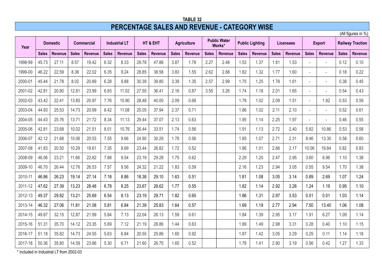### **TABLE 32 PERCENTAGE SALES AND REVENUE - CATEGORY WISE**

(All figures in %)

| Year    |              | <b>Domestic</b> |              | <b>Commercial</b> |              | <b>Industrial LT</b> |              | HT & EHT       |              | <b>Agriculture</b> |              | <b>Public Water</b><br>Works* |              | <b>Public Lighting</b> |              | Licensees      |                          | <b>Export</b>  |              | <b>Railway Traction</b> |
|---------|--------------|-----------------|--------------|-------------------|--------------|----------------------|--------------|----------------|--------------|--------------------|--------------|-------------------------------|--------------|------------------------|--------------|----------------|--------------------------|----------------|--------------|-------------------------|
|         | <b>Sales</b> | <b>Revenue</b>  | <b>Sales</b> | <b>Revenue</b>    | <b>Sales</b> | <b>Revenue</b>       | <b>Sales</b> | <b>Revenue</b> | <b>Sales</b> | <b>Revenue</b>     | <b>Sales</b> | <b>Revenue</b>                | <b>Sales</b> | Revenue                | <b>Sales</b> | <b>Revenue</b> | <b>Sales</b>             | <b>Revenue</b> | <b>Sales</b> | <b>Revenue</b>          |
| 1998-99 | 45.73        | 27.11           | 8.57         | 19.42             | 6.32         | 8.33                 | 29.78        | 47.88          | 3.87         | 1.78               | 2.27         | 2.48                          | 1.53         | 1.37                   | 1.81         | 1.53           |                          |                | 0.12         | 0.10                    |
| 1999-00 | 46.22        | 22.59           | 8.36         | 22.02             | 6.35         | 9.24                 | 28.85        | 38.58          | 3.83         | 1.55               | 2.62         | 2.88                          | 1.82         | 1.32                   | 1.77         | 1.60           | $\overline{\phantom{a}}$ |                | 0.18         | 0.22                    |
| 2000-01 | 45.44        | 21.78           | 8.02         | 20.89             | 6.28         | 9.88                 | 30.39        | 39.80          | 3.39         | 1.35               | 2.57         | 2.99                          | 1.75         | 1.25                   | 1.78         | 1.61           |                          |                | 0.38         | 0.45                    |
| 2001-02 | 42.81        | 20.80           | 12.81        | 23.99             | 6.83         | 11.02                | 27.55        | 36.41          | 2.16         | 0.87               | 3.55         | 3.26                          | 1.74         | 1.18                   | 2.01         | 1.65           | $\overline{\phantom{a}}$ |                | 0.54         | 0.43                    |
| 2002-03 | 43.42        | 22.41           | 13.85        | 20.97             | 7.76         | 10.90                | 28.48        | 40.00          | 2.09         | 0.68               |              |                               | 1.78         | 1.02                   | 2.09         | 1.51           | $\sim$                   | 1.92           | 0.53         | 0.59                    |
| 2003-04 | 44.93        | 25.53           | 14.73        | 20.99             | 8.42         | 11.08                | 25.05        | 37.94          | 2.37         | 0.71               |              |                               | 1.86         | 1.02                   | 2.11         | 2.10           | $\overline{a}$           |                | 0.52         | 0.61                    |
| 2004-05 | 44.43        | 25.76           | 13.71        | 21.72             | 8.34         | 11.13                | 29.44        | 37.07          | 2.13         | 0.63               |              |                               | 1.95         | 1.14                   | 2.25         | 1.97           | $\sim$                   |                | 0.46         | 0.55                    |
| 2005-06 | 42.81        | 23.68           | 10.02        | 21.51             | 8.01         | 10.76                | 26.44        | 33.51          | 1.74         | 0.56               |              |                               | 1.91         | 1.13                   | 2.72         | 2.40           | 5.82                     | 10.86          | 0.53         | 0.58                    |
| 2006-07 | 42.12        | 21.68           | 10.06        | 20.53             | 7.55         | 9.66                 | 24.90        | 30.29          | 1.78         | 0.56               |              |                               | 1.85         | 1.07                   | 2.71         | 2.31           | 8.46                     | 13.30          | 0.58         | 0.60                    |
| 2007-08 | 41.83        | 20.50           | 10.29        | 19.61             | 7.35         | 8.69                 | 23.44        | 26.82          | 1.72         | 0.52               |              |                               | 1.86         | 1.01                   | 2.66         | 2.17           | 10.06                    | 19.84          | 0.82         | 0.83                    |
| 2008-09 | 46.06        | 23.21           | 11.66        | 22.82             | 7.88         | 9.54                 | 23.19        | 29.28          | 1.75         | 0.62               |              |                               | 2.29         | 1.20                   | 2.47         | 2.95           | 3.60                     | 8.96           | 1.10         | 1.38                    |
| 2009-10 | 46.70        | 26.44           | 12.76        | 26.53             | 7.57         | 9.56                 | 24.32        | 21.22          | 1.83         | 0.59               |              |                               | 2.16         | 1.23                   | 2.94         | 3.05           | 0.55                     | 9.54           | 1.70         | 1.38                    |
| 2010-11 | 46.86        | 26.23           | 19.14        | 27.14             | 7.18         | 8.86                 | 18.38        | 29.10          | 1.63         | 0.51               |              |                               | 1.81         | 1.08                   | 3.05         | 3.14           | 0.89                     | 2.69           | 1.07         | 1.24                    |
| 2011-12 | 47.62        | 27.39           | 13.23        | 28.48             | 6.78         | 8.25                 | 23.67        | 28.62          | 1.77         | 0.55               |              |                               | 1.82         | 1.14                   | 2.92         | 3.28           | 1.24                     | 1.19           | 0.95         | 1.10                    |
| 2012-13 | 49.37        | 29.82           | 13.21        | 25.69             | 6.54         | 8.13                 | 23.19        | 29.71          | 1.82         | 0.65               |              |                               | 1.86         | 1.31                   | 2.97         | 3.53           | 0.01                     | 0.01           | 1.03         | 1.14                    |
| 2013-14 | 46.32        | 27.06           | 11.81        | 21.08             | 5.81         | 6.84                 | 21.39        | 25.83          | 1.64         | 0.57               |              |                               | 1.69         | 1.19                   | 2.77         | 2.94           | 7.50                     | 13.40          | 1.06         | 1.08                    |
| 2014-15 | 49.87        | 32.15           | 12.87        | 21.99             | 5.84         | 7.13                 | 22.04        | 26.13          | 1.59         | 0.61               |              |                               | 1.84         | 1.39                   | 2.95         | 3.17           | 1.91                     | 6.27           | 1.09         | 1.14                    |
| 2015-16 | 51.31        | 35.70           | 14.12        | 23.35             | 5.69         | 7.12                 | 21.19        | 26.86          | 1.44         | 0.63               |              |                               | 1.89         | 1.49                   | 2.98         | 3.31           | 0.28                     | 0.40           | 1.10         | 1.15                    |
| 2016-17 | 51.18        | 35.82           | 14.73        | 24.55             | 5.63         | 6.84                 | 20.55        | 25.86          | 1.60         | 0.92               |              |                               | 1.87         | 1.42                   | 3.05         | 3.29           | 0.25                     | 0.11           | 1.14         | 1.18                    |
| 2017-18 | 50.36        | 35.80           | 14.59        | 23.86             | 5.30         | 6.71                 | 21.60        | 26.75          | 1.65         | 0.52               |              |                               | 1.78         | 1.41                   | 2.90         | 3.19           | 0.56                     | 0.42           | 1.27         | 1.33                    |

\* included in Industrial LT from 2002-03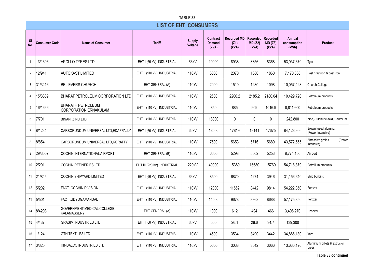|                | TABLE 33             |                                                    |                              |                          |                                    |                                     |                              |                                    |                                |                                           |  |  |
|----------------|----------------------|----------------------------------------------------|------------------------------|--------------------------|------------------------------------|-------------------------------------|------------------------------|------------------------------------|--------------------------------|-------------------------------------------|--|--|
|                |                      |                                                    | <b>LIST OF EHT CONSUMERS</b> |                          |                                    |                                     |                              |                                    |                                |                                           |  |  |
| -SI<br>No.     | <b>Consumer Code</b> | <b>Name of Consumer</b>                            | <b>Tariff</b>                | <b>Supply</b><br>Voltage | Contract<br><b>Demand</b><br>(kVA) | <b>Recorded MD</b><br>(Z1)<br>(kVA) | Recorded<br>MD (Z2)<br>(kVA) | <b>Recorded</b><br>MD(Z3)<br>(kVA) | Annual<br>consumption<br>(kWh) | <b>Product</b>                            |  |  |
| $\mathbf{1}$   | 13/1306              | <b>APOLLO TYRES LTD</b>                            | EHT I (66 kV) INDUSTRIAL     | 66kV                     | 10000                              | 8938                                | 8356                         | 8368                               | 53,937,670                     | Tyre                                      |  |  |
| $\overline{2}$ | 12/941               | <b>AUTOKAST LIMITED</b>                            | EHT II (110 kV) INDUSTRIAL   | 110 <sub>k</sub> V       | 3000                               | 2070                                | 1880                         | 1860                               | 7.170.808                      | Fast gray iron & cast iron                |  |  |
| 3              | 31/3416              | <b>BELIEVERS CHURCH</b>                            | EHT GENERAL (A)              | 110kV                    | 2000                               | 1510                                | 1280                         | 1098                               | 10,057,428                     | Church, College                           |  |  |
| $\overline{4}$ | 15/3809              | BHARAT PETROLEUM CORPORATION LTD                   | EHT II (110 kV) INDUSTRIAL   | 110kV                    | 2600                               | 2200.2                              | 2185.2                       | 2180.04                            | 10,429,720                     | Petroleum products                        |  |  |
| 5              | 16/1666              | <b>BHARATH PETROLEUM</b><br>CORPORATION, ERNAKULAM | EHT II (110 kV) INDUSTRIAL   | 110kV                    | 850                                | 885                                 | 909                          | 1016.9                             | 8,811,600                      | Petroleum products                        |  |  |
| 6              | 7/701                | <b>BINANI ZINC LTD</b>                             | EHT II (110 kV) INDUSTRIAL   | 110kV                    | 18000                              | 0                                   | 0                            | $\mathbf{0}$                       | 242,800                        | Zinc, Sulphuric acid, Cadmium             |  |  |
| $\overline{7}$ | 8/1234               | CARBORUNDUM UNIVERSAL LTD, EDAPPALLY               | EHT I (66 kV) INDUSTRIAL     | 66kV                     | 18000                              | 17819                               | 18141                        | 17675                              | 84,128,366                     | Brown fused alumina.<br>(Power Intensive) |  |  |
| 8              | 8/854                | CARBORUNDUM UNIVERSAL LTD, KORATTY                 | EHT II (110 kV) INDUSTRIAL   | 110 <sub>k</sub> V       | 7500                               | 5653                                | 5716                         | 5680                               | 43,572,555                     | Abressive grains<br>(Power<br>Intensive)  |  |  |
| 9              | 29/3507              | <b>COCHIN INTERNATIONAL AIRPORT</b>                | EHT GENERAL (B)              | 110 <sub>k</sub> V       | 6000                               | 5298                                | 5562                         | 5253                               | 8,774,106                      | Air port                                  |  |  |
| 10             | 2/201                | <b>COCHIN REFINERIES LTD</b>                       | EHT III (220 kV) INDUSTRIAL  | 220kV                    | 40000                              | 15380                               | 16680                        | 15760                              | 54,718,379                     | Petrolium products                        |  |  |
| 11             | 21/845               | <b>COCHIN SHIPYARD LIMITED</b>                     | EHT I (66 kV) INDUSTRIAL     | 66kV                     | 8500                               | 6870                                | 4274                         | 3946                               | 31,156,640                     | Ship building                             |  |  |
| 12             | 5/202                | <b>FACT COCHIN DIVISION</b>                        | EHT II (110 kV) INDUSTRIAL   | 110kV                    | 12000                              | 11562                               | 8442                         | 9814                               | 54,222,350                     | Fertizer                                  |  |  |
| 13             | 5/501                | FACT, UDYOGAMANDAL                                 | EHT II (110 kV) INDUSTRIAL   | 110kV                    | 14000                              | 9678                                | 8868                         | 8688                               | 57,175,850                     | Fertizer                                  |  |  |
| 14             | 8/4208               | GOVERNMENT MEDICAL COLLEGE,<br><b>KALAMASSERY</b>  | EHT GENERAL (A)              | 110kV                    | 1000                               | 612                                 | 494                          | 466                                | 3,406,270                      | Hospital                                  |  |  |
| 15             | 4/437                | <b>GRASIM INDUSTRIES LTD</b>                       | EHT I (66 kV) INDUSTRIAL     | 66kV                     | 500                                | 26.1                                | 26.6                         | 34.7                               | 139,300                        |                                           |  |  |
| 16             | 1/124                | <b>GTN TEXTILES LTD</b>                            | EHT II (110 kV) INDUSTRIAL   | 110kV                    | 4500                               | 3534                                | 3490                         | 3442                               | 34.886.180                     | Yarn                                      |  |  |
| 17             | 3/325                | <b>HINDALCO INDUSTRIES LTD</b>                     | EHT II (110 kV) INDUSTRIAL   | 110kV                    | 5000                               | 3038                                | 3042                         | 3066                               | 13,630,120                     | Aluminium billets & extrusion<br>press    |  |  |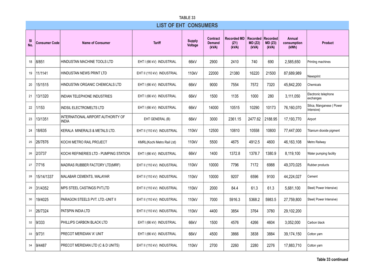|                  | TABLE 33             |                                                    |                              |                          |                                    |                                     |                              |                              |                                       |                                        |  |  |
|------------------|----------------------|----------------------------------------------------|------------------------------|--------------------------|------------------------------------|-------------------------------------|------------------------------|------------------------------|---------------------------------------|----------------------------------------|--|--|
|                  |                      |                                                    | <b>LIST OF EHT CONSUMERS</b> |                          |                                    |                                     |                              |                              |                                       |                                        |  |  |
| <b>SI</b><br>No. | <b>Consumer Code</b> | <b>Name of Consumer</b>                            | <b>Tariff</b>                | <b>Supply</b><br>Voltage | Contract<br><b>Demand</b><br>(kVA) | <b>Recorded MD</b><br>(Z1)<br>(kVA) | Recorded<br>MD (Z2)<br>(kVA) | Recorded<br>MD (Z3)<br>(kVA) | <b>Annual</b><br>consumption<br>(kWh) | <b>Product</b>                         |  |  |
| 18               | 8/851                | HINDUSTAN MACHINE TOOLS LTD                        | EHT I (66 kV) INDUSTRIAL     | 66kV                     | 2900                               | 2410                                | 740                          | 690                          | 2,585,650                             | Printing machines                      |  |  |
| 19               | 11/1141              | HINDUSTAN NEWS PRINT LTD                           | EHT II (110 kV) INDUSTRIAL   | 110kV                    | 22000                              | 21380                               | 16220                        | 21500                        | 87,689,989                            | Newsprint                              |  |  |
| 20               | 15/1515              | HINDUSTAN ORGANIC CHEMICALS LTD                    | EHT I (66 kV) INDUSTRIAL     | 66kV                     | 9000                               | 7554                                | 7572                         | 7320                         | 45,842,200                            | Chemicals                              |  |  |
| 21               | 13/1320              | INDIAN TELEPHONE INDUSTRIES                        | EHT I (66 kV) INDUSTRIAL     | 66kV                     | 1500                               | 1135                                | 1000                         | 280                          | 3,111,050                             | Electronic telephone<br>exchanges      |  |  |
| 22               | 1/153                | <b>INDSIL ELECTROMELTS LTD</b>                     | EHT I (66 kV) INDUSTRIAL     | 66kV                     | 14000                              | 10515                               | 10290                        | 10173                        | 76,160,070                            | Silica, Manganese (Power<br>Intensive) |  |  |
| 23               | 13/1351              | INTERNATIONAL AIRPORT AUTHORITY OF<br><b>INDIA</b> | EHT GENERAL (B)              | 66kV                     | 3000                               | 2361.15                             | 2477.62                      | 2188.95                      | 17,193,770                            | Airport                                |  |  |
| 24               | 18/635               | KERALA MINERALS & METALS LTD.                      | EHT II (110 kV) INDUSTRIAL   | 110 <sub>k</sub> V       | 12500                              | 10810                               | 10558                        | 10800                        | 77.447.000                            | Titanium dioxide pigment               |  |  |
| 25               | 26/7876              | KOCHI METRO RAIL PROJECT                           | KMRL(Kochi Metro Rail Ltd)   | 110 <sub>k</sub> V       | 5500                               | 4675                                | 4912.5                       | 4600                         | 46, 163, 108                          | Metro Railway                          |  |  |
| 26               | 2/3737               | KOCHI REFINERIES LTD - PUMPING STATION             | EHT I (66 kV) INDUSTRIAL     | 66kV                     | 1400                               | 1372.8                              | 1378.7                       | 1380.9                       | 8,119,100                             | Water pumping facility                 |  |  |
| 27               | 7/716                | MADRAS RUBBER FACTORY LTD(MRF)                     | EHT II (110 kV) INDUSTRIAL   | 110kV                    | 10000                              | 7796                                | 7172                         | 6988                         | 49,370,025                            | Rubber products                        |  |  |
| 28               | 15/14/1337           | MALABAR CEMENTS, WALAYAR                           | EHT II (110 kV) INDUSTRIAL   | 110kV                    | 10000                              | 9207                                | 6596                         | 9100                         | 44,224,027                            | Cement                                 |  |  |
| 29               | 31/4352              | MPS STEEL CASTINGS PVT.LTD                         | EHT II (110 kV) INDUSTRIAL   | 110 <sub>k</sub> V       | 2000                               | 84.4                                | 61.3                         | 61.3                         | 5,681,100                             | Steel(Power Intensive)                 |  |  |
| 30               | 19/4025              | PARAGON STEELS PVT. LTD.-UNIT II                   | EHT II (110 kV) INDUSTRIAL   | 110kV                    | 7000                               | 5916.3                              | 5368.2                       | 5983.5                       | 27,759,800                            | Steel(Power Intensive)                 |  |  |
| 31               | 26/7324              | PATSPIN INDIA LTD                                  | EHT II (110 kV) INDUSTRIAL   | 110kV                    | 4400                               | 3854                                | 3764                         | 3780                         | 29,102,200                            |                                        |  |  |
| 32               | 9/333                | PHILLIPS CARBON BLACK LTD                          | EHT I (66 kV) INDUSTRIAL     | 66kV                     | 1500                               | 4576                                | 4266                         | 4604                         | 3,052,000                             | Carbon black                           |  |  |
| 33               | 9/731                | PRECOT MERIDIAN 'A' UNIT                           | EHT I (66 kV) INDUSTRIAL     | 66kV                     | 4500                               | 3866                                | 3838                         | 3884                         | 39,174,150                            | Cotton yarn                            |  |  |
| 34               | 9/4487               | PRECOT MERIDIAN LTD (C & D UNITS)                  | EHT II (110 kV) INDUSTRIAL   | 110 <sub>k</sub> V       | 2700                               | 2260                                | 2280                         | 2276                         | 17,883,710                            | Cotton yarn                            |  |  |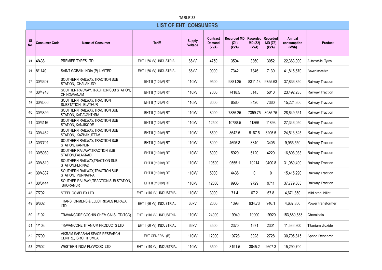|                  | TABLE 33             |                                                              |                              |                          |                                           |                                     |                                     |                                     |                                       |                         |  |  |  |
|------------------|----------------------|--------------------------------------------------------------|------------------------------|--------------------------|-------------------------------------------|-------------------------------------|-------------------------------------|-------------------------------------|---------------------------------------|-------------------------|--|--|--|
|                  |                      |                                                              | <b>LIST OF EHT CONSUMERS</b> |                          |                                           |                                     |                                     |                                     |                                       |                         |  |  |  |
| <b>SI</b><br>No. | <b>Consumer Code</b> | <b>Name of Consumer</b>                                      | <b>Tariff</b>                | <b>Supply</b><br>Voltage | <b>Contract</b><br><b>Demand</b><br>(kVA) | <b>Recorded MD</b><br>(Z1)<br>(kVA) | <b>Recorded</b><br>MD (Z2)<br>(kVA) | <b>Recorded</b><br>MD (Z3)<br>(kVA) | <b>Annual</b><br>consumption<br>(kWh) | <b>Product</b>          |  |  |  |
| 35               | 4/438                | PREMIER TYRES LTD                                            | EHT I (66 kV) INDUSTRIAL     | 66kV                     | 4750                                      | 3594                                | 3360                                | 3052                                | 22,363,000                            | Automobile Tyres        |  |  |  |
| 36               | 8/1140               | SAINT GOBAIN INDIA (P) LIMITED                               | EHT I (66 kV) INDUSTRIAL     | 66kV                     | 9000                                      | 7342                                | 7346                                | 7130                                | 41,815,670                            | Power Incentive         |  |  |  |
| 37               | 30/3607              | SOUTHERN RAILWAY. TRACTION SUB<br>STATION, CHALAKUDY         | EHT II (110 kV) RT           | 110kV                    | 9500                                      | 9881.25                             | 8311.13                             | 9755.63                             | 37,836,850                            | Railway Traction        |  |  |  |
| 38               | 30/4748              | SOUTHER RAILWAY, TRACTION SUB STATION,<br><b>CHINGAVANAM</b> | EHT II (110 kV) RT           | 110kV                    | 7000                                      | 7418.5                              | 5145                                | 5010                                | 23,492,285                            | Railway Traction        |  |  |  |
| 39               | 30/8000              | SOUTHERN RAILWAY, TRACTION<br>SUBSTATION, ELATHUR            | EHT II (110 kV) RT           | 110kV                    | 6000                                      | 6560                                | 8420                                | 7360                                | 15,224,300                            | Railway Traction        |  |  |  |
| 40               | 30/3899              | SOUTHERN RAILWAY, TRACTION SUB<br>STATION, KADAVANTHRA       | EHT II (110 kV) RT           | 110kV                    | 8000                                      | 7886.25                             | 7359.75                             | 8085.75                             | 28,649,551                            | Railway Traction        |  |  |  |
| 41               | 30/3116              | SOUTHERN RAILWAY, TRACTION SUB<br>STATION, KANJIKODE         | EHT II (110 kV) RT           | 110kV                    | 12500                                     | 10788.5                             | 11866                               | 11893                               | 27,346,050                            | Railway Traction        |  |  |  |
| 42               | 30/4462              | SOUTHERN RAILWAY, TRACTION SUB<br>STATION. KAZHAKUTTAM       | EHT II (110 kV) RT           | 110kV                    | 8500                                      | 8642.5                              | 9167.5                              | 8205.5                              | 24.513.825                            | <b>Railway Traction</b> |  |  |  |
| 43               | 30/7701              | SOUTHERN RAILWAY, TRACTION SUB<br>STATION, KANNUR            | EHT II (110 kV) RT           | 110kV                    | 6000                                      | 4695.8                              | 3340                                | 3405                                | 9,955,550                             | Railway Traction        |  |  |  |
| 44               | 30/8080              | SOUTHER RAILWAY.TRACTION SUB<br>STATION, PALAKKAD            | EHT II (110 kV) RT           | 110kV                    | 6000                                      | 5920                                | 5120                                | 4220                                | 16,808,933                            | Railway Traction        |  |  |  |
| 45               | 30/4619              | SOUTHERN RAILWAY, TRACTION SUB<br>STATION, PERINAD           | EHT II (110 kV) RT           | 110kV                    | 10500                                     | 9555.1                              | 10214                               | 9400.8                              | 31,080,400                            | Railway Traction        |  |  |  |
| 46               | 30/4337              | SOUTHERN RAILWAY, TRACTION SUB<br>STATION, PUNNAPRA          | EHT II (110 kV) RT           | 110kV                    | 5000                                      | 4436                                | 0                                   | 0                                   | 15,415,290                            | Railway Traction        |  |  |  |
| 47               | 30/3444              | SOUTHER RAILWAY, TRACTION SUB STATION,<br><b>SHORANUR</b>    | EHT II (110 kV) RT           | 110kV                    | 12000                                     | 9936                                | 9729                                | 9711                                | 37,779,863                            | Railway Traction        |  |  |  |
| 48               | 7/702                | STEEL COMPLEX LTD                                            | EHT II (110 kV) INDUSTRIAL   | 110kV                    | 3000                                      | 71.4                                | 67.2                                | 67.8                                | 4,671,850                             | Mild steel billet       |  |  |  |
| 49               | 6/602                | TRANSFORMERS & ELECTRICALS KERALA<br>LTD                     | EHT I (66 kV) INDUSTRIAL     | 66kV                     | 2000                                      | 1398                                | 934.73                              | 946.1                               | 4,637,800                             | Power transformer       |  |  |  |
| 50               | 1/102                | TRAVANCORE COCHIN CHEMICALS LTD(TCC)                         | EHT II (110 kV) INDUSTRIAL   | 110kV                    | 24000                                     | 19940                               | 19900                               | 19920                               | 153,880,533                           | Chemicals               |  |  |  |
| 51               | 1/103                | TRAVANCORE TITANIUM PRODUCTS LTD                             | EHT I (66 kV) INDUSTRIAL     | 66kV                     | 3500                                      | 2370                                | 1671                                | 2301                                | 11.536.800                            | Titanium dioxide        |  |  |  |
| 52               | 7/709                | VIKRAM SARABHAI SPACE RESEARCH<br>CENTRE, ISRO, THUMBA       | EHT GENERAL (B)              | 110kV                    | 12000                                     | 10728                               | 3928                                | 2728                                | 30,705,815                            | Space Research          |  |  |  |
| 53               | 2/502                | WESTERN INDIA PLYWOOD LTD                                    | EHT II (110 kV) INDUSTRIAL   | 110kV                    | 3500                                      | 3191.5                              | 3045.2                              | 2607.3                              | 15,290,700                            |                         |  |  |  |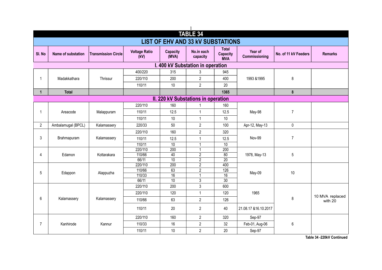|                |                    |                            |                              |                          | <b>TABLE 34</b>                          |                                               |                          |                      |                 |
|----------------|--------------------|----------------------------|------------------------------|--------------------------|------------------------------------------|-----------------------------------------------|--------------------------|----------------------|-----------------|
|                |                    |                            |                              |                          | <b>LIST OF EHV AND 33 kV SUBSTATIONS</b> |                                               |                          |                      |                 |
|                |                    |                            |                              |                          |                                          |                                               |                          |                      |                 |
| SI. No         | Name of substation | <b>Transmission Circle</b> | <b>Voltage Ratio</b><br>(kV) | <b>Capacity</b><br>(MVA) | No.in each<br>capacity                   | <b>Total</b><br><b>Capacity</b><br><b>MVA</b> | Year of<br>Commissioning | No. of 11 kV Feeders | <b>Remarks</b>  |
|                |                    |                            |                              |                          | I. 400 kV Substation in operation        |                                               |                          |                      |                 |
|                |                    |                            | 400/220                      | 315                      | 3                                        | 945                                           |                          |                      |                 |
| $\mathbf{1}$   | Madakkathara       | Thrissur                   | 220/110                      | 200                      | $\overline{2}$                           | 400                                           | 1993 & 1995              | 8                    |                 |
|                |                    |                            | 110/11                       | $10$                     | $\overline{2}$                           | 20                                            |                          |                      |                 |
| $\mathbf{1}$   | <b>Total</b>       |                            |                              |                          |                                          | 1365                                          |                          | $\pmb{8}$            |                 |
|                |                    |                            |                              |                          | II. 220 kV Substations in operation      |                                               |                          |                      |                 |
|                |                    |                            | 220/110                      | 160                      | $\mathbf{1}$                             | 160                                           |                          |                      |                 |
| $\mathbf{1}$   | Areacode           | Malappuram                 | 110/11                       | 12.5                     | $\mathbf{1}$                             | 12.5                                          | May-98                   | $\overline{7}$       |                 |
|                |                    |                            | 110/11                       | 10                       | $\mathbf{1}$                             | 10                                            |                          |                      |                 |
| $2^{\circ}$    | Ambalamugal (BPCL) | Kalamassery                | 220/33                       | 50                       | $\overline{2}$                           | 100                                           | Apr-12, May-13           | $\mathbf 0$          |                 |
|                |                    |                            | 220/110                      | 160                      | $\overline{2}$                           | 320                                           |                          |                      |                 |
| 3              | Brahmapuram        | Kalamassery                | 110/11                       | 12.5                     | $\mathbf{1}$                             | 12.5                                          | Nov-99                   | $\overline{7}$       |                 |
|                |                    |                            | 110/11                       | $\overline{10}$          | $\mathbf{1}$                             | $\overline{10}$                               |                          |                      |                 |
|                |                    |                            | 220/110                      | 200                      | 1                                        | 200                                           |                          |                      |                 |
| 4              | Edamon             | Kottarakara                | 110/66                       | 40                       | $\overline{2}$                           | $\overline{80}$                               | 1978, May-13             | 5                    |                 |
|                |                    |                            | 66/11                        | 10                       | $\overline{2}$                           | $\overline{20}$                               |                          |                      |                 |
|                |                    |                            | 220/110                      | 200                      | $\overline{2}$                           | 400                                           |                          |                      |                 |
| 5              | Edappon            | Alappuzha                  | 110/66                       | 63                       | $\overline{2}$                           | 126                                           | May-09                   | 10                   |                 |
|                |                    |                            | 110/33<br>66/11              | 16<br>10                 | $\mathbf{1}$<br>$\overline{3}$           | $\overline{16}$<br>$\overline{30}$            |                          |                      |                 |
|                |                    |                            | 220/110                      | 200                      | 3                                        | 600                                           |                          |                      |                 |
|                |                    |                            | 220/110                      | 120                      | $\mathbf{1}$                             | 120                                           | 1965                     |                      |                 |
| 6              | Kalamassery        | Kalamassery                | 110/66                       | 63                       | $\overline{2}$                           | 126                                           |                          | $\bf 8$              | 10 MVA replaced |
|                |                    |                            |                              |                          |                                          |                                               |                          |                      | with 20         |
|                |                    |                            | 110/11                       | 20                       | $\overline{2}$                           | 40                                            | 21.08.17 & 16.10.2017    |                      |                 |
|                |                    |                            | 220/110                      | 160                      | $\overline{2}$                           | 320                                           | Sep-97                   |                      |                 |
| $\overline{7}$ | Kanhirode          | Kannur                     | 110/33                       | 16                       | $\overline{2}$                           | 32                                            | Feb-01, Aug-06           | $\boldsymbol{6}$     |                 |
|                |                    |                            | 110/11                       | 10                       | $\overline{2}$                           | 20                                            | Sep-97                   |                      |                 |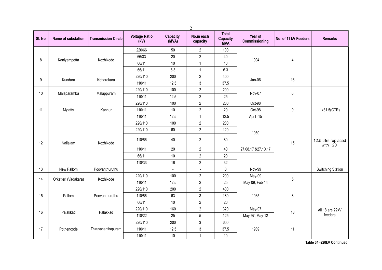|        |                      |                            |                              |                          | $\overline{2}$         |                                               |                          |                      |                                |
|--------|----------------------|----------------------------|------------------------------|--------------------------|------------------------|-----------------------------------------------|--------------------------|----------------------|--------------------------------|
| SI. No | Name of substation   | <b>Transmission Circle</b> | <b>Voltage Ratio</b><br>(kV) | <b>Capacity</b><br>(MVA) | No.in each<br>capacity | <b>Total</b><br><b>Capacity</b><br><b>MVA</b> | Year of<br>Commissioning | No. of 11 kV Feeders | <b>Remarks</b>                 |
|        |                      |                            | 220/66                       | 50                       | $\overline{2}$         | 100                                           |                          |                      |                                |
|        |                      | Kozhikode                  | 66/33                        | $20\,$                   | $\overline{2}$         | 40                                            | 1994                     |                      |                                |
| 8      | Kaniyampetta         |                            | 66/11                        | 10                       | $\mathbf{1}$           | 10                                            |                          | 4                    |                                |
|        |                      |                            | 66/11                        | 6.3                      | $\mathbf{1}$           | 6.3                                           |                          |                      |                                |
|        |                      |                            | 220/110                      | 200                      | $\boldsymbol{2}$       | 400                                           |                          | 16                   |                                |
| 9      | Kundara              | Kottarakara                | 110/11                       | 12.5                     | 3                      | 37.5                                          | Jan-06                   |                      |                                |
|        |                      |                            | 220/110                      | 100                      | $\overline{2}$         | 200                                           |                          |                      |                                |
| 10     | Malaparamba          | Malappuram                 | 110/11                       | 12.5                     | $\overline{2}$         | 25                                            | Nov-07                   | $\boldsymbol{6}$     |                                |
|        |                      |                            | 220/110                      | 100                      | $\overline{2}$         | 200                                           | Oct-98                   |                      |                                |
| 11     | Mylatty              | Kannur                     | 110/11                       | 10                       | $\overline{2}$         | 20                                            | Oct-98                   | 9                    | 1x31.5(GTR)                    |
|        |                      |                            | 110/11                       | 12.5                     | $\mathbf{1}$           | 12.5                                          | April -15                |                      |                                |
|        |                      |                            | 220/110                      | 100                      | $\overline{2}$         | 200                                           |                          |                      |                                |
|        |                      |                            | 220/110                      | 60                       | $\overline{2}$         | 120                                           | 1950                     | 15                   | 12.5 trfrs replaced<br>with 20 |
| 12     | Nallalam             | Kozhikode                  | 110/66                       | 40                       | $\sqrt{2}$             | 80                                            |                          |                      |                                |
|        |                      |                            | 110/11                       | 20                       | $\boldsymbol{2}$       | 40                                            | 27.08.17 & 27.10.17      |                      |                                |
|        |                      |                            | 66/11                        | $10$                     | $\sqrt{2}$             | 20                                            |                          |                      |                                |
|        |                      |                            | 110/33                       | 16                       | $\boldsymbol{2}$       | 32                                            |                          |                      |                                |
| 13     | New Pallom           | Poovanthuruthu             |                              | $\overline{\phantom{a}}$ | $\blacksquare$         | 0                                             | Nov-99                   |                      | <b>Switching Station</b>       |
| 14     |                      | Kozhikode                  | 220/110                      | 100                      | $\overline{2}$         | 200                                           | May-09                   | $\sqrt{5}$           |                                |
|        | Orkatteri (Vadakara) |                            | 110/11                       | 12.5                     | $\overline{2}$         | 25                                            | May-09, Feb-14           |                      |                                |
|        |                      |                            | 220/110                      | 200                      | $\overline{2}$         | 400                                           |                          |                      |                                |
| 15     | Pallom               | Poovanthuruthu             | 110/66                       | 63                       | $\mathbf{3}$           | 189                                           | 1965                     | $\bf 8$              |                                |
|        |                      |                            | 66/11                        | 10                       | $\overline{2}$         | 20                                            |                          |                      |                                |
| 16     | Palakkad             | Palakkad                   | 220/110                      | 160                      | $\overline{2}$         | 320                                           | May-97                   | 18                   | All 18 are 22kV                |
|        |                      |                            | 110/22                       | 25                       | $5\,$                  | 125                                           | May-97, May-12           |                      | feeders                        |
|        |                      |                            | 220/110                      | 200                      | $\sqrt{3}$             | 600                                           |                          |                      |                                |
| 17     | Pothencode           | Thiruvananthapuram         | 110/11                       | 12.5                     | $\mathfrak{Z}$         | 37.5                                          | 1989                     | 11                   |                                |
|        |                      |                            | 110/11                       | 10                       | $\mathbf{1}$           | 10                                            |                          |                      |                                |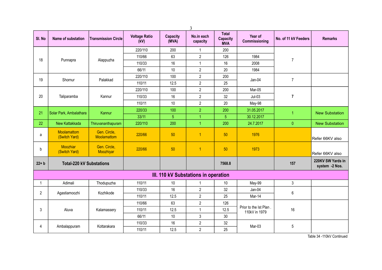|                | 3                                   |                             |                              |                          |                                      |                                               |                                         |                      |                                     |  |  |
|----------------|-------------------------------------|-----------------------------|------------------------------|--------------------------|--------------------------------------|-----------------------------------------------|-----------------------------------------|----------------------|-------------------------------------|--|--|
| SI. No         | Name of substation                  | <b>Transmission Circle</b>  | <b>Voltage Ratio</b><br>(kV) | <b>Capacity</b><br>(MVA) | No.in each<br>capacity               | <b>Total</b><br><b>Capacity</b><br><b>MVA</b> | Year of<br>Commissioning                | No. of 11 kV Feeders | <b>Remarks</b>                      |  |  |
|                |                                     |                             | 220/110                      | 200                      | $\mathbf{1}$                         | 200                                           |                                         |                      |                                     |  |  |
| 18             | Punnapra                            | Alappuzha                   | 110/66                       | 63                       | $\overline{2}$                       | 126                                           | 1984                                    | $\overline{7}$       |                                     |  |  |
|                |                                     |                             | 110/33                       | 16                       | $\mathbf{1}$                         | 16                                            | 2008                                    |                      |                                     |  |  |
|                |                                     |                             | 66/11                        | 10                       | $\overline{2}$                       | 20                                            | 1984                                    |                      |                                     |  |  |
| 19             | Shornur                             | Palakkad                    | 220/110                      | 100                      | $\overline{2}$                       | 200                                           | Jan-04                                  | $\overline{7}$       |                                     |  |  |
|                |                                     |                             | 110/11                       | 12.5                     | $\overline{2}$                       | 25                                            |                                         |                      |                                     |  |  |
|                |                                     |                             | 220/110                      | 100                      | $\overline{2}$                       | 200                                           | Mar-05                                  |                      |                                     |  |  |
| 20             | Taliparamba                         | Kannur                      | 110/33                       | 16                       | $\overline{2}$                       | 32                                            | $Jul-03$                                | $\overline{7}$       |                                     |  |  |
|                |                                     |                             | 110/11                       | 10                       | $\overline{2}$                       | 20                                            | May-98                                  |                      |                                     |  |  |
| 21             | Solar Park, Ambalathara             | Kannur                      | 220/33                       | 100                      | $\overline{2}$                       | 200                                           | 31.05.2017                              | $\overline{1}$       | <b>New Substation</b>               |  |  |
|                |                                     |                             | 33/11                        | $\overline{5}$           | $\overline{1}$                       | $\overline{5}$                                | 30.12.2017                              |                      |                                     |  |  |
| 22             | New Kattakkada                      | Thiruvananthapuram          | 220/110                      | 200                      | 1                                    | 200                                           | 24.7.2017                               | $\pmb{0}$            | <b>New Substation</b>               |  |  |
| a              | <b>Moolamattom</b><br>(Switch Yard) | Gen. Circle,<br>Moolamattom | 220/66                       | 50                       | $\overline{1}$                       | 50                                            | 1976                                    |                      | Refer 66KV also                     |  |  |
| b              | Moozhiar<br>(Switch Yard)           | Gen. Circle,<br>Moozhiyar   | 220/66                       | 50                       | $\overline{1}$                       | 50                                            | 1973                                    |                      | Refer 66KV also                     |  |  |
| $22 + b$       | <b>Total-220 kV Substations</b>     |                             |                              |                          |                                      | 7568.8                                        |                                         | 157                  | 220KV SW Yards in<br>system -2 Nos. |  |  |
|                |                                     |                             |                              |                          | III. 110 kV Substations in operation |                                               |                                         |                      |                                     |  |  |
| $\mathbf{1}$   | Adimali                             | Thodupuzha                  | 110/11                       | 10                       | $\mathbf{1}$                         | 10                                            | May-99                                  | $\mathbf{3}$         |                                     |  |  |
|                |                                     |                             | 110/33                       | 16                       | $\overline{2}$                       | 32                                            | Jan-04                                  |                      |                                     |  |  |
| $\overline{2}$ | Agastiamoozhi                       | Kozhikode                   | 110/11                       | 12.5                     | $\overline{2}$                       | 25                                            | Mar-14                                  | 6                    |                                     |  |  |
|                |                                     |                             | 110/66                       | 63                       | $\overline{2}$                       | 126                                           |                                         |                      |                                     |  |  |
| 3              | Aluva                               | Kalamassery                 | 110/11                       | 12.5                     | $\mathbf{1}$                         | 12.5                                          | Prior to the 1st Plan.<br>110kV in 1979 | 16                   |                                     |  |  |
|                |                                     |                             | 66/11                        | $10$                     | 3                                    | 30                                            |                                         |                      |                                     |  |  |
|                |                                     |                             | 110/33                       | 16                       | $\overline{2}$                       | 32                                            | Mar-03                                  | 5                    |                                     |  |  |
| $\overline{4}$ | Ambalappuram                        | Kottarakara                 | 110/11                       | 12.5                     | $\overline{2}$                       | 25                                            |                                         |                      |                                     |  |  |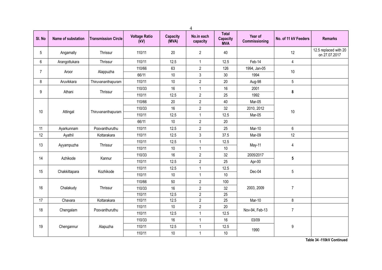|                 |                    |                            |                              |                          | $\overline{4}$         |                                        |                          |                      |                                        |
|-----------------|--------------------|----------------------------|------------------------------|--------------------------|------------------------|----------------------------------------|--------------------------|----------------------|----------------------------------------|
| SI. No          | Name of substation | <b>Transmission Circle</b> | <b>Voltage Ratio</b><br>(kV) | <b>Capacity</b><br>(MVA) | No.in each<br>capacity | <b>Total</b><br>Capacity<br><b>MVA</b> | Year of<br>Commissioning | No. of 11 kV Feeders | <b>Remarks</b>                         |
| 5               | Angamally          | Thrissur                   | 110/11                       | 20                       | $\overline{2}$         | 40                                     |                          | 12                   | 12.5 replaced with 20<br>on 27.07.2017 |
| $6\phantom{.0}$ | Arangottukara      | Thrissur                   | 110/11                       | 12.5                     | $\mathbf{1}$           | 12.5                                   | Feb-14                   | $\overline{4}$       |                                        |
| $\overline{7}$  | Aroor              | Alappuzha                  | 110/66                       | 63                       | $\overline{2}$         | 126                                    | 1994, Jan-05             | $10$                 |                                        |
|                 |                    |                            | 66/11                        | 10                       | $\mathfrak{Z}$         | 30                                     | 1994                     |                      |                                        |
| 8               | Aruvikkara         | Thiruvananthapuram         | 110/11                       | $10$                     | $\boldsymbol{2}$       | 20                                     | Aug-98                   | $5\,$                |                                        |
| 9               | Athani             | Thrissur                   | 110/33                       | 16                       | $\mathbf{1}$           | 16                                     | 2001                     | 8                    |                                        |
|                 |                    |                            | 110/11                       | 12.5                     | $\overline{2}$         | 25                                     | 1992                     |                      |                                        |
|                 |                    |                            | 110/66                       | 20                       | $\boldsymbol{2}$       | 40                                     | Mar-05                   |                      |                                        |
| 10              | Attingal           | Thiruvananthapuram         | 110/33                       | 16                       | $\overline{2}$         | 32                                     | 2010, 2012               | $10$                 |                                        |
|                 |                    |                            | 110/11                       | 12.5                     | $\mathbf{1}$           | 12.5                                   | Mar-05                   |                      |                                        |
|                 |                    |                            | 66/11                        | $10$                     | $\boldsymbol{2}$       | 20                                     |                          |                      |                                        |
| 11              | Ayarkunnam         | Poovanthuruthu             | 110/11                       | 12.5                     | $\overline{2}$         | 25                                     | Mar-10                   | $\boldsymbol{6}$     |                                        |
| 12              | Ayathil            | Kottarakara                | 110/11                       | 12.5                     | $\mathbf{3}$           | 37.5                                   | Mar-09                   | 12                   |                                        |
| 13              | Ayyampuzha         | Thrissur                   | 110/11                       | 12.5                     | $\mathbf{1}$           | 12.5                                   | May-11                   | $\overline{4}$       |                                        |
|                 |                    |                            | 110/11                       | 10                       | $\mathbf{1}$           | $10$                                   |                          |                      |                                        |
| 14              | Azhikode           | Kannur                     | 110/33                       | 16                       | $\boldsymbol{2}$       | 32                                     | 2005/2017                | ${\bf 5}$            |                                        |
|                 |                    |                            | 110/11                       | 12.5                     | $\overline{2}$         | 25                                     | Apr-00                   |                      |                                        |
| 15              | Chakkittapara      | Kozhikode                  | 110/11                       | 12.5                     | $\mathbf{1}$           | 12.5                                   | Dec-04                   | 5                    |                                        |
|                 |                    |                            | 110/11                       | 10                       | $\mathbf{1}$           | $10$                                   |                          |                      |                                        |
|                 |                    |                            | 110/66                       | 50                       | $\overline{2}$         | 100                                    |                          |                      |                                        |
| 16              | Chalakudy          | Thrissur                   | 110/33                       | 16                       | $\overline{2}$         | 32                                     | 2003, 2009               | $\overline{7}$       |                                        |
|                 |                    |                            | 110/11                       | 12.5                     | $\overline{2}$         | 25                                     |                          |                      |                                        |
| 17              | Chavara            | Kottarakara                | 110/11                       | 12.5                     | $\overline{2}$         | 25                                     | Mar-10                   | 8                    |                                        |
| 18              | Chengalam          | Poovanthuruthu             | 110/11                       | $10$                     | $\overline{2}$         | 20                                     | Nov-94, Feb-13           | $\overline{7}$       |                                        |
|                 |                    |                            | 110/11                       | 12.5                     | $\mathbf{1}$           | 12.5                                   |                          |                      |                                        |
|                 |                    |                            | 110/33                       | 16                       | $\mathbf{1}$           | 16                                     | 03/09                    |                      |                                        |
| 19              | Chengannur         | Alapuzha                   | 110/11                       | 12.5                     | $\mathbf{1}$           | 12.5                                   |                          | 9                    |                                        |
|                 |                    |                            | 110/11                       | 10                       | $\mathbf{1}$           | $10$                                   | 1990                     |                      |                                        |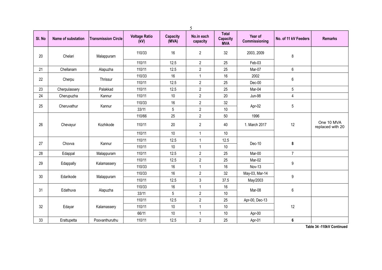|        |                    |                            |                              |                          | 5                      |                                        |                          |                      |                                |
|--------|--------------------|----------------------------|------------------------------|--------------------------|------------------------|----------------------------------------|--------------------------|----------------------|--------------------------------|
| SI. No | Name of substation | <b>Transmission Circle</b> | <b>Voltage Ratio</b><br>(kV) | <b>Capacity</b><br>(MVA) | No.in each<br>capacity | <b>Total</b><br>Capacity<br><b>MVA</b> | Year of<br>Commissioning | No. of 11 kV Feeders | <b>Remarks</b>                 |
| 20     | Chelari            | Malappuram                 | 110/33                       | 16                       | $\overline{2}$         | 32                                     | 2003, 2009               | $\bf 8$              |                                |
|        |                    |                            | 110/11                       | 12.5                     | $\overline{2}$         | 25                                     | Feb-03                   |                      |                                |
| 21     | Chellanam          | Alapuzha                   | 110/11                       | 12.5                     | $\overline{2}$         | 25                                     | Mar-07                   | 6                    |                                |
| 22     | Cherpu             | Thrissur                   | 110/33                       | 16                       | $\mathbf{1}$           | 16                                     | 2002                     | $\,6$                |                                |
|        |                    |                            | 110/11                       | 12.5                     | $\overline{2}$         | 25                                     | $Dec-00$                 |                      |                                |
| 23     | Cherpulassery      | Palakkad                   | 110/11                       | 12.5                     | $\boldsymbol{2}$       | 25                                     | Mar-04                   | 5                    |                                |
| 24     | Cherupuzha         | Kannur                     | 110/11                       | 10                       | $\overline{2}$         | 20                                     | Jun-98                   | $\overline{4}$       |                                |
| 25     | Cheruvathur        | Kannur                     | 110/33                       | 16                       | $\overline{2}$         | 32                                     | Apr-02                   | 5                    |                                |
|        |                    |                            | 33/11                        | 5                        | $\overline{2}$         | 10                                     |                          |                      |                                |
|        |                    |                            | 110/66                       | 25                       | $\boldsymbol{2}$       | $50\,$                                 | 1996                     |                      |                                |
| 26     | Chevayur           | Kozhikode                  | 110/11                       | 20                       | $\overline{2}$         | 40                                     | 1. March 2017            | 12                   | One 10 MVA<br>replaced with 20 |
|        |                    |                            | 110/11                       | 10                       | $\mathbf{1}$           | 10                                     |                          |                      |                                |
| 27     | Chovva             | Kannur                     | 110/11                       | 12.5                     | $\mathbf{1}$           | 12.5                                   | Dec-10                   | 8                    |                                |
|        |                    |                            | 110/11                       | 10                       | $\mathbf{1}$           | 10                                     |                          |                      |                                |
| 28     | Edappal            | Malappuram                 | 110/11                       | 12.5                     | $\overline{2}$         | 25                                     | Mar-00                   | $\overline{7}$       |                                |
| 29     |                    |                            | 110/11                       | 12.5                     | $\overline{2}$         | 25                                     | Mar-02                   | $\boldsymbol{9}$     |                                |
|        | Edappally          | Kalamassery                | 110/33                       | 16                       | $\mathbf{1}$           | 16                                     | Nov-13                   |                      |                                |
| 30     | Edarikode          |                            | 110/33                       | 16                       | $\overline{2}$         | 32                                     | May-03, Mar-14           | $\boldsymbol{9}$     |                                |
|        |                    | Malappuram                 | 110/11                       | 12.5                     | 3                      | 37.5                                   | May/2003                 |                      |                                |
| 31     | Edathuva           | Alapuzha                   | 110/33                       | 16                       | $\mathbf{1}$           | 16                                     | Mar-08                   | $\,6$                |                                |
|        |                    |                            | 33/11                        | 5                        | $\overline{2}$         | 10                                     |                          |                      |                                |
|        |                    |                            | 110/11                       | 12.5                     | $\overline{2}$         | 25                                     | Apr-00, Dec-13           |                      |                                |
| 32     | Edayar             | Kalamassery                | 110/11                       | 10                       | $\mathbf{1}$           | 10                                     |                          | 12                   |                                |
|        |                    |                            | 66/11                        | 10                       | $\mathbf{1}$           | 10                                     | Apr-00                   |                      |                                |
| 33     | Erattupetta        | Poovanthuruthu             | 110/11                       | 12.5                     | $\overline{2}$         | 25                                     | Apr-01                   | $6\phantom{1}$       |                                |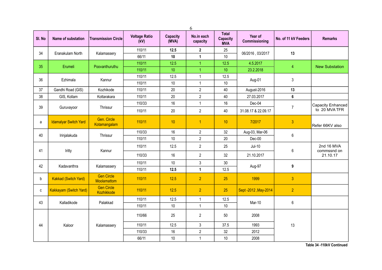|        |                              |                                  |                              |                          | 6                      |                                               |                          |                      |                           |
|--------|------------------------------|----------------------------------|------------------------------|--------------------------|------------------------|-----------------------------------------------|--------------------------|----------------------|---------------------------|
| SI. No | Name of substation           | <b>Transmission Circle</b>       | <b>Voltage Ratio</b><br>(kV) | <b>Capacity</b><br>(MVA) | No.in each<br>capacity | <b>Total</b><br><b>Capacity</b><br><b>MVA</b> | Year of<br>Commissioning | No. of 11 kV Feeders | <b>Remarks</b>            |
| 34     |                              |                                  | 110/11                       | 12.5                     | $\mathbf{2}$           | 25                                            |                          | 13                   |                           |
|        | Eranakulam North             | Kalamassery                      | 66/11                        | 10                       | $\mathbf{1}$           | $10$                                          | 06/2016, 03/2017         |                      |                           |
| 35     | Erumeli                      | Poovanthuruthu                   | 110/11                       | 12.5                     | 1                      | 12.5                                          | 4.5.2017                 | $\overline{4}$       | <b>New Substation</b>     |
|        |                              |                                  | 110/11                       | 10 <sup>°</sup>          | $\overline{1}$         | 10                                            | 23.2.2018                |                      |                           |
| 36     | Ezhimala                     | Kannur                           | 110/11                       | 12.5                     | $\mathbf{1}$           | 12.5                                          | Aug-01                   | $\mathfrak{Z}$       |                           |
|        |                              |                                  | 110/11                       | 10                       | $\mathbf{1}$           | 10                                            |                          |                      |                           |
| 37     | Gandhi Road (GIS)            | Kozhikode                        | 110/11                       | $20\,$                   | $\overline{2}$         | 40                                            | August-2016              | 13                   |                           |
| 38     | GIS, Kollam                  | Kottarakara                      | 110/11                       | 20                       | $\overline{2}$         | 40                                            | 27.03.2017               | 6                    |                           |
| 39     |                              | Thrissur                         | 110/33                       | 16                       | $\mathbf{1}$           | 16                                            | Dec-04                   | $\overline{7}$       | Capacity Enhanced         |
|        | Guruvayoor                   |                                  | 110/11                       | $20\,$                   | $\overline{2}$         | 40                                            | 31.08.17 & 22.09.17      |                      | to 20 MVA TFR             |
| a      | <b>Idamalyar Switch Yard</b> | Gen. Circle<br>Kotamangalam      | 110/11                       | 10                       | $\overline{1}$         | 10                                            | 7/2017                   | $\overline{3}$       | Refer 66KV also           |
| 40     | Irinjalakuda                 | Thrissur                         | 110/33                       | 16                       | $\overline{2}$         | 32                                            | Aug-03, Mar-06           | $\boldsymbol{6}$     |                           |
|        |                              |                                  | 110/11                       | 10                       | $\overline{2}$         | 20                                            | Dec-00                   |                      |                           |
| 41     | Iritty                       | Kannur                           | 110/11                       | 12.5                     | $\boldsymbol{2}$       | 25                                            | $Jul-10$                 | $6\,$                | 2nd 16 MVA<br>commssnd on |
|        |                              |                                  | 110/33                       | 16                       | $\overline{2}$         | 32                                            | 21.10.2017               |                      | 21.10.17                  |
| 42     | Kadavanthra                  | Kalamassery                      | 110/11                       | $10$                     | $\mathbf{3}$           | 30                                            | Aug-97                   | 9                    |                           |
|        |                              |                                  | 110/11                       | 12.5                     | $\mathbf{1}$           | 12.5                                          |                          |                      |                           |
| b      | <b>Kakkad (Switch Yard)</b>  | <b>Gen Circle</b><br>Moolamattom | 110/11                       | 12.5                     | $\overline{2}$         | 25                                            | 1999                     | 3 <sup>1</sup>       |                           |
| C      | Kakkayam (Switch Yard)       | <b>Gen Circle</b><br>Kozhikkode  | 110/11                       | 12.5                     | $\overline{2}$         | 25                                            | Sept -2012, May-2014     | $\overline{2}$       |                           |
| 43     | Kalladikode                  | Palakkad                         | 110/11                       | 12.5                     | $\mathbf{1}$           | 12.5                                          | Mar-10                   | $\boldsymbol{6}$     |                           |
|        |                              |                                  | 110/11                       | $10$                     | $\mathbf{1}$           | 10                                            |                          |                      |                           |
|        |                              |                                  | 110/66                       | 25                       | $\overline{2}$         | 50                                            | 2008                     |                      |                           |
| 44     | Kaloor                       | Kalamassery                      | 110/11                       | 12.5                     | 3                      | 37.5                                          | 1993                     | 13                   |                           |
|        |                              |                                  | 110/33                       | 16                       | $\sqrt{2}$             | 32                                            | 2012                     |                      |                           |
|        |                              |                                  | 66/11                        | 10                       | $\mathbf{1}$           | 10                                            | 2008                     |                      |                           |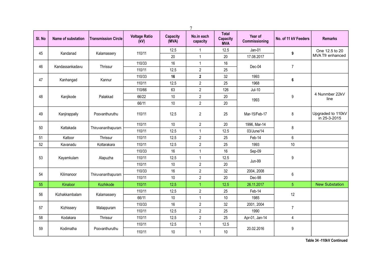|        |                    |                            |                              |                          | $\tau$                 |                                               |                          |                      |                                   |
|--------|--------------------|----------------------------|------------------------------|--------------------------|------------------------|-----------------------------------------------|--------------------------|----------------------|-----------------------------------|
| SI. No | Name of substation | <b>Transmission Circle</b> | <b>Voltage Ratio</b><br>(kV) | <b>Capacity</b><br>(MVA) | No.in each<br>capacity | <b>Total</b><br><b>Capacity</b><br><b>MVA</b> | Year of<br>Commissioning | No. of 11 kV Feeders | <b>Remarks</b>                    |
| 45     | Kandanad           | Kalamassery                | 110/11                       | 12.5                     | $\mathbf{1}$           | 12.5                                          | $Jan-01$                 | 9                    | One 12.5 to 20                    |
|        |                    |                            |                              | 20                       | $\mathbf{1}$           | 20                                            | 17.08.2017               |                      | MVA Tfr enhanced                  |
| 46     | Kandassankadavu    | Thrissur                   | 110/33                       | 16                       | $\mathbf{1}$           | 16                                            | Dec-04                   | $\overline{7}$       |                                   |
|        |                    |                            | 110/11                       | 12.5                     | $\overline{2}$         | 25                                            |                          |                      |                                   |
| 47     | Kanhangad          | Kannur                     | 110/33                       | 16                       | $\mathbf 2$            | 32                                            | 1993                     | 6                    |                                   |
|        |                    |                            | 110/11                       | 12.5                     | $\overline{2}$         | 25                                            | 1968                     |                      |                                   |
|        |                    |                            | 110/66                       | 63                       | $\overline{2}$         | 126                                           | $Jul-10$                 |                      |                                   |
| 48     | Kanjikode          | Palakkad                   | 66/22                        | 10                       | $\overline{2}$         | 20                                            | 1993                     | $9\,$                | 4 Nunmber 22kV<br>line            |
|        |                    |                            | 66/11                        | 10                       | $\overline{2}$         | 20                                            |                          |                      |                                   |
| 49     | Kanjirappally      | Poovanthuruthu             | 110/11                       | 12.5                     | $\overline{2}$         | 25                                            | Mar-15/Feb-17            | 8                    | Upgraded to 110kV<br>in 25-3-2015 |
|        |                    |                            | 110/11                       | 10                       | $\overline{2}$         | 20                                            | 1996, Mar-14             |                      |                                   |
| 50     | Kattakada          | Thiruvananthapuram         | 110/11                       | 12.5                     | $\mathbf{1}$           | 12.5                                          | 03/June/14               | 8                    |                                   |
| 51     | Kattoor            | Thrissur                   | 110/11                       | 12.5                     | $\overline{2}$         | 25                                            | Feb-14                   | 6                    |                                   |
| 52     | Kavanadu           | Kottarakara                | 110/11                       | 12.5                     | $\overline{2}$         | 25                                            | 1993                     | 10                   |                                   |
|        |                    |                            | 110/33                       | 16                       | $\mathbf{1}$           | 16                                            | Sep-09                   |                      |                                   |
| 53     | Kayamkulam         | Alapuzha                   | 110/11                       | 12.5                     | $\mathbf{1}$           | 12.5                                          | <b>Jun-99</b>            | 9                    |                                   |
|        |                    |                            | 110/11                       | 10                       | $\overline{2}$         | 20                                            |                          |                      |                                   |
| 54     | Kilimanoor         | Thiruvananthapuram         | 110/33                       | 16                       | $\overline{2}$         | 32                                            | 2004, 2008               | 6                    |                                   |
|        |                    |                            | 110/11                       | 10                       | $\overline{2}$         | 20                                            | Dec-98                   |                      |                                   |
| 55     | Kinaloor           | Kozhikode                  | 110/11                       | 12.5                     | $\mathbf{1}$           | 12.5                                          | 26.11.2017               | $\overline{5}$       | <b>New Substation</b>             |
| 56     | Kizhakkambalam     | Kalamassery                | 110/11                       | 12.5                     | $\overline{2}$         | 25                                            | Feb-14                   | 12                   |                                   |
|        |                    |                            | 66/11                        | 10                       | $\mathbf{1}$           | 10                                            | 1985                     |                      |                                   |
| 57     | Kizhissery         | Malappuram                 | 110/33                       | 16                       | $\overline{2}$         | 32                                            | 2001, 2004               | $\overline{7}$       |                                   |
|        |                    |                            | 110/11                       | 12.5                     | $\overline{2}$         | 25                                            | 1990                     |                      |                                   |
| 58     | Kodakara           | Thrissur                   | 110/11                       | 12.5                     | $\overline{c}$         | 25                                            | Apr-01, Jan-14           | $\overline{4}$       |                                   |
|        |                    |                            | 110/11                       | 12.5                     | $\mathbf{1}$           | 12.5                                          |                          |                      |                                   |
| 59     | Kodimatha          | Poovanthuruthu             | 110/11                       | $10$                     | $\mathbf{1}$           | $10$                                          | 20.02.2016               | $\boldsymbol{9}$     |                                   |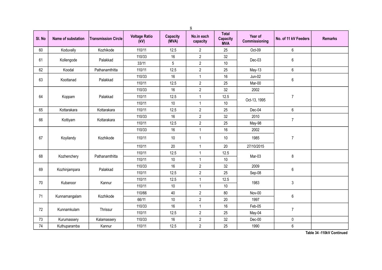|        |                    |                            |                              |                          | 8                      |                                               |                          |                      |                |
|--------|--------------------|----------------------------|------------------------------|--------------------------|------------------------|-----------------------------------------------|--------------------------|----------------------|----------------|
| SI. No | Name of substation | <b>Transmission Circle</b> | <b>Voltage Ratio</b><br>(kV) | <b>Capacity</b><br>(MVA) | No.in each<br>capacity | <b>Total</b><br><b>Capacity</b><br><b>MVA</b> | Year of<br>Commissioning | No. of 11 kV Feeders | <b>Remarks</b> |
| 60     | Koduvally          | Kozhikode                  | 110/11                       | 12.5                     | $\overline{2}$         | 25                                            | Oct-09                   | $6\phantom{.}$       |                |
| 61     | Kollengode         | Palakkad                   | 110/33                       | 16                       | $\overline{2}$         | 32                                            | Dec-03                   | $6\,$                |                |
|        |                    |                            | 33/11                        | 5                        | $\sqrt{2}$             | 10                                            |                          |                      |                |
| 62     | Koodal             | Pathanamthitta             | 110/11                       | 12.5                     | $\overline{2}$         | 25                                            | $May-13$                 | $6\,$                |                |
| 63     | Koottanad          | Palakkad                   | 110/33                       | 16                       | $\mathbf{1}$           | 16                                            | $Jun-02$                 | $\boldsymbol{6}$     |                |
|        |                    |                            | 110/11                       | 12.5                     | $\boldsymbol{2}$       | 25                                            | Mar-00                   |                      |                |
|        |                    |                            | 110/33                       | 16                       | $\overline{2}$         | 32                                            | 2002                     |                      |                |
| 64     | Koppam             | Palakkad                   | 110/11                       | 12.5                     | 1                      | 12.5                                          | Oct-13, 1995             | $\overline{7}$       |                |
|        |                    |                            | 110/11                       | 10                       | $\mathbf{1}$           | 10                                            |                          |                      |                |
| 65     | Kottarakara        | Kottarakara                | 110/11                       | 12.5                     | $\boldsymbol{2}$       | 25                                            | Dec-04                   | $\boldsymbol{6}$     |                |
| 66     |                    |                            | 110/33                       | 16                       | $\boldsymbol{2}$       | 32                                            | 2010                     | $\overline{7}$       |                |
|        | Kottiyam           | Kottarakara                | 110/11                       | 12.5                     | $\sqrt{2}$             | 25                                            | May-98                   |                      |                |
|        |                    |                            | 110/33                       | 16                       | 1                      | 16                                            | 2002                     |                      |                |
| 67     | Koyilandy          | Kozhikode                  | 110/11                       | 10                       | $\mathbf{1}$           | 10                                            | 1985                     | $\overline{7}$       |                |
|        |                    |                            | 110/11                       | $20\,$                   | 1                      | 20                                            | 27/10/2015               |                      |                |
| 68     |                    | Pathanamthitta             | 110/11                       | 12.5                     | $\mathbf{1}$           | 12.5                                          | Mar-03                   | $\bf 8$              |                |
|        | Kozhenchery        |                            | 110/11                       | 10                       | $\mathbf{1}$           | 10                                            |                          |                      |                |
|        |                    | Palakkad                   | 110/33                       | 16                       | $\overline{2}$         | 32                                            | 2009                     | $\boldsymbol{6}$     |                |
| 69     | Kozhinjampara      |                            | 110/11                       | 12.5                     | $\sqrt{2}$             | 25                                            | Sep-08                   |                      |                |
|        | Kubanoor           |                            | 110/11                       | 12.5                     | $\mathbf{1}$           | 12.5                                          | 1983                     |                      |                |
| 70     |                    | Kannur                     | 110/11                       | 10                       | $\mathbf{1}$           | 10                                            |                          | 3                    |                |
|        |                    |                            | 110/66                       | 40                       | $\sqrt{2}$             | 80                                            | Nov-00                   |                      |                |
| 71     | Kunnamangalam      | Kozhikode                  | 66/11                        | 10                       | $\overline{2}$         | 20                                            | 1997                     | $6\,$                |                |
|        |                    |                            | 110/33                       | 16                       | $\mathbf{1}$           | 16                                            | Feb-05                   |                      |                |
| 72     | Kunnamkulam        | Thrissur                   | 110/11                       | 12.5                     | $\overline{2}$         | 25                                            | May-04                   | $\overline{7}$       |                |
| 73     | Kurumassery        | Kalamassery                | 110/33                       | 16                       | $\boldsymbol{2}$       | 32                                            | Dec-00                   | $\pmb{0}$            |                |
| 74     | Kuthuparamba       | Kannur                     | 110/11                       | 12.5                     | $\overline{2}$         | 25                                            | 1990                     | $\boldsymbol{6}$     |                |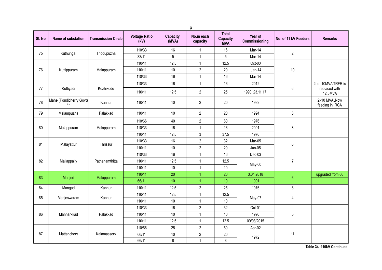| SI. No | Name of substation      | <b>Transmission Circle</b> | <b>Voltage Ratio</b><br>(kV) | <b>Capacity</b><br>(MVA) | No.in each<br>capacity | <b>Total</b><br><b>Capacity</b><br><b>MVA</b> | Year of<br>Commissioning | No. of 11 kV Feeders | <b>Remarks</b>                  |
|--------|-------------------------|----------------------------|------------------------------|--------------------------|------------------------|-----------------------------------------------|--------------------------|----------------------|---------------------------------|
| 75     |                         |                            | 110/33                       | 16                       | 1                      | 16                                            | Mar-14                   | $\overline{2}$       |                                 |
|        | Kuthungal               | Thodupuzha                 | 33/11                        | 5                        | $\mathbf{1}$           | 5                                             | Mar-14                   |                      |                                 |
|        |                         |                            | 110/11                       | 12.5                     | $\mathbf{1}$           | 12.5                                          | Oct-00                   |                      |                                 |
| 76     | Kuttippuram             | Malappuram                 | 110/11                       | $10$                     | $\overline{2}$         | 20                                            | $Jan-14$                 | $10$                 |                                 |
|        |                         |                            | 110/33                       | 16                       | $\mathbf{1}$           | 16                                            | Mar-14                   |                      |                                 |
|        |                         |                            | 110/33                       | 16                       | $\mathbf{1}$           | 16                                            | 2012                     |                      | 2nd 10MVA TRFR is               |
| 77     | Kuttiyadi               | Kozhikode                  | 110/11                       | 12.5                     | $\overline{2}$         | 25                                            | 1990, 23.11.17           | $\boldsymbol{6}$     | replaced with<br>12.5MVA        |
| 78     | Mahe (Pondicherry Govt) | Kannur                     | 110/11                       | $10$                     | $\overline{2}$         | 20                                            | 1989                     |                      | 2x10 MVA, Now<br>feeding in RCA |
| 79     | Malampuzha              | Palakkad                   | 110/11                       | 10                       | $\overline{2}$         | 20                                            | 1994                     | $\bf 8$              |                                 |
|        |                         |                            | 110/66                       | 40                       | $\overline{2}$         | 80                                            | 1976                     |                      |                                 |
| 80     | Malappuram              | Malappuram                 | 110/33                       | 16                       | $\mathbf{1}$           | 16                                            | 2001                     | $\bf 8$              |                                 |
|        |                         |                            | 110/11                       | 12.5                     | 3                      | 37.5                                          | 1976                     |                      |                                 |
| 81     | Malayattur              | Thrissur                   | 110/33                       | 16                       | $\overline{2}$         | 32                                            | Mar-05                   | $\boldsymbol{6}$     |                                 |
|        |                         |                            | 110/11                       | $10$                     | $\overline{2}$         | $20\,$                                        | Jun-05                   |                      |                                 |
|        |                         |                            | 110/33                       | 16                       | $\mathbf{1}$           | 16                                            | Dec-03                   |                      |                                 |
| 82     | Mallappally             | Pathanamthitta             | 110/11                       | 12.5                     | $\mathbf{1}$           | 12.5                                          | May-00                   | $\overline{7}$       |                                 |
|        |                         |                            | 110/11                       | 10                       | $\mathbf{1}$           | 10                                            |                          |                      |                                 |
| 83     | Manjeri                 | Malappuram                 | 110/11                       | 20                       | $\overline{1}$         | 20                                            | 3.01.2018                | $\sqrt{6}$           | upgraded from 66                |
|        |                         |                            | 66/11                        | 10                       | $\overline{1}$         | 10                                            | 1991                     |                      |                                 |
| 84     | Mangad                  | Kannur                     | 110/11                       | 12.5                     | $\overline{c}$         | 25                                            | 1976                     | $\bf 8$              |                                 |
| 85     | Manjeswaram             | Kannur                     | 110/11                       | 12.5                     | $\mathbf{1}$           | 12.5                                          | May-97                   | $\overline{4}$       |                                 |
|        |                         |                            | 110/11                       | $10$                     | $\mathbf{1}$           | 10                                            |                          |                      |                                 |
|        |                         |                            | 110/33                       | 16                       | $\overline{2}$         | 32                                            | Oct-01                   |                      |                                 |
| 86     | Mannarkkad              | Palakkad                   | 110/11                       | $10$                     | $\mathbf{1}$           | $10$                                          | 1990                     | $5\,$                |                                 |
|        |                         |                            | 110/11                       | 12.5                     | $\mathbf{1}$           | 12.5                                          | 09/08/2015               |                      |                                 |
|        |                         |                            | 110/66                       | 25                       | $\overline{2}$         | 50                                            | Apr-02                   |                      |                                 |
| 87     | Mattanchery             | Kalamassery                | 66/11                        | $10$                     | $\overline{2}$         | $20\,$                                        | 1972                     | 11                   |                                 |
|        |                         |                            | 66/11                        | 8                        | $\mathbf{1}$           | 8                                             |                          |                      |                                 |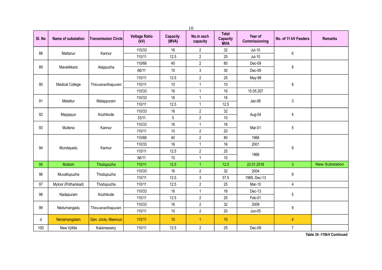|        | 10                     |                            |                              |                          |                        |                                               |                          |                      |                       |  |  |  |
|--------|------------------------|----------------------------|------------------------------|--------------------------|------------------------|-----------------------------------------------|--------------------------|----------------------|-----------------------|--|--|--|
| SI. No | Name of substation     | <b>Transmission Circle</b> | <b>Voltage Ratio</b><br>(kV) | <b>Capacity</b><br>(MVA) | No.in each<br>capacity | <b>Total</b><br><b>Capacity</b><br><b>MVA</b> | Year of<br>Commissioning | No. of 11 kV Feeders | <b>Remarks</b>        |  |  |  |
|        |                        |                            | 110/33                       | 16                       | $\overline{2}$         | 32                                            | $Jul-10$                 |                      |                       |  |  |  |
| 88     | Mattanur               | Kannur                     | 110/11                       | 12.5                     | $\overline{2}$         | 25                                            | $Jul-10$                 | $6\,$                |                       |  |  |  |
|        |                        |                            | 110/66                       | 40                       | $\overline{2}$         | 80                                            | Dec-09                   |                      |                       |  |  |  |
| 89     | Mavelikkara            | Alappuzha                  | 66/11                        | $10$                     | $\mathfrak{z}$         | 30                                            | Dec-09                   | 8                    |                       |  |  |  |
|        |                        |                            | 110/11                       | 12.5                     | $\overline{2}$         | 25                                            | May-98                   |                      |                       |  |  |  |
| 90     | <b>Medical College</b> | Thiruvananthapuram         | 110/11                       | 10                       | $\mathbf{1}$           | $10$                                          |                          | 8                    |                       |  |  |  |
|        |                        |                            | 110/33                       | 16                       | $\mathbf{1}$           | 16                                            | 15.05.207                |                      |                       |  |  |  |
| 91     | Melattur               | Malappuram                 | 110/33                       | 16                       | $\mathbf{1}$           | 16                                            | Jan-06                   | 3                    |                       |  |  |  |
|        |                        |                            | 110/11                       | 12.5                     | $\mathbf{1}$           | 12.5                                          |                          |                      |                       |  |  |  |
| 92     | Meppayur               | Kozhikode                  | 110/33                       | 16                       | $\overline{2}$         | 32                                            | Aug-04                   | $\overline{4}$       |                       |  |  |  |
|        |                        |                            | 33/11                        | 5                        | $\overline{2}$         | $10$                                          |                          |                      |                       |  |  |  |
| 93     | Mulleria               | Kannur                     | 110/33                       | 16                       | $\mathbf{1}$           | 16                                            | Mar-01                   | 5                    |                       |  |  |  |
|        |                        |                            | 110/11                       | $10$                     | $\overline{c}$         | 20                                            |                          |                      |                       |  |  |  |
|        |                        |                            | 110/66                       | 40                       | $\overline{2}$         | 80                                            | 1966                     |                      |                       |  |  |  |
| 94     | Mundayadu              | Kannur                     | 110/33                       | 16                       | $\mathbf{1}$           | 16                                            | 2001                     | $\boldsymbol{9}$     |                       |  |  |  |
|        |                        |                            | 110/11                       | 12.5                     | $\overline{2}$         | 25                                            | 1966                     |                      |                       |  |  |  |
|        |                        |                            | 66/11                        | 10                       | $\mathbf{1}$           | 10                                            |                          |                      |                       |  |  |  |
| 95     | Muttom                 | Thodupuzha                 | 110/11                       | 12.5                     | $\mathbf{1}$           | 12.5                                          | 22.01.2018               | $\overline{3}$       | <b>New Substation</b> |  |  |  |
| 96     | Muvattupuzha           | Thodupuzha                 | 110/33                       | 16                       | $\overline{2}$         | 32                                            | 2004                     | $\boldsymbol{9}$     |                       |  |  |  |
|        |                        |                            | 110/11                       | 12.5                     | 3                      | 37.5                                          | 1989, Dec-13             |                      |                       |  |  |  |
| 97     | Myloor (Pothanikad)    | Thodupuzha                 | 110/11                       | 12.5                     | $\overline{2}$         | 25                                            | Mar-10                   | $\overline{4}$       |                       |  |  |  |
| 98     | Nadapuram              | Kozhikode                  | 110/33                       | 16                       | $\mathbf{1}$           | 16                                            | Dec-13                   | $5\,$                |                       |  |  |  |
|        |                        |                            | 110/11                       | 12.5                     | $\overline{2}$         | 25                                            | Feb-01                   |                      |                       |  |  |  |
| 99     | Nedumangadu            | Thiruvananthapuram         | 110/33                       | 16                       | $\overline{2}$         | 32                                            | 2009                     | $\boldsymbol{9}$     |                       |  |  |  |
|        |                        |                            | 110/11                       | 10                       | $\overline{2}$         | 20                                            | Jun-05                   |                      |                       |  |  |  |
| d      | Neriamangalam          | Gen. circle, Meencut       | 110/11                       | 10                       | $\mathbf{1}$           | 10                                            |                          | $\overline{4}$       |                       |  |  |  |
| 100    | New Vyttila            | Kalamassery                | 110/11                       | 12.5                     | $\overline{2}$         | 25                                            | Dec-09                   | $\overline{7}$       |                       |  |  |  |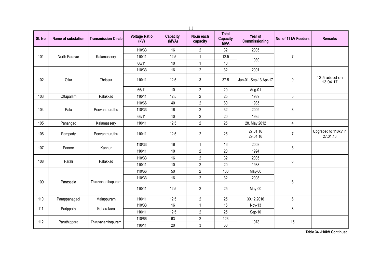| 11     |                           |                            |                              |                          |                        |                                               |                          |                      |                                  |
|--------|---------------------------|----------------------------|------------------------------|--------------------------|------------------------|-----------------------------------------------|--------------------------|----------------------|----------------------------------|
| SI. No | <b>Name of substation</b> | <b>Transmission Circle</b> | <b>Voltage Ratio</b><br>(kV) | <b>Capacity</b><br>(MVA) | No.in each<br>capacity | <b>Total</b><br><b>Capacity</b><br><b>MVA</b> | Year of<br>Commissioning | No. of 11 kV Feeders | <b>Remarks</b>                   |
|        |                           |                            | 110/33                       | 16                       | $\mathbf{2}$           | 32                                            | 2005                     |                      |                                  |
| 101    | North Paravur             | Kalamassery                | 110/11                       | 12.5                     | 1                      | 12.5                                          | 1989                     | $\overline{7}$       |                                  |
|        |                           |                            | 66/11                        | 10                       | $\mathbf{1}$           | 10                                            |                          |                      |                                  |
|        |                           |                            | 110/33                       | 16                       | $\boldsymbol{2}$       | 32                                            | 2001                     |                      |                                  |
| 102    | Ollur                     | Thrissur                   | 110/11                       | 12.5                     | 3                      | 37.5                                          | Jan-01, Sep-13, Apr-17   | 9                    | 12.5 added on<br>13.04.17        |
|        |                           |                            | 66/11                        | 10                       | $\boldsymbol{2}$       | 20                                            | Aug-01                   |                      |                                  |
| 103    | Ottapalam                 | Palakkad                   | 110/11                       | 12.5                     | $\overline{2}$         | 25                                            | 1989                     | 5                    |                                  |
|        |                           |                            | 110/66                       | 40                       | $\overline{2}$         | 80                                            | 1985                     |                      |                                  |
| 104    | Pala                      | Poovanthuruthu             | 110/33                       | 16                       | $\overline{2}$         | 32                                            | 2009                     | $\bf 8$              |                                  |
|        |                           |                            | 66/11                        | 10                       | $\boldsymbol{2}$       | 20                                            | 1985                     |                      |                                  |
| 105    | Panangad                  | Kalamassery                | 110/11                       | 12.5                     | $\overline{2}$         | 25                                            | 28. May 2012             | $\overline{4}$       |                                  |
| 106    | Pampady                   | Poovanthuruthu             | 110/11                       | 12.5                     | $\overline{2}$         | 25                                            | 27.01.16<br>29.04.16     | $\overline{7}$       | Upgraded to 110kV in<br>27.01.16 |
|        |                           |                            | 110/33                       | 16                       | $\mathbf{1}$           | 16                                            | 2003                     |                      |                                  |
| 107    | Panoor                    | Kannur                     | 110/11                       | 10                       | $\boldsymbol{2}$       | 20                                            | 1994                     | 5                    |                                  |
|        |                           |                            | 110/33                       | 16                       | $\boldsymbol{2}$       | 32                                            | 2005                     |                      |                                  |
| 108    | Parali                    | Palakkad                   | 110/11                       | 10                       | $\overline{2}$         | 20                                            | 1988                     | $6\,$                |                                  |
|        |                           |                            | 110/66                       | 50                       | $\overline{2}$         | 100                                           | May-00                   |                      |                                  |
|        |                           |                            | 110/33                       | 16                       | $\overline{2}$         | 32                                            | 2008                     |                      |                                  |
| 109    | Parassala                 | Thiruvananthapuram         | 110/11                       | 12.5                     | $\overline{2}$         | 25                                            | May-00                   | 6                    |                                  |
| 110    | Parappanagadi             | Malappuram                 | 110/11                       | 12.5                     | $\overline{2}$         | 25                                            | 30.12.2016               | $6\,$                |                                  |
| 111    |                           |                            | 110/33                       | 16                       | $\mathbf{1}$           | 16                                            | Nov-13                   | 8                    |                                  |
|        | Parippally                | Kottarakara                | 110/11                       | 12.5                     | $\overline{2}$         | 25                                            | Sep-10                   |                      |                                  |
| 112    |                           |                            | 110/66                       | 63                       | $\sqrt{2}$             | 126                                           | 1978                     | 15                   |                                  |
|        | Paruthippara              | Thiruvananthapuram         | 110/11                       | $20\,$                   | $\sqrt{3}$             | 60                                            |                          |                      |                                  |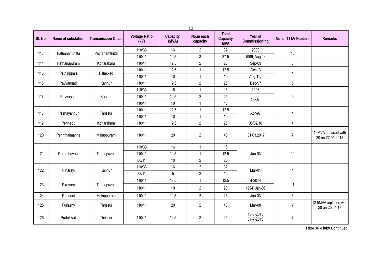|        | 12                 |                            |                              |                          |                        |                                               |                          |                      |                                         |  |  |  |
|--------|--------------------|----------------------------|------------------------------|--------------------------|------------------------|-----------------------------------------------|--------------------------|----------------------|-----------------------------------------|--|--|--|
| SI. No | Name of substation | <b>Transmission Circle</b> | <b>Voltage Ratio</b><br>(kV) | <b>Capacity</b><br>(MVA) | No.in each<br>capacity | <b>Total</b><br><b>Capacity</b><br><b>MVA</b> | Year of<br>Commissioning | No. of 11 kV Feeders | <b>Remarks</b>                          |  |  |  |
| 113    | Pathanamthitta     | Pathanamthitta             | 110/33                       | 16                       | $\overline{2}$         | 32                                            | 2003                     | $10$                 |                                         |  |  |  |
|        |                    |                            | 110/11                       | 12.5                     | $\mathbf{3}$           | 37.5                                          | 1999, Aug-14             |                      |                                         |  |  |  |
| 114    | Pathanapuram       | Kottarakara                | 110/11                       | 12.5                     | $\overline{2}$         | 25                                            | Sep-09                   | $\bf 8$              |                                         |  |  |  |
| 115    |                    | Palakkad                   | 110/11                       | 12.5                     | $\mathbf{1}$           | 12.5                                          | Oct-13                   | 4                    |                                         |  |  |  |
|        | Pathirippala       |                            | 110/11                       | 10                       | $\mathbf{1}$           | 10                                            | Aug-11,                  |                      |                                         |  |  |  |
| 116    | Payyangadi         | Kannur                     | 110/11                       | 12.5                     | $\overline{2}$         | 25                                            | Dec-97                   | 5                    |                                         |  |  |  |
|        |                    |                            | 110/33                       | 16                       | $\mathbf{1}$           | 16                                            | 2006                     |                      |                                         |  |  |  |
| 117    | Payyannur          | Kannur                     | 110/11                       | 12.5                     | $\overline{2}$         | 25                                            | Apr-81                   | 9                    |                                         |  |  |  |
|        |                    |                            | 110/11                       | 10                       | $\mathbf{1}$           | $10$                                          |                          |                      |                                         |  |  |  |
| 118    | Pazhayannur        | Thrissur                   | 110/11                       | 12.5                     | $\mathbf{1}$           | 12.5                                          | Apr-97                   | $\overline{4}$       |                                         |  |  |  |
|        |                    |                            | 110/11                       | $10$                     | $\mathbf{1}$           | $10$                                          |                          |                      |                                         |  |  |  |
| 119    | Perinadu           | Kottarakara                | 110/11                       | 12.5                     | $\overline{2}$         | 25                                            | 08/02/16                 | 4                    |                                         |  |  |  |
| 120    | Perinthalmanna     | Malappuram                 | 110/11                       | 20                       | $\overline{2}$         | 40                                            | 31.03.2017               | $\overline{7}$       | 10MVA replaced with<br>20 on 22.01.2018 |  |  |  |
|        |                    |                            | 110/33                       | 16                       | $\mathbf{1}$           | 16                                            |                          |                      |                                         |  |  |  |
| 121    | Perumbavoor        | Thodupuzha                 | 110/11                       | 12.5                     | $\mathbf{1}$           | 12.5                                          | $Jun-03$                 | $10$                 |                                         |  |  |  |
|        |                    |                            | 66/11                        | 10                       | $\overline{2}$         | 20                                            |                          |                      |                                         |  |  |  |
|        |                    |                            | 110/33                       | 16                       | $\overline{2}$         | 32                                            |                          |                      |                                         |  |  |  |
| 122    | Pinarayi           | Kannur                     | 33/11                        | 5                        | $\overline{2}$         | 10                                            | Mar-01                   | 4                    |                                         |  |  |  |
|        |                    |                            | 110/11                       | 12.5                     | $\mathbf{1}$           | 12.5                                          | 4-2014                   |                      |                                         |  |  |  |
| 123    | Piravom            | Thodupuzha                 | 110/11                       | 10                       | $\overline{2}$         | 20                                            | 1994, Jan-05             | 11                   |                                         |  |  |  |
| 124    | Ponnani            | Malappuram                 | 110/11                       | 12.5                     | $\overline{2}$         | 25                                            | $Jan-03$                 | $\boldsymbol{6}$     |                                         |  |  |  |
| 125    | Pullazhy           | Thrissur                   | 110/11                       | 20                       | 2                      | 40                                            | Mar-08                   | $\overline{7}$       | 12.5MVA replaced with<br>20 on 25.04.17 |  |  |  |
| 126    | Pudukkad           | Thrissur                   | 110/11                       | 12.5                     | $\overline{2}$         | 25                                            | 18-5-2015<br>31-7-2015   | $\overline{7}$       |                                         |  |  |  |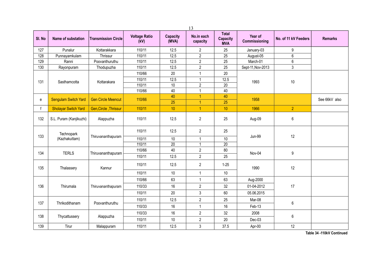| 13     |                             |                            |                              |                          |                        |                                               |                          |                      |                |
|--------|-----------------------------|----------------------------|------------------------------|--------------------------|------------------------|-----------------------------------------------|--------------------------|----------------------|----------------|
| SI. No | Name of substation          | <b>Transmission Circle</b> | <b>Voltage Ratio</b><br>(kV) | <b>Capacity</b><br>(MVA) | No.in each<br>capacity | <b>Total</b><br><b>Capacity</b><br><b>MVA</b> | Year of<br>Commissioning | No. of 11 kV Feeders | <b>Remarks</b> |
| 127    | Punalur                     | Kottarakkara               | 110/11                       | 12.5                     | $\overline{2}$         | 25                                            | January-03               | 9                    |                |
| 128    | Punnayamkulam               | Thrissur                   | 110/11                       | 12.5                     | $\overline{2}$         | 25                                            | August-05                | $\,6$                |                |
| 129    | Ranni                       | Poovanthuruthu             | 110/11                       | 12.5                     | $\overline{2}$         | 25                                            | March-01                 | $6\phantom{1}$       |                |
| 130    | Rayonpuram                  | Thodupuzha                 | 110/11                       | 12.5                     | $\overline{c}$         | 25                                            | Sept-11, Nov-2013        | $\mathbf{3}$         |                |
|        |                             |                            | 110/66                       | 20                       | 1                      | 20                                            |                          |                      |                |
| 131    | Sasthamcotta                | Kottarakara                | 110/11                       | 12.5                     | $\mathbf{1}$           | 12.5                                          | 1993                     | 10                   |                |
|        |                             |                            | 110/11                       | $10$                     | $\overline{2}$         | $\overline{20}$                               |                          |                      |                |
|        |                             |                            | 110/66                       | 40                       | $\mathbf{1}$           | 40                                            |                          |                      |                |
| e      | <b>Sengulam Switch Yard</b> | <b>Gen Circle Meencut</b>  | 110/66                       | 40                       | 1                      | 40                                            | 1958                     |                      | See 66kV also  |
|        |                             |                            |                              | 25                       | $\mathbf{1}$           | 25                                            |                          |                      |                |
|        | <b>Sholayar Switch Yard</b> | Gen, Circle, Thrissur      | 110/11                       | 10                       | $\mathbf{1}$           | 10                                            | 1966                     | $\overline{2}$       |                |
| 132    | S.L. Puram (Kanjikuzhi)     | Alappuzha                  | 110/11                       | 12.5                     | $\overline{c}$         | 25                                            | Aug-09                   | 6                    |                |
| 133    | Technopark                  | Thiruvananthapuram         | 110/11                       | 12.5                     | $\overline{2}$         | 25                                            | <b>Jun-99</b>            | 12                   |                |
|        | (Kazhakuttam)               |                            | 110/11                       | 10                       | 1                      | 10                                            |                          |                      |                |
|        |                             |                            | 110/11                       | $\overline{20}$          | $\mathbf{1}$           | $\overline{20}$                               |                          |                      |                |
| 134    | <b>TERLS</b>                | Thiruvananthapuram         | 110/66                       | 40                       | $\overline{2}$         | 80                                            | Nov-04                   | $\boldsymbol{9}$     |                |
|        |                             |                            | 110/11                       | 12.5                     | $\overline{2}$         | 25                                            |                          |                      |                |
| 135    | Thalassery                  | Kannur                     | 110/11                       | 12.5                     | $\overline{2}$         | $1 - 25$                                      | 1990                     | 12                   |                |
|        |                             |                            | 110/11                       | 10                       | $\mathbf{1}$           | 10                                            |                          |                      |                |
|        |                             |                            | 110/66                       | 63                       | $\mathbf{1}$           | 63                                            | Aug-2000                 |                      |                |
| 136    | Thirumala                   | Thiruvananthapuram         | 110/33                       | 16                       | $\overline{2}$         | 32                                            | 01-04-2012               | 17                   |                |
|        |                             |                            | 110/11                       | 20                       | $\mathfrak{z}$         | 60                                            | 05.06.2015               |                      |                |
|        |                             |                            | 110/11                       | 12.5                     | $\overline{2}$         | 25                                            | Mar-08                   |                      |                |
| 137    | Thrikodithanam              | Poovanthuruthu             | 110/33                       | 16                       | $\mathbf{1}$           | 16                                            | Feb-13                   | 6                    |                |
|        |                             |                            | 110/33                       | 16                       | $\overline{2}$         | 32                                            | 2008                     |                      |                |
| 138    | Thycattussery               | Alappuzha                  | 110/11                       | 10                       | $\overline{2}$         | 20                                            | Dec-03                   | 6                    |                |
| 139    | Tirur                       | Malappuram                 | 110/11                       | 12.5                     | 3                      | 37.5                                          | Apr-00                   | 12                   |                |
|        |                             |                            |                              |                          |                        |                                               |                          |                      |                |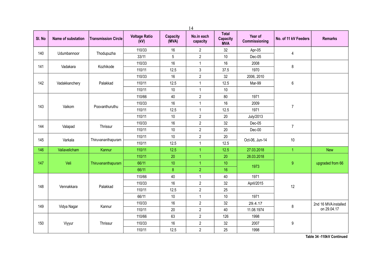|        |                    |                            |                              | 14                       |                        |                                        |                          |                      |                      |
|--------|--------------------|----------------------------|------------------------------|--------------------------|------------------------|----------------------------------------|--------------------------|----------------------|----------------------|
| SI. No | Name of substation | <b>Transmission Circle</b> | <b>Voltage Ratio</b><br>(kV) | <b>Capacity</b><br>(MVA) | No.in each<br>capacity | <b>Total</b><br>Capacity<br><b>MVA</b> | Year of<br>Commissioning | No. of 11 kV Feeders | <b>Remarks</b>       |
| 140    | Udumbannoor        |                            | 110/33                       | 16                       | $\mathbf{2}$           | 32                                     | Apr-05                   |                      |                      |
|        |                    | Thodupuzha                 | 33/11                        | 5                        | $\overline{2}$         | 10                                     | Dec-05                   | $\overline{4}$       |                      |
| 141    | Vadakara           | Kozhikode                  | 110/33                       | 16                       | 1                      | 16                                     | 2008                     | 8                    |                      |
|        |                    |                            | 110/11                       | 12.5                     | $\mathfrak{Z}$         | 37.5                                   | 1970                     |                      |                      |
|        |                    |                            | 110/33                       | 16                       | $\sqrt{2}$             | 32                                     | 2006, 2010               |                      |                      |
| 142    | Vadakkanchery      | Palakkad                   | 110/11                       | 12.5                     | $\mathbf{1}$           | 12.5                                   | Mar-99                   | 6                    |                      |
|        |                    |                            | 110/11                       | 10                       | $\mathbf{1}$           | 10                                     |                          |                      |                      |
|        |                    |                            | 110/66                       | 40                       | $\overline{2}$         | 80                                     | 1971                     |                      |                      |
| 143    | Vaikom             |                            | 110/33                       | 16                       | $\mathbf{1}$           | 16                                     | 2009                     | $\overline{7}$       |                      |
|        |                    | Poovanthuruthu             | 110/11                       | 12.5                     | $\mathbf{1}$           | 12.5                                   | 1971                     |                      |                      |
|        |                    |                            | 110/11                       | 10                       | $\overline{2}$         | 20                                     | July/2013                |                      |                      |
| 144    | Valapad            | Thrissur                   | 110/33                       | 16                       | $\overline{2}$         | 32                                     | Dec-05                   | $\overline{7}$       |                      |
|        |                    |                            | 110/11                       | 10                       | $\overline{2}$         | 20                                     | $Dec-00$                 |                      |                      |
| 145    | Varkala            | Thiruvananthapuram         | 110/11                       | 10                       | $\overline{2}$         | 20                                     | Oct-06, Jun-14           | $10$                 |                      |
|        |                    |                            | 110/11                       | 12.5                     | $\mathbf{1}$           | 12.5                                   |                          |                      |                      |
| 146    | Valiavelicham      | Kannur                     | 110/11                       | 12.5                     | 1                      | 12.5                                   | 27.03.2018               | $\overline{1}$       | <b>New</b>           |
|        |                    |                            | 110/11                       | 20                       | $\overline{1}$         | 20                                     | 28.03.2018               |                      |                      |
| 147    | Veli               | Thiruvananthapuram         | 66/11                        | 10                       | -1                     | 10                                     | 1973                     | $\overline{9}$       | upgraded from 66     |
|        |                    |                            | 66/11                        | $\overline{8}$           | $\overline{2}$         | 16                                     |                          |                      |                      |
|        |                    |                            | 110/66                       | 40                       | $\mathbf{1}$           | 40                                     | 1971                     |                      |                      |
| 148    | Vennakkara         | Palakkad                   | 110/33                       | 16                       | $\overline{2}$         | 32                                     | April/2015               | 12                   |                      |
|        |                    |                            | 110/11                       | 12.5                     | $\overline{2}$         | 25                                     |                          |                      |                      |
|        |                    |                            | 66/11                        | 10                       | $\mathbf{1}$           | $10$                                   | 1971                     |                      |                      |
| 149    | Vidya Nagar        | Kannur                     | 110/33                       | 16                       | $\overline{2}$         | 32                                     | 29.4.17                  | 8                    | 2nd 16 MVA installed |
|        |                    |                            | 110/11                       | 20                       | $\sqrt{2}$             | 40                                     | 11.08.1974               |                      | on 29.04.17          |
|        |                    |                            | 110/66                       | 63                       | $\overline{2}$         | 126                                    | 1998                     |                      |                      |
| 150    | Viyyur             | Thrissur                   | 110/33                       | 16                       | $\mathbf{2}$           | 32                                     | 2007                     | 9                    |                      |
|        |                    |                            | 110/11                       | 12.5                     | $\overline{2}$         | 25                                     | 1998                     |                      |                      |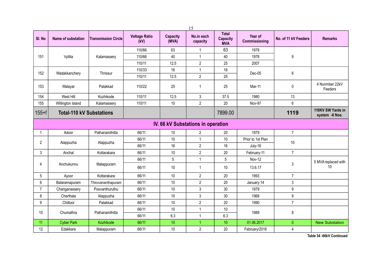|                |                                 |                            |                              |                          | 15                                 |                                               |                          |                      |                                     |
|----------------|---------------------------------|----------------------------|------------------------------|--------------------------|------------------------------------|-----------------------------------------------|--------------------------|----------------------|-------------------------------------|
| SI. No         | Name of substation              | <b>Transmission Circle</b> | <b>Voltage Ratio</b><br>(kV) | <b>Capacity</b><br>(MVA) | No.in each<br>capacity             | <b>Total</b><br><b>Capacity</b><br><b>MVA</b> | Year of<br>Commissioning | No. of 11 kV Feeders | <b>Remarks</b>                      |
|                |                                 |                            | 110/66                       | 63                       | 1                                  | 63                                            | 1978                     |                      |                                     |
| 151            | Vyttila                         | Kalamassery                | 110/66                       | 40                       | $\mathbf{1}$                       | 40                                            | 1978                     | 9                    |                                     |
|                |                                 |                            | 110/11                       | 12.5                     | $\overline{2}$                     | 25                                            | 2007                     |                      |                                     |
|                |                                 |                            | 110/33                       | 16                       | $\mathbf{1}$                       | 16                                            |                          |                      |                                     |
| 152            | Wadakkanchery                   | Thrissur                   | 110/11                       | 12.5                     | $\sqrt{2}$                         | 25                                            | Dec-05                   | $6\,$                |                                     |
| 153            | Walayar                         | Palakkad                   | 110/22                       | 25                       | 1                                  | 25                                            | Mar-11                   | $\mathbf 0$          | 4 Nunmber 22kV<br>Feeders           |
| 154            | West Hill                       | Kozhikode                  | 110/11                       | 12.5                     | 3                                  | 37.5                                          | 1980                     | 13                   |                                     |
| 155            | Willington Island               | Kalamassery                | 110/11                       | 10                       | $\overline{2}$                     | 20                                            | Nov-97                   | 6                    |                                     |
| $155 + f$      | <b>Total-110 kV Substations</b> |                            |                              |                          |                                    | 7899.00                                       |                          | 1119                 | 110KV SW Yards in<br>system -6 Nos. |
|                |                                 |                            |                              |                          | IV. 66 kV Substations in operation |                                               |                          |                      |                                     |
|                | Adoor                           | Pathanamthitta             | 66/11                        | 10                       | $\overline{2}$                     | 20                                            | 1979                     | $\overline{7}$       |                                     |
| $\overline{2}$ | Alappuzha                       | Alappuzha                  | 66/11                        | 10                       | 1                                  | 10                                            | Prior to 1st Plan        | 10                   |                                     |
|                |                                 |                            | 66/11                        | 16                       | $\overline{2}$                     | 16                                            | July-16                  |                      |                                     |
| 3              | Anchal                          | Kottarakara                | 66/11                        | 10                       | $\overline{2}$                     | 20                                            | February-11              | $\overline{7}$       |                                     |
|                |                                 |                            | 66/11                        | $\sqrt{5}$               | $\mathbf{1}$                       | 5                                             | Nov-12                   |                      | 5 MVA replaced with                 |
| 4              | Anchukunnu                      | Malappuram                 | 66/11                        | 10                       | $\mathbf{1}$                       | 10                                            | 13.6.17                  | 3                    | 10                                  |
| 5              | Ayoor                           | Kottarakara                | 66/11                        | 10                       | $\overline{2}$                     | 20                                            | 1993                     | $\overline{7}$       |                                     |
| 6              | Balaramapuram                   | Thiruvananthapuram         | 66/11                        | 10                       | $\overline{2}$                     | 20                                            | January-14               | 3                    |                                     |
| $\overline{7}$ | Changanassery                   | Poovanthuruthu             | 66/11                        | 10                       | 3                                  | 30                                            | 1979                     | 9                    |                                     |
| 8              | Cherthala                       | Alappuzha                  | 66/11                        | 10                       | 3                                  | 30                                            | 1968                     | 9                    |                                     |
| 9              | Chittoor                        | Palakkad                   | 66/11                        | 10                       | $\sqrt{2}$                         | 20                                            | 1990                     | $\overline{7}$       |                                     |
| 10             | Chumathra                       | Pathanamthitta             | 66/11                        | 10                       | $\mathbf{1}$                       | 10                                            | 1989                     | 8                    |                                     |
|                |                                 |                            | 66/11                        | 6.3                      | 1                                  | 6.3                                           |                          |                      |                                     |
| 11             | <b>Cyber Park</b>               | Kozhikode                  | 66/11                        | 10 <sup>°</sup>          | 1                                  | 10                                            | 01.06.2017               | $\mathbf{0}$         | <b>New Substation</b>               |
| 12             | Edakkara                        | Malappuram                 | 66/11                        | 10                       | $\overline{2}$                     | 20                                            | February/2016            | 4                    |                                     |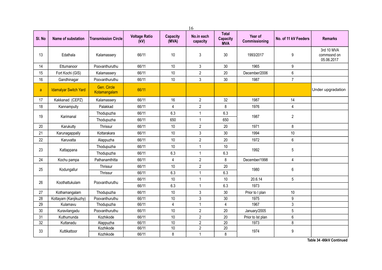| 16     |                              |                             |                              |                          |                        |                                               |                          |                      |                                         |
|--------|------------------------------|-----------------------------|------------------------------|--------------------------|------------------------|-----------------------------------------------|--------------------------|----------------------|-----------------------------------------|
| SI. No | Name of substation           | <b>Transmission Circle</b>  | <b>Voltage Ratio</b><br>(kV) | <b>Capacity</b><br>(MVA) | No.in each<br>capacity | <b>Total</b><br><b>Capacity</b><br><b>MVA</b> | Year of<br>Commissioning | No. of 11 kV Feeders | <b>Remarks</b>                          |
| 13     | Edathala                     | Kalamassery                 | 66/11                        | 10                       | $\sqrt{3}$             | 30                                            | 1993/2017                | $\boldsymbol{9}$     | 3rd 10 MVA<br>commssnd on<br>05.06.2017 |
| 14     | Ettumanoor                   | Poovanthuruthu              | 66/11                        | 10                       | 3                      | 30                                            | 1965                     | 9                    |                                         |
| 15     | Fort Kochi (GIS)             | Kalamassery                 | 66/11                        | $10$                     | $\overline{2}$         | 20                                            | December/2006            | $\,6$                |                                         |
| 16     | Gandhinagar                  | Poovanthuruthu              | 66/11                        | 10                       | 3                      | 30                                            | 1987                     | $\overline{7}$       |                                         |
| a      | <b>Idamalyar Switch Yard</b> | Gen. Circle<br>Kotamangalam | 66/11                        |                          |                        |                                               |                          |                      | Under upgradation                       |
| 17     | Kakkanad (CEPZ)              | Kalamassery                 | 66/11                        | 16                       | $\overline{2}$         | 32                                            | 1987                     | 14                   |                                         |
| 18     | Kannampully                  | Palakkad                    | 66/11                        | 4                        | $\overline{2}$         | 8                                             | 1976                     | 4                    |                                         |
| 19     | Karimanal                    | Thodupuzha                  | 66/11                        | 6.3                      | $\mathbf{1}$           | 6.3                                           | 1987                     | $\overline{2}$       |                                         |
|        |                              | Thodupuzha                  | 66/11                        | 650                      | $\mathbf{1}$           | 650                                           |                          |                      |                                         |
| 20     | Karukutty                    | Thrissur                    | 66/11                        | 10                       | $\overline{2}$         | 20                                            | 1971                     | 8                    |                                         |
| 21     | Karunagappally               | Kottarakara                 | 66/11                        | 10                       | 3                      | 30                                            | 1994                     | 10                   |                                         |
| 22     | Karuvatta                    | Alappuzha                   | 66/11                        | 10                       | $\overline{2}$         | 20                                            | 1972                     | $\,6\,$              |                                         |
|        |                              | Thodupuzha                  | 66/11                        | 10                       | $\mathbf{1}$           | 10                                            |                          |                      |                                         |
| 23     | Kattappana                   | Thodupuzha                  | 66/11                        | 6.3                      | $\mathbf{1}$           | 6.3                                           | 1992                     | 5                    |                                         |
| 24     | Kochu pampa                  | Pathanamthitta              | 66/11                        | 4                        | $\overline{2}$         | 8                                             | December/1998            | 4                    |                                         |
| 25     | Kodungallur                  | Thrissur                    | 66/11                        | 10                       | $\overline{c}$         | 20                                            | 1980                     | 6                    |                                         |
|        |                              | Thrissur                    | 66/11                        | 6.3                      | $\mathbf{1}$           | 6.3                                           |                          |                      |                                         |
| 26     | Koothattukulam               | Poovanthuruthu              | 66/11                        | 10                       | $\mathbf{1}$           | 10                                            | 20.6.14                  | 5                    |                                         |
|        |                              |                             | 66/11                        | 6.3                      | $\mathbf{1}$           | 6.3                                           | 1973                     |                      |                                         |
| 27     | Kothamangalam                | Thodupuzha                  | 66/11                        | 10                       | 3                      | 30                                            | Prior to I plan          | 10                   |                                         |
| 28     | Kottayam (Kanjikuzhy)        | Poovanthuruthu              | 66/11                        | 10                       | 3                      | 30                                            | 1975                     | $\boldsymbol{9}$     |                                         |
| 29     | Kulamavu                     | Thodupuzha                  | 66/11                        | $\overline{4}$           | $\mathbf{1}$           | $\overline{4}$                                | 1967                     | 3                    |                                         |
| 30     | Kuravilangadu                | Poovanthuruthu              | 66/11                        | 10                       | $\overline{2}$         | 20                                            | January/2005             | 5                    |                                         |
| 31     | Kuthumunda                   | Kozhikode                   | 66/11                        | 10                       | $\overline{c}$         | 20                                            | Prior to Ist plan        | 6                    |                                         |
| 32     | Kuttanadu                    | Alappuzha                   | 66/11                        | 10                       | $\overline{c}$         | 20                                            | 1973                     | 8                    |                                         |
| 33     | Kuttikattoor                 | Kozhikode                   | 66/11                        | $10$                     | $\overline{c}$         | 20                                            | 1974                     | 9                    |                                         |
|        |                              | Kozhikode                   | 66/11                        | 8                        | $\mathbf{1}$           | 8                                             |                          |                      |                                         |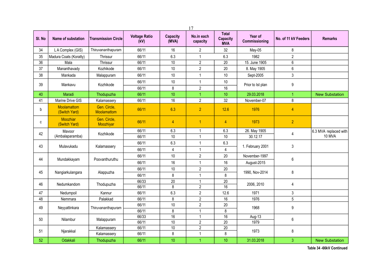|                 |                              |                             |                              |                          | 17                               |                                               |                          |                      |                       |
|-----------------|------------------------------|-----------------------------|------------------------------|--------------------------|----------------------------------|-----------------------------------------------|--------------------------|----------------------|-----------------------|
| SI. No          | Name of substation           | <b>Transmission Circle</b>  | <b>Voltage Ratio</b><br>(kV) | <b>Capacity</b><br>(MVA) | No.in each<br>capacity           | <b>Total</b><br><b>Capacity</b><br><b>MVA</b> | Year of<br>Commissioning | No. of 11 kV Feeders | <b>Remarks</b>        |
| 34              | LA Complex (GIS)             | Thiruvananthapuram          | 66/11                        | 16                       | $\overline{2}$                   | 32                                            | May-05                   | 8                    |                       |
| 35              | Madura Coats (Koratty)       | Thrissur                    | 66/11                        | 6.3                      | 1                                | 6.3                                           | 1982                     | $\overline{2}$       |                       |
| $\overline{36}$ | Mala                         | Thrissur                    | 66/11                        | $\overline{10}$          | $\overline{2}$                   | $\overline{20}$                               | 15. June 1905            | $6\overline{6}$      |                       |
| 37              | Mananthavady                 | Kozhikode                   | 66/11                        | 10                       | $\overline{2}$                   | 20                                            | 8. May 1905              | 6                    |                       |
| 38              | Mankada                      | Malappuram                  | 66/11                        | 10                       | $\mathbf{1}$                     | 10                                            | Sept-2005                | $\mathfrak{Z}$       |                       |
| 39              | Mankavu                      | Kozhikode                   | 66/11                        | 10                       | $\mathbf{1}$                     | 10                                            | Prior to Ist plan        | $\boldsymbol{9}$     |                       |
|                 |                              |                             | 66/11                        | 8                        | $\overline{2}$                   | 16                                            |                          |                      |                       |
| 40              | Maradi                       | Thodupuzha                  | 66/11                        | 10                       |                                  | 10                                            | 29.03.2018               | 1                    | <b>New Substation</b> |
| 41              | Marine Drive GIS             | Kalamassery                 | 66/11                        | 16                       | $\overline{2}$                   | 32                                            | November-07              | $\bf 8$              |                       |
| b               | Moolamattom<br>(Switch Yard) | Gen. Circle,<br>Moolamattom | 66/11                        | 6.3                      | $\overline{2}$                   | 12.6                                          | 1976                     | $\overline{4}$       |                       |
| с               | Moozhiar<br>(Switch Yard)    | Gen. Circle,<br>Moozhiyar   | 66/11                        | $\overline{4}$           | $\overline{1}$                   | $\overline{4}$                                | 1973                     | $\overline{2}$       |                       |
| 42              | Mavoor                       | Kozhikode                   | 66/11                        | 6.3                      | 1                                | 6.3                                           | 26. May 1905             | 4                    | 6.3 MVA replaced with |
|                 | (Ambalaparamba)              |                             | 66/11                        | 10                       | $\mathbf{1}$                     | 10                                            | 30.12.17                 |                      | 10 MVA                |
| 43              | Mulavukadu                   | Kalamassery                 | 66/11                        | 6.3                      | $\mathbf{1}$                     | 6.3                                           | 1. February 2001         | 3                    |                       |
|                 |                              |                             | 66/11                        | $\overline{4}$           | $\mathbf{1}$                     | $\overline{4}$                                |                          |                      |                       |
| 44              | Mundakkayam                  | Poovanthuruthu              | 66/11                        | 10                       | $\overline{2}$                   | 20                                            | November-1997            | $6\,$                |                       |
|                 |                              |                             | 66/11                        | 16                       | $\mathbf{1}$                     | 16                                            | August-2015              |                      |                       |
|                 |                              |                             | 66/11                        | 10                       | $\overline{2}$                   | 20                                            |                          |                      |                       |
| 45              | Nangiarkulangara             | Alappuzha                   | 66/11                        | 8                        | $\mathbf{1}$                     | 8                                             | 1990, Nov-2014           | $\bf 8$              |                       |
| 46              | Nedumkandom                  | Thodupuzha                  | 66/33                        | $\overline{20}$          | $\mathbf{1}$                     | $\overline{20}$                               | 2006, 2010               | $\overline{4}$       |                       |
|                 |                              |                             | 66/11                        | 8                        | $\overline{2}$                   | $\overline{16}$                               |                          |                      |                       |
| 47              | Nedumpoil                    | Kannur                      | 66/11                        | 6.3                      | $\overline{2}$                   | 12.6                                          | 1971                     | $\mathfrak{Z}$       |                       |
| 48              | Nemmara                      | Palakkad                    | 66/11                        | 8                        | $\overline{2}$                   | 16                                            | 1976                     | $\overline{5}$       |                       |
| 49              | Neyyattinkara                | Thiruvananthapuram          | 66/11                        | $10$                     | $\overline{2}$                   | $20\,$                                        | 1968                     | $9\,$                |                       |
|                 |                              |                             | 66/11                        | 8                        | $\mathbf{1}$                     | 8                                             |                          |                      |                       |
| 50              | Nilambur                     | Malappuram                  | 66/33                        | 16                       | 1                                | 16                                            | Aug-13                   | $6\,$                |                       |
|                 |                              | Kalamassery                 | 66/11<br>66/11               | 10<br>10                 | $\overline{c}$<br>$\overline{2}$ | $\overline{20}$<br>20                         | 1979                     |                      |                       |
| 51              | Njarakkal                    | Kalamassery                 | 66/11                        | 8                        | $\mathbf{1}$                     | 8                                             | 1973                     | 8                    |                       |
| 52              | Odakkali                     | Thodupuzha                  | 66/11                        | 10                       | 1                                | 10                                            | 31.03.2018               | 3                    | <b>New Substation</b> |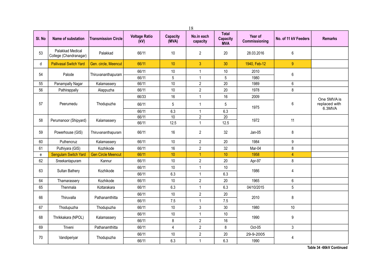|        | 18                                         |                            |                              |                          |                        |                                               |                          |                      |                         |  |  |  |
|--------|--------------------------------------------|----------------------------|------------------------------|--------------------------|------------------------|-----------------------------------------------|--------------------------|----------------------|-------------------------|--|--|--|
| SI. No | Name of substation                         | <b>Transmission Circle</b> | <b>Voltage Ratio</b><br>(kV) | <b>Capacity</b><br>(MVA) | No.in each<br>capacity | <b>Total</b><br><b>Capacity</b><br><b>MVA</b> | Year of<br>Commissioning | No. of 11 kV Feeders | <b>Remarks</b>          |  |  |  |
| 53     | Palakkad Medical<br>College (Chandranagar) | Palakkad                   | 66/11                        | 10                       | $\overline{2}$         | 20                                            | 28.03.2016               | 6                    |                         |  |  |  |
| d      | <b>Pallivasal Switch Yard</b>              | Gen. circle, Meencut       | 66/11                        | 10 <sup>°</sup>          | $\overline{3}$         | 30                                            | 1940, Feb-12             | $\overline{9}$       |                         |  |  |  |
| 54     | Palode                                     | Thiruvananthapuram         | 66/11                        | 10                       | $\mathbf{1}$           | $10$                                          | 2010                     | $\boldsymbol{6}$     |                         |  |  |  |
|        |                                            |                            | 66/11                        | 5                        | $\mathbf{1}$           | 5                                             | 1980                     |                      |                         |  |  |  |
| 55     | Panampally Nagar                           | Kalamassery                | 66/11                        | 10                       | $\overline{2}$         | 20                                            | 1989                     | 6                    |                         |  |  |  |
| 56     | Pathirappally                              | Alappuzha                  | 66/11                        | $10$                     | $\overline{2}$         | 20                                            | 1978                     | $\bf 8$              |                         |  |  |  |
|        |                                            |                            | 66/33                        | 16                       | $\mathbf{1}$           | 16                                            | 2009                     |                      | One 5MVA is             |  |  |  |
| 57     | Peerumedu                                  | Thodupuzha                 | 66/11                        | 5                        | $\mathbf{1}$           | $\sqrt{5}$                                    | 1975                     | 6                    | replaced with<br>6.3MVA |  |  |  |
|        |                                            |                            | 66/11                        | 6.3                      | $\mathbf{1}$           | 6.3                                           |                          |                      |                         |  |  |  |
| 58     | Perumanoor (Shipyard)                      | Kalamassery                | 66/11                        | 10                       | $\overline{2}$         | $\overline{20}$                               | 1972                     | 11                   |                         |  |  |  |
|        |                                            |                            | 66/11                        | 12.5                     | $\mathbf{1}$           | 12.5                                          |                          |                      |                         |  |  |  |
| 59     | Powerhouse (GIS)                           | Thiruvananthapuram         | 66/11                        | 16                       | $\overline{2}$         | 32                                            | Jan-05                   | 8                    |                         |  |  |  |
| 60     | Puthencruz                                 | Kalamassery                | 66/11                        | 10                       | $\overline{2}$         | 20                                            | 1984                     | 9                    |                         |  |  |  |
| 61     | Puthiyara (GIS)                            | Kozhikode                  | 66/11                        | 16                       | $\overline{2}$         | 32                                            | Mar-04                   | $\bf 8$              |                         |  |  |  |
| e      | <b>Sengulam Switch Yard</b>                | <b>Gen Circle Meencut</b>  | 66/11                        | 10                       | $\overline{1}$         | 10                                            | 1958                     | $\overline{4}$       |                         |  |  |  |
| 62     | Sreekantapuram                             | Kannur                     | 66/11                        | 10                       | $\boldsymbol{2}$       | 20                                            | Apr-97                   | 8                    |                         |  |  |  |
| 63     |                                            | Kozhikode                  | 66/11                        | $10$                     | $\mathbf{1}$           | 10                                            | 1986                     |                      |                         |  |  |  |
|        | Sultan Bathery                             |                            | 66/11                        | 6.3                      | $\mathbf{1}$           | 6.3                                           |                          | $\overline{4}$       |                         |  |  |  |
| 64     | Thamarassery                               | Kozhikode                  | 66/11                        | 10                       | $\boldsymbol{2}$       | $20\,$                                        | 1965                     | 6                    |                         |  |  |  |
| 65     | Thenmala                                   | Kottarakara                | 66/11                        | 6.3                      | $\mathbf{1}$           | 6.3                                           | 04/10/2015               | 5                    |                         |  |  |  |
|        |                                            |                            | 66/11                        | 10                       | $\overline{2}$         | 20                                            |                          |                      |                         |  |  |  |
| 66     | Thiruvalla                                 | Pathanamthitta             | 66/11                        | 7.5                      | $\mathbf{1}$           | 7.5                                           | 2010                     | 8                    |                         |  |  |  |
| 67     | Thodupuzha                                 | Thodupuzha                 | 66/11                        | 10                       | 3                      | 30                                            | 1980                     | $10$                 |                         |  |  |  |
|        |                                            |                            | 66/11                        | $10$                     | $\mathbf{1}$           | $10$                                          |                          |                      |                         |  |  |  |
| 68     | Thrikkakara (NPOL)                         | Kalamassery                | 66/11                        | 8                        | $\overline{2}$         | 16                                            | 1990                     | $\boldsymbol{9}$     |                         |  |  |  |
| 69     | Triveni                                    | Pathanamthitta             | 66/11                        | $\overline{4}$           | $\overline{2}$         | 8                                             | Oct-05                   | 3                    |                         |  |  |  |
| 70     | Vandiperiyar                               | Thodupuzha                 | 66/11                        | 10                       | $\overline{2}$         | 20                                            | 29-9-2005                | 4                    |                         |  |  |  |
|        |                                            |                            | 66/11                        | 6.3                      | $\mathbf{1}$           | 6.3                                           | 1990                     |                      |                         |  |  |  |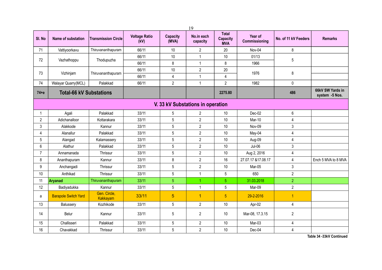|                |                                |                            |                              |                          | 19                                |                                               |                          |                         |                                    |
|----------------|--------------------------------|----------------------------|------------------------------|--------------------------|-----------------------------------|-----------------------------------------------|--------------------------|-------------------------|------------------------------------|
| SI. No         | Name of substation             | <b>Transmission Circle</b> | <b>Voltage Ratio</b><br>(kV) | <b>Capacity</b><br>(MVA) | No.in each<br>capacity            | <b>Total</b><br><b>Capacity</b><br><b>MVA</b> | Year of<br>Commissioning | No. of 11 kV Feeders    | <b>Remarks</b>                     |
| 71             | Vattiyoorkavu                  | Thiruvananthapuram         | 66/11                        | 10                       | 2                                 | 20                                            | Nov-04                   | 8                       |                                    |
| 72             | Vazhathoppu                    | Thodupuzha                 | 66/11                        | 10                       | 1                                 | 10                                            | 01/13                    | 5                       |                                    |
|                |                                |                            | 66/11                        | $\bf 8$                  | 1                                 | 8                                             | 1966                     |                         |                                    |
| 73             | Vizhinjam                      | Thiruvananthapuram         | 66/11                        | 10                       | $\overline{2}$                    | 20                                            | 1976                     | 8                       |                                    |
|                |                                |                            | 66/11                        | $\overline{\mathbf{4}}$  | 1                                 | 4                                             |                          |                         |                                    |
| 74             | Walayar Quarry(MCL)            | Palakkad                   | 66/11                        | $\overline{2}$           | $\mathbf{1}$                      | $\overline{2}$                                | 1982                     | $\pmb{0}$               |                                    |
| $74 + e$       | <b>Total-66 kV Substations</b> |                            |                              |                          |                                   | 2275.80                                       |                          | 486                     | 66kV SW Yards in<br>system -5 Nos. |
|                |                                |                            |                              |                          | V. 33 kV Substations in operation |                                               |                          |                         |                                    |
|                | Agali                          | Palakkad                   | 33/11                        | 5                        | $\overline{2}$                    | 10                                            | Dec-02                   | 6                       |                                    |
| 2              | Adichanalloor                  | Kottarakara                | 33/11                        | 5                        | $\overline{\mathbf{c}}$           | 10                                            | Mar-10                   | 4                       |                                    |
| 3              | Alakkode                       | Kannur                     | 33/11                        | 5                        | $\overline{2}$                    | 10                                            | Nov-09                   | $\mathfrak{Z}$          |                                    |
| 4              | Alanallur                      | Palakkad                   | 33/11                        | $\sqrt{5}$               | $\overline{2}$                    | 10                                            | May-04                   | 4                       |                                    |
| 5              | Alangad                        | Kalamassery                | 33/11                        | 5                        | $\overline{2}$                    | 10                                            | Aug-09                   | 4                       |                                    |
| 6              | Alathur                        | Palakkad                   | 33/11                        | 5                        | $\overline{2}$                    | 10                                            | Jul-06                   | $\mathbf{3}$            |                                    |
| $\overline{7}$ | Annamanada                     | Thrissur                   | 33/11                        | 5                        | $\overline{2}$                    | 10                                            | Aug 2, 2016              | 4                       |                                    |
| 8              | Ananthapuram                   | Kannur                     | 33/11                        | 8                        | $\overline{2}$                    | 16                                            | 27.07.17 & 17.08.17      | $\overline{\mathbf{4}}$ | Ench 5 MVA to 8 MVA                |
| 9              | Anchangadi                     | Thrissur                   | 33/11                        | $\sqrt{5}$               | $\overline{2}$                    | 10                                            | Mar-05                   | 3                       |                                    |
| 10             | Anthikad                       | Thrissur                   | 33/11                        | 5                        | 1                                 | 5                                             | 650                      | $\overline{2}$          |                                    |
| 11             | Aryanad                        | Thiruvananthapuram         | 33/11                        | 5                        | 1                                 | $\overline{5}$                                | 31.03.2018               | $\overline{2}$          |                                    |
| 12             | Badiyadukka                    | Kannur                     | 33/11                        | 5                        | $\mathbf{1}$                      | 5                                             | Mar-09                   | $\sqrt{2}$              |                                    |
| a              | <b>Barapole Switch Yard</b>    | Gen. Circle,<br>Kakkayam   | 33/11                        | 5                        | $\overline{1}$                    | $\overline{5}$                                | 29-2-2016                | $\overline{1}$          |                                    |
| 13             | Balussery                      | Kozhikode                  | 33/11                        | $\sqrt{5}$               | $\overline{2}$                    | 10                                            | Apr-02                   | $\overline{4}$          |                                    |
| 14             | Belur                          | Kannur                     | 33/11                        | $\mathbf 5$              | 2                                 | 10                                            | Mar-08, 17.3.15          | $\sqrt{2}$              |                                    |
| 15             | Challisseri                    | Palakkad                   | 33/11                        | $\sqrt{5}$               | $\overline{2}$                    | 10                                            | Mar-03                   | 4                       |                                    |
| 16             | Chavakkad                      | Thrissur                   | 33/11                        | 5                        | $\overline{2}$                    | 10                                            | Dec-04                   | 4                       |                                    |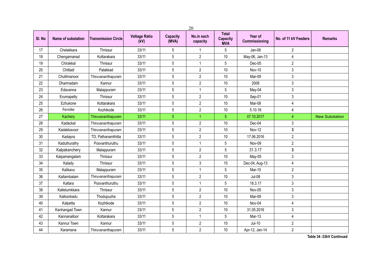|        | 20                 |                            |                              |                          |                        |                                               |                          |                      |                       |  |  |
|--------|--------------------|----------------------------|------------------------------|--------------------------|------------------------|-----------------------------------------------|--------------------------|----------------------|-----------------------|--|--|
| SI. No | Name of substation | <b>Transmission Circle</b> | <b>Voltage Ratio</b><br>(kV) | <b>Capacity</b><br>(MVA) | No.in each<br>capacity | <b>Total</b><br><b>Capacity</b><br><b>MVA</b> | Year of<br>Commissioning | No. of 11 kV Feeders | <b>Remarks</b>        |  |  |
| 17     | Chelakkara         | Thrissur                   | 33/11                        | $\sqrt{5}$               | $\mathbf{1}$           | 5                                             | Jan-08                   | $\overline{2}$       |                       |  |  |
| 18     | Chengamanad        | Kottarakara                | 33/11                        | $5\phantom{.0}$          | $\overline{2}$         | 10                                            | May-06, Jan-13           | 4                    |                       |  |  |
| 19     | Chirakkal          | Thrissur                   | 33/11                        | $5\phantom{.0}$          | $\mathbf 1$            | 5                                             | Dec-05                   | $\overline{2}$       |                       |  |  |
| 20     | Chittadi           | Palakkad                   | 33/11                        | 5                        | $\overline{2}$         | 10                                            | Nov-10                   | 3                    |                       |  |  |
| 21     | Chullimanoor       | Thiruvananthapuram         | 33/11                        | $5\phantom{.0}$          | $\overline{2}$         | 10                                            | Mar-09                   | 3                    |                       |  |  |
| 22     | Dharmadam          | Kannur                     | 33/11                        | $5\phantom{.0}$          | $\overline{2}$         | 10                                            | 2008                     | 3                    |                       |  |  |
| 23     | Edavanna           | Malappuram                 | 33/11                        | 5                        | 1                      | 5                                             | May-04                   | 3                    |                       |  |  |
| 24     | Erumapetty         | Thrissur                   | 33/11                        | $\sqrt{5}$               | $\overline{2}$         | 10                                            | Sep-01                   | 3                    |                       |  |  |
| 25     | Ezhukone           | Kottarakara                | 33/11                        | $\sqrt{5}$               | $\overline{c}$         | 10                                            | Mar-08                   | 4                    |                       |  |  |
| 26     | Feroke             | Kozhikode                  | 33/11                        | $\sqrt{5}$               | $\overline{2}$         | 10                                            | 5.10.16                  | 4                    |                       |  |  |
| 27     | Kachery            | Thiruvananthapuram         | 33/11                        | $\overline{5}$           | 1                      | $\overline{5}$                                | 07.10.2017               | 4                    | <b>New Substation</b> |  |  |
| 28     | Kadackal           | Thiruvananthapuram         | 33/11                        | $\sqrt{5}$               | $\overline{2}$         | 10                                            | Dec-04                   | 3                    |                       |  |  |
| 29     | Kadakkavoor        | Thiruvananthapuram         | 33/11                        | $\sqrt{5}$               | $\overline{2}$         | 10                                            | <b>Nov-12</b>            | 3                    |                       |  |  |
| 30     | Kadapra            | TD, Pathanamthitta         | 33/11                        | 5                        | $\overline{2}$         | 10                                            | 17.06.2016               | $\overline{c}$       |                       |  |  |
| 31     | Kaduthurathy       | Poovanthuruthu             | 33/11                        | $\overline{5}$           | $\mathbf 1$            | 5                                             | Nov-09                   | $\overline{2}$       |                       |  |  |
| 32     | Kalpakanchery      | Malappuram                 | 33/11                        | $5\phantom{.0}$          | $\overline{2}$         | 5                                             | 31.3.17                  | 3                    |                       |  |  |
| 33     | Kaipamangalam      | Thrissur                   | 33/11                        | $5\phantom{.0}$          | $\overline{2}$         | 10                                            | May-05                   | 3                    |                       |  |  |
| 34     | Kalady             | Thrissur                   | 33/11                        | $5\phantom{.0}$          | 3                      | 15                                            | Dec-04, Aug-13           | 4                    |                       |  |  |
| 35     | Kalikavu           | Malappuram                 | 33/11                        | $\sqrt{5}$               | $\mathbf{1}$           | 5                                             | Mar-10                   | $\overline{2}$       |                       |  |  |
| 36     | Kallambalam        | Thiruvananthapuram         | 33/11                        | $5\phantom{.0}$          | $\overline{2}$         | 10                                            | <b>Jul-08</b>            | 3                    |                       |  |  |
| 37     | Kallara            | Poovanthuruthu             | 33/11                        | 5                        | $\overline{1}$         | 5                                             | 18.3.17                  | 3                    |                       |  |  |
| 38     | Kalletumkkara      | Thrissur                   | 33/11                        | 5                        | $\overline{2}$         | 10                                            | Nov-05                   | 3                    |                       |  |  |
| 39     | Kalloorkadu        | Thodupuzha                 | 33/11                        | $\sqrt{5}$               | $\overline{2}$         | 10                                            | Mar-09                   | 3                    |                       |  |  |
| 40     | Kalpetta           | Kozhikode                  | 33/11                        | $\sqrt{5}$               | $\overline{2}$         | 10                                            | Nov-04                   | 4                    |                       |  |  |
| 41     | Kanhangad Town     | Kannur                     | 33/11                        | 5                        | $\overline{2}$         | 10                                            | 31.05.2016               | 3                    |                       |  |  |
| 42     | Kannanalloor       | Kottarakara                | 33/11                        | $\sqrt{5}$               | $\mathbf 1$            | 5                                             | Mar-13                   | 4                    |                       |  |  |
| 43     | Kannur Town        | Kannur                     | 33/11                        | $\sqrt{5}$               | $\overline{2}$         | 10                                            | $Jul-10$                 | $\overline{2}$       |                       |  |  |
| 44     | Karamana           | Thiruvananthapuram         | 33/11                        | $\sqrt{5}$               | $\overline{2}$         | 10                                            | Apr-12, Jan-14           | $\overline{2}$       |                       |  |  |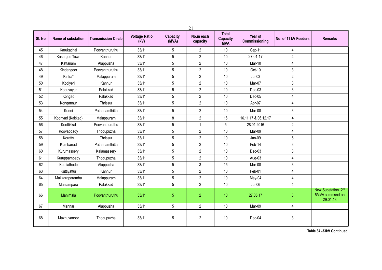| 21     |                    |                            |                              |                          |                        |                                               |                          |                      |                                                                |  |
|--------|--------------------|----------------------------|------------------------------|--------------------------|------------------------|-----------------------------------------------|--------------------------|----------------------|----------------------------------------------------------------|--|
| SI. No | Name of substation | <b>Transmission Circle</b> | <b>Voltage Ratio</b><br>(kV) | <b>Capacity</b><br>(MVA) | No.in each<br>capacity | <b>Total</b><br><b>Capacity</b><br><b>MVA</b> | Year of<br>Commissioning | No. of 11 kV Feeders | <b>Remarks</b>                                                 |  |
| 45     | Karukachal         | Poovanthuruthu             | 33/11                        | 5                        | $\overline{2}$         | 10                                            | Sep-11                   | 4                    |                                                                |  |
| 46     | Kasargod Town      | Kannur                     | 33/11                        | 5                        | $\overline{2}$         | 10                                            | 27.01.17                 | 4                    |                                                                |  |
| 47     | Kattanam           | Alappuzha                  | 33/11                        | 5                        | $\overline{2}$         | $10$                                          | Mar-10                   | 4                    |                                                                |  |
| 48     | Kindangoor         | Poovanthuruthu             | 33/11                        | 5                        | $\overline{2}$         | 10                                            | Oct-10                   | 3                    |                                                                |  |
| 49     | Kinfra*            | Malappuram                 | 33/11                        | 5                        | $\overline{2}$         | 10                                            | $Jul-03$                 | $\overline{2}$       |                                                                |  |
| 50     | Kodiyeri           | Kannur                     | 33/11                        | 5                        | $\overline{2}$         | 10                                            | Mar-07                   | 3                    |                                                                |  |
| 51     | Koduvayur          | Palakkad                   | 33/11                        | 5                        | $\overline{2}$         | 10                                            | Dec-03                   | 3                    |                                                                |  |
| 52     | Kongad             | Palakkad                   | 33/11                        | 5                        | $\overline{2}$         | 10                                            | Dec-05                   | 4                    |                                                                |  |
| 53     | Kongannur          | Thrissur                   | 33/11                        | 5                        | $\overline{2}$         | 10                                            | Apr-07                   | 4                    |                                                                |  |
| 54     | Konni              | Pathanamthitta             | 33/11                        | 5                        | $\overline{2}$         | 10                                            | Mar-08                   | 3                    |                                                                |  |
| 55     | Kooriyad (Kakkad)  | Malappuram                 | 33/11                        | 8                        | $\overline{2}$         | 16                                            | 16.11.17 & 06.12.17      | 4                    |                                                                |  |
| 56     | Koottikkal         | Poovanthuruthu             | 33/11                        | $\sqrt{5}$               | $\mathbf{1}$           | 5                                             | 28.01.2016               | $\overline{c}$       |                                                                |  |
| 57     | Koovappady         | Thodupuzha                 | 33/11                        | $\sqrt{5}$               | $\overline{2}$         | 10                                            | Mar-09                   | 4                    |                                                                |  |
| 58     | Koratty            | Thrissur                   | 33/11                        | 5                        | $\overline{2}$         | 10                                            | Jan-09                   | 5                    |                                                                |  |
| 59     | Kumbanad           | Pathanamthitta             | 33/11                        | 5                        | $\overline{2}$         | 10                                            | Feb-14                   | 3                    |                                                                |  |
| 60     | Kurumassery        | Kalamassery                | 33/11                        | 5                        | $\overline{2}$         | 10                                            | Dec-03                   | 3                    |                                                                |  |
| 61     | Kuruppambady       | Thodupuzha                 | 33/11                        | 5                        | $\overline{2}$         | 10                                            | Aug-03                   | 4                    |                                                                |  |
| 62     | Kuthiathode        | Alappuzha                  | 33/11                        | 5                        | 3                      | 15                                            | Mar-08                   | 3                    |                                                                |  |
| 63     | Kuttiyattur        | Kannur                     | 33/11                        | 5                        | $\mathbf{2}$           | $10$                                          | Feb-01                   | 4                    |                                                                |  |
| 64     | Makkaraparamba     | Malappuram                 | 33/11                        | $\sqrt{5}$               | $\overline{2}$         | 10                                            | May-04                   | 4                    |                                                                |  |
| 65     | Maniampara         | Palakkad                   | 33/11                        | 5                        | $\overline{2}$         | 10                                            | Jul-06                   | $\overline{4}$       |                                                                |  |
| 66     | Manimala           | Poovanthuruthu             | 33/11                        | $\overline{5}$           | $\overline{2}$         | 10                                            | 27.05.17                 | 3                    | New Substation. 2 <sup>nd</sup><br>5MVA commsnd on<br>29.01.18 |  |
| 67     | Mannar             | Alappuzha                  | 33/11                        | 5                        | $\overline{2}$         | 10                                            | Mar-09                   | 4                    |                                                                |  |
| 68     | Mazhuvanoor        | Thodupuzha                 | 33/11                        | 5                        | $\overline{2}$         | 10                                            | Dec-04                   | 3                    |                                                                |  |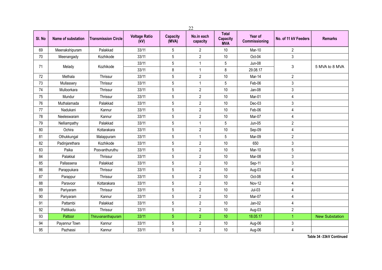|        |                    |                            |                              |                          | 22                     |                                               |                          |                      |                       |
|--------|--------------------|----------------------------|------------------------------|--------------------------|------------------------|-----------------------------------------------|--------------------------|----------------------|-----------------------|
| SI. No | Name of substation | <b>Transmission Circle</b> | <b>Voltage Ratio</b><br>(kV) | <b>Capacity</b><br>(MVA) | No.in each<br>capacity | <b>Total</b><br><b>Capacity</b><br><b>MVA</b> | Year of<br>Commissioning | No. of 11 kV Feeders | <b>Remarks</b>        |
| 69     | Meenakshipuram     | Palakkad                   | 33/11                        | 5                        | $\overline{2}$         | 10                                            | Mar-10                   | $\overline{2}$       |                       |
| 70     | Meenangady         | Kozhikode                  | 33/11                        | 5                        | $\mathbf{2}$           | 10                                            | Oct-04                   | 3                    |                       |
| 71     | Melady             | Kozhikode                  | 33/11                        | 5                        | $\mathbf{1}$           | 5                                             | Jun-08                   | 3                    | 5 MVA to 8 MVA        |
|        |                    |                            | 33/11                        | 8                        | $\mathbf{1}$           | 8                                             | 29.08.17                 |                      |                       |
| 72     | Methala            | Thrissur                   | 33/11                        | 5                        | $\overline{2}$         | 10                                            | Mar-14                   | $\overline{2}$       |                       |
| 73     | Mullassery         | Thrissur                   | 33/11                        | 5                        | $\mathbf{1}$           | 5                                             | Feb-06                   | 3                    |                       |
| 74     | Mulloorkara        | Thrissur                   | 33/11                        | 5                        | $\overline{2}$         | 10                                            | Jan-08                   | 3                    |                       |
| 75     | Mundur             | Thrissur                   | 33/11                        | 5                        | $\overline{2}$         | 10                                            | Mar-01                   | 4                    |                       |
| 76     | Muthalamada        | Palakkad                   | 33/11                        | $\sqrt{5}$               | $\overline{2}$         | 10                                            | Dec-03                   | 3                    |                       |
| 77     | Nadukani           | Kannur                     | 33/11                        | 5                        | $\overline{2}$         | 10                                            | Feb-06                   | 4                    |                       |
| 78     | Neeleswaram        | Kannur                     | 33/11                        | 5                        | $\overline{2}$         | 10                                            | Mar-07                   | 4                    |                       |
| 79     | Nelliampathy       | Palakkad                   | 33/11                        | 5                        | $\mathbf{1}$           | 5                                             | $Jun-05$                 | $\overline{c}$       |                       |
| 80     | Ochira             | Kottarakara                | 33/11                        | 5                        | $\overline{2}$         | 10                                            | Sep-09                   | 4                    |                       |
| 81     | Othukkungal        | Malappuram                 | 33/11                        | 5                        | $\mathbf{1}$           | 5                                             | Mar-09                   | $\overline{2}$       |                       |
| 82     | Padinjarethara     | Kozhikode                  | 33/11                        | 5                        | $\overline{2}$         | $10$                                          | 650                      | 3                    |                       |
| 83     | Paika              | Poovanthuruthu             | 33/11                        | 5                        | $\overline{2}$         | 10                                            | Mar-10                   | 5                    |                       |
| 84     | Palakkal           | Thrissur                   | 33/11                        | 5                        | $\overline{c}$         | 10                                            | Mar-08                   | 3                    |                       |
| 85     | Pallassena         | Palakkad                   | 33/11                        | 5                        | $\overline{2}$         | 10                                            | Sep-11                   | 3                    |                       |
| 86     | Parappukara        | Thrissur                   | 33/11                        | 5                        | $\overline{2}$         | 10                                            | Aug-03                   | 4                    |                       |
| 87     | Parappur           | Thrissur                   | 33/11                        | 5                        | $\overline{2}$         | 10                                            | Oct-08                   | 4                    |                       |
| 88     | Paravoor           | Kottarakara                | 33/11                        | 5                        | $\overline{2}$         | 10                                            | Nov-12                   | 4                    |                       |
| 89     | Pariyaram          | Thrissur                   | 33/11                        | 5                        | $\overline{2}$         | 10                                            | $Jul-03$                 | 4                    |                       |
| 90     | Pariyaram          | Kannur                     | 33/11                        | 5                        | $\overline{2}$         | 10                                            | Mar-07                   | 4                    |                       |
| 91     | Pattambi           | Palakkad                   | 33/11                        | 5                        | $\overline{2}$         | 10                                            | Jan-02                   | 4                    |                       |
| 92     | Pattikadu          | Thrissur                   | 33/11                        | 5                        | $\overline{2}$         | 10                                            | Aug-03                   | $\overline{2}$       |                       |
| 93     | Pattoor            | Thiruvananthapuram         | 33/11                        | 5 <sup>5</sup>           | $\overline{2}$         | 10                                            | 18.05.17                 | 1                    | <b>New Substation</b> |
| 94     | Payannur Town      | Kannur                     | 33/11                        | 5                        | $\overline{2}$         | 10                                            | Aug-06                   | 3                    |                       |
| 95     | Pazhassi           | Kannur                     | 33/11                        | 5                        | $\overline{2}$         | $10$                                          | Aug-06                   | 4                    |                       |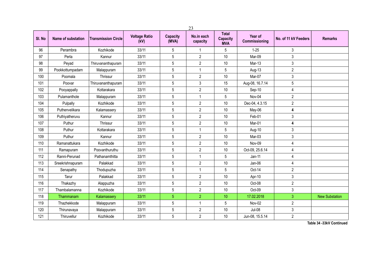|        |                    |                            |                              |                          | 23                     |                                               |                          |                      |                       |
|--------|--------------------|----------------------------|------------------------------|--------------------------|------------------------|-----------------------------------------------|--------------------------|----------------------|-----------------------|
| SI. No | Name of substation | <b>Transmission Circle</b> | <b>Voltage Ratio</b><br>(kV) | <b>Capacity</b><br>(MVA) | No.in each<br>capacity | <b>Total</b><br><b>Capacity</b><br><b>MVA</b> | Year of<br>Commissioning | No. of 11 kV Feeders | <b>Remarks</b>        |
| 96     | Perambra           | Kozhikode                  | 33/11                        | 5                        | 1                      | 5                                             | $1 - 25$                 | 3                    |                       |
| 97     | Perla              | Kannur                     | 33/11                        | 5                        | $\overline{c}$         | 10                                            | Mar-09                   | 3                    |                       |
| 98     | Peyad              | Thiruvananthapuram         | 33/11                        | 5                        | $\overline{2}$         | 10                                            | Mar-13                   | 3                    |                       |
| 99     | Pookkottumpadam    | Malappuram                 | 33/11                        | 5                        | $\mathbf{1}$           | 5                                             | Aug-13                   | $\overline{c}$       |                       |
| 100    | Poomala            | Thrissur                   | 33/11                        | 5                        | $\overline{2}$         | 10                                            | Mar-07                   | 3                    |                       |
| 101    | Poovar             | Thiruvananthapuram         | 33/11                        | 5                        | 3                      | 15                                            | Aug-08, 16.7.14          | 5                    |                       |
| 102    | Pooyappally        | Kottarakara                | 33/11                        | 5                        | $\overline{2}$         | 10                                            | Sep-10                   | 4                    |                       |
| 103    | Pulamanthole       | Malappuram                 | 33/11                        | 5                        | 1                      | 5                                             | Nov-04                   | $\overline{2}$       |                       |
| 104    | Pulpally           | Kozhikode                  | 33/11                        | 5                        | $\overline{2}$         | 10                                            | Dec-04, 4.3.15           | $\overline{2}$       |                       |
| 105    | Puthenvelikara     | Kalamassery                | 33/11                        | 5                        | $\overline{2}$         | 10                                            | May-06                   | 4                    |                       |
| 106    | Puthiyatheruvu     | Kannur                     | 33/11                        | 5                        | $\overline{c}$         | 10                                            | Feb-01                   | 3                    |                       |
| 107    | Puthur             | Thrissur                   | 33/11                        | 5                        | $\overline{2}$         | 10                                            | Mar-01                   | 4                    |                       |
| 108    | Puthur             | Kottarakara                | 33/11                        | 5                        | $\mathbf{1}$           | 5                                             | Aug-10                   | 3                    |                       |
| 109    | Puthur             | Kannur                     | 33/11                        | 5                        | $\overline{2}$         | 10                                            | Mar-03                   | 3                    |                       |
| 110    | Ramanattukara      | Kozhikode                  | 33/11                        | 5                        | $\overline{2}$         | 10                                            | Nov-09                   | 4                    |                       |
| 111    | Ramapuram          | Poovanthuruthu             | 33/11                        | 5                        | $\overline{2}$         | 10                                            | Oct-09, 25.6.14          | 4                    |                       |
| 112    | Ranni-Perunad      | Pathanamthitta             | 33/11                        | 5                        | $\mathbf{1}$           | 5                                             | $Jan-11$                 | 4                    |                       |
| 113    | Sreekrishnapuram   | Palakkad                   | 33/11                        | 5                        | $\overline{2}$         | 10                                            | Jan-06                   | 4                    |                       |
| 114    | Senapathy          | Thodupuzha                 | 33/11                        | 5                        | $\mathbf 1$            | 5                                             | Oct-14                   | $\overline{2}$       |                       |
| 115    | Tarur              | Palakkad                   | 33/11                        | $\sqrt{5}$               | $\overline{2}$         | 10                                            | Apr-10                   | 3                    |                       |
| 116    | Thakazhy           | Alappuzha                  | 33/11                        | 5                        | $\overline{2}$         | 10                                            | Oct-08                   | $\overline{2}$       |                       |
| 117    | Thambalamanna      | Kozhikode                  | 33/11                        | 5                        | $\overline{2}$         | 10                                            | Oct-09                   | 3                    |                       |
| 118    | Thammanam          | Kalamassery                | 33/11                        | $\overline{5}$           | $\overline{2}$         | 10                                            | 17.02.2018               | 3                    | <b>New Substation</b> |
| 119    | Thazhekkode        | Malappuram                 | 33/11                        | 5                        | $\mathbf{1}$           | 5                                             | Nov-02                   | $\overline{2}$       |                       |
| 120    | Thirunavaya        | Malappuram                 | 33/11                        | 5                        | $\overline{2}$         | 10                                            | $Jul-08$                 | 3                    |                       |
| 121    | Thiruvellur        | Kozhikode                  | 33/11                        | 5                        | $\overline{2}$         | 10                                            | Jun-08, 15.5.14          | $\overline{2}$       |                       |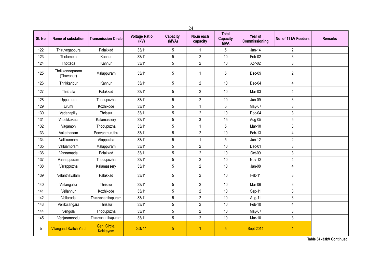|        |                               |                            |                              |                          | 24                     |                                               |                          |                      |                |
|--------|-------------------------------|----------------------------|------------------------------|--------------------------|------------------------|-----------------------------------------------|--------------------------|----------------------|----------------|
| SI. No | Name of substation            | <b>Transmission Circle</b> | <b>Voltage Ratio</b><br>(kV) | <b>Capacity</b><br>(MVA) | No.in each<br>capacity | <b>Total</b><br><b>Capacity</b><br><b>MVA</b> | Year of<br>Commissioning | No. of 11 kV Feeders | <b>Remarks</b> |
| 122    | Thiruvegappura                | Palakkad                   | 33/11                        | 5                        | $\mathbf{1}$           | 5                                             | $Jan-14$                 | $\overline{2}$       |                |
| 123    | Tholambra                     | Kannur                     | 33/11                        | $\sqrt{5}$               | $\overline{2}$         | 10                                            | Feb-02                   | 3                    |                |
| 124    | Thottada                      | Kannur                     | 33/11                        | 5                        | $\overline{2}$         | 10                                            | Apr-02                   | 3                    |                |
| 125    | Thrikkannapuram<br>(Thavanur) | Malappuram                 | 33/11                        | 5                        | $\mathbf 1$            | 5                                             | Dec-09                   | $\overline{2}$       |                |
| 126    | Thrikkaripur                  | Kannur                     | 33/11                        | 5                        | $\overline{2}$         | 10                                            | Dec-04                   | 4                    |                |
| 127    | Thrithala                     | Palakkad                   | 33/11                        | $5\,$                    | $\overline{2}$         | 10                                            | Mar-03                   | 4                    |                |
| 128    | Upputhura                     | Thodupuzha                 | 33/11                        | $5\,$                    | $\overline{2}$         | 10                                            | <b>Jun-09</b>            | 3                    |                |
| 129    | Urumi                         | Kozhikode                  | 33/11                        | $\sqrt{5}$               | $\mathbf{1}$           | 5                                             | May-07                   | 3                    |                |
| 130    | Vadanapilly                   | Thrissur                   | 33/11                        | $\sqrt{5}$               | $\overline{2}$         | 10                                            | Dec-04                   | 3                    |                |
| 131    | Vadekkekara                   | Kalamassery                | 33/11                        | $5\,$                    | 3                      | 15                                            | Aug-05                   | 5                    |                |
| 132    | Vagamon                       | Thodupuzha                 | 33/11                        | $\sqrt{5}$               | $\mathbf{1}$           | 5                                             | Mar-10                   | 3                    |                |
| 133    | Vakathanam                    | Poovanthuruthu             | 33/11                        | $\sqrt{5}$               | $\overline{2}$         | 10                                            | Feb-13                   | 4                    |                |
| 134    | Vallikunnam                   | Alappuzha                  | 33/11                        | $5\,$                    | $\mathbf{1}$           | 5                                             | $Jun-12$                 | $\overline{2}$       |                |
| 135    | Valluambram                   | Malappuram                 | 33/11                        | $\sqrt{5}$               | $\overline{2}$         | 10                                            | Dec-01                   | 3                    |                |
| 136    | Vannamada                     | Palakkad                   | 33/11                        | 5                        | $\overline{2}$         | 10                                            | Oct-09                   | 3                    |                |
| 137    | Vannappuram                   | Thodupuzha                 | 33/11                        | $\sqrt{5}$               | $\overline{2}$         | 10                                            | Nov-12                   | 4                    |                |
| 138    | Varappuzha                    | Kalamassery                | 33/11                        | $\overline{5}$           | $\overline{2}$         | 10                                            | Jan-08                   | $\overline{4}$       |                |
| 139    | Velanthavalam                 | Palakkad                   | 33/11                        | 5                        | $\overline{2}$         | 10                                            | Feb-11                   | 3                    |                |
| 140    | Vellangallur                  | Thrissur                   | 33/11                        | 5                        | $\overline{2}$         | 10                                            | Mar-06                   | 3                    |                |
| 141    | Vellannur                     | Kozhikode                  | 33/11                        | $\sqrt{5}$               | $\overline{2}$         | 10                                            | Sep-11                   | 3                    |                |
| 142    | Vellarada                     | Thiruvananthapuram         | 33/11                        | $\sqrt{5}$               | $\overline{2}$         | $10$                                          | Aug-11                   | 3                    |                |
| 143    | Vellikulangara                | Thrissur                   | 33/11                        | 5                        | $\overline{2}$         | 10                                            | Feb-10                   | 4                    |                |
| 144    | Vengola                       | Thodupuzha                 | 33/11                        | $\sqrt{5}$               | $\overline{2}$         | 10                                            | May-07                   | 3                    |                |
| 145    | Venjaramoodu                  | Thiruvananthapuram         | 33/11                        | 5                        | $\overline{2}$         | 10                                            | Mar-10                   | 3                    |                |
| b      | <b>Vilangand Switch Yard</b>  | Gen. Circle,<br>Kakkayam   | 33/11                        | $\overline{5}$           | 1                      | $\overline{5}$                                | Sept-2014                | $\overline{1}$       |                |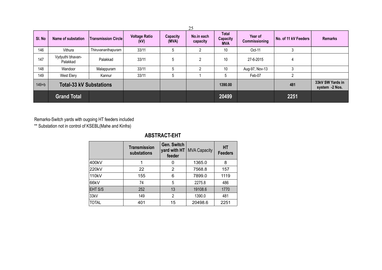|           |                                |                            |                              |                   | 25                     |                                               |                          |                      |                                    |
|-----------|--------------------------------|----------------------------|------------------------------|-------------------|------------------------|-----------------------------------------------|--------------------------|----------------------|------------------------------------|
| SI. No    | Name of substation             | <b>Transmission Circle</b> | <b>Voltage Ratio</b><br>(kV) | Capacity<br>(MVA) | No.in each<br>capacity | <b>Total</b><br><b>Capacity</b><br><b>MVA</b> | Year of<br>Commissioning | No. of 11 kV Feeders | <b>Remarks</b>                     |
| 146       | Vithura                        | Thiruvananthapuram         | 33/11                        | 5                 | っ                      | 10                                            | Oct-11                   | 3                    |                                    |
| 147       | Vydyuthi bhavan-<br>Palakkad   | Palakkad                   | 33/11                        | 5                 | $\overline{2}$         | 10                                            | 27-6-2015                | 4                    |                                    |
| 148       | Wandoor                        | Malappuram                 | 33/11                        | 5                 | 2                      | 10                                            | Aug-97, Nov-13           | 3                    |                                    |
| 149       | West Elery                     | Kannur                     | 33/11                        | 5                 |                        | 5                                             | Feb-07                   | 2                    |                                    |
| $149 + b$ | <b>Total-33 kV Substations</b> |                            |                              |                   |                        | 1390.00                                       |                          | 481                  | 33kV SW Yards in<br>system -2 Nos. |
|           | <b>Grand Total</b>             |                            |                              |                   |                        | 20499                                         |                          | 2251                 |                                    |

Remarks-Switch yards with ougoing HT feeders included

\*\* Substation not in control of KSEBL(Mahe and Kinfra)

## **ABSTRACT-EHT**

|              | <b>Transmission</b><br>substations | <b>Gen. Switch</b><br>yard with HT<br>feeder | <b>MVA Capacity</b> | <b>HT</b><br><b>Feeders</b> |
|--------------|------------------------------------|----------------------------------------------|---------------------|-----------------------------|
| 400kV        | 1                                  | 0                                            | 1365.0              | 8                           |
| 220kV        | 22                                 | 2                                            | 7568.8              | 157                         |
| 110kV        | 155                                | 6                                            | 7899.0              | 1119                        |
| 66kV         | 74                                 | 5                                            | 2275.8              | 486                         |
| EHT S/S      | 252                                | 13                                           | 19108.6             | 1770                        |
| 33kV         | 149                                | $\overline{2}$                               | 1390.0              | 481                         |
| <b>TOTAL</b> | 401                                | 15                                           | 20498.6             | 2251                        |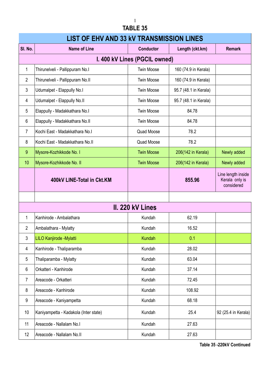## **TABLE 35**

|                | <b>LIST OF EHV AND 33 KV TRANSMISSION LINES</b> |                               |                       |                                                    |  |  |  |
|----------------|-------------------------------------------------|-------------------------------|-----------------------|----------------------------------------------------|--|--|--|
| SI. No.        | <b>Name of Line</b>                             | <b>Conductor</b>              | Length (ckt.km)       | <b>Remark</b>                                      |  |  |  |
|                |                                                 | I. 400 kV Lines (PGCIL owned) |                       |                                                    |  |  |  |
| $\mathbf{1}$   | Thirunelveli - Pallippuram No.I                 | <b>Twin Moose</b>             | 160 (74.9 in Kerala)  |                                                    |  |  |  |
| $\overline{2}$ | Thirunelveli - Pallippuram No.II                | <b>Twin Moose</b>             | 160 (74.9 in Kerala)  |                                                    |  |  |  |
| 3              | Udumalpet - Elappully No.I                      | <b>Twin Moose</b>             | 95.7 (48.1 in Kerala) |                                                    |  |  |  |
| 4              | Udumalpet - Elappully No.II                     | <b>Twin Moose</b>             | 95.7 (48.1 in Kerala) |                                                    |  |  |  |
| 5              | Elappully - Madakkathara No.I                   | <b>Twin Moose</b>             | 84.78                 |                                                    |  |  |  |
| 6              | Elappully - Madakkathara No.II                  | <b>Twin Moose</b>             | 84.78                 |                                                    |  |  |  |
| $\overline{7}$ | Kochi East - Madakkathara No.I                  | <b>Quad Moose</b>             | 78.2                  |                                                    |  |  |  |
| 8              | Kochi East - Madakkathara No.II                 | Quad Moose                    | 78.2                  |                                                    |  |  |  |
| 9              | Mysore-Kozhikkode No. I                         | <b>Twin Moose</b>             | 206(142 in Kerala)    | Newly added                                        |  |  |  |
| 10             | Mysore-Kozhikkode No. II                        | <b>Twin Moose</b>             | 206(142 in Kerala)    | Newly added                                        |  |  |  |
|                | 400kV LINE-Total in Ckt.KM                      |                               | 855.96                | Line length inside<br>Kerala only is<br>considered |  |  |  |
|                |                                                 |                               |                       |                                                    |  |  |  |
|                |                                                 | II. 220 kV Lines              |                       |                                                    |  |  |  |
| 1              | Kanhirode - Ambalathara                         | Kundah                        | 62.19                 |                                                    |  |  |  |
| $\overline{2}$ | Ambalathara - Mylatty                           | Kundah                        | 16.52                 |                                                    |  |  |  |
| 3              | LILO Kanjirode -Mylatti                         | <b>Kundah</b>                 | 0.1                   |                                                    |  |  |  |
| 4              | Kanhirode - Thaliparamba                        | Kundah                        | 28.02                 |                                                    |  |  |  |
| 5              | Thaliparamba - Mylatty                          | Kundah                        | 63.04                 |                                                    |  |  |  |
| 6              | Orkatteri - Kanhirode                           | Kundah                        | 37.14                 |                                                    |  |  |  |
| $\overline{7}$ | Areacode - Orkatteri                            | Kundah                        | 72.45                 |                                                    |  |  |  |
| 8              | Areacode - Kanhirode                            | Kundah                        | 108.92                |                                                    |  |  |  |
| 9              | Areacode - Kaniyampetta                         | Kundah                        | 68.18                 |                                                    |  |  |  |
| 10             | Kaniyampetta - Kadakola (Inter state)           | Kundah                        | 25.4                  | 92 (25.4 in Kerala)                                |  |  |  |
| 11             | Areacode - Nallalam No.I                        | Kundah                        | 27.63                 |                                                    |  |  |  |
| 12             | Areacode - Nallalam No.II                       | Kundah                        | 27.63                 |                                                    |  |  |  |

**Table 35 -220kV Continued**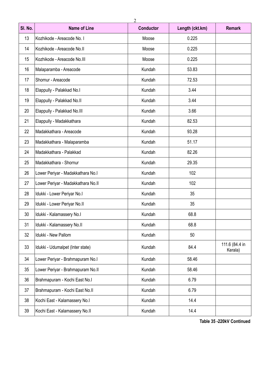| SI. No. | <b>Name of Line</b>                | <b>Conductor</b> | Length (ckt.km) | <b>Remark</b>             |
|---------|------------------------------------|------------------|-----------------|---------------------------|
| 13      | Kozhikode - Areacode No. I         | Moose            | 0.225           |                           |
| 14      | Kozhikode - Areacode No.II         | Moose            | 0.225           |                           |
| 15      | Kozhikode - Areacode No.III        | Moose            | 0.225           |                           |
| 16      | Malaparamba - Areacode             | Kundah           | 53.83           |                           |
| 17      | Shornur - Areacode                 | Kundah           | 72.53           |                           |
| 18      | Elappully - Palakkad No.I          | Kundah           | 3.44            |                           |
| 19      | Elappully - Palakkad No.II         | Kundah           | 3.44            |                           |
| 20      | Elappully - Palakkad No.III        | Kundah           | 3.66            |                           |
| 21      | Elappully - Madakkathara           | Kundah           | 82.53           |                           |
| 22      | Madakkathara - Areacode            | Kundah           | 93.28           |                           |
| 23      | Madakkathara - Malaparamba         | Kundah           | 51.17           |                           |
| 24      | Madakkathara - Palakkad            | Kundah           | 82.26           |                           |
| 25      | Madakkathara - Shornur             | Kundah           | 29.35           |                           |
| 26      | Lower Periyar - Madakkathara No.I  | Kundah           | 102             |                           |
| 27      | Lower Periyar - Madakkathara No.II | Kundah           | 102             |                           |
| 28      | Idukki - Lower Periyar No.I        | Kundah           | 35              |                           |
| 29      | Idukki - Lower Periyar No.II       | Kundah           | 35              |                           |
| 30      | Idukki - Kalamassery No.I          | Kundah           | 68.8            |                           |
| 31      | Idukki - Kalamassery No.II         | Kundah           | 68.8            |                           |
| 32      | Idukki - New Pallom                | Kundah           | 50              |                           |
| 33      | Idukki - Udumalpet (Inter state)   | Kundah           | 84.4            | 111.6 (84.4 in<br>Kerala) |
| 34      | Lower Periyar - Brahmapuram No.I   | Kundah           | 58.46           |                           |
| 35      | Lower Periyar - Brahmapuram No.II  | Kundah           | 58.46           |                           |
| 36      | Brahmapuram - Kochi East No.I      | Kundah           | 6.79            |                           |
| 37      | Brahmapuram - Kochi East No.II     | Kundah           | 6.79            |                           |
| 38      | Kochi East - Kalamassery No.I      | Kundah           | 14.4            |                           |
| 39      | Kochi East - Kalamassery No.II     | Kundah           | 14.4            |                           |

**Table 35 -220kV Continued**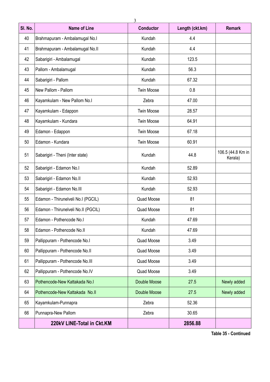| SI. No. | <b>Name of Line</b>                 | <b>Conductor</b>  | Length (ckt.km) | <b>Remark</b>                |
|---------|-------------------------------------|-------------------|-----------------|------------------------------|
| 40      | Brahmapuram - Ambalamugal No.I      | Kundah            | 4.4             |                              |
| 41      | Brahmapuram - Ambalamugal No.II     | Kundah            | 4.4             |                              |
| 42      | Sabarigiri - Ambalamugal            | Kundah            | 123.5           |                              |
| 43      | Pallom - Ambalamugal                | Kundah            | 56.3            |                              |
| 44      | Sabarigiri - Pallom                 | Kundah            | 67.32           |                              |
| 45      | New Pallom - Pallom                 | <b>Twin Moose</b> | 0.8             |                              |
| 46      | Kayamkulam - New Pallom No.I        | Zebra             | 47.00           |                              |
| 47      | Kayamkulam - Edappon                | <b>Twin Moose</b> | 28.57           |                              |
| 48      | Kayamkulam - Kundara                | <b>Twin Moose</b> | 64.91           |                              |
| 49      | Edamon - Edappon                    | <b>Twin Moose</b> | 67.18           |                              |
| 50      | Edamon - Kundara                    | <b>Twin Moose</b> | 60.91           |                              |
| 51      | Sabarigiri - Theni (Inter state)    | Kundah            | 44.8            | 106.5 (44.8 Km in<br>Kerala) |
| 52      | Sabarigiri - Edamon No.l            | Kundah            | 52.89           |                              |
| 53      | Sabarigiri - Edamon No.II           | Kundah            | 52.93           |                              |
| 54      | Sabarigiri - Edamon No.III          | Kundah            | 52.93           |                              |
| 55      | Edamon - Thirunelveli No.I (PGCIL)  | Quad Moose        | 81              |                              |
| 56      | Edamon - Thirunelveli No.II (PGCIL) | Quad Moose        | 81              |                              |
| 57      | Edamon - Pothencode No.I            | Kundah            | 47.69           |                              |
| 58      | Edamon - Pothencode No.II           | Kundah            | 47.69           |                              |
| 59      | Pallippuram - Pothencode No.I       | Quad Moose        | 3.49            |                              |
| 60      | Pallippuram - Pothencode No.II      | Quad Moose        | 3.49            |                              |
| 61      | Pallippuram - Pothencode No.III     | Quad Moose        | 3.49            |                              |
| 62      | Pallippuram - Pothencode No.IV      | Quad Moose        | 3.49            |                              |
| 63      | Pothencode-New Kattakada No.I.      | Double Moose      | 27.5            | Newly added                  |
| 64      | Pothencode-New Kattakada No.II      | Double Moose      | 27.5            | Newly added                  |
| 65      | Kayamkulam-Punnapra                 | Zebra             | 52.36           |                              |
| 66      | Punnapra-New Pallom                 | Zebra             | 30.65           |                              |
|         | 220kV LINE-Total in Ckt.KM          |                   | 2856.88         |                              |

**Table 35 - Continued**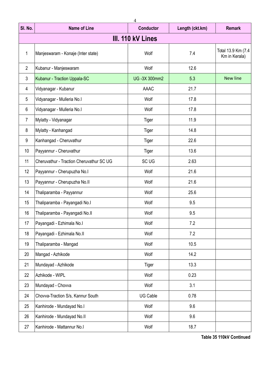|                | 4                                        |                     |                 |                                     |  |  |  |
|----------------|------------------------------------------|---------------------|-----------------|-------------------------------------|--|--|--|
| SI. No.        | <b>Name of Line</b>                      | <b>Conductor</b>    | Length (ckt.km) | <b>Remark</b>                       |  |  |  |
|                |                                          | III. 110 kV Lines   |                 |                                     |  |  |  |
| $\mathbf{1}$   | Manjeswaram - Konaje (Inter state)       | Wolf                | 7.4             | Total 13.9 Km (7.4<br>Km in Kerala) |  |  |  |
| $\overline{2}$ | Kubanur - Manjeswaram                    | Wolf                | 12.6            |                                     |  |  |  |
| 3              | Kubanur - Traction Uppala-SC             | <b>UG-3X 300mm2</b> | 5.3             | <b>New line</b>                     |  |  |  |
| 4              | Vidyanagar - Kubanur                     | <b>AAAC</b>         | 21.7            |                                     |  |  |  |
| 5              | Vidyanagar - Mulleria No.l               | Wolf                | 17.8            |                                     |  |  |  |
| 6              | Vidyanagar - Mulleria No.l               | Wolf                | 17.8            |                                     |  |  |  |
| $\overline{7}$ | Mylatty - Vidyanagar                     | Tiger               | 11.9            |                                     |  |  |  |
| 8              | Mylatty - Kanhangad                      | Tiger               | 14.8            |                                     |  |  |  |
| 9              | Kanhangad - Cheruvathur                  | Tiger               | 22.6            |                                     |  |  |  |
| 10             | Payyannur - Cheruvathur                  | Tiger               | 13.6            |                                     |  |  |  |
| 11             | Cheruvathur - Traction Cheruvathur SC UG | <b>SC UG</b>        | 2.63            |                                     |  |  |  |
| 12             | Payyannur - Cherupuzha No.I              | Wolf                | 21.6            |                                     |  |  |  |
| 13             | Payyannur - Cherupuzha No.II             | Wolf                | 21.6            |                                     |  |  |  |
| 14             | Thaliparamba - Payyannur                 | Wolf                | 25.6            |                                     |  |  |  |
| 15             | Thaliparamba - Payangadi No.I            | Wolf                | 9.5             |                                     |  |  |  |
| 16             | Thaliparamba - Payangadi No.II           | Wolf                | 9.5             |                                     |  |  |  |
| 17             | Payangadi - Ezhimala No.l                | Wolf                | 7.2             |                                     |  |  |  |
| 18             | Payangadi - Ezhimala No.II               | Wolf                | 7.2             |                                     |  |  |  |
| 19             | Thaliparamba - Mangad                    | Wolf                | 10.5            |                                     |  |  |  |
| 20             | Mangad - Azhikode                        | Wolf                | 14.2            |                                     |  |  |  |
| 21             | Mundayad - Azhikode                      | Tiger               | 13.3            |                                     |  |  |  |
| 22             | Azhikode - WIPL                          | Wolf                | 0.23            |                                     |  |  |  |
| 23             | Mundayad - Chovva                        | Wolf                | 3.1             |                                     |  |  |  |
| 24             | Chovva-Traction S/s, Kannur South        | UG Cable            | 0.78            |                                     |  |  |  |
| 25             | Kanhirode - Mundayad No.I                | Wolf                | 9.6             |                                     |  |  |  |
| 26             | Kanhirode - Mundayad No.II               | Wolf                | 9.6             |                                     |  |  |  |
| 27             | Kanhirode - Mattannur No.I               | Wolf                | 18.7            |                                     |  |  |  |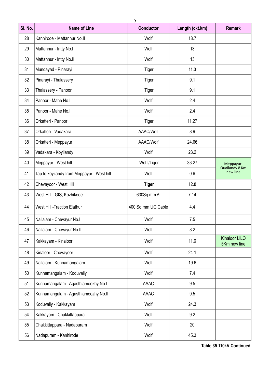| SI. No. | <b>Name of Line</b>                        | <b>Conductor</b>   | Length (ckt.km) | <b>Remark</b>                        |
|---------|--------------------------------------------|--------------------|-----------------|--------------------------------------|
| 28      | Kanhirode - Mattannur No.II                | Wolf               | 18.7            |                                      |
| 29      | Mattannur - Iritty No.I                    | Wolf               | 13              |                                      |
| 30      | Mattannur - Iritty No.II                   | Wolf               | 13              |                                      |
| 31      | Mundayad - Pinarayi                        | Tiger              | 11.3            |                                      |
| 32      | Pinarayi - Thalassery                      | Tiger              | 9.1             |                                      |
| 33      | Thalassery - Panoor                        | Tiger              | 9.1             |                                      |
| 34      | Panoor - Mahe No.I                         | Wolf               | 2.4             |                                      |
| 35      | Panoor - Mahe No.II                        | Wolf               | 2.4             |                                      |
| 36      | Orkatteri - Panoor                         | Tiger              | 11.27           |                                      |
| 37      | Orkatteri - Vadakara                       | AAAC/Wolf          | 8.9             |                                      |
| 38      | Orkatteri - Meppayur                       | AAAC/Wolf          | 24.66           |                                      |
| 39      | Vadakara - Koyilandy                       | Wolf               | 23.2            |                                      |
| 40      | Meppayur - West hill                       | Wol f/Tiger        | 33.27           | Meppayur-                            |
| 41      | Tap to koyilandy from Meppayur - West hill | Wolf               | 0.6             | Quailandy 8 Km<br>new line           |
| 42      | Chevayoor - West Hill                      | <b>Tiger</b>       | 12.8            |                                      |
| 43      | West Hill - GIS, Kozhikode                 | 630Sq.mm Al        | 7.14            |                                      |
| 44      | <b>West Hill -Traction Elathur</b>         | 400 Sq mm UG Cable | 4.4             |                                      |
| 45      | Nallalam - Chevayur No.l                   | Wolf               | 7.5             |                                      |
| 46      | Nallalam - Chevayur No.II                  | Wolf               | 8.2             |                                      |
| 47      | Kakkayam - Kinaloor                        | Wolf               | 11.6            | <b>Kinaloor LILO</b><br>5Km new line |
| 48      | Kinaloor - Chevayoor                       | Wolf               | 24.1            |                                      |
| 49      | Nallalam - Kunnamangalam                   | Wolf               | 19.6            |                                      |
| 50      | Kunnamangalam - Koduvally                  | Wolf               | 7.4             |                                      |
| 51      | Kunnamangalam - Agasthiamoozhy No.I        | AAAC               | 9.5             |                                      |
| 52      | Kunnamangalam - Agasthiamoozhy No.II       | AAAC               | 9.5             |                                      |
| 53      | Koduvally - Kakkayam                       | Wolf               | 24.3            |                                      |
| 54      | Kakkayam - Chakkittappara                  | Wolf               | 9.2             |                                      |
| 55      | Chakkittappara - Nadapuram                 | Wolf               | 20              |                                      |
| 56      | Nadapuram - Kanhirode                      | Wolf               | 45.3            |                                      |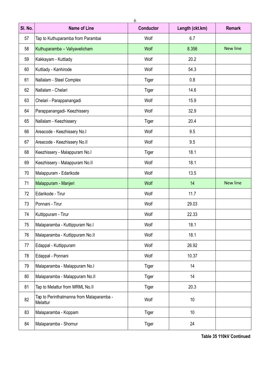| SI. No. | <b>Name of Line</b>                                  | <b>Conductor</b> | Length (ckt.km) | <b>Remark</b>   |
|---------|------------------------------------------------------|------------------|-----------------|-----------------|
| 57      | Tap to Kuthuparamba from Parambai                    | Wolf             | 6.7             |                 |
| 58      | Kuthuparamba - Valiyavelicham                        | Wolf             | 8.356           | <b>New line</b> |
| 59      | Kakkayam - Kuttiady                                  | Wolf             | 20.2            |                 |
| 60      | Kuttiady - Kanhirode                                 | Wolf             | 54.3            |                 |
| 61      | Nallalam - Steel Complex                             | Tiger            | 0.8             |                 |
| 62      | Nallalam - Chelari                                   | Tiger            | 14.6            |                 |
| 63      | Chelari - Parappanangadi                             | Wolf             | 15.9            |                 |
| 64      | Parappanangadi- Keezhissery                          | Wolf             | 32.9            |                 |
| 65      | Nallalam - Keezhissery                               | Tiger            | 20.4            |                 |
| 66      | Areacode - Keezhissery No.I                          | Wolf             | 9.5             |                 |
| 67      | Areacode - Keezhissery No.II                         | Wolf             | 9.5             |                 |
| 68      | Keezhissery - Malappuram No.I                        | Tiger            | 18.1            |                 |
| 69      | Keezhissery - Malappuram No.II                       | Wolf             | 18.1            |                 |
| 70      | Malappuram - Edarikode                               | Wolf             | 13.5            |                 |
| 71      | Malappuram - Manjeri                                 | Wolf             | 14              | <b>New line</b> |
| 72      | Edarikode - Tirur                                    | Wolf             | 11.7            |                 |
| 73      | Ponnani - Tirur                                      | Wolf             | 29.03           |                 |
| 74      | Kuttippuram - Tirur                                  | Wolf             | 22.33           |                 |
| 75      | Malaparamba - Kuttippuram No.I                       | Wolf             | 18.1            |                 |
| 76      | Malaparamba - Kuttippuram No.II                      | Wolf             | 18.1            |                 |
| 77      | Edappal - Kuttippuram                                | Wolf             | 26.92           |                 |
| 78      | Edappal - Ponnani                                    | Wolf             | 10.37           |                 |
| 79      | Malaparamba - Malappuram No.I                        | Tiger            | 14              |                 |
| 80      | Malaparamba - Malappuram No.II                       | Tiger            | 14              |                 |
| 81      | Tap to Melattur from MRML No.II                      | Tiger            | 20.3            |                 |
| 82      | Tap to Perinthalmanna from Malaparamba -<br>Melattur | Wolf             | $10$            |                 |
| 83      | Malaparamba - Koppam                                 | Tiger            | $10$            |                 |
| 84      | Malaparamba - Shornur                                | Tiger            | 24              |                 |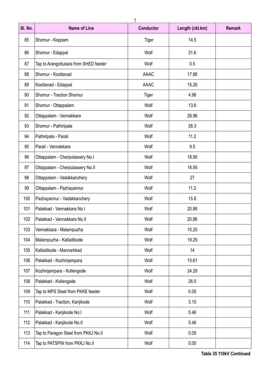| SI. No. | <b>Name of Line</b>                   | <b>Conductor</b> | Length (ckt.km) | <b>Remark</b> |
|---------|---------------------------------------|------------------|-----------------|---------------|
| 85      | Shornur - Koppam                      | Tiger            | 14.5            |               |
| 86      | Shornur - Edappal                     | Wolf             | 31.6            |               |
| 87      | Tap to Arangottukara from SHED feeder | Wolf             | 0.5             |               |
| 88      | Shornur - Koottanad                   | AAAC             | 17.86           |               |
| 89      | Koottanad - Edappal                   | <b>AAAC</b>      | 15.26           |               |
| 90      | Shornur - Traction Shornur            | Tiger            | 4.98            |               |
| 91      | Shornur - Ottappalam                  | Wolf             | 13.6            |               |
| 92      | Ottappalam - Vennakkara               | Wolf             | 28.96           |               |
| 93      | Shornur - Pathiripala                 | Wolf             | 26.3            |               |
| 94      | Pathiripala - Parali                  | Wolf             | 11.2            |               |
| 95      | Parali - Vennakkara                   | Wolf             | 9.5             |               |
| 96      | Ottappalam - Cherpulassery No.I       | Wolf             | 18.95           |               |
| 97      | Ottappalam - Cherpulassery No.II      | Wolf             | 18.95           |               |
| 98      | Ottappalam - Vadakkanchery            | Wolf             | 27              |               |
| 99      | Ottappalam - Pazhayannur              | Wolf             | 11.2            |               |
| 100     | Pazhayannur - Vadakkanchery           | Wolf             | 15.8            |               |
| 101     | Palakkad - Vennakkara No.I            | Wolf             | 20.86           |               |
| 102     | Palakkad - Vennakkara No.II           | Wolf             | 20.86           |               |
| 103     | Vennakkara - Malampuzha               | Wolf             | 10.25           |               |
| 104     | Malampuzha - Kalladikode              | Wolf             | 19.25           |               |
| 105     | Kalladikode - Mannarkkad              | Wolf             | 14              |               |
| 106     | Palakkad - Kozhinjampara              | Wolf             | 10.61           |               |
| 107     | Kozhinjampara - Kollengode            | Wolf             | 24.28           |               |
| 108     | Palakkad - Kollengode                 | Wolf             | 26.5            |               |
| 109     | Tap to MPS Steel from PKKE feeder     | Wolf             | 0.05            |               |
| 110     | Palakkad - Traction, Kanjikode        | Wolf             | 3.15            |               |
| 111     | Palakkad - Kanjikode No.I             | Wolf             | 5.46            |               |
| 112     | Palakkad - Kanjikode No.II            | Wolf             | 5.46            |               |
| 113     | Tap to Paragon Steel from PKKJ No.II  | Wolf             | 0.05            |               |
| 114     | Tap to PATSPIN from PKKJ No.II        | Wolf             | 0.05            |               |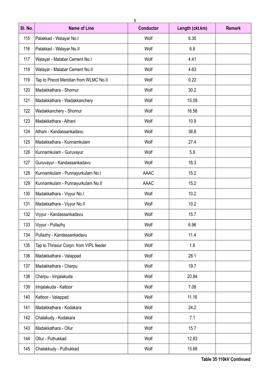| SI. No. | <b>Name of Line</b>                     | <b>Conductor</b> | Length (ckt.km) | <b>Remark</b> |
|---------|-----------------------------------------|------------------|-----------------|---------------|
| 115     | Palakkad - Walayar No.I                 | Wolf             | 6.35            |               |
| 116     | Palakkad - Walayar No.II                | Wolf             | 6.8             |               |
| 117     | Walayar - Malabar Cement No.I           | Wolf             | 4.41            |               |
| 118     | Walayar - Malabar Cement No.II          | Wolf             | 4.63            |               |
| 119     | Tap to Precot Meridian from WLMC No.II  | Wolf             | 0.22            |               |
| 120     | Madakkathara - Shornur                  | Wolf             | 30.2            |               |
| 121     | Madakkathara - Wadakkanchery            | Wolf             | 15.09           |               |
| 122     | Wadakkanchery - Shornur                 | Wolf             | 16.56           |               |
| 123     | Madakkathara - Athani                   | Wolf             | 10.9            |               |
| 124     | Athani - Kandassankadavu                | Wolf             | 36.8            |               |
| 125     | Madakkathara - Kunnamkulam              | Wolf             | 27.4            |               |
| 126     | Kunnamkulam - Guruvayur                 | Wolf             | 5.9             |               |
| 127     | Guruvayur - Kandassankadavu             | Wolf             | 16.3            |               |
| 128     | Kunnamkulam - Punnayurkulam No.I        | <b>AAAC</b>      | 15.2            |               |
| 129     | Kunnamkulam - Punnayurkulam No.II       | <b>AAAC</b>      | 15.2            |               |
| 130     | Madakkathara - Viyyur No.I              | Wolf             | 10.2            |               |
| 131     | Madakkathara - Viyyur No.II             | Wolf             | 10.2            |               |
| 132     | Viyyur - Kandassankadavu                | Wolf             | 15.7            |               |
| 133     | Viyyur - Pullazhy                       | Wolf             | 6.96            |               |
| 134     | Pullazhy - Kandassankadavu              | Wolf             | 11.4            |               |
| 135     | Tap to Thrissur Corpn. from VIPL feeder | Wolf             | 1.6             |               |
| 136     | Madakkathara - Valappad                 | Wolf             | 28.1            |               |
| 137     | Madakkathara - Cherpu                   | Wolf             | 19.7            |               |
| 138     | Cherpu - Irinjalakuda                   | Wolf             | 20.84           |               |
| 139     | Irinjalakuda - Kattoor                  | Wolf             | 7.08            |               |
| 140     | Kattoor - Valappad                      | Wolf             | 11.16           |               |
| 141     | Madakkathara - Kodakara                 | Wolf             | 24.2            |               |
| 142     | Chalakudy - Kodakara                    | Wolf             | 7.1             |               |
| 143     | Madakkathara - Ollur                    | Wolf             | 15.7            |               |
| 144     | Ollur - Puthukkad                       | Wolf             | 12.83           |               |
| 145     | Chalakkudy - Puthukkad                  | Wolf             | 15.68           |               |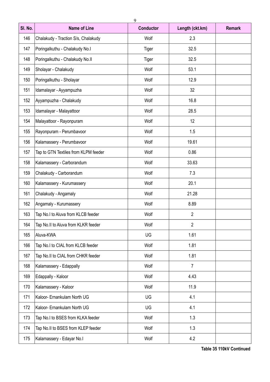|         |                                      | 9                |                 |               |
|---------|--------------------------------------|------------------|-----------------|---------------|
| SI. No. | <b>Name of Line</b>                  | <b>Conductor</b> | Length (ckt.km) | <b>Remark</b> |
| 146     | Chalakudy - Traction S/s, Chalakudy  | Wolf             | 2.3             |               |
| 147     | Poringalkuthu - Chalakudy No.I       | Tiger            | 32.5            |               |
| 148     | Poringalkuthu - Chalakudy No.II      | Tiger            | 32.5            |               |
| 149     | Sholayar - Chalakudy                 | Wolf             | 53.1            |               |
| 150     | Poringalkuthu - Sholayar             | Wolf             | 12.9            |               |
| 151     | Idamalayar - Ayyampuzha              | Wolf             | 32              |               |
| 152     | Ayyampuzha - Chalakudy               | Wolf             | 16.8            |               |
| 153     | Idamalayar - Malayattoor             | Wolf             | 28.5            |               |
| 154     | Malayattoor - Rayonpuram             | Wolf             | 12              |               |
| 155     | Rayonpuram - Perumbavoor             | Wolf             | 1.5             |               |
| 156     | Kalamassery - Perumbavoor            | Wolf             | 19.61           |               |
| 157     | Tap to GTN Textiles from KLPM feeder | Wolf             | 0.86            |               |
| 158     | Kalamassery - Carborandum            | Wolf             | 33.63           |               |
| 159     | Chalakudy - Carborandum              | Wolf             | 7.3             |               |
| 160     | Kalamassery - Kurumassery            | Wolf             | 20.1            |               |
| 161     | Chalakudy - Angamaly                 | Wolf             | 21.28           |               |
| 162     | Angamaly - Kurumassery               | Wolf             | 8.89            |               |
| 163     | Tap No.I to Aluva from KLCB feeder   | Wolf             | $\overline{2}$  |               |
| 164     | Tap No.II to Aluva from KLKR feeder  | Wolf             | $\overline{2}$  |               |
| 165     | Aluva-KWA                            | UG               | 1.61            |               |
| 166     | Tap No.I to CIAL from KLCB feeder    | Wolf             | 1.81            |               |
| 167     | Tap No.II to CIAL from CHKR feeder   | Wolf             | 1.81            |               |
| 168     | Kalamassery - Edappally              | Wolf             | $\overline{7}$  |               |
| 169     | Edappally - Kaloor                   | Wolf             | 4.43            |               |
| 170     | Kalamassery - Kaloor                 | Wolf             | 11.9            |               |
| 171     | Kaloor- Ernankulam North UG          | UG               | 4.1             |               |
| 172     | Kaloor- Ernankulam North UG          | UG               | 4.1             |               |
| 173     | Tap No.I to BSES from KLKA feeder    | Wolf             | 1.3             |               |
| 174     | Tap No.II to BSES from KLEP feeder   | Wolf             | 1.3             |               |
| 175     | Kalamassery - Edayar No.I            | Wolf             | 4.2             |               |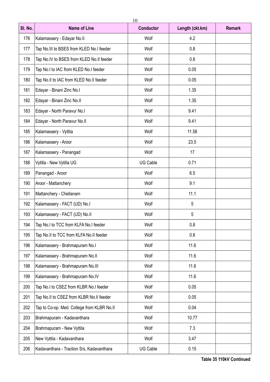| SI. No. | <b>Name of Line</b>                        | <b>Conductor</b> | Length (ckt.km) | <b>Remark</b> |
|---------|--------------------------------------------|------------------|-----------------|---------------|
| 176     | Kalamassery - Edayar No.II                 | Wolf             | 4.2             |               |
| 177     | Tap No.III to BSES from KLED No.I feeder   | Wolf             | 0.8             |               |
| 178     | Tap No.IV to BSES from KLED No.II feeder   | Wolf             | 0.8             |               |
| 179     | Tap No.I to IAC from KLED No.I feeder      | Wolf             | 0.05            |               |
| 180     | Tap No.II to IAC from KLED No.II feeder    | Wolf             | 0.05            |               |
| 181     | Edayar - Binani Zinc No.I                  | Wolf             | 1.35            |               |
| 182     | Edayar - Binani Zinc No.II                 | Wolf             | 1.35            |               |
| 183     | Edayar - North Paravur No.I                | Wolf             | 9.41            |               |
| 184     | Edayar - North Paravur No.II               | Wolf             | 9.41            |               |
| 185     | Kalamassery - Vyttila                      | Wolf             | 11.58           |               |
| 186     | Kalamassery - Aroor                        | Wolf             | 23.5            |               |
| 187     | Kalamassery - Panangad                     | Wolf             | 17              |               |
| 188     | Vytilla - New Vytilla UG                   | <b>UG Cable</b>  | 0.71            |               |
| 189     | Panangad - Aroor                           | Wolf             | 6.5             |               |
| 190     | Aroor - Mattanchery                        | Wolf             | 9.1             |               |
| 191     | Mattanchery - Chellanam                    | Wolf             | 11.1            |               |
| 192     | Kalamassery - FACT (UD) No.I               | Wolf             | 5               |               |
| 193     | Kalamassery - FACT (UD) No.II              | Wolf             | 5               |               |
| 194     | Tap No.I to TCC from KLFA No.I feeder      | Wolf             | 0.8             |               |
| 195     | Tap No.II to TCC from KLFA No.II feeder    | Wolf             | 0.8             |               |
| 196     | Kalamassery - Brahmapuram No.I             | Wolf             | 11.6            |               |
| 197     | Kalamassery - Brahmapuram No.II            | Wolf             | 11.6            |               |
| 198     | Kalamassery - Brahmapuram No.III           | Wolf             | 11.6            |               |
| 199     | Kalamassery - Brahmapuram No.IV            | Wolf             | 11.6            |               |
| 200     | Tap No.I to CSEZ from KLBR No.I feeder     | Wolf             | 0.05            |               |
| 201     | Tap No.II to CSEZ from KLBR No.II feeder   | Wolf             | 0.05            |               |
| 202     | Tap to Co-op. Med. College from KLBR No.II | Wolf             | 0.04            |               |
| 203     | Brahmapuram - Kadavanthara                 | Wolf             | 10.77           |               |
| 204     | Brahmapuram - New Vyttila                  | Wolf             | 7.3             |               |
| 205     | New Vyttila - Kadavanthara                 | Wolf             | 3.47            |               |
| 206     | Kadavanthara - Traction S/s, Kadavanthara  | UG Cable         | 0.15            |               |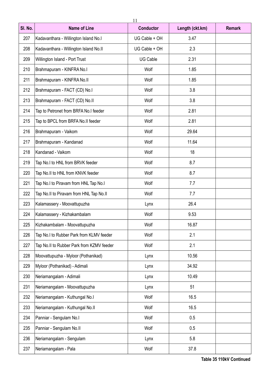| SI. No. | <b>Name of Line</b>                       | <b>Conductor</b> | Length (ckt.km) | <b>Remark</b> |
|---------|-------------------------------------------|------------------|-----------------|---------------|
| 207     | Kadavanthara - Willington Island No.I     | UG Cable + OH    | 3.47            |               |
| 208     | Kadavanthara - Willington Island No.II    | UG Cable + OH    | 2.3             |               |
| 209     | Willington Island - Port Trust            | UG Cable         | 2.31            |               |
| 210     | Brahmapuram - KINFRA No.I                 | Wolf             | 1.85            |               |
| 211     | Brahmapuram - KINFRA No.II                | Wolf             | 1.85            |               |
| 212     | Brahmapuram - FACT (CD) No.I              | Wolf             | 3.8             |               |
| 213     | Brahmapuram - FACT (CD) No.II             | Wolf             | 3.8             |               |
| 214     | Tap to Petronet from BRFA No.I feeder     | Wolf             | 2.81            |               |
| 215     | Tap to BPCL from BRFA No.II feeder        | Wolf             | 2.81            |               |
| 216     | Brahmapuram - Vaikom                      | Wolf             | 29.64           |               |
| 217     | Brahmapuram - Kandanad                    | Wolf             | 11.64           |               |
| 218     | Kandanad - Vaikom                         | Wolf             | 18              |               |
| 219     | Tap No.I to HNL from BRVK feeder          | Wolf             | 8.7             |               |
| 220     | Tap No.II to HNL from KNVK feeder         | Wolf             | 8.7             |               |
| 221     | Tap No.I to Piravam from HNL Tap No.I     | Wolf             | 7.7             |               |
| 222     | Tap No.II to Piravam from HNL Tap No.II   | Wolf             | 7.7             |               |
| 223     | Kalamassery - Moovattupuzha               | Lynx             | 26.4            |               |
| 224     | Kalamassery - Kizhakambalam               | Wolf             | 9.53            |               |
| 225     | Kizhakambalam - Moovattupuzha             | Wolf             | 16.87           |               |
| 226     | Tap No.I to Rubber Park from KLMV feeder  | Wolf             | 2.1             |               |
| 227     | Tap No.II to Rubber Park from KZMV feeder | Wolf             | 2.1             |               |
| 228     | Moovattupuzha - Myloor (Pothanikad)       | Lynx             | 10.56           |               |
| 229     | Myloor (Pothanikad) - Adimali             | Lynx             | 34.92           |               |
| 230     | Neriamangalam - Adimali                   | Lynx             | 10.49           |               |
| 231     | Neriamangalam - Moovattupuzha             | Lynx             | 51              |               |
| 232     | Neriamangalam - Kuthungal No.I            | Wolf             | 16.5            |               |
| 233     | Neriamangalam - Kuthungal No.II           | Wolf             | 16.5            |               |
| 234     | Panniar - Sengulam No.I                   | Wolf             | 0.5             |               |
| 235     | Panniar - Sengulam No.II                  | Wolf             | 0.5             |               |
| 236     | Neriamangalam - Sengulam                  | Lynx             | 5.8             |               |
| 237     | Neriamangalam - Pala                      | Wolf             | 37.8            |               |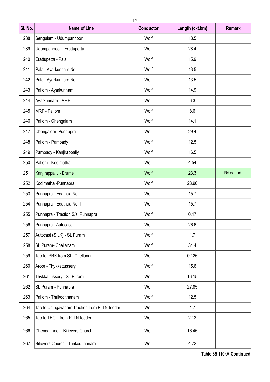| SI. No. | <b>Name of Line</b>                          | <b>Conductor</b> | Length (ckt.km) | <b>Remark</b>   |
|---------|----------------------------------------------|------------------|-----------------|-----------------|
| 238     | Sengulam - Udumpannoor                       | Wolf             | 18.5            |                 |
| 239     | Udumpannoor - Erattupetta                    | Wolf             | 28.4            |                 |
| 240     | Erattupetta - Pala                           | Wolf             | 15.9            |                 |
| 241     | Pala - Ayarkunnam No.l                       | Wolf             | 13.5            |                 |
| 242     | Pala - Ayarkunnam No.II                      | Wolf             | 13.5            |                 |
| 243     | Pallom - Ayarkunnam                          | Wolf             | 14.9            |                 |
| 244     | Ayarkunnam - MRF                             | Wolf             | 6.3             |                 |
| 245     | MRF - Pallom                                 | Wolf             | 8.6             |                 |
| 246     | Pallom - Chengalam                           | Wolf             | 14.1            |                 |
| 247     | Chengalom-Punnapra                           | Wolf             | 29.4            |                 |
| 248     | Pallom - Pambady                             | Wolf             | 12.5            |                 |
| 249     | Pambady - Kanjirappally                      | Wolf             | 16.5            |                 |
| 250     | Pallom - Kodimatha                           | Wolf             | 4.54            |                 |
| 251     | Kanjirappally - Erumeli                      | Wolf             | 23.3            | <b>New line</b> |
| 252     | Kodimatha - Punnapra                         | Wolf             | 28.96           |                 |
| 253     | Punnapra - Edathua No.I                      | Wolf             | 15.7            |                 |
| 254     | Punnapra - Edathua No.II                     | Wolf             | 15.7            |                 |
| 255     | Punnapra - Traction S/s, Punnapra            | Wolf             | 0.47            |                 |
| 256     | Punnapra - Autocast                          | Wolf             | 26.6            |                 |
| 257     | Autocast (SILK) - SL Puram                   | Wolf             | 1.7             |                 |
| 258     | SL Puram- Chellanam                          | Wolf             | 34.4            |                 |
| 259     | Tap to IPRK from SL- Chellanam               | Wolf             | 0.125           |                 |
| 260     | Aroor - Thykkattussery                       | Wolf             | 15.6            |                 |
| 261     | Thykkattussery - SL Puram                    | Wolf             | 16.15           |                 |
| 262     | SL Puram - Punnapra                          | Wolf             | 27.85           |                 |
| 263     | Pallom - Thrikodithanam                      | Wolf             | 12.5            |                 |
| 264     | Tap to Chingavanam Traction from PLTN feeder | Wolf             | 1.7             |                 |
| 265     | Tap to TECIL from PLTN feeder                | Wolf             | 2.12            |                 |
| 266     | Chengannoor - Bilievers Church               | Wolf             | 16.45           |                 |
| 267     | Bilievers Church - Thrikodithanam            | Wolf             | 4.72            |                 |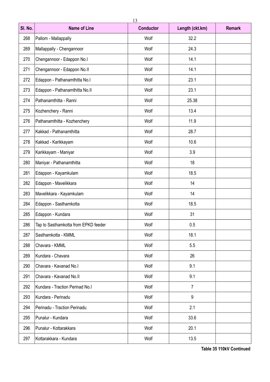| SI. No. | <b>Name of Line</b>                  | <b>Conductor</b> | Length (ckt.km) | <b>Remark</b> |
|---------|--------------------------------------|------------------|-----------------|---------------|
| 268     | Pallom - Mallappally                 | Wolf             | 32.2            |               |
| 269     | Mallappally - Chengannoor            | Wolf             | 24.3            |               |
| 270     | Chengannoor - Edappon No.I           | Wolf             | 14.1            |               |
| 271     | Chengannoor - Edappon No.II          | Wolf             | 14.1            |               |
| 272     | Edappon - Pathanamthitta No.I        | Wolf             | 23.1            |               |
| 273     | Edappon - Pathanamthitta No.II       | Wolf             | 23.1            |               |
| 274     | Pathanamthitta - Ranni               | Wolf             | 25.38           |               |
| 275     | Kozhenchery - Ranni                  | Wolf             | 13.4            |               |
| 276     | Pathanamthitta - Kozhenchery         | Wolf             | 11.9            |               |
| 277     | Kakkad - Pathanamthitta              | Wolf             | 28.7            |               |
| 278     | Kakkad - Karikkayam                  | Wolf             | 10.6            |               |
| 279     | Karikkayam - Maniyar                 | Wolf             | 3.9             |               |
| 280     | Maniyar - Pathanamthitta             | Wolf             | 18              |               |
| 281     | Edappon - Kayamkulam                 | Wolf             | 18.5            |               |
| 282     | Edappon - Mavelikkara                | Wolf             | 14              |               |
| 283     | Mavelikkara - Kayamkulam             | Wolf             | 14              |               |
| 284     | Edappon - Sasthamkotta               | Wolf             | 18.5            |               |
| 285     | Edappon - Kundara                    | Wolf             | 31              |               |
| 286     | Tap to Sasthamkotta from EPKD feeder | Wolf             | 0.5             |               |
| 287     | Sasthamkotta - KMML                  | Wolf             | 18.1            |               |
| 288     | Chavara - KMML                       | Wolf             | 5.5             |               |
| 289     | Kundara - Chavara                    | Wolf             | 26              |               |
| 290     | Chavara - Kavanad No.I               | Wolf             | 9.1             |               |
| 291     | Chavara - Kavanad No.II              | Wolf             | 9.1             |               |
| 292     | Kundara - Traction Perinad No.I      | Wolf             | $\overline{7}$  |               |
| 293     | Kundara - Perinadu                   | Wolf             | 9               |               |
| 294     | Perinadu - Traction Perinadu         | Wolf             | 2.1             |               |
| 295     | Punalur - Kundara                    | Wolf             | 33.6            |               |
| 296     | Punalur - Kottarakkara               | Wolf             | 20.1            |               |
| 297     | Kottarakkara - Kundara               | Wolf             | 13.5            |               |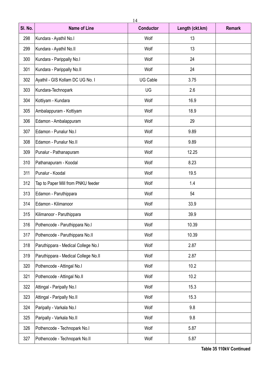| SI. No. | <b>Name of Line</b>                  | <b>Conductor</b> | Length (ckt.km) | <b>Remark</b> |
|---------|--------------------------------------|------------------|-----------------|---------------|
| 298     | Kundara - Ayathil No.I               | Wolf             | 13              |               |
| 299     | Kundara - Ayathil No.II              | Wolf             | 13              |               |
| 300     | Kundara - Parippally No.I            | Wolf             | 24              |               |
| 301     | Kundara - Parippally No.II           | Wolf             | 24              |               |
| 302     | Ayathil - GIS Kollam DC UG No. I     | <b>UG Cable</b>  | 3.75            |               |
| 303     | Kundara-Technopark                   | UG               | 2.6             |               |
| 304     | Kottiyam - Kundara                   | Wolf             | 16.9            |               |
| 305     | Ambalappuram - Kottiyam              | Wolf             | 18.9            |               |
| 306     | Edamon - Ambalappuram                | Wolf             | 29              |               |
| 307     | Edamon - Punalur No.I                | Wolf             | 9.89            |               |
| 308     | Edamon - Punalur No.II               | Wolf             | 9.89            |               |
| 309     | Punalur - Pathanapuram               | Wolf             | 12.25           |               |
| 310     | Pathanapuram - Koodal                | Wolf             | 8.23            |               |
| 311     | Punalur - Koodal                     | Wolf             | 19.5            |               |
| 312     | Tap to Paper Mill from PNKU feeder   | Wolf             | 1.4             |               |
| 313     | Edamon - Paruthippara                | Wolf             | 54              |               |
| 314     | Edamon - Kilimanoor                  | Wolf             | 33.9            |               |
| 315     | Kilimanoor - Paruthippara            | Wolf             | 39.9            |               |
| 316     | Pothencode - Paruthippara No.I       | Wolf             | 10.39           |               |
| 317     | Pothencode - Paruthippara No.II      | Wolf             | 10.39           |               |
| 318     | Paruthippara - Medical College No.I  | Wolf             | 2.87            |               |
| 319     | Paruthippara - Medical College No.II | Wolf             | 2.87            |               |
| 320     | Pothencode - Attingal No.I           | Wolf             | 10.2            |               |
| 321     | Pothencode - Attingal No.II          | Wolf             | 10.2            |               |
| 322     | Attingal - Paripally No.I            | Wolf             | 15.3            |               |
| 323     | Attingal - Paripally No.II           | Wolf             | 15.3            |               |
| 324     | Paripally - Varkala No.I             | Wolf             | 9.8             |               |
| 325     | Paripally - Varkala No.II            | Wolf             | 9.8             |               |
| 326     | Pothencode - Technopark No.I         | Wolf             | 5.87            |               |
| 327     | Pothencode - Technopark No.II        | Wolf             | 5.87            |               |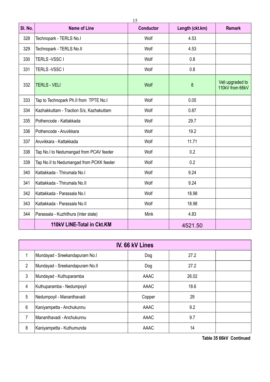| SI. No. | <b>Name of Line</b>                      | <b>Conductor</b> | Length (ckt.km) | <b>Remark</b>                       |
|---------|------------------------------------------|------------------|-----------------|-------------------------------------|
| 328     | Technopark - TERLS No.I                  | Wolf             | 4.53            |                                     |
| 329     | Technopark - TERLS No.II                 | Wolf             | 4.53            |                                     |
| 330     | TERLS-VSSC I                             | Wolf             | 0.8             |                                     |
| 331     | TERLS-VSSC I                             | Wolf             | 0.8             |                                     |
| 332     | <b>TERLS - VELI</b>                      | Wolf             | 8               | Veli upgraded to<br>110kV from 66kV |
| 333     | Tap to Technopark Ph.II from TPTE No.I   | Wolf             | 0.05            |                                     |
| 334     | Kazhakkuttam - Traction S/s, Kazhakuttam | Wolf             | 0.87            |                                     |
| 335     | Pothencode - Kattakkada                  | Wolf             | 29.7            |                                     |
| 336     | Pothencode - Aruvikkara                  | Wolf             | 19.2            |                                     |
| 337     | Aruvikkara - Kattakkada                  | Wolf             | 11.71           |                                     |
| 338     | Tap No.I to Nedumangad from PCAV feeder  | Wolf             | 0.2             |                                     |
| 339     | Tap No.II to Nedumangad from PCKK feeder | Wolf             | 0.2             |                                     |
| 340     | Kattakkada - Thirumala No.I              | Wolf             | 9.24            |                                     |
| 341     | Kattakkada - Thirumala No.II             | Wolf             | 9.24            |                                     |
| 342     | Kattakkada - Parassala No.I              | Wolf             | 18.98           |                                     |
| 343     | Kattakkada - Parassala No.II             | Wolf             | 18.98           |                                     |
| 344     | Parassala - Kuzhithura (Inter state)     | Mink             | 4.83            |                                     |
|         | 110kV LINE-Total in Ckt.KM               |                  | 4521.50         |                                     |

| IV. 66 kV Lines |                                 |             |       |  |
|-----------------|---------------------------------|-------------|-------|--|
| 1               | Mundayad - Sreekandapuram No.I  | Dog         | 27.2  |  |
| $\overline{2}$  | Mundayad - Sreekandapuram No.II | Dog         | 27.2  |  |
| 3               | Mundayad - Kuthuparamba         | <b>AAAC</b> | 26.02 |  |
| 4               | Kuthuparamba - Nedumpoyil       | <b>AAAC</b> | 18.6  |  |
| 5               | Nedumpoyil - Mananthavadi       | Copper      | 29    |  |
| 6               | Kaniyampetta - Anchukunnu       | AAAC        | 9.2   |  |
| 7               | Mananthavadi - Anchukunnu       | <b>AAAC</b> | 9.7   |  |
| 8               | Kaniyampetta - Kuthumunda       | <b>AAAC</b> | 14    |  |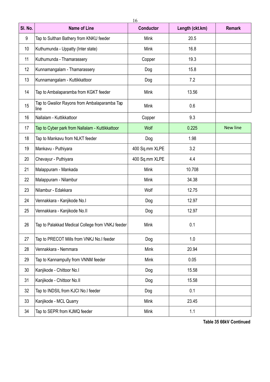| SI. No. | <b>Name of Line</b>                                  | <b>Conductor</b> | Length (ckt.km) | <b>Remark</b>   |
|---------|------------------------------------------------------|------------------|-----------------|-----------------|
| 9       | Tap to Sulthan Bathery from KNKU feeder              | Mink             | 20.5            |                 |
| 10      | Kuthumunda - Uppatty (Inter state)                   | Mink             | 16.8            |                 |
| 11      | Kuthumunda - Thamarassery                            | Copper           | 19.3            |                 |
| 12      | Kunnamangalam - Thamarassery                         | Dog              | 15.8            |                 |
| 13      | Kunnamangalam - Kuttikkattoor                        | Dog              | 7.2             |                 |
| 14      | Tap to Ambalaparamba from KGKT feeder                | Mink             | 13.56           |                 |
| 15      | Tap to Gwalior Rayons from Ambalaparamba Tap<br>line | Mink             | 0.6             |                 |
| 16      | Nallalam - Kuttikkattoor                             | Copper           | 9.3             |                 |
| 17      | Tap to Cyber park from Nallalam - Kuttikkattoor      | Wolf             | 0.225           | <b>New line</b> |
| 18      | Tap to Mankavu from NLKT feeder                      | Dog              | 1.98            |                 |
| 19      | Mankavu - Puthiyara                                  | 400 Sq.mm XLPE   | 3.2             |                 |
| 20      | Chevayur - Puthiyara                                 | 400 Sq.mm XLPE   | 4.4             |                 |
| 21      | Malappuram - Mankada                                 | <b>Mink</b>      | 10.708          |                 |
| 22      | Malappuram - Nilambur                                | Mink             | 34.38           |                 |
| 23      | Nilambur - Edakkara                                  | Wolf             | 12.75           |                 |
| 24      | Vennakkara - Kanjikode No.l                          | Dog              | 12.97           |                 |
| 25      | Vennakkara - Kanjikode No.II                         | Dog              | 12.97           |                 |
| 26      | Tap to Palakkad Medical College from VNKJ feeder     | Mink             | 0.1             |                 |
| 27      | Tap to PRECOT Mills from VNKJ No.I feeder            | Dog              | 1.0             |                 |
| 28      | Vennakkara - Nemmara                                 | Mink             | 20.94           |                 |
| 29      | Tap to Kannampully from VNNM feeder                  | Mink             | 0.05            |                 |
| 30      | Kanjikode - Chittoor No.I                            | Dog              | 15.58           |                 |
| 31      | Kanjikode - Chittoor No.II                           | Dog              | 15.58           |                 |
| 32      | Tap to INDSIL from KJCI No.I feeder                  | Dog              | 0.1             |                 |
| 33      | Kanjikode - MCL Quarry                               | Mink             | 23.45           |                 |
| 34      | Tap to SEPR from KJMQ feeder                         | Mink             | 1.1             |                 |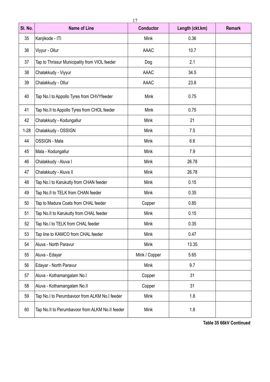| SI. No.  | <b>Name of Line</b>                             | <b>Conductor</b> | Length (ckt.km) | <b>Remark</b> |
|----------|-------------------------------------------------|------------------|-----------------|---------------|
| 35       | Kanjikode - ITI                                 | Mink             | 0.36            |               |
| 36       | Viyyur - Ollur                                  | <b>AAAC</b>      | 10.7            |               |
| 37       | Tap to Thrissur Municipality from VIOL feeder   | Dog              | 2.1             |               |
| 38       | Chalakkudy - Viyyur                             | <b>AAAC</b>      | 34.5            |               |
| 39       | Chalakkudy - Ollur                              | AAAC             | 23.8            |               |
| 40       | Tap No.I to Appollo Tyres from CHVYfeeder       | Mink             | 0.75            |               |
| 41       | Tap No.II to Appollo Tyres from CHOL feeder     | Mink             | 0.75            |               |
| 42       | Chalakkudy - Kodungallur                        | Mink             | 21              |               |
| $1 - 28$ | Chalakkudy - OSSIGN                             | Mink             | 7.5             |               |
| 44       | OSSIGN - Mala                                   | Mink             | 6.6             |               |
| 45       | Mala - Kodungallur                              | Mink             | 7.9             |               |
| 46       | Chalakkudy - Aluva I                            | Mink             | 26.78           |               |
| 47       | Chalakkudy - Aluva II                           | Mink             | 26.78           |               |
| 48       | Tap No.I to Karukutty from CHAN feeder          | Mink             | 0.15            |               |
| 49       | Tap No.II to TELK from CHAN feeder              | Mink             | 0.35            |               |
| 50       | Tap to Madura Coats from CHAL feeder            | Copper           | 0.85            |               |
| 51       | Tap No.II to Karukutty from CHAL feeder         | Mink             | 0.15            |               |
| 52       | Tap No.I to TELK from CHAL feeder               | Mink             | 0.35            |               |
| 53       | Tap line to KAMCO from CHAL feeder              | Mink             | 0.47            |               |
| 54       | Aluva - North Paravur                           | Mink             | 13.35           |               |
| 55       | Aluva - Edayar                                  | Mink / Copper    | 5.65            |               |
| 56       | Edayar - North Paravur                          | Mink             | 9.7             |               |
| 57       | Aluva - Kothamangalam No.I                      | Copper           | 31              |               |
| 58       | Aluva - Kothamangalam No.II                     | Copper           | 31              |               |
| 59       | Tap No.I to Perumbavoor from ALKM No.I feeder   | Mink             | 1.8             |               |
| 60       | Tap No.II to Perumbavoor from ALKM No.II feeder | Mink             | $1.8\,$         |               |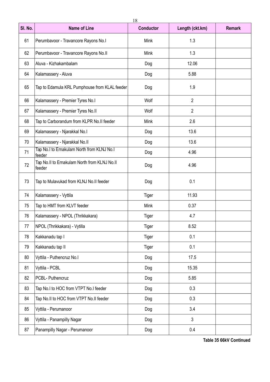| SI. No. | <b>Name of Line</b>                                    | <b>Conductor</b> | Length (ckt.km) | <b>Remark</b> |
|---------|--------------------------------------------------------|------------------|-----------------|---------------|
| 61      | Perumbavoor - Travancore Rayons No.I                   | Mink             | 1.3             |               |
| 62      | Perumbavoor - Travancore Rayons No.II                  | Mink             | 1.3             |               |
| 63      | Aluva - Kizhakambalam                                  | Dog              | 12.06           |               |
| 64      | Kalamassery - Aluva                                    | Dog              | 5.88            |               |
| 65      | Tap to Edamula KRL Pumphouse from KLAL feeder          | Dog              | 1.9             |               |
| 66      | Kalamassery - Premier Tyres No.I                       | Wolf             | $\overline{2}$  |               |
| 67      | Kalamassery - Premier Tyres No.II                      | Wolf             | $\overline{2}$  |               |
| 68      | Tap to Carborandum from KLPR No.II feeder              | Mink             | 2.6             |               |
| 69      | Kalamassery - Njarakkal No.I                           | Dog              | 13.6            |               |
| 70      | Kalamassery - Njarakkal No.II                          | Dog              | 13.6            |               |
| 71      | Tap No.I to Ernakulam North from KLNJ No.I<br>feeder   | Dog              | 4.96            |               |
| 72      | Tap No.II to Ernakulam North from KLNJ No.II<br>feeder | Dog              | 4.96            |               |
| 73      | Tap to Mulavukad from KLNJ No.II feeder                | Dog              | 0.1             |               |
| 74      | Kalamassery - Vyttila                                  | Tiger            | 11.93           |               |
| 75      | Tap to HMT from KLVT feeder                            | Mink             | 0.37            |               |
| 76      | Kalamassery - NPOL (Thrikkakara)                       | Tiger            | 4.7             |               |
| 77      | NPOL (Thrikkakara) - Vytilla                           | Tiger            | 8.52            |               |
| 78      | Kakkanadu tap I                                        | Tiger            | 0.1             |               |
| 79      | Kakkanadu tap II                                       | Tiger            | 0.1             |               |
| 80      | Vyttila - Puthencruz No.I                              | Dog              | 17.5            |               |
| 81      | Vyttila - PCBL                                         | Dog              | 15.35           |               |
| 82      | PCBL- Puthencruz                                       | Dog              | 5.85            |               |
| 83      | Tap No.I to HOC from VTPT No.I feeder                  | Dog              | 0.3             |               |
| 84      | Tap No.II to HOC from VTPT No.II feeder                | Dog              | 0.3             |               |
| 85      | Vyttila - Perumanoor                                   | Dog              | 3.4             |               |
| 86      | Vyttila - Panampilly Nagar                             | Dog              | $\mathfrak{Z}$  |               |
| 87      | Panampilly Nagar - Perumanoor                          | Dog              | 0.4             |               |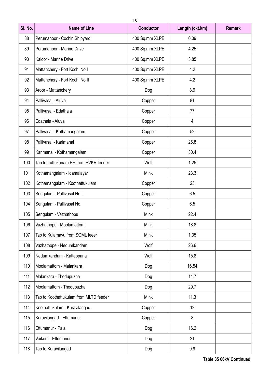| SI. No. | <b>Name of Line</b>                    | <b>Conductor</b> | Length (ckt.km) | <b>Remark</b> |
|---------|----------------------------------------|------------------|-----------------|---------------|
| 88      | Perumanoor - Cochin Shipyard           | 400 Sq.mm XLPE   | 0.09            |               |
| 89      | Perumanoor - Marine Drive              | 400 Sq.mm XLPE   | 4.25            |               |
| 90      | Kaloor - Marine Drive                  | 400 Sq.mm XLPE   | 3.85            |               |
| 91      | Mattanchery - Fort Kochi No.I          | 400 Sq.mm XLPE   | 4.2             |               |
| 92      | Mattanchery - Fort Kochi No.II         | 400 Sq.mm XLPE   | 4.2             |               |
| 93      | Aroor - Mattanchery                    | Dog              | 8.9             |               |
| 94      | Pallivasal - Aluva                     | Copper           | 81              |               |
| 95      | Pallivasal - Edathala                  | Copper           | 77              |               |
| 96      | Edathala - Aluva                       | Copper           | 4               |               |
| 97      | Pallivasal - Kothamangalam             | Copper           | 52              |               |
| 98      | Pallivasal - Karimanal                 | Copper           | 26.8            |               |
| 99      | Karimanal - Kothamangalam              | Copper           | 30.4            |               |
| 100     | Tap to Iruttukanam PH from PVKR feeder | Wolf             | 1.25            |               |
| 101     | Kothamangalam - Idamalayar             | Mink             | 23.3            |               |
| 102     | Kothamangalam - Koothattukulam         | Copper           | 23              |               |
| 103     | Sengulam - Pallivasal No.I             | Copper           | 6.5             |               |
| 104     | Sengulam - Pallivasal No.II            | Copper           | 6.5             |               |
| 105     | Sengulam - Vazhathopu                  | Mink             | 22.4            |               |
| 106     | Vazhathopu - Moolamattom               | Mink             | 18.8            |               |
| 107     | Tap to Kulamavu from SGML feeer        | Mink             | 1.35            |               |
| 108     | Vazhathope - Nedumkandam               | Wolf             | 26.6            |               |
| 109     | Nedumkandam - Kattappana               | Wolf             | 15.8            |               |
| 110     | Moolamattom - Malankara                | Dog              | 16.54           |               |
| 111     | Malankara - Thodupuzha                 | Dog              | 14.7            |               |
| 112     | Moolamattom - Thodupuzha               | Dog              | 29.7            |               |
| 113     | Tap to Koothattukulam from MLTD feeder | Mink             | 11.3            |               |
| 114     | Koothattukulam - Kuravilangad          | Copper           | 12              |               |
| 115     | Kuravilangad - Ettumanur               | Copper           | 8               |               |
| 116     | Ettumanur - Pala                       | Dog              | 16.2            |               |
| 117     | Vaikom - Ettumanur                     | Dog              | 21              |               |
| 118     | Tap to Kuravilangad                    | Dog              | 0.9             |               |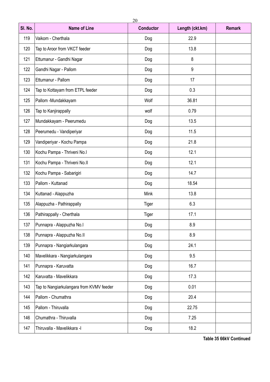| SI. No. | <b>Name of Line</b>                      | <b>Conductor</b> | Length (ckt.km) | <b>Remark</b> |
|---------|------------------------------------------|------------------|-----------------|---------------|
| 119     | Vaikom - Cherthala                       | Dog              | 22.9            |               |
| 120     | Tap to Aroor from VKCT feeder            | Dog              | 13.8            |               |
| 121     | Ettumanur - Gandhi Nagar                 | Dog              | 8               |               |
| 122     | Gandhi Nagar - Pallom                    | Dog              | 9               |               |
| 123     | Ettumanur - Pallom                       | Dog              | 17              |               |
| 124     | Tap to Kottayam from ETPL feeder         | Dog              | 0.3             |               |
| 125     | Pallom -Mundakkayam                      | Wolf             | 36.81           |               |
| 126     | Tap to Kanjirappally                     | wolf             | 0.79            |               |
| 127     | Mundakkayam - Peerumedu                  | Dog              | 13.5            |               |
| 128     | Peerumedu - Vandiperiyar                 | Dog              | 11.5            |               |
| 129     | Vandiperiyar - Kochu Pampa               | Dog              | 21.8            |               |
| 130     | Kochu Pampa - Thriveni No.I              | Dog              | 12.1            |               |
| 131     | Kochu Pampa - Thriveni No.II             | Dog              | 12.1            |               |
| 132     | Kochu Pampa - Sabarigiri                 | Dog              | 14.7            |               |
| 133     | Pallom - Kuttanad                        | Dog              | 18.54           |               |
| 134     | Kuttanad - Alappuzha                     | Mink             | 13.8            |               |
| 135     | Alappuzha - Pathirappally                | Tiger            | 6.3             |               |
| 136     | Pathirappally - Cherthala                | Tiger            | 17.1            |               |
| 137     | Punnapra - Alappuzha No.I                | Dog              | 8.9             |               |
| 138     | Punnapra - Alappuzha No.II               | Dog              | 8.9             |               |
| 139     | Punnapra - Nangiarkulangara              | Dog              | 24.1            |               |
| 140     | Mavelikkara - Nangiarkulangara           | Dog              | 9.5             |               |
| 141     | Punnapra - Karuvatta                     | Dog              | 16.7            |               |
| 142     | Karuvatta - Mavelikkara                  | Dog              | 17.3            |               |
| 143     | Tap to Nangiarkulangara from KVMV feeder | Dog              | 0.01            |               |
| 144     | Pallom - Chumathra                       | Dog              | 20.4            |               |
| 145     | Pallom - Thiruvalla                      | Dog              | 22.75           |               |
| 146     | Chumathra - Thiruvalla                   | Dog              | 7.25            |               |
| 147     | Thiruvalla - Mavelikkara -l              | Dog              | 18.2            |               |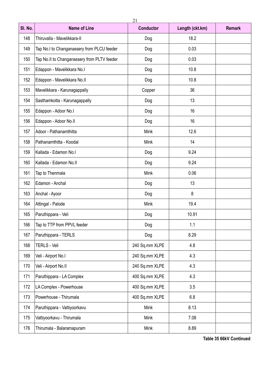| SI. No. | <b>Name of Line</b>                         | <b>Conductor</b> | Length (ckt.km) |  |  |  |  |  |
|---------|---------------------------------------------|------------------|-----------------|--|--|--|--|--|
| 148     | Thiruvalla - Mavelikkara-II                 | Dog              | 18.2            |  |  |  |  |  |
| 149     | Tap No.I to Changanassery from PLCU feeder  | Dog              | 0.03            |  |  |  |  |  |
| 150     | Tap No.II to Changanassery from PLTV feeder | Dog              | 0.03            |  |  |  |  |  |
| 151     | Edappon - Mavelikkara No.I                  | Dog              | 10.8            |  |  |  |  |  |
| 152     | Edappon - Mavelikkara No.II                 | Dog              | 10.8            |  |  |  |  |  |
| 153     | Mavelikkara - Karunagappally                | Copper           | 36              |  |  |  |  |  |
| 154     | Sasthamkotta - Karunagappally               | Dog              | 13              |  |  |  |  |  |
| 155     | Edappon - Adoor No.I                        | Dog              | 16              |  |  |  |  |  |
| 156     | Edappon - Adoor No.II                       | Dog              | 16              |  |  |  |  |  |
| 157     | Adoor - Pathanamthitta                      | Mink             | 12.6            |  |  |  |  |  |
| 158     | Pathanamthitta - Koodal                     | Mink             | 14              |  |  |  |  |  |
| 159     | Kallada - Edamon No.l                       | Dog              | 9.24            |  |  |  |  |  |
| 160     | Kallada - Edamon No.II                      | Dog              | 9.24            |  |  |  |  |  |
| 161     | Tap to Thenmala                             | Mink             | 0.06            |  |  |  |  |  |
| 162     | Edamon - Anchal                             | Dog              | 13              |  |  |  |  |  |
| 163     | Anchal - Ayoor                              | Dog              | 8               |  |  |  |  |  |
| 164     | Attingal - Palode                           | Mink             | 19.4            |  |  |  |  |  |
| 165     | Paruthippara - Veli                         | Dog              | 10.91           |  |  |  |  |  |
| 166     | Tap to TTP from PPVL feeder                 | Dog              | 1.1             |  |  |  |  |  |
| 167     | Paruthippara - TERLS                        | Dog              | 8.29            |  |  |  |  |  |
| 168     | TERLS - Veli                                | 240 Sq.mm XLPE   | 4.8             |  |  |  |  |  |
| 169     | Veli - Airport No.I                         | 240 Sq.mm XLPE   | 4.3             |  |  |  |  |  |
| 170     | Veli - Airport No.II                        | 240 Sq.mm XLPE   | 4.3             |  |  |  |  |  |
| 171     | Paruthippara - LA Complex                   | 400 Sq.mm XLPE   | 4.3             |  |  |  |  |  |
| 172     | LA Complex - Powerhouse                     | 400 Sq.mm XLPE   | 3.5             |  |  |  |  |  |
| 173     | Powerhouse - Thirumala                      | 400 Sq.mm XLPE   | 6.8             |  |  |  |  |  |
| 174     | Paruthippara - Vattiyoorkavu                | Mink             | 8.13            |  |  |  |  |  |
| 175     | Vattiyoorkavu - Thirumala                   | Mink             | 7.08            |  |  |  |  |  |
| 176     | Thirumala - Balaramapuram                   | Mink             | 8.89            |  |  |  |  |  |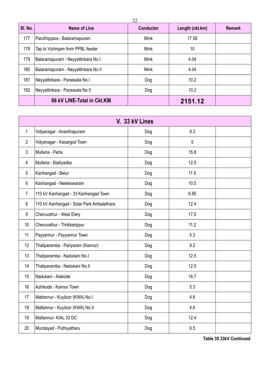| SI. No. | <b>Name of Line</b>                 | --<br><b>Conductor</b> | Length (ckt.km) | <b>Remark</b> |
|---------|-------------------------------------|------------------------|-----------------|---------------|
| 177     | Paruthippara - Balaramapuram        | <b>Mink</b>            | 17.58           |               |
| 178     | Tap to Vizhinjam from PPBL feeder   | <b>Mink</b>            | 10              |               |
| 179     | Balaramapuram - Neyyattinkara No.I  | <b>Mink</b>            | 4.04            |               |
| 180     | Balaramapuram - Neyyattinkara No.II | <b>Mink</b>            | 4.04            |               |
| 181     | Neyyattinkara - Parassala No.I      | Dog                    | 10.2            |               |
| 182     | Neyyattinkara - Parassala No.II     | Dog                    | 10.2            |               |
|         | 66 kV LINE-Total in Ckt.KM          |                        | 2151.12         |               |

|                | V. 33 kV Lines                            |     |      |  |  |  |  |  |
|----------------|-------------------------------------------|-----|------|--|--|--|--|--|
| 1              | Vidyanagar - Ananthapuram                 | Dog | 9.3  |  |  |  |  |  |
| $\overline{2}$ | Vidyanagar - Kasargod Town                | Dog | 5    |  |  |  |  |  |
| 3              | Mulleria - Perla                          | Dog | 15.8 |  |  |  |  |  |
| 4              | Mulleria - Badiyadka                      | Dog | 12.5 |  |  |  |  |  |
| 5              | Kanhangad - Belur                         | Dog | 11.5 |  |  |  |  |  |
| $6\phantom{1}$ | Kanhangad - Neeleswaram                   | Dog | 10.5 |  |  |  |  |  |
| $\overline{7}$ | 110 kV Kanhangad - 33 Kanhangad Town      | Dog | 6.85 |  |  |  |  |  |
| 8              | 110 kV Kanhangad - Solar Park Ambalathara | Dog | 12.4 |  |  |  |  |  |
| 9              | Cheruvathur - West Elery                  | Dog | 17.5 |  |  |  |  |  |
| 10             | Cheruvathur - Thrikkarippur               | Dog | 11.2 |  |  |  |  |  |
| 11             | Payyannur - Payyannur Town                | Dog | 5.3  |  |  |  |  |  |
| 12             | Thaliparamba - Pariyaram (Kannur)         | Dog | 9.2  |  |  |  |  |  |
| 13             | Thaliparamba - Nadukani No.I              | Dog | 12.5 |  |  |  |  |  |
| 14             | Thaliparamba - Nadukani No.II             | Dog | 12.5 |  |  |  |  |  |
| 15             | Nadukani - Alakode                        | Dog | 16.7 |  |  |  |  |  |
| 16             | Azhikode - Kannur Town                    | Dog | 5.3  |  |  |  |  |  |
| 17             | Mattannur - Kuyiloor (KWA) No.I           | Dog | 4.6  |  |  |  |  |  |
| 18             | Mattannur - Kuyiloor (KWA) No.II          | Dog | 4.6  |  |  |  |  |  |
| 19             | Mattannur- KIAL 33 DC                     | Dog | 12.4 |  |  |  |  |  |
| 20             | Mundayad - Puthiyatheru                   | Dog | 6.5  |  |  |  |  |  |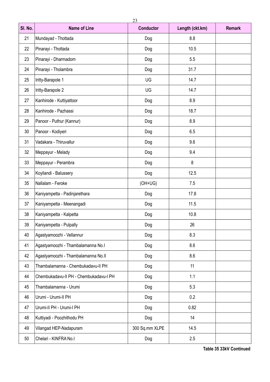| SI. No. | <b>Name of Line</b>                    | <b>Conductor</b> | <b>Remark</b> |  |
|---------|----------------------------------------|------------------|---------------|--|
| 21      | Mundayad - Thottada                    | Dog              | 8.8           |  |
| 22      | Pinarayi - Thottada                    | Dog              | 10.5          |  |
| 23      | Pinarayi - Dharmadom                   | Dog              | 5.5           |  |
| 24      | Pinarayi - Tholambra                   | Dog              | 31.7          |  |
| 25      | Iritty-Barapole 1                      | UG               | 14.7          |  |
| 26      | Iritty-Barapole 2                      | UG               | 14.7          |  |
| 27      | Kanhirode - Kuttiyattoor               | Dog              | 8.9           |  |
| 28      | Kanhirode - Pazhassi                   | Dog              | 18.7          |  |
| 29      | Panoor - Puthur (Kannur)               | Dog              | 8.9           |  |
| 30      | Panoor - Kodiyeri                      | Dog              | 6.5           |  |
| 31      | Vadakara - Thiruvallur                 | Dog              | 9.6           |  |
| 32      | Meppayur - Melady                      | Dog              | 9.4           |  |
| 33      | Meppayur - Perambra                    | Dog              | 8             |  |
| 34      | Koyilandi - Balussery                  | Dog              | 12.5          |  |
| 35      | Nallalam - Feroke                      | $(OH+UG)$        | 7.5           |  |
| 36      | Kaniyampetta - Padinjarethara          | Dog              | 17.8          |  |
| 37      | Kaniyampetta - Meenangadi              | Dog              | 11.5          |  |
| 38      | Kaniyampetta - Kalpetta                | Dog              | 10.8          |  |
| 39      | Kaniyampetta - Pulpally                | Dog              | 26            |  |
| 40      | Agastyamoozhi - Vellannur              | Dog              | 8.3           |  |
| 41      | Agastyamoozhi - Thambalamanna No.I     | Dog              | 8.6           |  |
| 42      | Agastyamoozhi - Thambalamanna No.II    | Dog              | 8.6           |  |
| 43      | Thambalamanna - Chembukadavu-II PH     | Dog              | 11            |  |
| 44      | Chembukadavu-II PH - Chembukadavu-I PH | Dog              | 1.1           |  |
| 45      | Thambalamanna - Urumi                  | Dog              | 5.3           |  |
| 46      | Urumi - Urumi-II PH                    | Dog              | 0.2           |  |
| 47      | Urumi-II PH - Urumi-I PH               | Dog              | 0.82          |  |
| 48      | Kuttiyadi - Poozhithodu PH             | Dog              | 14            |  |
| 49      | Vilangad HEP-Nadapuram                 | 300 Sq.mm XLPE   | 14.5          |  |
| 50      | Chelari - KINFRA No.I                  | Dog              | 2.5           |  |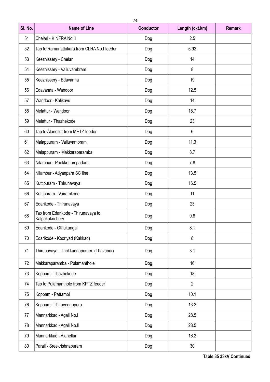| SI. No. | <b>Name of Line</b>                                   | <b>Conductor</b> | Length (ckt.km) |  |  |  |  |  |
|---------|-------------------------------------------------------|------------------|-----------------|--|--|--|--|--|
| 51      | Chelari - KINFRA No.II                                | Dog              | 2.5             |  |  |  |  |  |
| 52      | Tap to Ramanattukara from CLRA No.I feeder            | Dog              | 5.92            |  |  |  |  |  |
| 53      | Keezhissery - Chelari                                 | Dog              | 14              |  |  |  |  |  |
| 54      | Keezhissery - Valluvambram                            | Dog              | 8               |  |  |  |  |  |
| 55      | Keezhissery - Edavanna                                | Dog              | 19              |  |  |  |  |  |
| 56      | Edavanna - Wandoor                                    | Dog              | 12.5            |  |  |  |  |  |
| 57      | Wandoor - Kalikavu                                    | Dog              | 14              |  |  |  |  |  |
| 58      | Melattur - Wandoor                                    | Dog              | 18.7            |  |  |  |  |  |
| 59      | Melattur - Thazhekode                                 | Dog              | 23              |  |  |  |  |  |
| 60      | Tap to Alanellur from METZ feeder                     | Dog              | $6\phantom{1}$  |  |  |  |  |  |
| 61      | Malappuram - Valluvambram                             | Dog              | 11.3            |  |  |  |  |  |
| 62      | Malappuram - Makkaraparamba                           | Dog              | 8.7             |  |  |  |  |  |
| 63      | Nilambur - Pookkottumpadam                            | Dog              | 7.8             |  |  |  |  |  |
| 64      | Nilambur - Adyanpara SC line                          | Dog              | 13.5            |  |  |  |  |  |
| 65      | Kuttipuram - Thirunavaya                              | Dog              | 16.5            |  |  |  |  |  |
| 66      | Kuttipuram - Vairamkode                               | Dog              | 11              |  |  |  |  |  |
| 67      | Edarikode - Thirunavaya                               | Dog              | 23              |  |  |  |  |  |
| 68      | Tap from Edarikode - Thirunavaya to<br>Kalpakaknchery | Dog              | 0.8             |  |  |  |  |  |
| 69      | Edarikode - Othukungal                                | Dog              | 8.1             |  |  |  |  |  |
| 70      | Edarikode - Kooriyad (Kakkad)                         | Dog              | 8               |  |  |  |  |  |
| 71      | Thirunavaya - Thrikkannapuram (Thavanur)              | Dog              | 3.1             |  |  |  |  |  |
| 72      | Makkaraparamba - Pulamanthole                         | Dog              | 16              |  |  |  |  |  |
| 73      | Koppam - Thazhekode                                   | Dog              | 18              |  |  |  |  |  |
| 74      | Tap to Pulamanthole from KPTZ feeder                  | Dog              | $\overline{2}$  |  |  |  |  |  |
| 75      | Koppam - Pattambi                                     | Dog              | 10.1            |  |  |  |  |  |
| 76      | Koppam - Thiruvegappura                               | Dog              | 13.2            |  |  |  |  |  |
| 77      | Mannarkkad - Agali No.I                               | Dog              | 28.5            |  |  |  |  |  |
| 78      | Mannarkkad - Agali No.II                              | Dog              | 28.5            |  |  |  |  |  |
| 79      | Mannarkkad - Alanellur                                | Dog              | 16.2            |  |  |  |  |  |
| 80      | Parali - Sreekrishnapuram                             | Dog              | 30              |  |  |  |  |  |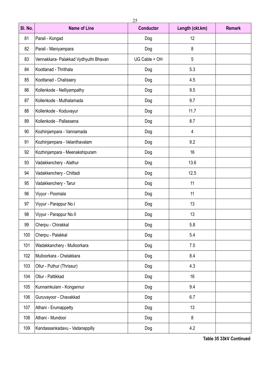| SI. No. | <b>Name of Line</b>                   | <b>Conductor</b> | Length (ckt.km) | <b>Remark</b> |
|---------|---------------------------------------|------------------|-----------------|---------------|
| 81      | Parali - Kongad                       | Dog              | 12              |               |
| 82      | Parali - Maniyampara                  | Dog              | 8               |               |
| 83      | Vennakkara- Palakkad Vydhyuthi Bhavan | UG Cable + OH    | 5               |               |
| 84      | Koottanad - Thrithala                 | Dog              | 5.3             |               |
| 85      | Koottanad - Chalissery                | Dog              | 4.5             |               |
| 86      | Kollenkode - Nelliyampathy            | Dog              | 9.5             |               |
| 87      | Kollenkode - Muthalamada              | Dog              | 9.7             |               |
| 88      | Kollenkode - Koduvayur                | Dog              | 11.7            |               |
| 89      | Kollenkode - Pallassena               | Dog              | 8.7             |               |
| 90      | Kozhinjampara - Vannamada             | Dog              | 4               |               |
| 91      | Kozhinjampara - Velanthavalam         | Dog              | 9.2             |               |
| 92      | Kozhinjampara - Meenakshipuram        | Dog              | 16              |               |
| 93      | Vadakkenchery - Alathur               | Dog              | 13.6            |               |
| 94      | Vadakkenchery - Chittadi              | Dog              | 12.5            |               |
| 95      | Vadakkenchery - Tarur                 | Dog              | 11              |               |
| 96      | Viyyur - Poomala                      | Dog              | 11              |               |
| 97      | Viyyur - Parappur No.I                | Dog              | 13              |               |
| 98      | Viyyur - Parappur No.II               | Dog              | 13              |               |
| 99      | Cherpu - Chirakkal                    | Dog              | 5.8             |               |
| 100     | Cherpu - Palakkal                     | Dog              | 5.4             |               |
| 101     | Wadakkanchery - Mulloorkara           | Dog              | 7.5             |               |
| 102     | Mulloorkara - Chelakkara              | Dog              | 8.4             |               |
| 103     | Ollur - Puthur (Thrissur)             | Dog              | 4.3             |               |
| 104     | Ollur - Pattikkad                     | Dog              | 16              |               |
| 105     | Kunnamkulam - Kongannur               | Dog              | 9.4             |               |
| 106     | Guruvayoor - Chavakkad                | Dog              | 6.7             |               |
| 107     | Athani - Erumappetty                  | Dog              | 13              |               |
| 108     | Athani - Mundoor                      | Dog              | 8               |               |
| 109     | Kandassankadavu - Vadanappilly        | Dog              | 4.2             |               |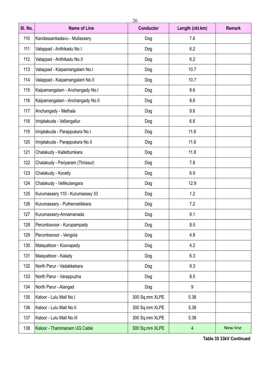| SI. No. | <b>Name of Line</b>              | <b>Conductor</b> | Length (ckt.km) | <b>Remark</b> |  |  |
|---------|----------------------------------|------------------|-----------------|---------------|--|--|
| 110     | Kandassankadavu - Mullassery     | Dog              | 7.6             |               |  |  |
| 111     | Valappad - Anthikadu No.I        | Dog              | 6.2             |               |  |  |
| 112     | Valappad - Anthikadu No.II       | Dog              | 6.2             |               |  |  |
| 113     | Valappad - Kaipamangalam No.I    | Dog              | 10.7            |               |  |  |
| 114     | Valappad - Kaipamangalam No.II   | Dog              | 10.7            |               |  |  |
| 115     | Kaipamangalam - Anchangady No.I  | Dog              | 8.6             |               |  |  |
| 116     | Kaipamangalam - Anchangady No.II | Dog              | 8.6             |               |  |  |
| 117     | Anchangady - Methala             | Dog              | 9.6             |               |  |  |
| 118     | Irinjalakuda - Vellangallur      | Dog              | 6.6             |               |  |  |
| 119     | Irinjalakuda - Parappukara No.I  | Dog              | 11.6            |               |  |  |
| 120     | Irinjalakuda - Parappukara No.II | Dog              | 11.6            |               |  |  |
| 121     | Chalakudy - Kallettumkara        | Dog              | 11.8            |               |  |  |
| 122     | Chalakudy - Pariyaram (Thrissur) | Dog              | 7.8             |               |  |  |
| 123     | Chalakudy - Koratty              | Dog              | 6.9             |               |  |  |
| 124     | Chalakudy - Vellikulangara       | Dog              | 12.9            |               |  |  |
| 125     | Kurumassery 110 - Kurumassey 33  | Dog              | 1.2             |               |  |  |
| 126     | Kurumassery - Puthenvelikkara    | Dog              | 7.2             |               |  |  |
| 127     | Kurumassery-Annamanada           | Dog              | 9.1             |               |  |  |
| 128     | Perumbavoor - Kurupampady        | Dog              | 8.5             |               |  |  |
| 129     | Perumbavoor - Vengola            | Dog              | 4.8             |               |  |  |
| 130     | Malayattoor - Koovapady          | Dog              | 4.2             |               |  |  |
| 131     | Malayattoor - Kalady             | Dog              | 6.3             |               |  |  |
| 132     | North Parur - Vadakkekara        | Dog              | 9.3             |               |  |  |
| 133     | North Parur - Varappuzha         | Dog              | 8.5             |               |  |  |
| 134     | North Parur - Alangad            | Dog              | 9               |               |  |  |
| 135     | Kaloor - Lulu Mall No.I          | 300 Sq.mm XLPE   | 5.38            |               |  |  |
| 136     | Kaloor - Lulu Mall No.II         | 300 Sq.mm XLPE   | 5.38            |               |  |  |
| 137     | Kaloor - Lulu Mall No.III        | 300 Sq.mm XLPE   | 5.38            |               |  |  |
| 138     | Kaloor - Thammanam UG Cable      | 300 Sq.mm XLPE   | $\overline{4}$  | New line      |  |  |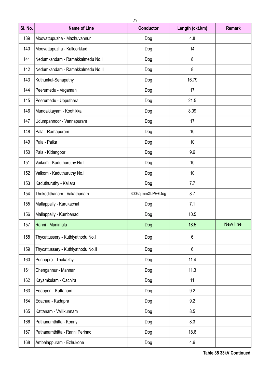| SI. No. | <b>Name of Line</b>                | <b>Conductor</b> | <b>Remark</b> |                 |
|---------|------------------------------------|------------------|---------------|-----------------|
| 139     | Moovattupuzha - Mazhuvannur        | Dog              | 4.8           |                 |
| 140     | Moovattupuzha - Kalloorkkad        | Dog              | 14            |                 |
| 141     | Nedumkandam - Ramakkalmedu No.I    | Dog              | 8             |                 |
| 142     | Nedumkandam - Ramakkalmedu No.II   | Dog              | 8             |                 |
| 143     | Kuthunkal-Senapathy                | Dog              | 16.79         |                 |
| 144     | Peerumedu - Vagaman                | Dog              | 17            |                 |
| 145     | Peerumedu - Upputhara              | Dog              | 21.5          |                 |
| 146     | Mundakkayam - Koottikkal           | Dog              | 8.09          |                 |
| 147     | Udumpannoor - Vannapuram           | Dog              | 17            |                 |
| 148     | Pala - Ramapuram                   | Dog              | 10            |                 |
| 149     | Pala - Paika                       | Dog              | 10            |                 |
| 150     | Pala - Kidangoor                   | Dog              | 9.6           |                 |
| 151     | Vaikom - Kaduthuruthy No.I         | Dog              | 10            |                 |
| 152     | Vaikom - Kaduthuruthy No.II        | Dog              | 10            |                 |
| 153     | Kaduthuruthy - Kallara             | Dog              | 7.7           |                 |
| 154     | Thrikodithanam - Vakathanam        | 300sq.mmXLPE+Dog | 8.7           |                 |
| 155     | Mallappally - Karukachal           | Dog              | 7.1           |                 |
| 156     | Mallappally - Kumbanad             | Dog              | 10.5          |                 |
| 157     | Ranni - Manimala                   | Dog              | 18.5          | <b>New line</b> |
| 158     | Thycattussery - Kuthiyathodu No.I  | Dog              | 6             |                 |
| 159     | Thycattussery - Kuthiyathodu No.II | Dog              | $6\,$         |                 |
| 160     | Punnapra - Thakazhy                | Dog              | 11.4          |                 |
| 161     | Chengannur - Mannar                | Dog              | 11.3          |                 |
| 162     | Kayamkulam - Oachira               | Dog              | 11            |                 |
| 163     | Edappon - Kattanam                 | Dog              | 9.2           |                 |
| 164     | Edathua - Kadapra                  | Dog              | 9.2           |                 |
| 165     | Kattanam - Vallikunnam             | Dog              | 8.5           |                 |
| 166     | Pathanamthitta - Konny             | Dog              | 8.3           |                 |
| 167     | Pathanamthitta - Ranni Perinad     | Dog              | 18.6          |                 |
| 168     | Ambalappuram - Ezhukone            | Dog              | 4.6           |                 |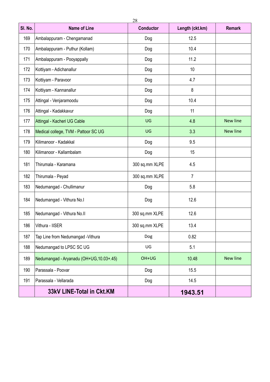| SI. No. | <b>Name of Line</b>                      | <b>Conductor</b> | Length (ckt.km) | <b>Remark</b>   |  |  |
|---------|------------------------------------------|------------------|-----------------|-----------------|--|--|
| 169     | Ambalappuram - Chengamanad               | Dog              | 12.5            |                 |  |  |
| 170     | Ambalappuram - Puthur (Kollam)           | Dog              | 10.4            |                 |  |  |
| 171     | Ambalappuram - Pooyappally               | Dog              | 11.2            |                 |  |  |
| 172     | Kottiyam - Adichanallur                  | Dog              | 10              |                 |  |  |
| 173     | Kottiyam - Paravoor                      | Dog              | 4.7             |                 |  |  |
| 174     | Kottiyam - Kannanallur                   | Dog              | 8               |                 |  |  |
| 175     | Attingal - Venjaramoodu                  | Dog              | 10.4            |                 |  |  |
| 176     | Attingal - Kadakkavur                    | Dog              | 11              |                 |  |  |
| 177     | Attingal - Kacheri UG Cable              | UG               | 4.8             | <b>New line</b> |  |  |
| 178     | Medical college, TVM - Pattoor SC UG     | UG               | 3.3             | <b>New line</b> |  |  |
| 179     | Kilimanoor - Kadakkal                    | Dog              | 9.5             |                 |  |  |
| 180     | Kilimanoor - Kallambalam                 | Dog              | 15              |                 |  |  |
| 181     | Thirumala - Karamana                     | 300 sq.mm XLPE   |                 |                 |  |  |
| 182     | Thirumala - Peyad                        | 300 sq.mm XLPE   | $\overline{7}$  |                 |  |  |
| 183     | Nedumangad - Chullimanur                 | Dog              | 5.8             |                 |  |  |
| 184     | Nedumangad - Vithura No.I                | Dog              | 12.6            |                 |  |  |
| 185     | Nedumangad - Vithura No.II               | 300 sq.mm XLPE   | 12.6            |                 |  |  |
| 186     | Vithura - IISER                          | 300 sq.mm XLPE   | 13.4            |                 |  |  |
| 187     | Tap Line from Nedumangad - Vithura       | Dog              | 0.82            |                 |  |  |
| 188     | Nedumangad to LPSC SC UG                 | UG               | 5.1             |                 |  |  |
| 189     | Nedumangad - Aryanadu (OH+UG, 10.03+.45) | OH+UG            | 10.48           | <b>New line</b> |  |  |
| 190     | Parassala - Poovar                       | Dog              | 15.5            |                 |  |  |
| 191     | Parassala - Vellarada                    | Dog              | 14.5            |                 |  |  |
|         | 33kV LINE-Total in Ckt.KM                |                  | 1943.51         |                 |  |  |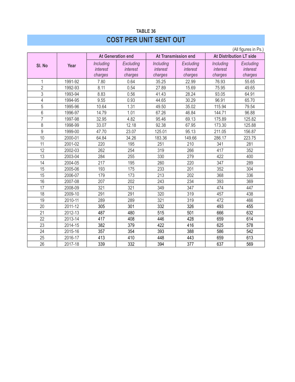# **TABLE 36 COST PER UNIT SENT OUT**

(All figures in Ps.) **Sl. No Year At Generation end At Transmission end At Distribution LT side** 1 1991-92 7.80 0.64 35.25 22.99 76.93 55.65 2 1992-93 8.11 0.54 27.89 15.69 75.95 49.65 3 1993-94 8.83 0.56 41.43 28.24 93.05 64.91 4 | 1994-95 | 9.55 | 0.93 | 44.65 | 30.29 | 96.91 | 65.70 5 1995-96 10.64 1.31 49.50 35.02 115.94 79.54 6 1996-97 14.79 1.01 67.26 46.84 144.71 96.88 7 1997-98 32.95 4.82 95.46 69.13 175.89 125.82 8 | 1998-99 | 33.07 | 12.18 | 92.38 | 67.95 | 173.30 | 125.88 9 1999-00 47.70 23.07 125.01 95.13 211.05 156.87 10 2000-01 64.84 34.26 183.36 149.66 286.17 223.75 11 | 2001-02 | 220 | 195 | 251 | 210 | 341 | 281 12 2002-03 262 254 319 266 417 352 13 | 2003-04 | 284 | 255 | 330 | 279 | 422 | 400 14 | 2004-05 | 217 | 195 | 260 | 220 | 347 | 289 15 | 2005-06 | 193 | 175 | 233 | 201 | 352 | 304 15 | 2006-07 | 179 | 173 | 213 | 202 | 368 | 336 16 | 2007-08 | 207 | 202 | 243 | 234 | 393 | 369 17 | 2008-09 | 321 | 321 | 349 | 347 | 474 | 447 18 2009-10 291 291 320 319 457 438 19 | 2010-11 | 289 | 289 | 321 | 319 | 472 | 466 20 | 2011-12 | 305 | 301 | 332 | 326 | 493 | 455 21 | 2012-13 | 487 | 480 | 515 | 501 | 666 | 632 22 | 2013-14 | 417 | 408 | 446 | 428 | 659 | 614 23 | 2014-15 | 382 | 379 | 422 | 416 | 625 | 578 24 | 2015-16 | 357 | 354 | 393 | 388 | 586 | 542 25 | 2016-17 | 413 | 410 | 448 | 443 | 659 | 613 26 | 2017-18 | 339 | 332 | 394 | 377 | 637 | 569 *Including interest charges Excluding interest charges Including interest charges Excluding interest charges Including interest charges Excluding interest charges*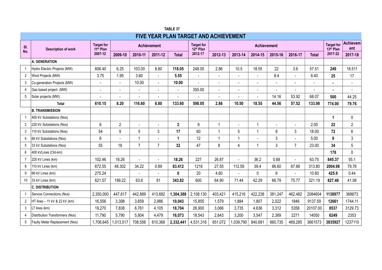|                | <b>FIVE YEAR PLAN TARGET AND ACHIEVEMENT</b> |                                            |                |                |                          |              |                                            |                          |                |                          |         |                |              |                                            |                          |
|----------------|----------------------------------------------|--------------------------------------------|----------------|----------------|--------------------------|--------------|--------------------------------------------|--------------------------|----------------|--------------------------|---------|----------------|--------------|--------------------------------------------|--------------------------|
| SI.            | <b>Description of work</b>                   | <b>Target for</b><br>11 <sup>th</sup> Plan |                |                | <b>Achievement</b>       |              | <b>Target for</b><br>12 <sup>th</sup> Plan |                          |                | <b>Achievement</b>       |         |                |              | <b>Target for</b><br>13 <sup>th</sup> Plan | <b>Achievem</b><br>ent   |
| No.            |                                              | 2007-12                                    | 2009-10        | 2010-11        | 2011-12                  | <b>Total</b> | 2012-17                                    | 2012-13                  | 2013-14        | 2014-15                  | 2015-16 | 2016-17        | <b>Total</b> | 2017-22                                    | 2017-18                  |
|                | A. GENERATION                                |                                            |                |                |                          |              |                                            |                          |                |                          |         |                |              |                                            |                          |
| $\overline{1}$ | Hydro Electric Projects (MW)                 | 606.40                                     | 6.25           | 103.00         | 8.80                     | 118.05       | 248.05                                     | 2.86                     | 10.5           | 18.55                    | 22      | 3.6            | 57.51        | 249                                        | 18.511                   |
| 2              | Wind Projects (MW)                           | 3.75                                       | 1.95           | 3.60           | $\blacksquare$           | 5.55         | $\sim$                                     | $\blacksquare$           |                | $\blacksquare$           | 8.4     | $\blacksquare$ | 8.40         | 25                                         | 17                       |
| 3              | Co-generation Projects (MW)                  | $\blacksquare$                             | $\blacksquare$ | 10.00          | $\blacksquare$           | 10.00        |                                            | $\overline{\phantom{a}}$ |                | $\overline{\phantom{a}}$ |         | $\blacksquare$ |              | $\blacksquare$                             | $\overline{\phantom{a}}$ |
| 4              | Gas based project (MW)                       |                                            | ÷,             | $\blacksquare$ | $\blacksquare$           | $\sim$       | 350.00                                     | ÷,                       |                |                          |         |                |              | $\blacksquare$                             |                          |
| 5              | Solar projects (MW)                          |                                            | $\overline{a}$ | $\blacksquare$ | $\blacksquare$           |              |                                            | $\overline{a}$           |                | $\blacksquare$           | 14.16   | 53.92          | 68.07        | 500                                        | 44.25                    |
|                | Total                                        | 610.15                                     | 8.20           | 116.60         | 8.80                     | 133.60       | 598.05                                     | 2.86                     | 10.50          | 18.55                    | 44.56   | 57.52          | 133.98       | 774.00                                     | 79.76                    |
|                | <b>B. TRANSMISSION</b>                       |                                            |                |                |                          |              |                                            |                          |                |                          |         |                |              |                                            |                          |
| $\overline{1}$ | 400 kV Substations (Nos)                     |                                            |                |                |                          |              |                                            |                          |                |                          |         |                |              | 1                                          | $\mathbf 0$              |
| 2              | 220 kV Substations (Nos)                     | $6\phantom{.}6$                            | $\overline{2}$ |                |                          | $\mathbf{2}$ | 9                                          | 1                        |                |                          |         | $\overline{a}$ | 2.00         | 22                                         | $\mathbf{2}$             |
| 3              | 110 kV Substations (Nos)                     | 54                                         | 9              | 5              | 3                        | 17           | 60                                         | 1                        | 5              |                          | 8       | 3              | 18.00        | 72                                         | $6\,$                    |
| 4              | 66 kV Substations (Nos)                      | $6\phantom{.}6$                            |                | $\overline{1}$ | $\overline{\phantom{a}}$ | $\mathbf{1}$ | 12                                         | $\mathbf{1}$             | 1              |                          | 3       | $\blacksquare$ | 5.00         | 9                                          | $\mathfrak{Z}$           |
| 5              | 33 kV Substations (Nos)                      | 55                                         | 18             | $\overline{7}$ | $\overline{7}$           | 32           | 47                                         | 8                        | $\overline{4}$ | $\overline{1}$           | 3       | $\overline{7}$ | 23.00        | 34                                         | 5                        |
| 6              | 400 kVLines (Ckt-km)                         |                                            |                |                |                          |              |                                            |                          |                |                          |         |                |              | 178                                        | $\mathbf 0$              |
| $\overline{7}$ | 220 kV Lines (km)                            | 102.46                                     | 18.26          |                |                          | 18.26        | 227                                        | 26.87                    |                | 36.2                     | 0.68    |                | 63.75        | 845.37                                     | 55.1                     |
| 8              | 110 kV Lines (km)                            | 672.55                                     | 48.302         | 34.22          | 0.89                     | 83.412       | 1216                                       | 27.55                    | 112.59         | 39.4                     | 66.60   | 67.66          | 313.80       | 2004.98                                    | 79.76                    |
| 9              | 66 kV Lines (km)                             | 275.24                                     |                |                |                          | 0            | 20                                         | 4.60                     |                | $\mathbf 0$              | 6       | $\blacksquare$ | 10.60        | 425.9                                      | 0.44                     |
| 10             | 33 kV Lines (km)                             | 621.57                                     | 199.22         | 63.6           | 81                       | 343.82       | 600                                        | 64.90                    | 71.44          | 42.29                    | 66.79   | 75.77          | 321.19       | 827.46                                     | 41.08                    |
|                | <b>C. DISTRIBUTION</b>                       |                                            |                |                |                          |              |                                            |                          |                |                          |         |                |              |                                            |                          |
| $\overline{1}$ | Service Connections (Nos)                    | 2,350,000                                  | 447,817        | 442,889        | 413,682                  | 1,304,388    | 2,108,130                                  | 403,421                  | 415,216        | 422,238                  | 381,247 | 462,482        | 2084604      | 1138977                                    | 368673                   |
| $\overline{2}$ | HT lines - 11 kV & 22 kV (km)                | 16,556                                     | 3,398          | 3,659          | 2,986                    | 10,043       | 15,855                                     | 1,579                    | 1,884          | 1,807                    | 2,022   | 1846           | 9137.59      | 12661                                      | 1744.11                  |
| 3              | LT lines (km)                                | 19,270                                     | 7,838          | 6,761          | 4,105                    | 18,704       | 26,900                                     | 3,066                    | 3,735          | 4,636                    | 3,312   | 5358           | 20107.00     | 8537                                       | 3129.73                  |
| 4              | Distribution Transformers (Nos)              | 11,790                                     | 5,790          | 5,804          | 4,479                    | 16,073       | 18,543                                     | 2,643                    | 3,200          | 3,547                    | 2,389   | 2271           | 14050        | 6249                                       | 2353                     |
| 5              | Faulty Meter Replacement (Nos)               | 1,706,645                                  | 1,013,517      | 708,556        | 610,368                  | 2,332,441    | 4,531,316                                  | 651,072                  | ,039,790       | 840,691                  | 660,735 | 469,285        | 3661573      | 3835927                                    | 1237110                  |

**TABLE 37**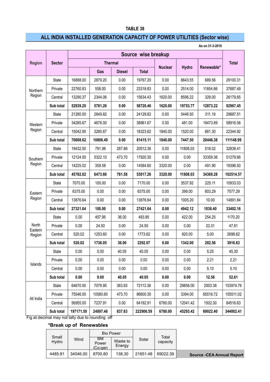### **TABLE 38**

## **ALL INDIA INSTALLED GENERATION CAPACITY OF POWER UTILITIES (Sector wise)**

**As on 31-3-2018**

|                  | Source wise breakup                              |           |          |                |              |                |              |            |              |
|------------------|--------------------------------------------------|-----------|----------|----------------|--------------|----------------|--------------|------------|--------------|
| <b>Region</b>    | <b>Sector</b>                                    |           |          | <b>Thermal</b> |              |                |              |            | <b>Total</b> |
|                  |                                                  |           | Gas      | <b>Diesel</b>  | <b>Total</b> | <b>Nuclear</b> | <b>Hydro</b> | Renewable* |              |
|                  | <b>State</b>                                     | 16888.00  | 2879.20  | 0.00           | 19767.20     | 0.00           | 8643.55      | 689.56     | 29100.31     |
| Northern         | Private                                          | 22760.83  | 558.00   | 0.00           | 23318.83     | 0.00           | 2514.00      | 11854.66   | 37687.49     |
| Region           | Central                                          | 13290.37  | 2344.06  | 0.00           | 15634.43     | 1620.00        | 8596.22      | 329.00     | 26179.65     |
|                  | Sub total                                        | 52939.20  | 5781.26  | 0.00           | 58720.46     | 1620.00        | 19753.77     | 12873.22   | 92967.45     |
|                  | State                                            | 21280.00  | 2849.82  | 0.00           | 24129.82     | 0.00           | 5446.50      | 311.19     | 29887.51     |
| Western          | Private                                          | 34285.67  | 4676.00  | 0.00           | 38961.67     | 0.00           | 481.00       | 19473.89   | 58916.56     |
| Region           | Central                                          | 15042.95  | 3280.67  | 0.00           | 18323.62     | 1840.00        | 1520.00      | 661.30     | 22344.92     |
|                  | Sub total                                        | 70608.62  | 10806.49 | 0.00           | 81415.11     | 1840.00        | 7447.50      | 20446.38   | 111148.99    |
|                  | State                                            | 19432.50  | 791.98   | 287.88         | 20512.36     | 0.00           | 11808.03     | 518.02     | 32838.41     |
| Southern         | Private                                          | 12124.50  | 5322.10  | 473.70         | 17920.30     | 0.00           | 0.00         | 33359.36   | 51279.66     |
| Region           | Central                                          | 14225.02  | 359.58   | 0.00           | 14584.60     | 3320.00        | 0.00         | 491.90     | 18396.50     |
|                  | Sub total                                        | 45782.02  | 6473.66  | 761.58         | 53017.26     | 3320.00        | 11808.03     | 34369.28   | 102514.57    |
|                  | State                                            | 7070.00   | 100.00   | 0.00           | 7170.00      | 0.00           | 3537.92      | 225.11     | 10933.03     |
| Eastern          | Private                                          | 6375.00   | 0.00     | 0.00           | 6375.00      | 0.00           | 399.00       | 803.29     | 7577.29      |
| Region           | Central                                          | 13876.64  | 0.00     | 0.00           | 13876.64     | 0.00           | 1005.20      | 10.00      | 14891.84     |
|                  | Sub total                                        | 27321.64  | 100.00   | 0.00           | 27421.64     | 0.00           | 4942.12      | 1038.40    | 33402.16     |
|                  | State                                            | 0.00      | 457.95   | 36.00          | 493.95       | 0.00           | 422.00       | 254.25     | 1170.20      |
| North<br>Eastern | Private                                          | 0.00      | 24.50    | 0.00           | 24.50        | 0.00           | 0.00         | 23.31      | 47.81        |
| Region           | Central                                          | 520.02    | 1253.60  | 0.00           | 1773.62      | 0.00           | 920.00       | 5.00       | 2698.62      |
|                  | Sub total                                        | 520.02    | 1736.05  | 36.00          | 2292.07      | 0.00           | 1342.00      | 282.56     | 3916.63      |
|                  | State                                            | 0.00      | 0.00     | 40.05          | 40.05        | 0.00           | 0.00         | 5.25       | 45.30        |
| Islands          | Private                                          | 0.00      | 0.00     | 0.00           | 0.00         | 0.00           | 0.00         | 2.21       | 2.21         |
|                  | Central                                          | 0.00      | 0.00     | 0.00           | 0.00         | 0.00           | 0.00         | 5.10       | 5.10         |
|                  | Sub total                                        | 0.00      | 0.00     | 40.05          | 40.05        | 0.00           | 0.00         | 12.56      | 52.61        |
|                  | State                                            | 64670.50  | 7078.95  | 363.93         | 72113.38     | 0.00           | 29858.00     | 2003.38    | 103974.76    |
| All India        | Private                                          | 75546.00  | 10580.60 | 473.70         | 86600.30     | 0.00           | 3394.00      | 65516.72   | 155511.02    |
|                  | Central                                          | 56955.00  | 7237.91  | 0.00           | 64192.91     | 6780.00        | 12041.42     | 1502.30    | 84516.63     |
|                  | Sub total                                        | 197171.50 | 24897.46 | 837.63         | 222906.59    | 6780.00        | 45293.42     | 69022.40   | 344002.41    |
|                  | Fig at decimal may not tally due to rounding off |           |          |                |              |                |              |            |              |

#### **\*Break up of Renewables**

| Small<br>Hydro | Wind     |                        | <b>Bio Power</b>   |          | Total<br>capacity |  |
|----------------|----------|------------------------|--------------------|----------|-------------------|--|
|                |          | BМ<br>Power<br>/Co-gen | Waste to<br>Energy | Solar    |                   |  |
| 4485.81        | 34046.00 | 8700.80                | 138.30             | 21651.48 | 69022.39          |  |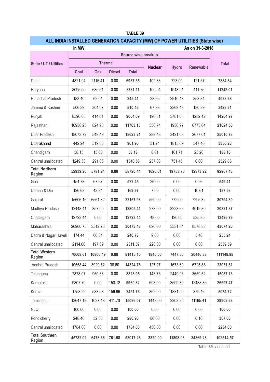| In MW                                  |                     |          |               |              |                |              | As on 31-3-2018 |              |  |
|----------------------------------------|---------------------|----------|---------------|--------------|----------------|--------------|-----------------|--------------|--|
|                                        | Source wise breakup |          |               |              |                |              |                 |              |  |
| State / UT / Utlities                  | <b>Thermal</b>      |          |               |              | <b>Nuclear</b> | <b>Hydro</b> | Renewable       | <b>Total</b> |  |
|                                        | Coal                | Gas      | <b>Diesel</b> | <b>Total</b> |                |              |                 |              |  |
| Delhi                                  | 4821.94             | 2115.41  | 0.00          | 6937.35      | 102.83         | 723.09       | 121.57          | 7884.84      |  |
| Haryana                                | 8095.50             | 685.61   | 0.00          | 8781.11      | 100.94         | 1948.21      | 411.75          | 11242.01     |  |
| Himachal Pradesh                       | 183.40              | 62.01    | 0.00          | 245.41       | 28.95          | 2910.48      | 853.84          | 4038.68      |  |
| Jammu & Kashmir                        | 506.39              | 304.07   | 0.00          | 810.46       | 67.98          | 2369.48      | 180.39          | 3428.31      |  |
| Punjab                                 | 8590.08             | 414.01   | 0.00          | 9004.09      | 196.81         | 3781.65      | 1282.42         | 14264.97     |  |
| Rajasthan                              | 10938.25            | 824.90   | 0.00          | 11763.15     | 556.74         | 1930.97      | 6773.64         | 21024.50     |  |
| <b>Uttar Pradesh</b>                   | 18073.72            | 549.49   | 0.00          | 18623.21     | 289.48         | 3421.03      | 2677.01         | 25010.73     |  |
| Uttarakhand                            | 442.24              | 519.66   | 0.00          | 961.90       | 31.24          | 1815.69      | 547.40          | 3356.23      |  |
| Chandigarh                             | 38.15               | 15.03    | 0.00          | 53.18        | 8.01           | 101.71       | 25.20           | 188.10       |  |
| Central unallocated                    | 1249.53             | 291.05   | 0.00          | 1540.58      | 237.03         | 751.45       | 0.00            | 2529.06      |  |
| <b>Total Northern</b><br>Region        | 52939.20            | 5781.24  | 0.00          | 58720.44     | 1620.01        | 19753.76     | 12873.22        | 92967.43     |  |
| Goa                                    | 454.78              | 67.67    | 0.00          | 522.45       | 26.00          | 0.00         | 0.96            | 549.41       |  |
| Daman & Diu                            | 126.63              | 43.34    | 0.00          | 169.97       | 7.00           | 0.00         | 10.61           | 187.58       |  |
| Gujarat                                | 15606.16            | 6561.82  | 0.00          | 22167.98     | 559.00         | 772.00       | 7295.32         | 30794.30     |  |
| Madhya Pradesh                         | 12448.41            | 357.00   | 0.00          | 12805.41     | 273.00         | 3223.66      | 4019.80         | 20321.87     |  |
| Chattisgarh                            | 12723.44            | 0.00     | 0.00          | 12723.44     | 48.00          | 120.00       | 535.35          | 13426.79     |  |
| Maharashtra                            | 26960.75            | 3512.73  | 0.00          | 30473.48     | 690.00         | 3331.84      | 8578.88         | 43074.20     |  |
| Dadra & Nagar Haveli                   | 174.44              | 66.34    | 0.00          | 240.78       | 9.00           | 0.00         | 5.46            | 255.24       |  |
| Central unallocated                    | 2114.00             | 197.59   | 0.00          | 2311.59      | 228.00         | 0.00         | 0.00            | 2539.59      |  |
| <b>Total Western</b><br>Region         | 70608.61            | 10806.49 | 0.00          | 81415.10     | 1840.00        | 7447.50      | 20446.38        | 111148.98    |  |
| Andhra Pradesh                         | 10558.44            | 3929.52  | 36.80         | 14524.76     | 127.27         | 1673.60      | 6725.88         | 23051.51     |  |
| Telangana                              | 7878.07             | 950.88   | 0.00          | 8828.95      | 148.73         | 2449.93      | 3659.52         | 15087.13     |  |
| Karnataka                              | 9807.70             | 0.00     | 153.12        | 9960.82      | 698.00         | 3599.80      | 12438.85        | 26697.47     |  |
| Kerala                                 | 1758.22             | 533.58   | 159.96        | 2451.76      | 362.00         | 1881.50      | 379.46          | 5074.72      |  |
| Tamilnadu                              | 13647.19            | 1027.18  | 411.70        | 15086.07     | 1448.00        | 2203.20      | 11165.41        | 29902.68     |  |
| <b>NLC</b>                             | 100.00              | 0.00     | 0.00          | 100.00       | 0.00           | 0.00         | 0.00            | 100.00       |  |
| Pondicherry                            | 248.40              | 32.50    | 0.00          | 280.90       | 86.00          | 0.00         | 0.16            | 367.06       |  |
| Central unallocated                    | 1784.00             | 0.00     | 0.00          | 1784.00      | 450.00         | 0.00         | 0.00            | 2234.00      |  |
| <b>Total Southern</b><br><b>Region</b> | 45782.02            | 6473.66  | 761.58        | 53017.26     | 3320.00        | 11808.03     | 34369.28        | 102514.57    |  |

### **TABLE 39**

## **ALL INDIA INSTALLED GENERATION CAPACITY (MW) OF POWER UTILITIES (State wise)**

**Table 39** continued